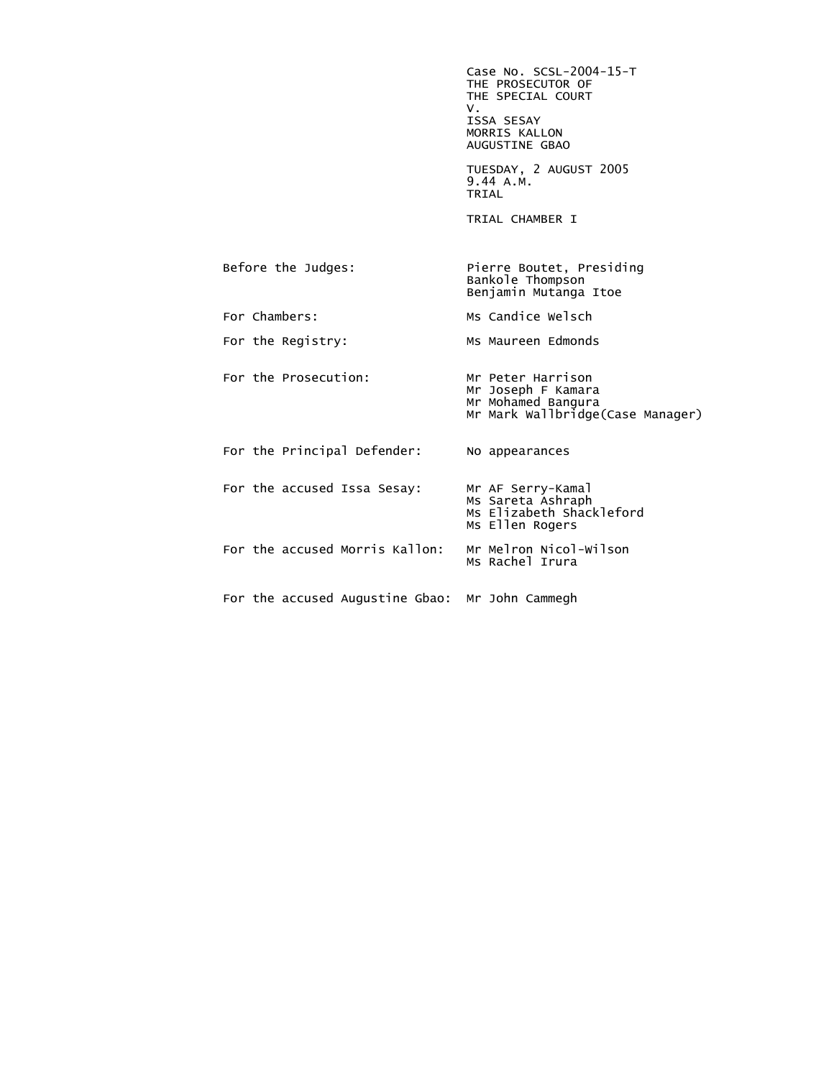Case No. SCSL-2004-15-T THE PROSECUTOR OF THE SPECIAL COURT<br>V. V. ISSA SESAY MORRIS KALLON AUGUSTINE GBAO TUESDAY, 2 AUGUST 2005 9.44 A.M.<br>TRIAL **TRIAL**  TRIAL CHAMBER I Before the Judges: Pierre Boutet, Presiding Bankole Thompson Benjamin Mutanga Itoe For Chambers: Ms Candice Welsch For the Registry: Ms Maureen Edmonds For the Prosecution: Mr Peter Harrison Mr Joseph F Kamara Mr Mohamed Bangura Mr Mark Wallbridge(Case Manager) For the Principal Defender: No appearances For the accused Issa Sesay: Mr AF Serry-Kamal Ms Sareta Ashraph Ms Elizabeth Shackleford Ms Ellen Rogers For the accused Morris Kallon: Mr Melron Nicol-Wilson<br>Ms Rachel Irura For the accused Augustine Gbao: Mr John Cammegh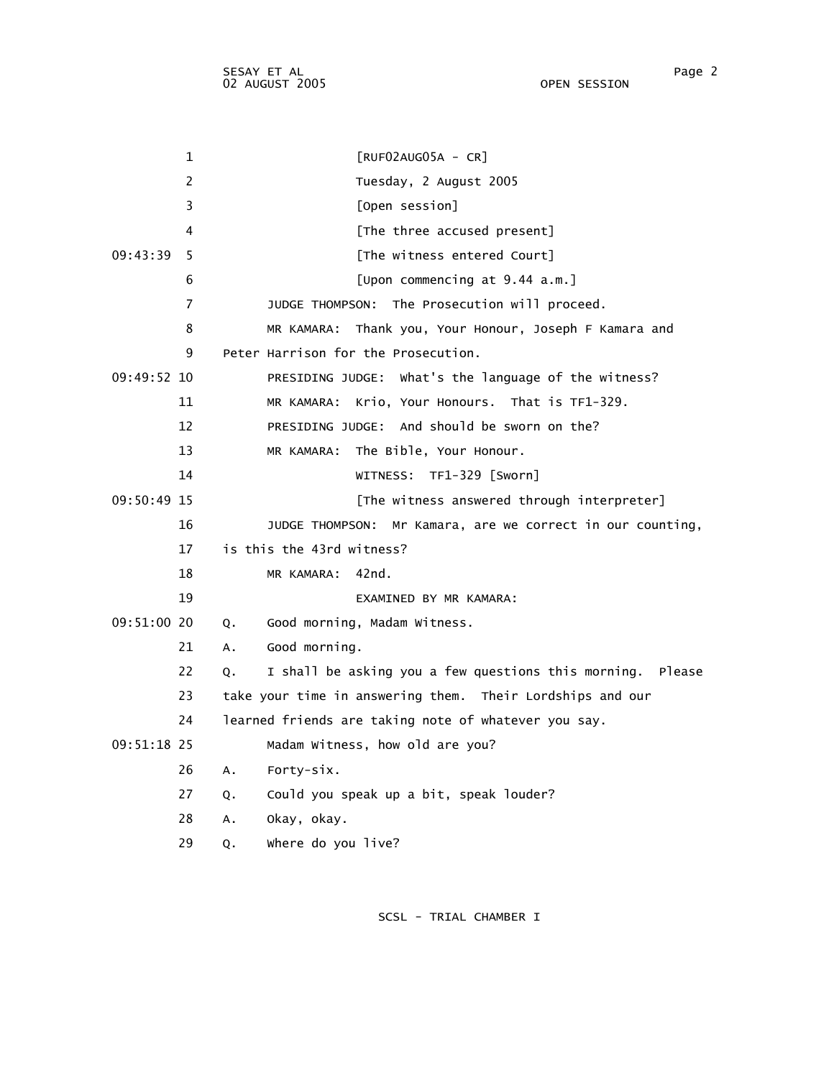| 1              | $[RUF02AUG05A - CR]$                                             |
|----------------|------------------------------------------------------------------|
| $\overline{c}$ | Tuesday, 2 August 2005                                           |
| 3              | [Open session]                                                   |
| 4              | [The three accused present]                                      |
| 09:43:39<br>5  | [The witness entered Court]                                      |
| 6              | [Upon commencing at 9.44 a.m.]                                   |
| 7              | JUDGE THOMPSON: The Prosecution will proceed.                    |
| 8              | Thank you, Your Honour, Joseph F Kamara and<br>MR KAMARA:        |
| 9              | Peter Harrison for the Prosecution.                              |
| $09:49:52$ 10  | PRESIDING JUDGE: What's the language of the witness?             |
| 11             | MR KAMARA: Krio, Your Honours. That is TF1-329.                  |
| 12             | PRESIDING JUDGE: And should be sworn on the?                     |
| 13             | The Bible, Your Honour.<br>MR KAMARA:                            |
| 14             | WITNESS: TF1-329 [Sworn]                                         |
| 09:50:49 15    | [The witness answered through interpreter]                       |
| 16             | JUDGE THOMPSON: Mr Kamara, are we correct in our counting,       |
| 17             | is this the 43rd witness?                                        |
| 18             | 42nd.<br>MR KAMARA:                                              |
| 19             | EXAMINED BY MR KAMARA:                                           |
| 09:51:00 20    | Good morning, Madam Witness.<br>Q.                               |
| 21             | Good morning.<br>А.                                              |
| 22             | I shall be asking you a few questions this morning. Please<br>Q. |
| 23             | take your time in answering them. Their Lordships and our        |
| 24             | learned friends are taking note of whatever you say.             |
| 09:51:18 25    | Madam Witness, how old are you?                                  |
| 26             | Forty-six.<br>$A_{\bullet}$                                      |
| 27             | Could you speak up a bit, speak louder?<br>Q.                    |
| 28             | Okay, okay.<br>Α.                                                |
| 29             | where do you live?<br>Q.                                         |
|                |                                                                  |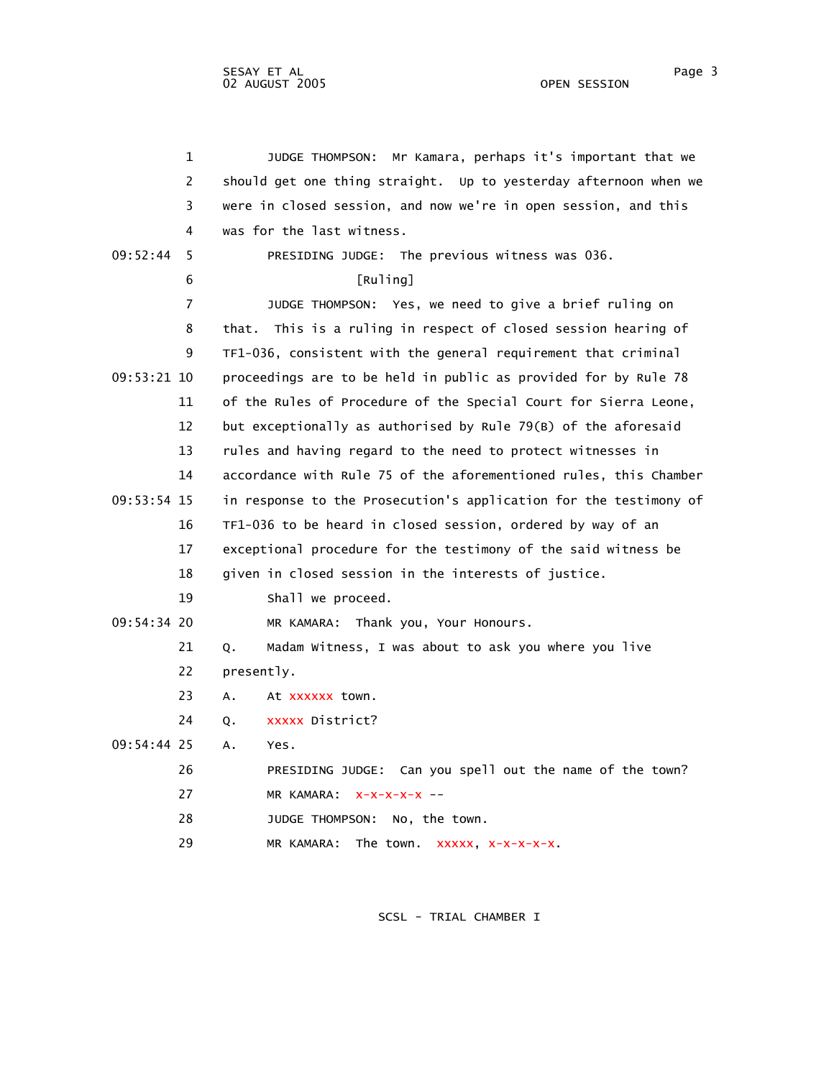|             | $\mathbf{1}$   | Mr Kamara, perhaps it's important that we<br>JUDGE THOMPSON:      |
|-------------|----------------|-------------------------------------------------------------------|
|             | $\overline{2}$ | should get one thing straight. Up to yesterday afternoon when we  |
|             | 3              | were in closed session, and now we're in open session, and this   |
|             | 4              | was for the last witness.                                         |
| 09:52:44    | 5              | PRESIDING JUDGE: The previous witness was 036.                    |
|             | 6              | $[Ru]$ ing]                                                       |
|             | $\overline{7}$ | JUDGE THOMPSON: Yes, we need to give a brief ruling on            |
|             | 8              | This is a ruling in respect of closed session hearing of<br>that. |
|             | 9              | TF1-036, consistent with the general requirement that criminal    |
| 09:53:21 10 |                | proceedings are to be held in public as provided for by Rule 78   |
|             | 11             | of the Rules of Procedure of the Special Court for Sierra Leone,  |
|             | 12             | but exceptionally as authorised by Rule 79(B) of the aforesaid    |
|             | 13             | rules and having regard to the need to protect witnesses in       |
|             | 14             | accordance with Rule 75 of the aforementioned rules, this Chamber |
| 09:53:54 15 |                | in response to the Prosecution's application for the testimony of |
|             | 16             | TF1-036 to be heard in closed session, ordered by way of an       |
|             | 17             | exceptional procedure for the testimony of the said witness be    |
|             | 18             | given in closed session in the interests of justice.              |
|             | 19             | Shall we proceed.                                                 |
| 09:54:34 20 |                | MR KAMARA: Thank you, Your Honours.                               |
|             | 21             | Madam Witness, I was about to ask you where you live<br>Q.        |
|             | 22             | presently.                                                        |
|             |                |                                                                   |

23 A. At xxxxxx town.

24 Q. xxxxx District?

09:54:44 25 A. Yes.

 26 PRESIDING JUDGE: Can you spell out the name of the town? 27 MR KAMARA: x-x-x-x-x --

28 JUDGE THOMPSON: No, the town.

29 MR KAMARA: The town. xxxxx, x-x-x-x-x.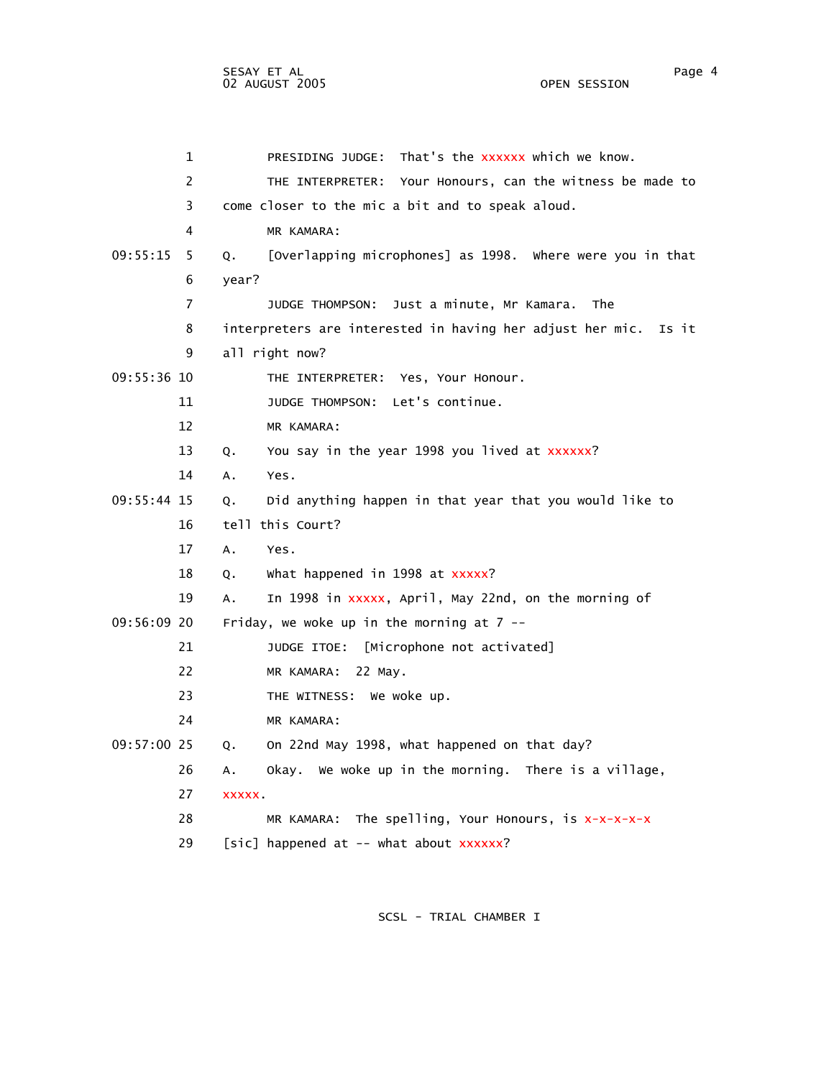|             | $\mathbf 1$    | That's the xxxxxx which we know.<br>PRESIDING JUDGE:               |
|-------------|----------------|--------------------------------------------------------------------|
|             | 2              | THE INTERPRETER: Your Honours, can the witness be made to          |
|             | 3              | come closer to the mic a bit and to speak aloud.                   |
|             | 4              | MR KAMARA:                                                         |
| 09:55:15    | 5.             | [Overlapping microphones] as 1998. Where were you in that<br>Q.    |
|             | 6              | year?                                                              |
|             | $\overline{7}$ | JUDGE THOMPSON: Just a minute, Mr Kamara. The                      |
|             | 8              | interpreters are interested in having her adjust her mic.<br>Is it |
|             | 9              | all right now?                                                     |
| 09:55:36 10 |                | THE INTERPRETER: Yes, Your Honour.                                 |
|             | 11             | JUDGE THOMPSON: Let's continue.                                    |
|             | 12             | MR KAMARA:                                                         |
|             | 13             | You say in the year 1998 you lived at xxxxxx?<br>Q.                |
|             | 14             | Yes.<br>Α.                                                         |
| 09:55:44 15 |                | Did anything happen in that year that you would like to<br>Q.      |
|             | 16             | tell this Court?                                                   |
|             | 17             | $A_{\bullet}$<br>Yes.                                              |
|             | 18             | what happened in 1998 at xxxxx?<br>Q.                              |
|             | 19             | In 1998 in xxxxx, April, May 22nd, on the morning of<br>A.         |
| 09:56:09 20 |                | Friday, we woke up in the morning at $7 -$                         |
|             | 21             | JUDGE ITOE: [Microphone not activated]                             |
|             | 22             | MR KAMARA: 22 May.                                                 |
|             | 23             | THE WITNESS: We woke up.                                           |
|             | 24             | MR KAMARA:                                                         |
| 09:57:00 25 |                | On 22nd May 1998, what happened on that day?<br>Q.                 |
|             | 26             | Okay. We woke up in the morning. There is a village,<br>А.         |
|             | 27             | <b>XXXXX</b>                                                       |
|             | 28             | MR KAMARA: The spelling, Your Honours, is $x-x-x-x$                |
|             | 29             | [sic] happened at -- what about xxxxxx?                            |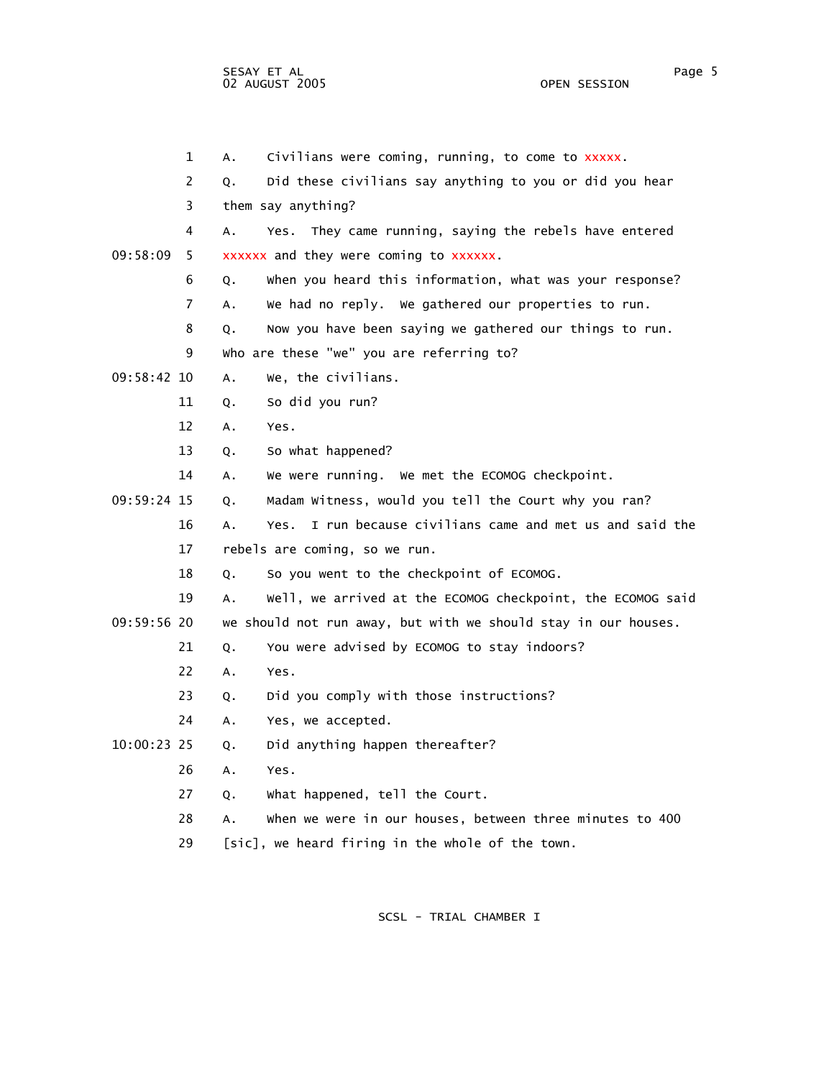1 A. Civilians were coming, running, to come to xxxxx. 2 Q. Did these civilians say anything to you or did you hear 3 them say anything? 4 A. Yes. They came running, saying the rebels have entered 09:58:09 5 xxxxxx and they were coming to xxxxxx. 6 Q. When you heard this information, what was your response? 7 A. We had no reply. We gathered our properties to run. 8 Q. Now you have been saying we gathered our things to run. 9 Who are these "we" you are referring to? 09:58:42 10 A. We, the civilians. 11 Q. So did you run? 12 A. Yes. 13 Q. So what happened? 14 A. We were running. We met the ECOMOG checkpoint. 09:59:24 15 Q. Madam Witness, would you tell the Court why you ran? 16 A. Yes. I run because civilians came and met us and said the 17 rebels are coming, so we run. 18 Q. So you went to the checkpoint of ECOMOG. 19 A. Well, we arrived at the ECOMOG checkpoint, the ECOMOG said 09:59:56 20 we should not run away, but with we should stay in our houses. 21 Q. You were advised by ECOMOG to stay indoors? 22 A. Yes. 23 Q. Did you comply with those instructions? 24 A. Yes, we accepted. 10:00:23 25 Q. Did anything happen thereafter? 26 A. Yes. 27 Q. What happened, tell the Court. 28 A. When we were in our houses, between three minutes to 400

SCSL - TRIAL CHAMBER I

29 [sic], we heard firing in the whole of the town.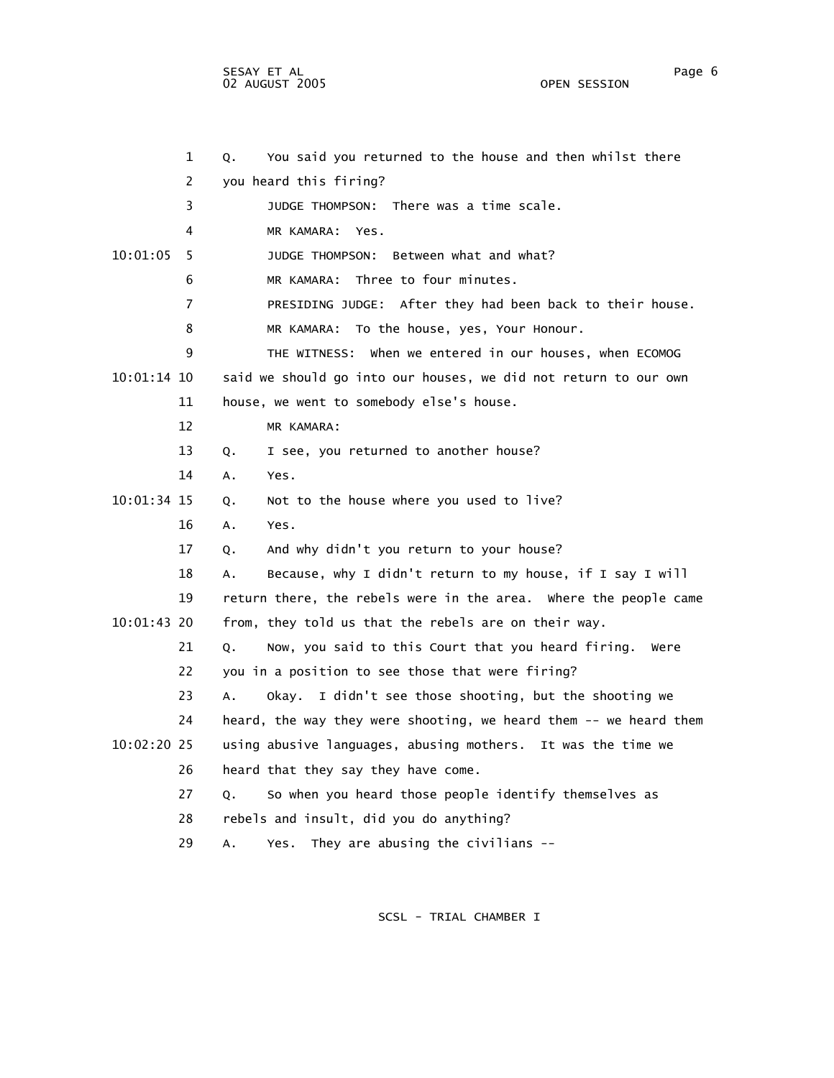SESAY ET AL Page 6 02 AUGUST 2005 OPEN SESSION

|             | 1              | Q <sub>1</sub> | You said you returned to the house and then whilst there         |
|-------------|----------------|----------------|------------------------------------------------------------------|
|             | 2              |                | you heard this firing?                                           |
|             | 3              |                | JUDGE THOMPSON: There was a time scale.                          |
|             | 4              |                | MR KAMARA: Yes.                                                  |
| 10:01:05    | 5.             |                | Between what and what?<br>JUDGE THOMPSON:                        |
|             | 6              |                | MR KAMARA: Three to four minutes.                                |
|             | $\overline{7}$ |                | PRESIDING JUDGE: After they had been back to their house.        |
|             | 8              |                | MR KAMARA: To the house, yes, Your Honour.                       |
|             | 9              |                | THE WITNESS: When we entered in our houses, when ECOMOG          |
| 10:01:14 10 |                |                | said we should go into our houses, we did not return to our own  |
|             | 11             |                | house, we went to somebody else's house.                         |
|             | 12             |                | MR KAMARA:                                                       |
|             | 13             | Q <sub>1</sub> | I see, you returned to another house?                            |
|             | 14             | Α.             | Yes.                                                             |
| 10:01:34 15 |                | Q.             | Not to the house where you used to live?                         |
|             | 16             | A.             | Yes.                                                             |
|             | 17             | Q.             | And why didn't you return to your house?                         |
|             | 18             | Α.             | Because, why I didn't return to my house, if I say I will        |
|             | 19             |                | return there, the rebels were in the area. Where the people came |
| 10:01:43 20 |                |                | from, they told us that the rebels are on their way.             |
|             | 21             | Q <sub>1</sub> | Now, you said to this Court that you heard firing.<br>were       |
|             | 22             |                | you in a position to see those that were firing?                 |
|             | 23             | А.             | Okay. I didn't see those shooting, but the shooting we           |
|             |                |                |                                                                  |

24 heard, the way they were shooting, we heard them -- we heard them

- 10:02:20 25 using abusive languages, abusing mothers. It was the time we 26 heard that they say they have come.
	- 27 Q. So when you heard those people identify themselves as
	- 28 rebels and insult, did you do anything?
	- 29 A. Yes. They are abusing the civilians --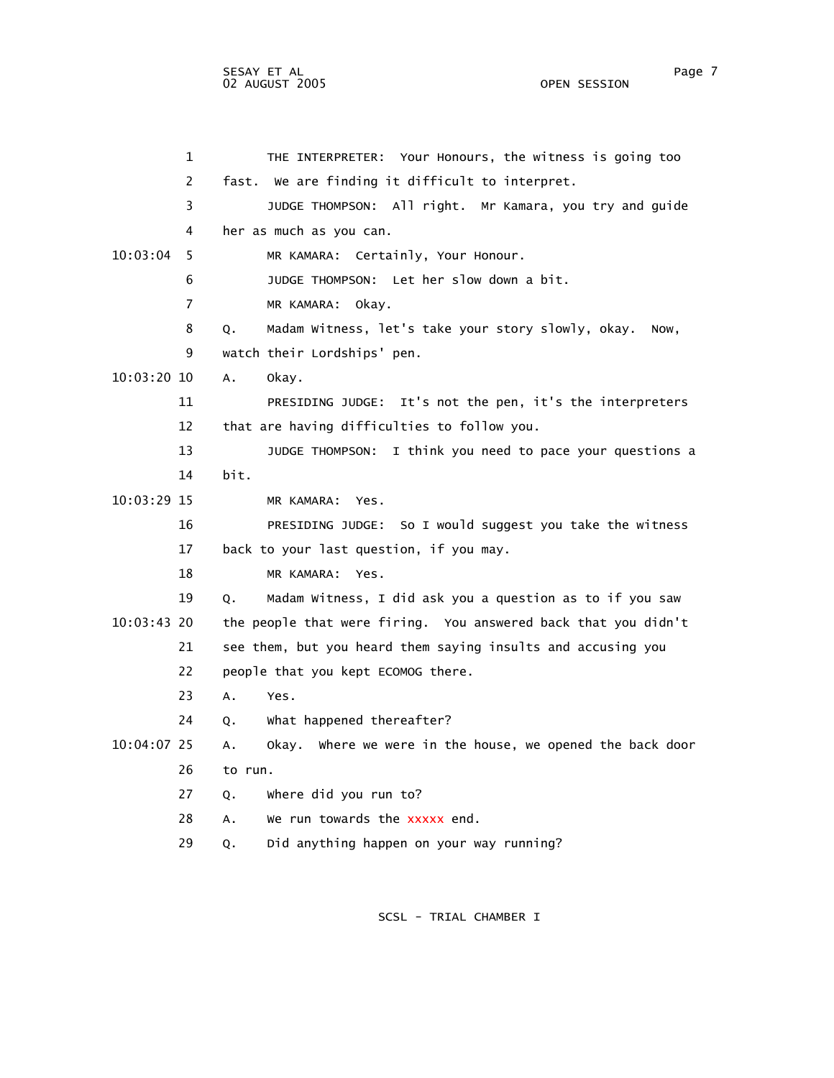1 THE INTERPRETER: Your Honours, the witness is going too 2 fast. We are finding it difficult to interpret. 3 JUDGE THOMPSON: All right. Mr Kamara, you try and guide 4 her as much as you can. 10:03:04 5 MR KAMARA: Certainly, Your Honour. 6 JUDGE THOMPSON: Let her slow down a bit. 7 MR KAMARA: Okay. 8 Q. Madam Witness, let's take your story slowly, okay. Now, 9 watch their Lordships' pen. 10:03:20 10 A. Okay. 11 PRESIDING JUDGE: It's not the pen, it's the interpreters 12 that are having difficulties to follow you. 13 JUDGE THOMPSON: I think you need to pace your questions a 14 bit. 10:03:29 15 MR KAMARA: Yes. 16 PRESIDING JUDGE: So I would suggest you take the witness 17 back to your last question, if you may. 18 MR KAMARA: Yes. 19 Q. Madam Witness, I did ask you a question as to if you saw 10:03:43 20 the people that were firing. You answered back that you didn't 21 see them, but you heard them saying insults and accusing you 22 people that you kept ECOMOG there. 23 A. Yes. 24 Q. What happened thereafter? 10:04:07 25 A. Okay. Where we were in the house, we opened the back door 26 to run. 27 Q. Where did you run to? 28 A. We run towards the xxxxx end. 29 Q. Did anything happen on your way running?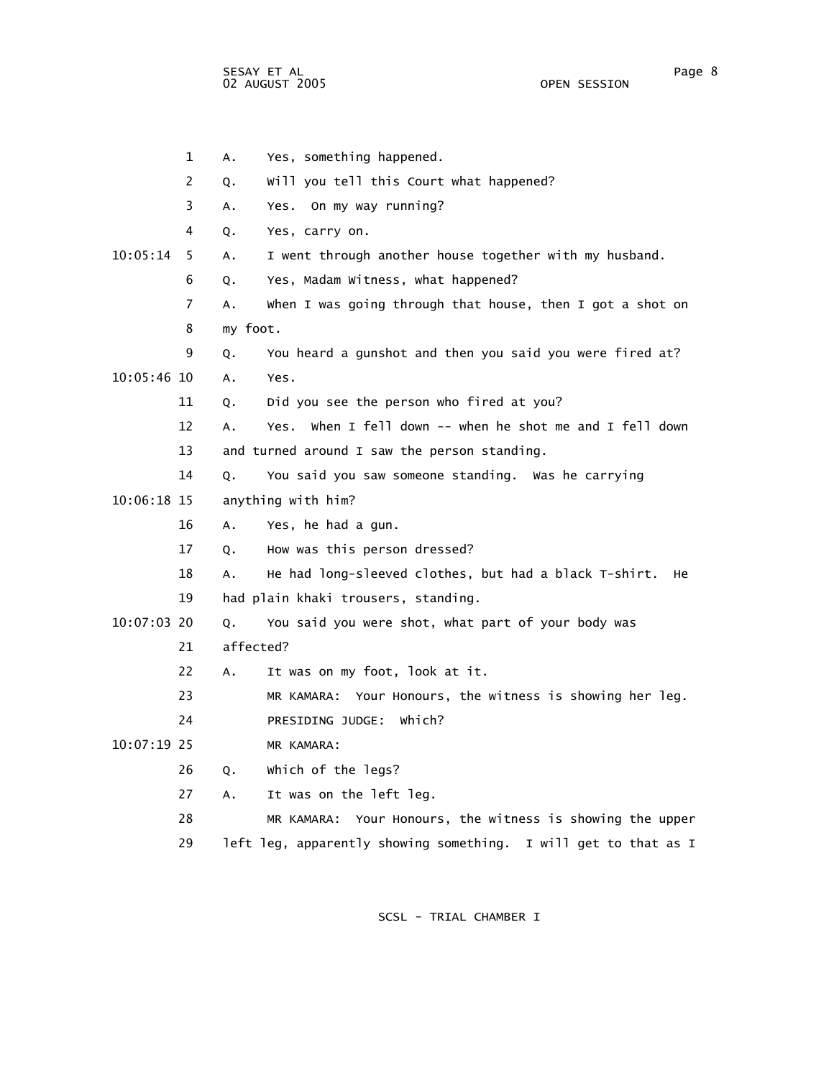SESAY ET AL Page 8 02 AUGUST 2005

 1 A. Yes, something happened. 2 Q. Will you tell this Court what happened? 3 A. Yes. On my way running? 4 Q. Yes, carry on. 10:05:14 5 A. I went through another house together with my husband. 6 Q. Yes, Madam Witness, what happened? 7 A. When I was going through that house, then I got a shot on 8 my foot. 9 Q. You heard a gunshot and then you said you were fired at? 10:05:46 10 A. Yes. 11 Q. Did you see the person who fired at you? 12 A. Yes. When I fell down -- when he shot me and I fell down 13 and turned around I saw the person standing. 14 Q. You said you saw someone standing. Was he carrying 10:06:18 15 anything with him? 16 A. Yes, he had a gun. 17 Q. How was this person dressed? 18 A. He had long-sleeved clothes, but had a black T-shirt. He 19 had plain khaki trousers, standing. 10:07:03 20 Q. You said you were shot, what part of your body was 21 affected? 22 A. It was on my foot, look at it. 23 MR KAMARA: Your Honours, the witness is showing her leg. 24 PRESIDING JUDGE: Which? 10:07:19 25 MR KAMARA: 26 Q. Which of the legs? 27 A. It was on the left leg. 28 MR KAMARA: Your Honours, the witness is showing the upper 29 left leg, apparently showing something. I will get to that as I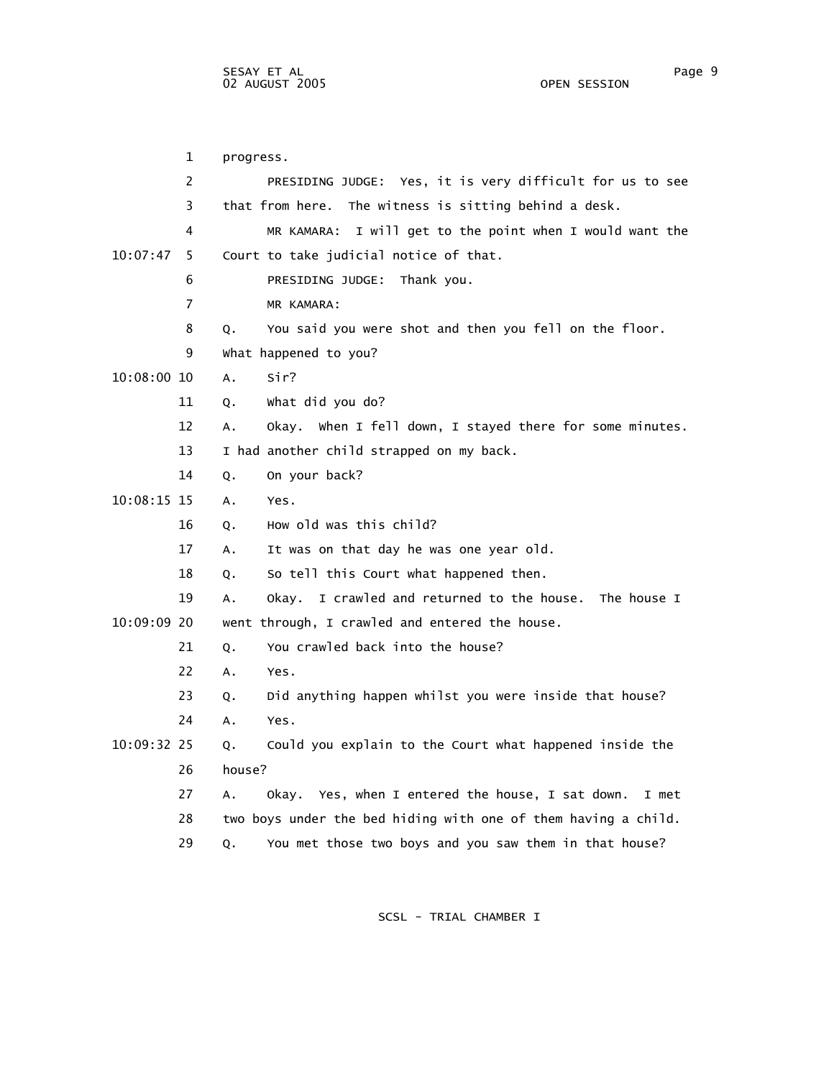1 progress. 2 PRESIDING JUDGE: Yes, it is very difficult for us to see 3 that from here. The witness is sitting behind a desk. 4 MR KAMARA: I will get to the point when I would want the 10:07:47 5 Court to take judicial notice of that. 6 PRESIDING JUDGE: Thank you. 7 MR KAMARA: 8 Q. You said you were shot and then you fell on the floor. 9 What happened to you? 10:08:00 10 A. Sir? 11 Q. What did you do? 12 A. Okay. When I fell down, I stayed there for some minutes. 13 I had another child strapped on my back. 14 Q. On your back? 10:08:15 15 A. Yes. 16 Q. How old was this child? 17 A. It was on that day he was one year old. 18 Q. So tell this Court what happened then. 19 A. Okay. I crawled and returned to the house. The house I 10:09:09 20 went through, I crawled and entered the house. 21 O. You crawled back into the house? 22 A. Yes. 23 Q. Did anything happen whilst you were inside that house? 24 A. Yes. 10:09:32 25 Q. Could you explain to the Court what happened inside the 26 house? 27 A. Okay. Yes, when I entered the house, I sat down. I met 28 two boys under the bed hiding with one of them having a child. 29 Q. You met those two boys and you saw them in that house?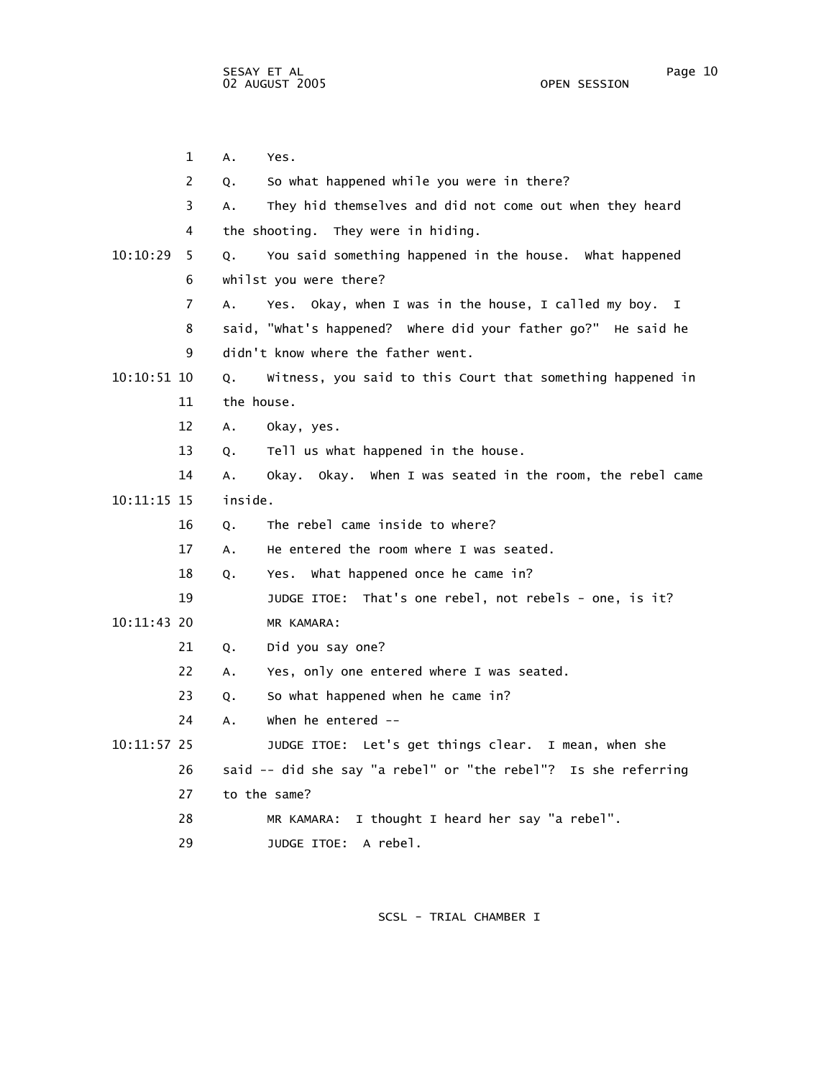1 A. Yes. 2 Q. So what happened while you were in there? 3 A. They hid themselves and did not come out when they heard 4 the shooting. They were in hiding. 10:10:29 5 Q. You said something happened in the house. What happened 6 whilst you were there? 7 A. Yes. Okay, when I was in the house, I called my boy. I 8 said, "What's happened? Where did your father go?" He said he 9 didn't know where the father went. 10:10:51 10 Q. Witness, you said to this Court that something happened in 11 the house. 12 A. Okay, yes. 13 Q. Tell us what happened in the house. 14 A. Okay. Okay. When I was seated in the room, the rebel came 10:11:15 15 inside. 16 Q. The rebel came inside to where? 17 A. He entered the room where I was seated. 18 Q. Yes. What happened once he came in? 19 JUDGE ITOE: That's one rebel, not rebels - one, is it? 10:11:43 20 MR KAMARA: 21 Q. Did you say one? 22 A. Yes, only one entered where I was seated. 23 Q. So what happened when he came in? 24 A. When he entered -- 10:11:57 25 JUDGE ITOE: Let's get things clear. I mean, when she 26 said -- did she say "a rebel" or "the rebel"? Is she referring 27 to the same? 28 MR KAMARA: I thought I heard her say "a rebel". 29 JUDGE ITOE: A rebel.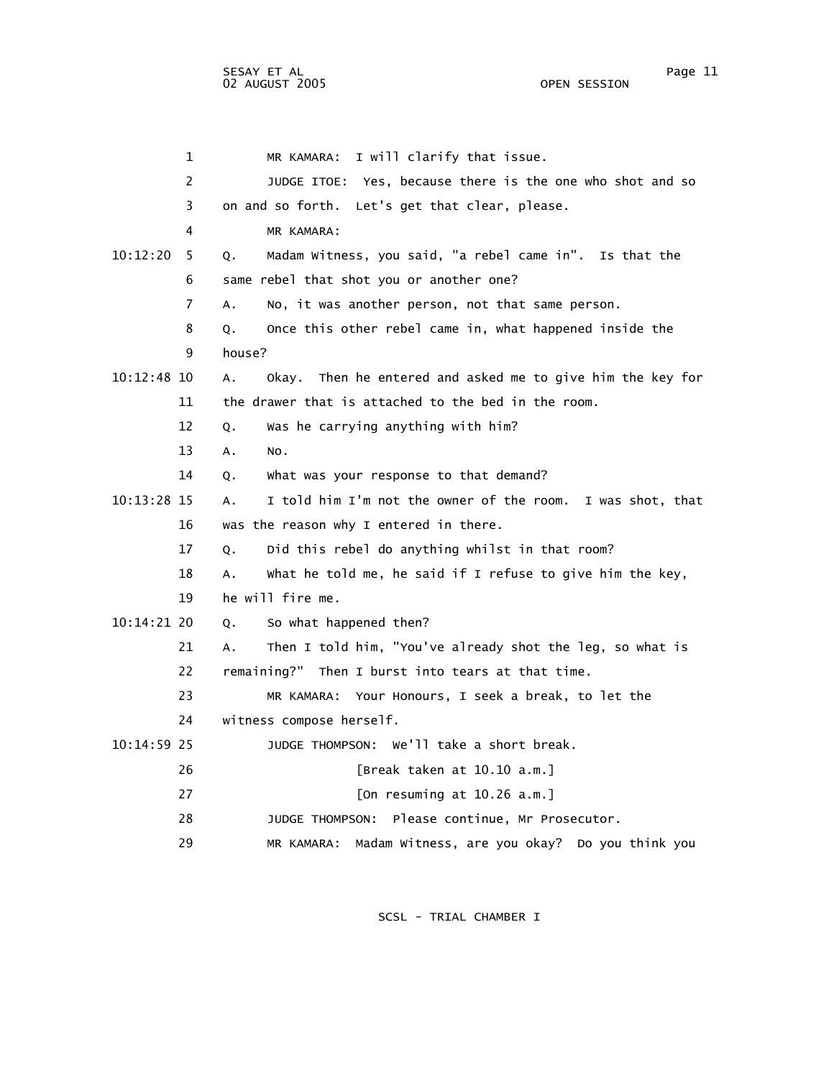| 1             | I will clarify that issue.<br>MR KAMARA:                         |
|---------------|------------------------------------------------------------------|
| 2             | JUDGE ITOE: Yes, because there is the one who shot and so        |
| 3             | on and so forth. Let's get that clear, please.                   |
| 4             | MR KAMARA:                                                       |
| 10:12:20<br>5 | Madam Witness, you said, "a rebel came in". Is that the<br>Q.    |
| 6             | same rebel that shot you or another one?                         |
| 7             | No, it was another person, not that same person.<br>A.           |
| 8             | Once this other rebel came in, what happened inside the<br>Q.    |
| 9             | house?                                                           |
| $10:12:48$ 10 | Okay. Then he entered and asked me to give him the key for<br>Α. |
| 11            | the drawer that is attached to the bed in the room.              |
| 12            | Was he carrying anything with him?<br>Q.                         |
| 13            | А.<br>NO.                                                        |
| 14            | What was your response to that demand?<br>Q.                     |
| 10:13:28 15   | I told him I'm not the owner of the room. I was shot, that<br>А. |
| 16            | was the reason why I entered in there.                           |
| 17            | Did this rebel do anything whilst in that room?<br>Q.            |
| 18            | what he told me, he said if I refuse to give him the key,<br>А.  |
| 19            | he will fire me.                                                 |
| $10:14:21$ 20 | So what happened then?<br>Q.                                     |
| 21            | Then I told him, "You've already shot the leg, so what is<br>А.  |
| 22            | remaining?" Then I burst into tears at that time.                |
| 23            | MR KAMARA: Your Honours, I seek a break, to let the              |
| 24            | witness compose herself.                                         |
| $10:14:59$ 25 | JUDGE THOMPSON: We'll take a short break.                        |
| 26            | [Break taken at 10.10 a.m.]                                      |
| 27            | [On resuming at $10.26$ a.m.]                                    |
| 28            | Please continue, Mr Prosecutor.<br>JUDGE THOMPSON:               |
| 29            | Madam Witness, are you okay? Do you think you<br>MR KAMARA:      |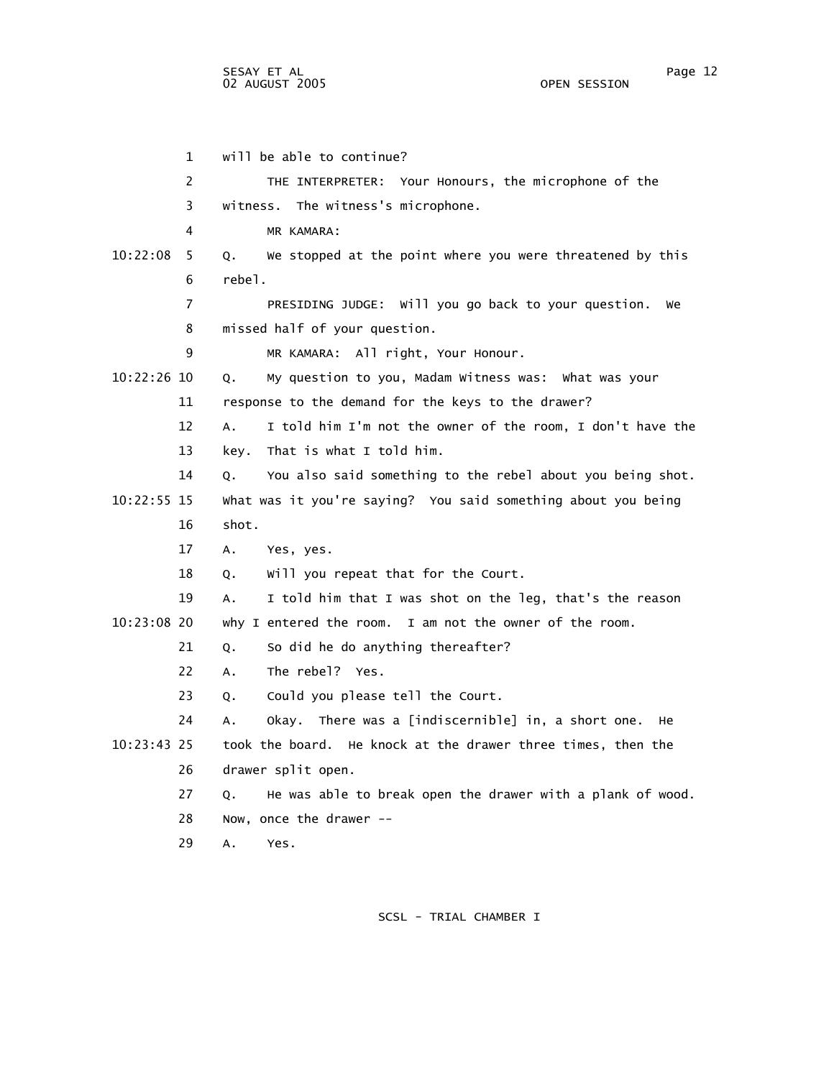1 will be able to continue? 2 THE INTERPRETER: Your Honours, the microphone of the 3 witness. The witness's microphone. 4 MR KAMARA: 10:22:08 5 Q. We stopped at the point where you were threatened by this 6 rebel. 7 PRESIDING JUDGE: Will you go back to your question. We 8 missed half of your question. 9 MR KAMARA: All right, Your Honour. 10:22:26 10 Q. My question to you, Madam Witness was: What was your 11 response to the demand for the keys to the drawer? 12 A. I told him I'm not the owner of the room, I don't have the 13 key. That is what I told him. 14 Q. You also said something to the rebel about you being shot. 10:22:55 15 What was it you're saying? You said something about you being 16 shot. 17 A. Yes, yes. 18 Q. Will you repeat that for the Court. 19 A. I told him that I was shot on the leg, that's the reason 10:23:08 20 why I entered the room. I am not the owner of the room. 21 Q. So did he do anything thereafter? 22 A. The rebel? Yes. 23 Q. Could you please tell the Court. 24 A. Okay. There was a [indiscernible] in, a short one. He 10:23:43 25 took the board. He knock at the drawer three times, then the 26 drawer split open. 27 Q. He was able to break open the drawer with a plank of wood. 28 Now, once the drawer -- 29 A. Yes.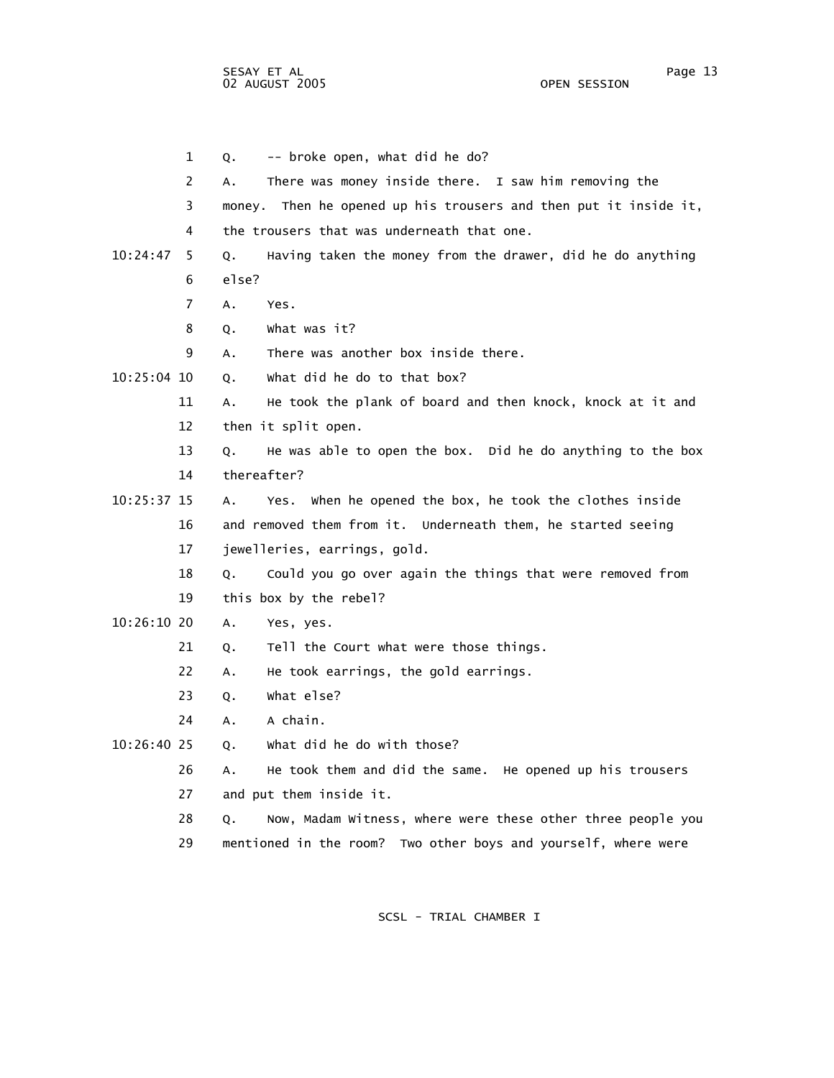1 Q. -- broke open, what did he do? 2 A. There was money inside there. I saw him removing the 3 money. Then he opened up his trousers and then put it inside it, 4 the trousers that was underneath that one. 10:24:47 5 Q. Having taken the money from the drawer, did he do anything 6 else? 7 A. Yes. 8 Q. What was it? 9 A. There was another box inside there.  $10:25:04$  10  $0.$  What did he do to that box? 11 A. He took the plank of board and then knock, knock at it and 12 then it split open. 13 Q. He was able to open the box. Did he do anything to the box 14 thereafter? 10:25:37 15 A. Yes. When he opened the box, he took the clothes inside 16 and removed them from it. Underneath them, he started seeing 17 jewelleries, earrings, gold. 18 Q. Could you go over again the things that were removed from 19 this box by the rebel? 10:26:10 20 A. Yes, yes. 21 Q. Tell the Court what were those things. 22 A. He took earrings, the gold earrings. 23 Q. What else? 24 A. A chain. 10:26:40 25 Q. What did he do with those? 26 A. He took them and did the same. He opened up his trousers 27 and put them inside it. 28 Q. Now, Madam Witness, where were these other three people you 29 mentioned in the room? Two other boys and yourself, where were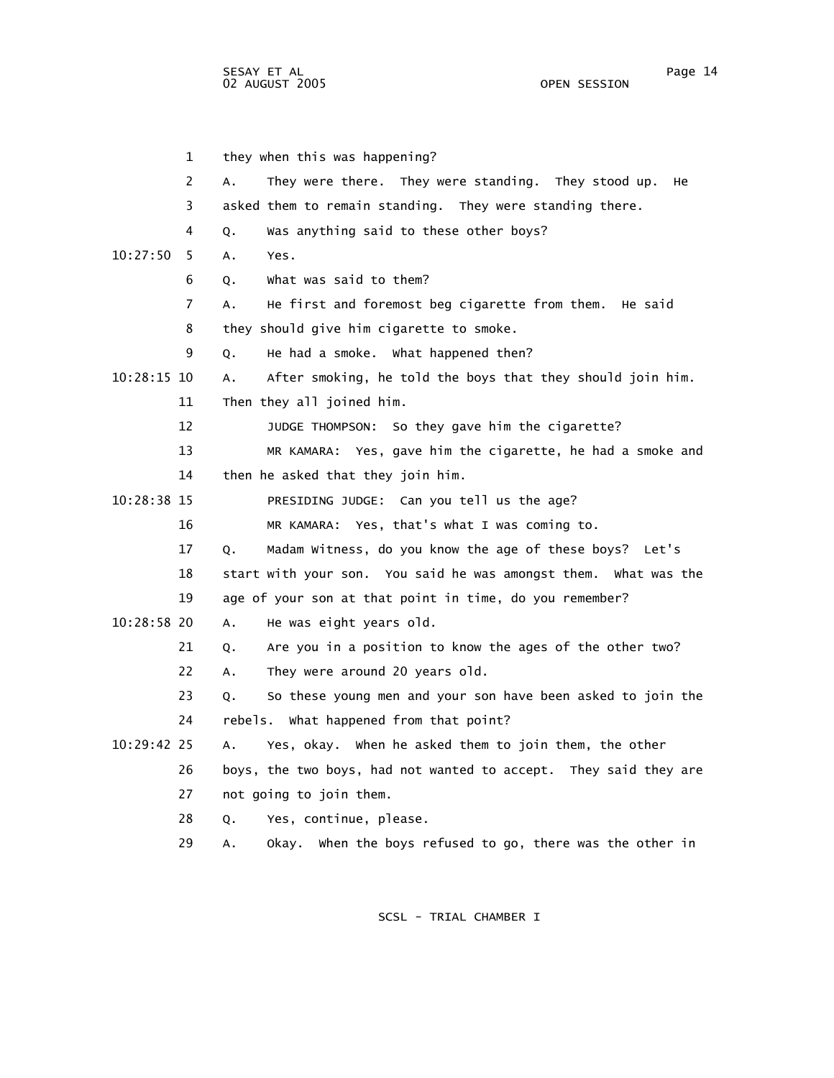|             | $\mathbf{1}$ | they when this was happening?                                      |
|-------------|--------------|--------------------------------------------------------------------|
|             | 2            | They were there. They were standing. They stood up.<br>А.<br>нe    |
|             | 3            | asked them to remain standing. They were standing there.           |
|             | 4            | Was anything said to these other boys?<br>Q.                       |
| 10:27:50    | 5            | A.<br>Yes.                                                         |
|             | 6            | what was said to them?<br>Q.                                       |
|             | 7            | He first and foremost beg cigarette from them. He said<br>A.       |
|             | 8            | they should give him cigarette to smoke.                           |
|             | 9            | He had a smoke. What happened then?<br>Q.                          |
| 10:28:15 10 |              | After smoking, he told the boys that they should join him.<br>А.   |
|             | 11           | Then they all joined him.                                          |
|             | 12           | JUDGE THOMPSON: So they gave him the cigarette?                    |
|             | 13           | MR KAMARA: Yes, gave him the cigarette, he had a smoke and         |
|             | 14           | then he asked that they join him.                                  |
| 10:28:38 15 |              | PRESIDING JUDGE: Can you tell us the age?                          |
|             | 16           | MR KAMARA: Yes, that's what I was coming to.                       |
|             | 17           | Madam Witness, do you know the age of these boys? Let's<br>Q.      |
|             | 18           | start with your son. You said he was amongst them. What was the    |
|             | 19           | age of your son at that point in time, do you remember?            |
| 10:28:58 20 |              | He was eight years old.<br>A.                                      |
|             | 21           | Are you in a position to know the ages of the other two?<br>Q.     |
|             | 22           | They were around 20 years old.<br>Α.                               |
|             | 23           | So these young men and your son have been asked to join the<br>Q.  |
|             | 24           | rebels. What happened from that point?                             |
| 10:29:42 25 |              | Yes, okay. When he asked them to join them, the other<br>Α.        |
|             | 26           | boys, the two boys, had not wanted to accept. They said they are   |
|             | 27           | not going to join them.                                            |
|             | 28           | Yes, continue, please.<br>Q.                                       |
|             | 29           | when the boys refused to go, there was the other in<br>Okay.<br>А. |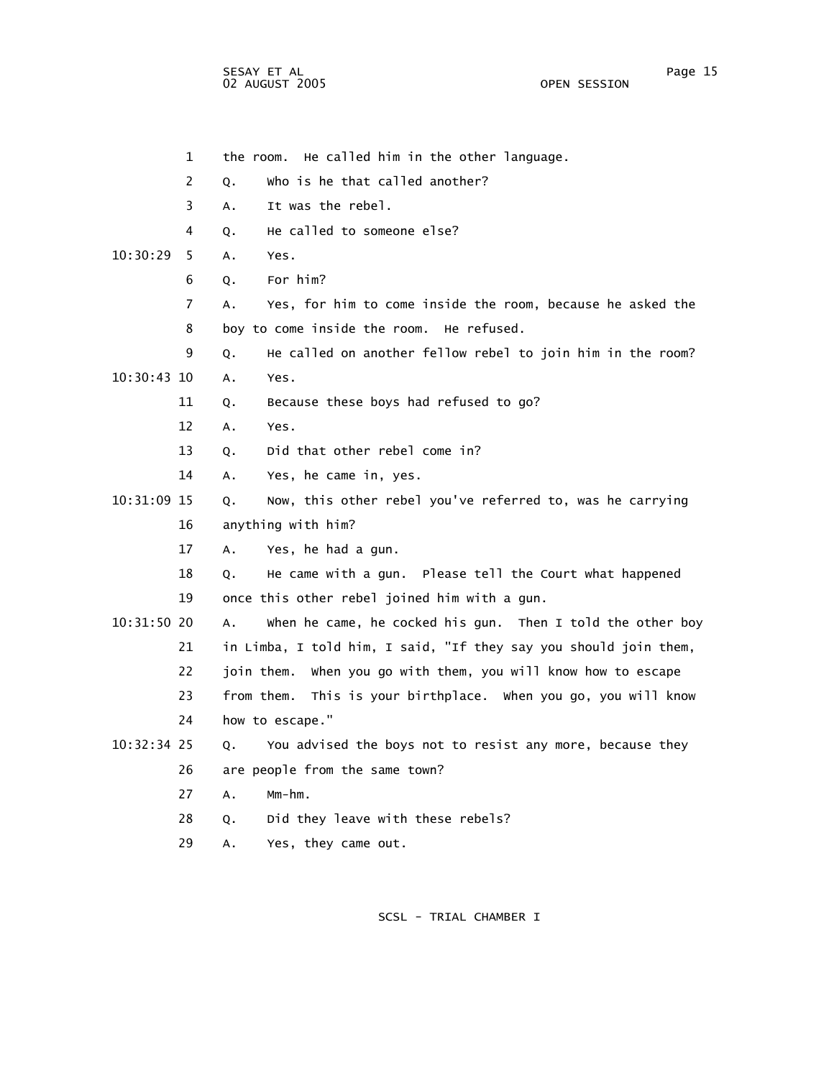sesay et al. In the second service of the service of the service of the service of the service of the service o 02 AUGUST 2005 OPEN SESSION

|             | $\mathbf{1}$ | the room. He called him in the other language.                    |
|-------------|--------------|-------------------------------------------------------------------|
|             | 2            | who is he that called another?<br>Q.                              |
|             | 3            | It was the rebel.<br>Α.                                           |
|             | 4            | He called to someone else?<br>Q.                                  |
| 10:30:29    | 5            | Α.<br>Yes.                                                        |
|             | 6            | For him?<br>Q.                                                    |
|             | 7            | Yes, for him to come inside the room, because he asked the<br>Α.  |
|             | 8            | boy to come inside the room.<br>He refused.                       |
|             | 9            | He called on another fellow rebel to join him in the room?<br>Q.  |
| 10:30:43 10 |              | Yes.<br>Α.                                                        |
|             | 11           | Because these boys had refused to go?<br>Q.                       |
|             | 12           | A.<br>Yes.                                                        |
|             | 13           | Did that other rebel come in?<br>Q.                               |
|             | 14           | Yes, he came in, yes.<br>Α.                                       |
| 10:31:09 15 |              | Now, this other rebel you've referred to, was he carrying<br>Q.   |
|             | 16           | anything with him?                                                |
|             | 17           | Yes, he had a gun.<br>A.                                          |
|             | 18           | He came with a gun. Please tell the Court what happened<br>Q.     |
|             | 19           | once this other rebel joined him with a gun.                      |
| 10:31:50 20 |              | when he came, he cocked his gun. Then I told the other boy<br>Α.  |
|             | 21           | in Limba, I told him, I said, "If they say you should join them,  |
|             | 22           | join them.<br>when you go with them, you will know how to escape  |
|             | 23           | This is your birthplace. When you go, you will know<br>from them. |
|             | 24           | how to escape."                                                   |
| 10:32:34 25 |              | You advised the boys not to resist any more, because they<br>Q.   |
|             | 26           | are people from the same town?                                    |
|             | 27           | $A_{\bullet}$<br>$Mm-hm$ .                                        |
|             | 28           | Did they leave with these rebels?<br>Q.                           |
|             | 29           | Yes, they came out.<br>А.                                         |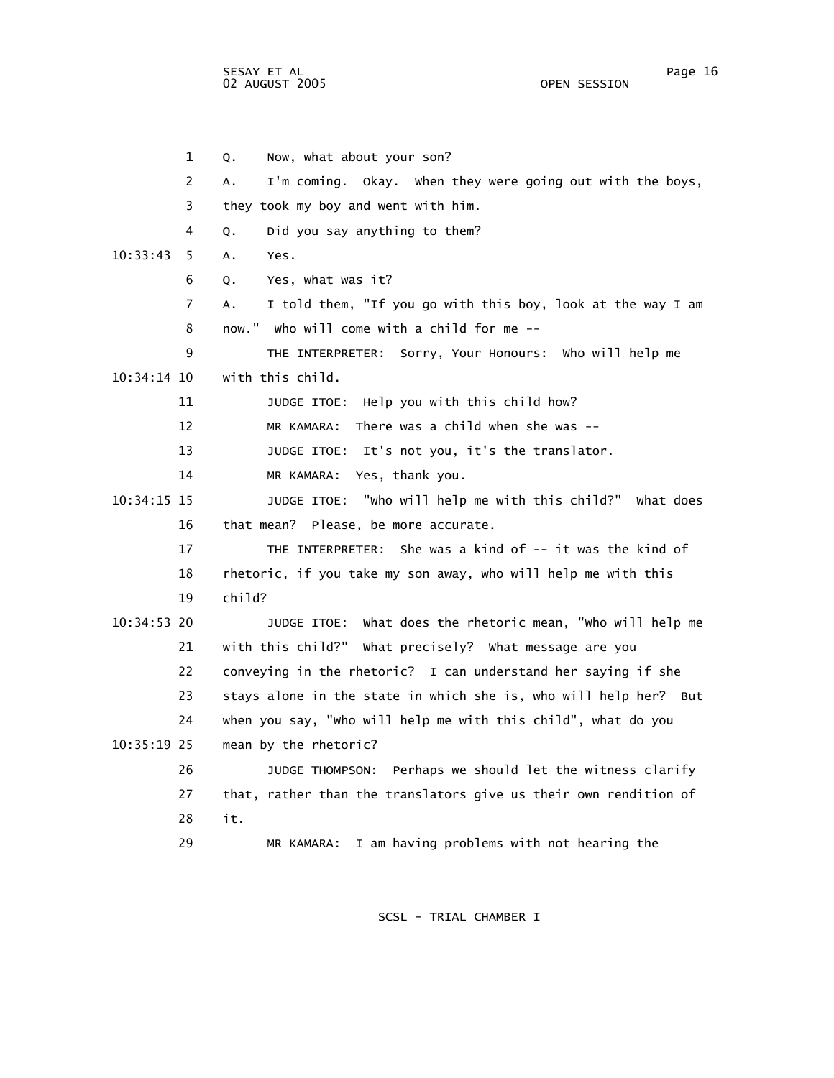SESAY ET AL Page 16 02 AUGUST 2005

 1 Q. Now, what about your son? 2 A. I'm coming. Okay. When they were going out with the boys, 3 they took my boy and went with him. 4 Q. Did you say anything to them? 10:33:43 5 A. Yes. 6 Q. Yes, what was it? 7 A. I told them, "If you go with this boy, look at the way I am 8 now." Who will come with a child for me -- 9 THE INTERPRETER: Sorry, Your Honours: Who will help me 10:34:14 10 with this child. 11 JUDGE ITOE: Help you with this child how? 12 MR KAMARA: There was a child when she was -- 13 JUDGE ITOE: It's not you, it's the translator. 14 MR KAMARA: Yes, thank you. 10:34:15 15 JUDGE ITOE: "Who will help me with this child?" What does 16 that mean? Please, be more accurate. 17 THE INTERPRETER: She was a kind of -- it was the kind of 18 rhetoric, if you take my son away, who will help me with this 19 child? 10:34:53 20 JUDGE ITOE: What does the rhetoric mean, "Who will help me 21 with this child?" What precisely? What message are you 22 conveying in the rhetoric? I can understand her saying if she 23 stays alone in the state in which she is, who will help her? But 24 when you say, "Who will help me with this child", what do you 10:35:19 25 mean by the rhetoric? 26 JUDGE THOMPSON: Perhaps we should let the witness clarify 27 that, rather than the translators give us their own rendition of 28 it. 29 MR KAMARA: I am having problems with not hearing the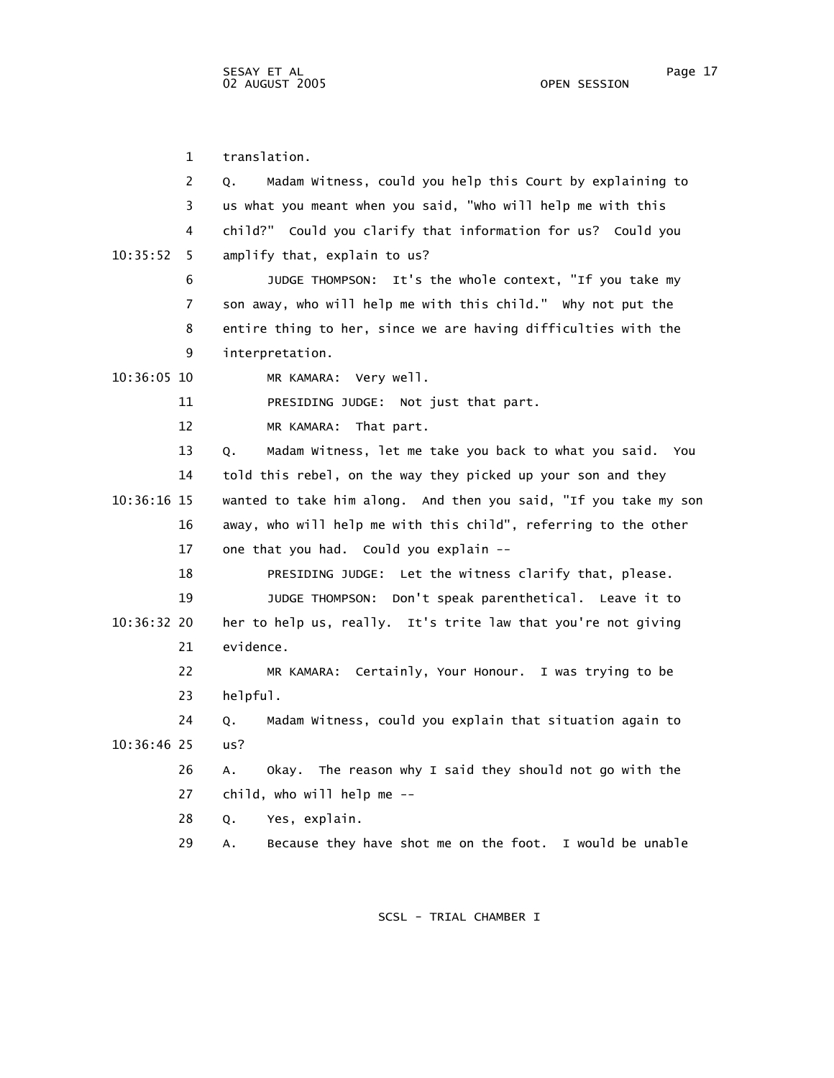1 translation. 2 Q. Madam Witness, could you help this Court by explaining to 3 us what you meant when you said, "Who will help me with this 4 child?" Could you clarify that information for us? Could you 10:35:52 5 amplify that, explain to us? 6 JUDGE THOMPSON: It's the whole context, "If you take my 7 son away, who will help me with this child." Why not put the 8 entire thing to her, since we are having difficulties with the 9 interpretation. 10:36:05 10 MR KAMARA: Very well. 11 PRESIDING JUDGE: Not just that part. 12 MR KAMARA: That part. 13 Q. Madam Witness, let me take you back to what you said. You 14 told this rebel, on the way they picked up your son and they 10:36:16 15 wanted to take him along. And then you said, "If you take my son 16 away, who will help me with this child", referring to the other 17 one that you had. Could you explain -- 18 PRESIDING JUDGE: Let the witness clarify that, please. 19 JUDGE THOMPSON: Don't speak parenthetical. Leave it to 10:36:32 20 her to help us, really. It's trite law that you're not giving 21 evidence. 22 MR KAMARA: Certainly, Your Honour. I was trying to be 23 helpful. 24 Q. Madam Witness, could you explain that situation again to 10:36:46 25 us? 26 A. Okay. The reason why I said they should not go with the 27 child, who will help me -- 28 Q. Yes, explain. 29 A. Because they have shot me on the foot. I would be unable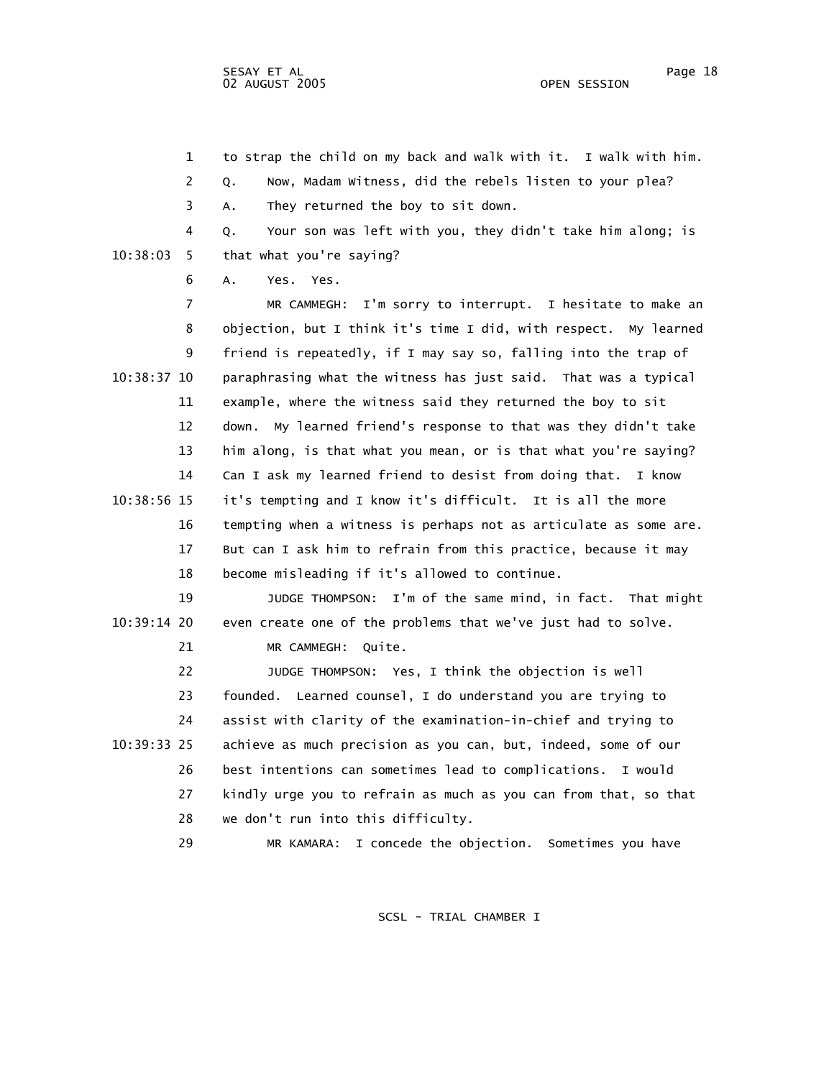1 to strap the child on my back and walk with it. I walk with him.

2 Q. Now, Madam Witness, did the rebels listen to your plea?

3 A. They returned the boy to sit down.

 4 Q. Your son was left with you, they didn't take him along; is 10:38:03 5 that what you're saying?

6 A. Yes. Yes.

 7 MR CAMMEGH: I'm sorry to interrupt. I hesitate to make an 8 objection, but I think it's time I did, with respect. My learned 9 friend is repeatedly, if I may say so, falling into the trap of 10:38:37 10 paraphrasing what the witness has just said. That was a typical 11 example, where the witness said they returned the boy to sit 12 down. My learned friend's response to that was they didn't take 13 him along, is that what you mean, or is that what you're saying? 14 Can I ask my learned friend to desist from doing that. I know 10:38:56 15 it's tempting and I know it's difficult. It is all the more 16 tempting when a witness is perhaps not as articulate as some are. 17 But can I ask him to refrain from this practice, because it may 18 become misleading if it's allowed to continue.

 19 JUDGE THOMPSON: I'm of the same mind, in fact. That might 10:39:14 20 even create one of the problems that we've just had to solve. 21 MR CAMMEGH: Quite.

 22 JUDGE THOMPSON: Yes, I think the objection is well 23 founded. Learned counsel, I do understand you are trying to 24 assist with clarity of the examination-in-chief and trying to 10:39:33 25 achieve as much precision as you can, but, indeed, some of our 26 best intentions can sometimes lead to complications. I would 27 kindly urge you to refrain as much as you can from that, so that 28 we don't run into this difficulty.

29 MR KAMARA: I concede the objection. Sometimes you have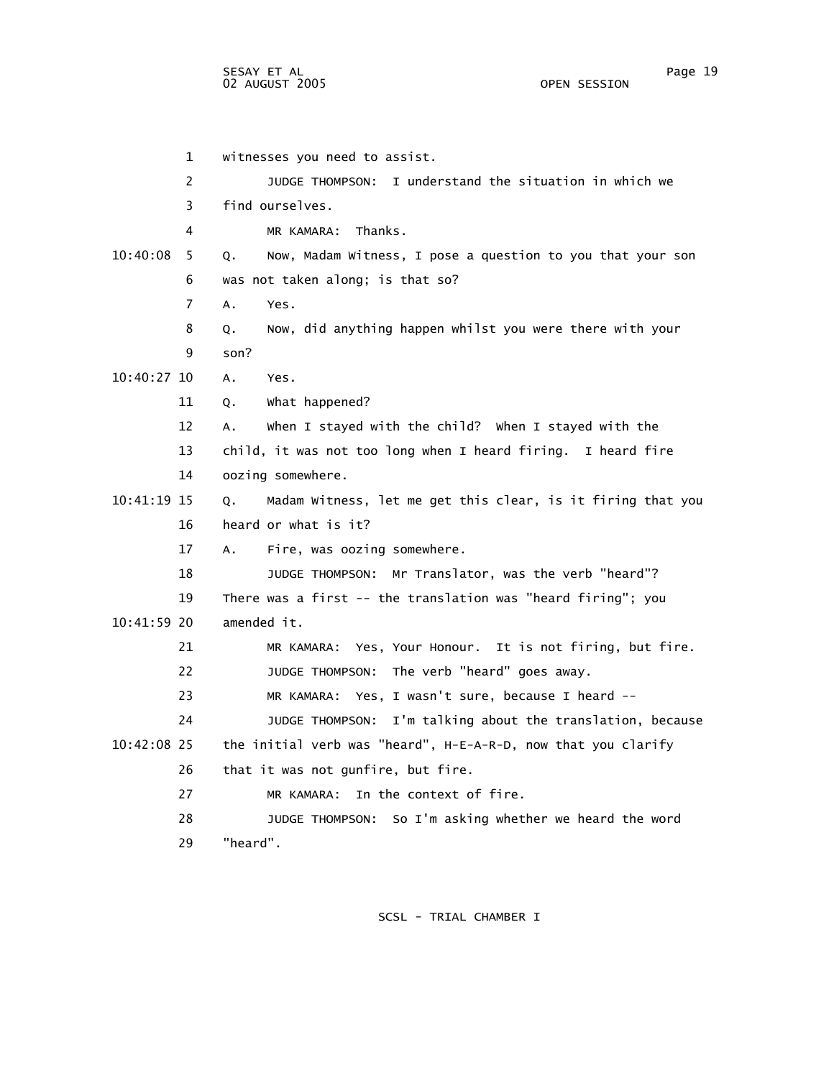1 witnesses you need to assist. 2 JUDGE THOMPSON: I understand the situation in which we 3 find ourselves. 4 MR KAMARA: Thanks. 10:40:08 5 Q. Now, Madam Witness, I pose a question to you that your son 6 was not taken along; is that so? 7 A. Yes. 8 Q. Now, did anything happen whilst you were there with your 9 son? 10:40:27 10 A. Yes. 11 Q. What happened? 12 A. When I stayed with the child? When I stayed with the 13 child, it was not too long when I heard firing. I heard fire 14 oozing somewhere. 10:41:19 15 Q. Madam Witness, let me get this clear, is it firing that you 16 heard or what is it? 17 A. Fire, was oozing somewhere. 18 JUDGE THOMPSON: Mr Translator, was the verb "heard"? 19 There was a first -- the translation was "heard firing"; you 10:41:59 20 amended it. 21 MR KAMARA: Yes, Your Honour. It is not firing, but fire. 22 JUDGE THOMPSON: The verb "heard" goes away. 23 MR KAMARA: Yes, I wasn't sure, because I heard -- 24 JUDGE THOMPSON: I'm talking about the translation, because 10:42:08 25 the initial verb was "heard", H-E-A-R-D, now that you clarify 26 that it was not gunfire, but fire. 27 MR KAMARA: In the context of fire. 28 JUDGE THOMPSON: So I'm asking whether we heard the word 29 "heard".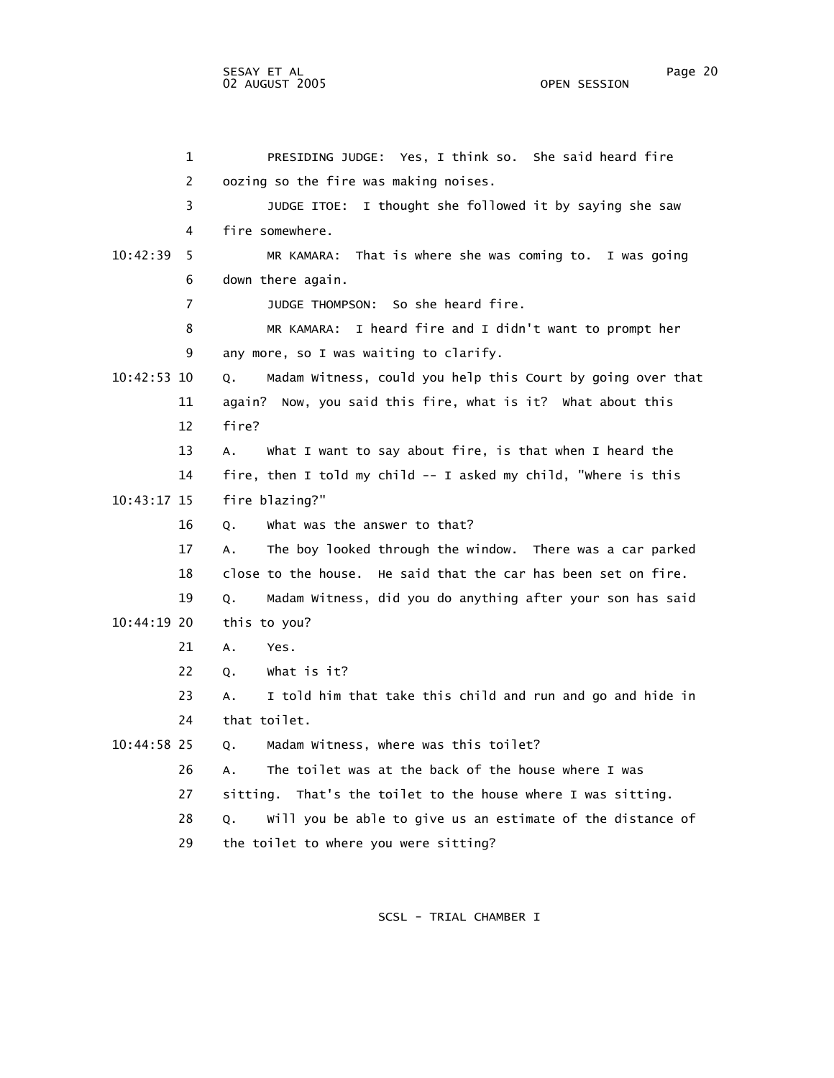|             | 1              | PRESIDING JUDGE: Yes, I think so. She said heard fire             |
|-------------|----------------|-------------------------------------------------------------------|
|             | 2              | oozing so the fire was making noises.                             |
|             | 3              | JUDGE ITOE: I thought she followed it by saying she saw           |
|             | 4              | fire somewhere.                                                   |
| 10:42:39    | 5              | That is where she was coming to. I was going<br>MR KAMARA:        |
|             | 6              | down there again.                                                 |
|             | $\overline{7}$ | JUDGE THOMPSON: So she heard fire.                                |
|             | 8              | MR KAMARA: I heard fire and I didn't want to prompt her           |
|             | 9              | any more, so I was waiting to clarify.                            |
| 10:42:53 10 |                | Madam Witness, could you help this Court by going over that<br>Q. |
|             | 11             | again? Now, you said this fire, what is it? What about this       |
|             | 12             | fire?                                                             |
|             | 13             | What I want to say about fire, is that when I heard the<br>А.     |
|             | 14             | fire, then I told my child -- I asked my child, "where is this    |
| 10:43:17 15 |                | fire blazing?"                                                    |
|             | 16             | what was the answer to that?<br>Q.                                |
|             | 17             | The boy looked through the window. There was a car parked<br>A.   |
|             | 18             | close to the house. He said that the car has been set on fire.    |
|             | 19             | Madam Witness, did you do anything after your son has said<br>Q.  |
| 10:44:19 20 |                | this to you?                                                      |
|             | 21             | Α.<br>Yes.                                                        |
|             | 22             | What is it?<br>Q.                                                 |
|             | 23             | I told him that take this child and run and go and hide in<br>А.  |
|             | 24             | that toilet.                                                      |
| 10:44:58 25 |                | Madam Witness, where was this toilet?<br>Q.                       |
|             | 26             | The toilet was at the back of the house where I was<br>А.         |
|             | 27             | sitting. That's the toilet to the house where I was sitting.      |
|             | 28             | Will you be able to give us an estimate of the distance of<br>Q.  |
|             | 29             | the toilet to where you were sitting?                             |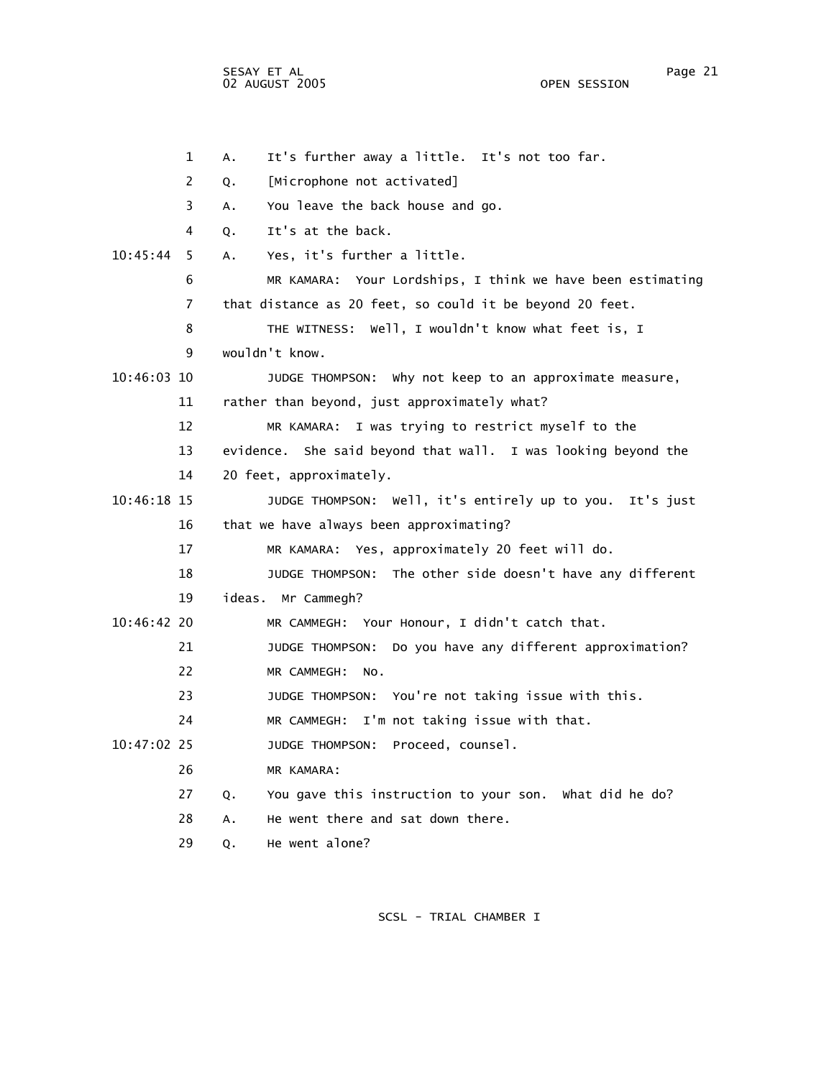SESAY ET AL Page 21 02 AUGUST 2005

 1 A. It's further away a little. It's not too far. 2 Q. [Microphone not activated] 3 A. You leave the back house and go. 4 Q. It's at the back. 10:45:44 5 A. Yes, it's further a little. 6 MR KAMARA: Your Lordships, I think we have been estimating 7 that distance as 20 feet, so could it be beyond 20 feet. 8 THE WITNESS: Well, I wouldn't know what feet is, I 9 wouldn't know. 10:46:03 10 JUDGE THOMPSON: Why not keep to an approximate measure, 11 rather than beyond, just approximately what? 12 MR KAMARA: I was trying to restrict myself to the 13 evidence. She said beyond that wall. I was looking beyond the 14 20 feet, approximately. 10:46:18 15 JUDGE THOMPSON: Well, it's entirely up to you. It's just 16 that we have always been approximating? 17 MR KAMARA: Yes, approximately 20 feet will do. 18 JUDGE THOMPSON: The other side doesn't have any different 19 ideas. Mr Cammegh? 10:46:42 20 MR CAMMEGH: Your Honour, I didn't catch that. 21 JUDGE THOMPSON: Do you have any different approximation? 22 MR CAMMEGH: No. 23 JUDGE THOMPSON: You're not taking issue with this. 24 MR CAMMEGH: I'm not taking issue with that. 10:47:02 25 JUDGE THOMPSON: Proceed, counsel. 26 MR KAMARA: 27 Q. You gave this instruction to your son. What did he do? 28 A. He went there and sat down there. 29 Q. He went alone?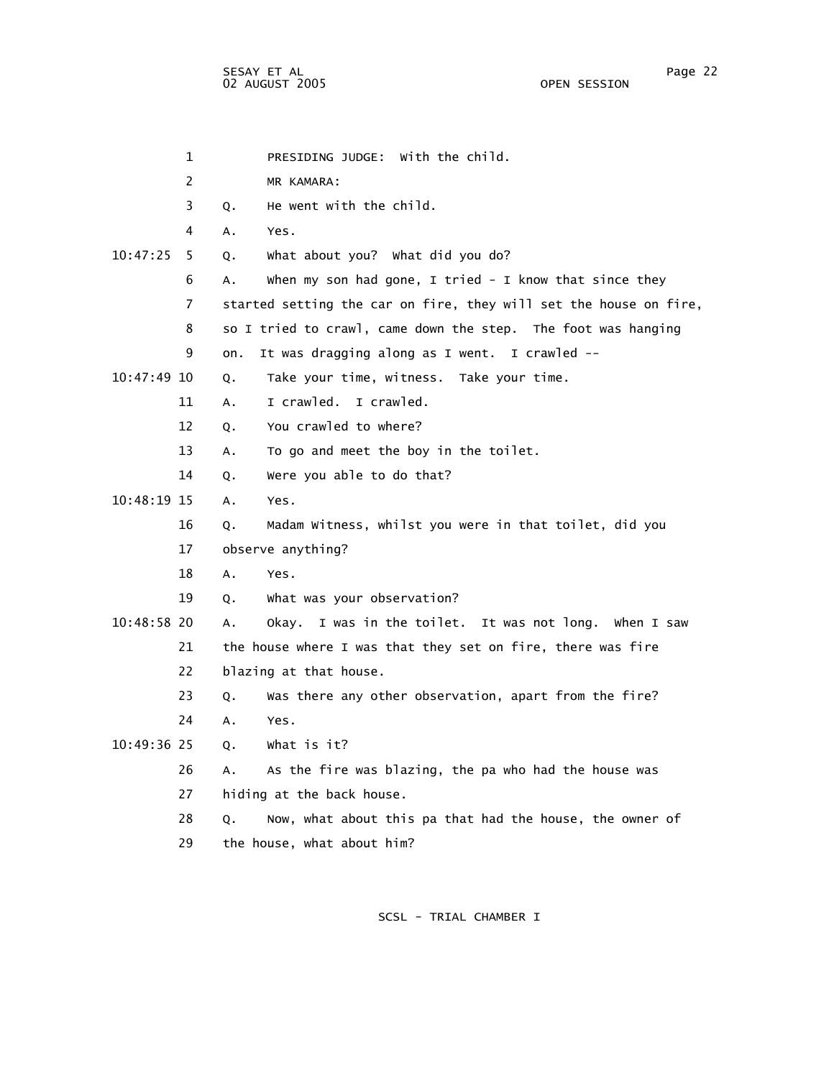1 PRESIDING JUDGE: With the child. 2 MR KAMARA: 3 Q. He went with the child. 4 A. Yes. 10:47:25 5 Q. What about you? What did you do? 6 A. When my son had gone, I tried - I know that since they 7 started setting the car on fire, they will set the house on fire, 8 so I tried to crawl, came down the step. The foot was hanging 9 on. It was dragging along as I went. I crawled -- 10:47:49 10 Q. Take your time, witness. Take your time. 11 A. I crawled. I crawled. 12 Q. You crawled to where? 13 A. To go and meet the boy in the toilet. 14 Q. Were you able to do that? 10:48:19 15 A. Yes. 16 Q. Madam Witness, whilst you were in that toilet, did you 17 observe anything? 18 A. Yes. 19 Q. What was your observation? 10:48:58 20 A. Okay. I was in the toilet. It was not long. When I saw 21 the house where I was that they set on fire, there was fire 22 blazing at that house. 23 Q. Was there any other observation, apart from the fire? 24 A. Yes. 10:49:36 25 Q. What is it? 26 A. As the fire was blazing, the pa who had the house was 27 hiding at the back house. 28 Q. Now, what about this pa that had the house, the owner of 29 the house, what about him?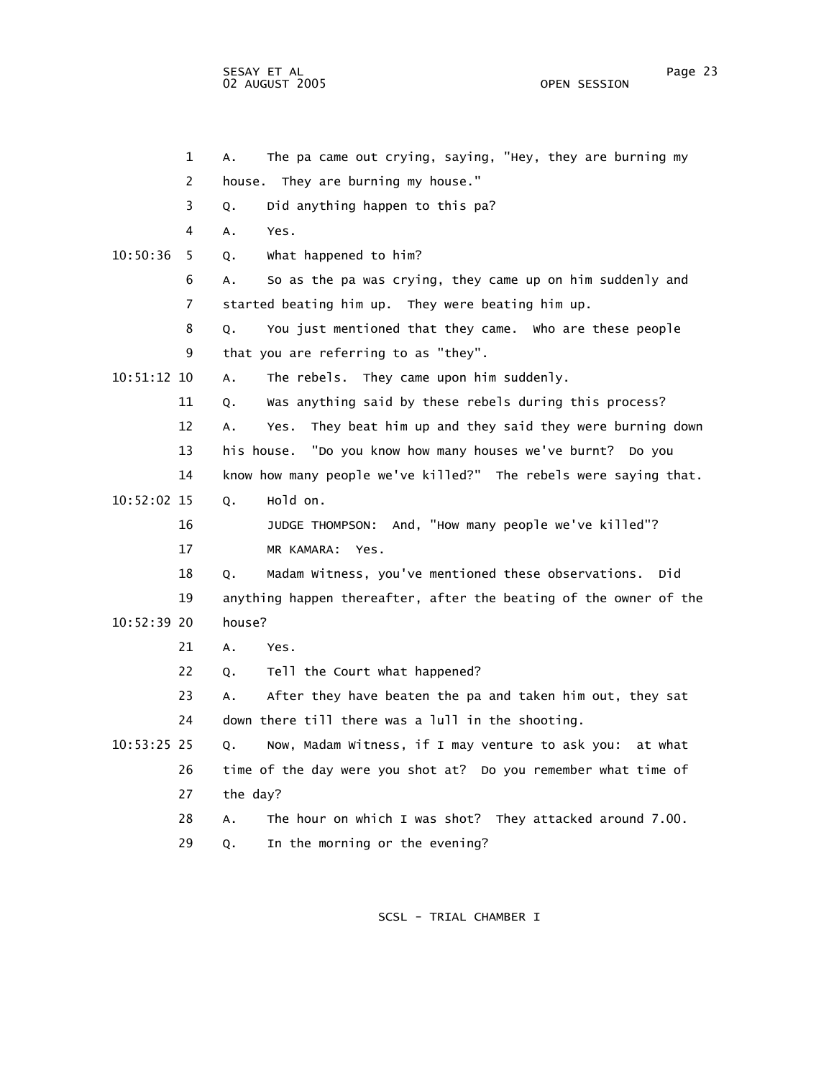1 A. The pa came out crying, saying, "Hey, they are burning my 2 house. They are burning my house." 3 Q. Did anything happen to this pa? 4 A. Yes. 10:50:36 5 Q. What happened to him? 6 A. So as the pa was crying, they came up on him suddenly and 7 started beating him up. They were beating him up. 8 Q. You just mentioned that they came. Who are these people 9 that you are referring to as "they". 10:51:12 10 A. The rebels. They came upon him suddenly. 11 Q. Was anything said by these rebels during this process? 12 A. Yes. They beat him up and they said they were burning down 13 his house. "Do you know how many houses we've burnt? Do you 14 know how many people we've killed?" The rebels were saying that. 10:52:02 15 Q. Hold on. 16 JUDGE THOMPSON: And, "How many people we've killed"? 17 MR KAMARA: Yes. 18 Q. Madam Witness, you've mentioned these observations. Did 19 anything happen thereafter, after the beating of the owner of the 10:52:39 20 house? 21 A. Yes. 22 Q. Tell the Court what happened? 23 A. After they have beaten the pa and taken him out, they sat 24 down there till there was a lull in the shooting. 10:53:25 25 Q. Now, Madam Witness, if I may venture to ask you: at what 26 time of the day were you shot at? Do you remember what time of 27 the day? 28 A. The hour on which I was shot? They attacked around 7.00. 29 Q. In the morning or the evening?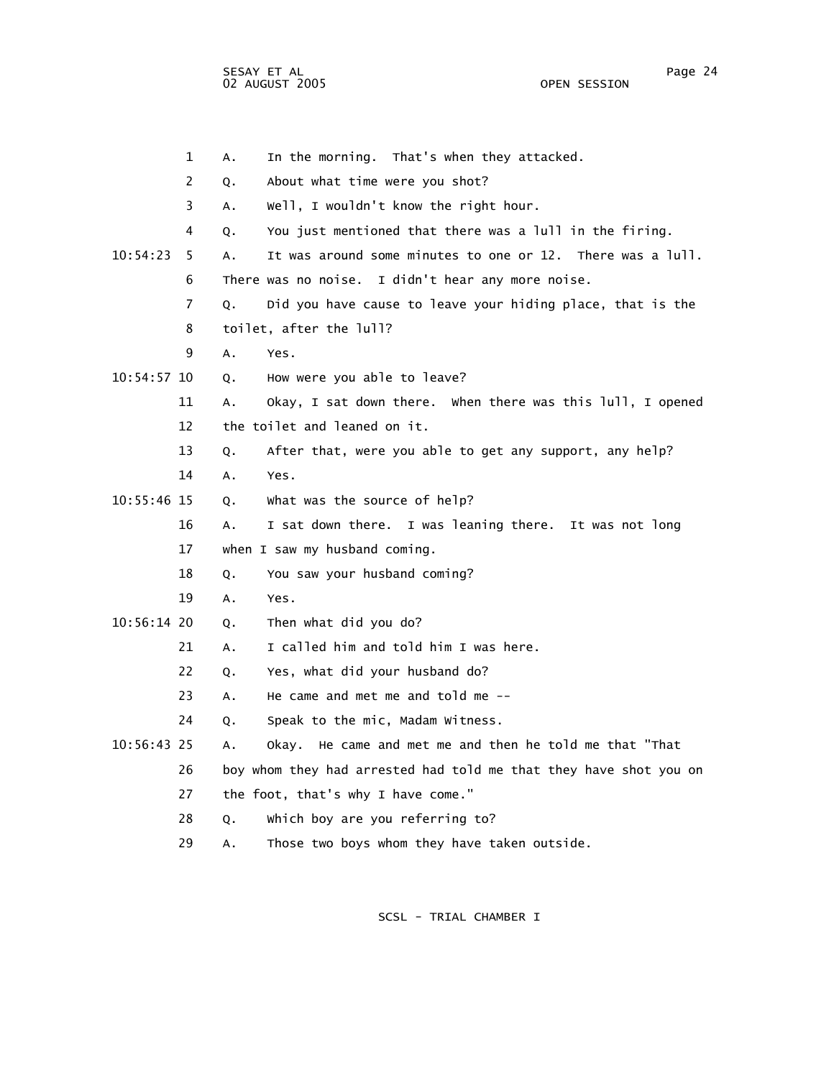|             | 1              | А. | In the morning. That's when they attacked.                        |
|-------------|----------------|----|-------------------------------------------------------------------|
|             | 2              | Q. | About what time were you shot?                                    |
|             | 3              | А. | well, I wouldn't know the right hour.                             |
|             | 4              | Q. | You just mentioned that there was a lull in the firing.           |
| 10:54:23    | 5.             | А. | It was around some minutes to one or 12. There was a lull.        |
|             | 6              |    | There was no noise. I didn't hear any more noise.                 |
|             | $\overline{7}$ | Q. | Did you have cause to leave your hiding place, that is the        |
|             | 8              |    | toilet, after the lull?                                           |
|             | 9              | Α. | Yes.                                                              |
| 10:54:57 10 |                | Q. | How were you able to leave?                                       |
|             | 11             | Α. | Okay, I sat down there. When there was this lull, I opened        |
|             | 12             |    | the toilet and leaned on it.                                      |
|             | 13             | Q. | After that, were you able to get any support, any help?           |
|             | 14             | Α. | Yes.                                                              |
| 10:55:46 15 |                | Q. | what was the source of help?                                      |
|             | 16             | A. | I sat down there. I was leaning there. It was not long            |
|             | 17             |    | when I saw my husband coming.                                     |
|             | 18             | Q. | You saw your husband coming?                                      |
|             | 19             | А. | Yes.                                                              |
| 10:56:14 20 |                | Q. | Then what did you do?                                             |
|             | 21             | А. | I called him and told him I was here.                             |
|             | 22             | Q. | Yes, what did your husband do?                                    |
|             | 23             | Α. | He came and met me and told me $-$ -                              |
|             | 24             | Q. | Speak to the mic, Madam Witness.                                  |
| 10:56:43 25 |                | А. | Okay. He came and met me and then he told me that "That           |
|             | 26             |    | boy whom they had arrested had told me that they have shot you on |
|             | 27             |    | the foot, that's why I have come."                                |
|             | 28             | Q. | Which boy are you referring to?                                   |
|             |                |    |                                                                   |

29 A. Those two boys whom they have taken outside.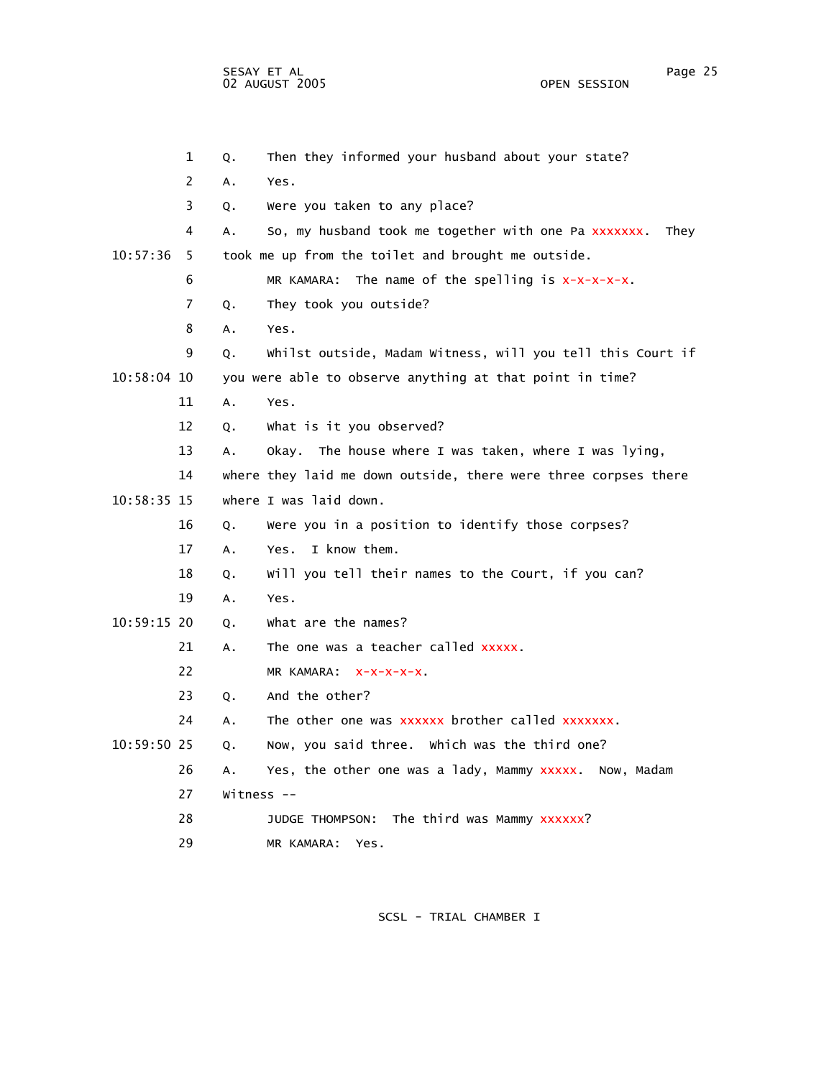|               | 1                     | Q.           | Then they informed your husband about your state?               |
|---------------|-----------------------|--------------|-----------------------------------------------------------------|
|               | $\mathbf{2}^{\prime}$ | Α.           | Yes.                                                            |
|               | 3                     | Q.           | Were you taken to any place?                                    |
|               | 4                     | Α.           | So, my husband took me together with one Pa xxxxxxx.<br>They    |
| 10:57:36      | 5.                    |              | took me up from the toilet and brought me outside.              |
|               | 6                     |              | MR KAMARA: The name of the spelling is $x-x-x-x$ .              |
|               | 7                     | Q.           | They took you outside?                                          |
|               | 8                     | А.           | Yes.                                                            |
|               | 9                     | Q.           | Whilst outside, Madam Witness, will you tell this Court if      |
| 10:58:04 10   |                       |              | you were able to observe anything at that point in time?        |
|               | 11                    | A.           | Yes.                                                            |
|               | 12                    | 0.           | What is it you observed?                                        |
|               | 13                    | Α.           | Okay. The house where I was taken, where I was lying,           |
|               | 14                    |              | where they laid me down outside, there were three corpses there |
| 10:58:35 15   |                       |              | where I was laid down.                                          |
|               | 16                    | Q.           | Were you in a position to identify those corpses?               |
|               | 17                    | A.           | I know them.<br>Yes.                                            |
|               | 18                    | Q.           | Will you tell their names to the Court, if you can?             |
|               | 19                    | A.           | Yes.                                                            |
| 10:59:15 20   |                       | Q.           | what are the names?                                             |
|               | 21                    | Α.           | The one was a teacher called xxxxx.                             |
|               | 22                    |              | MR KAMARA: X-X-X-X-X.                                           |
|               | 23                    | Q.           | And the other?                                                  |
|               | 24                    | А.           | The other one was xxxxxx brother called xxxxxxx.                |
| $10:59:50$ 25 |                       | Q.           | Now, you said three. Which was the third one?                   |
|               | 26                    | Α.           | Yes, the other one was a lady, Mammy xxxxx. Now, Madam          |
|               | 27                    | Witness $--$ |                                                                 |
|               | 28                    |              | JUDGE THOMPSON: The third was Mammy XXXXXX?                     |
|               | 29                    |              | MR KAMARA:<br>Yes.                                              |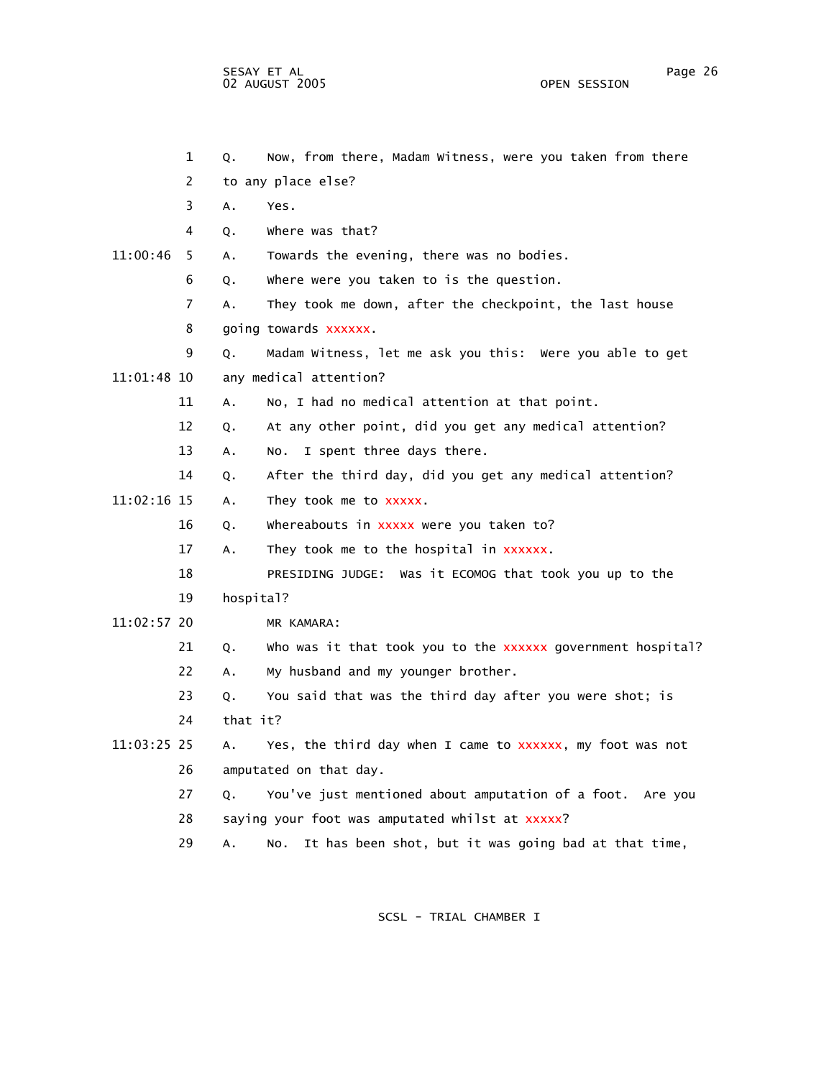2 to any place else? 3 A. Yes. 4 Q. Where was that? 11:00:46 5 A. Towards the evening, there was no bodies. 6 Q. Where were you taken to is the question. 7 A. They took me down, after the checkpoint, the last house 8 going towards xxxxxx. 9 Q. Madam Witness, let me ask you this: Were you able to get 11:01:48 10 any medical attention? 11 A. No, I had no medical attention at that point. 12 Q. At any other point, did you get any medical attention? 13 A. No. I spent three days there. 14 Q. After the third day, did you get any medical attention? 11:02:16 15 A. They took me to xxxxx. 16 Q. Whereabouts in xxxxx were you taken to? 17 A. They took me to the hospital in xxxxxx. 18 PRESIDING JUDGE: Was it ECOMOG that took you up to the 19 hospital? 11:02:57 20 MR KAMARA: 21 Q. Who was it that took you to the xxxxxx government hospital? 22 A. My husband and my younger brother. 23 Q. You said that was the third day after you were shot; is 24 that it? 11:03:25 25 A. Yes, the third day when I came to xxxxxx, my foot was not 26 amputated on that day. 27 Q. You've just mentioned about amputation of a foot. Are you 28 saying your foot was amputated whilst at xxxxx? 29 A. No. It has been shot, but it was going bad at that time,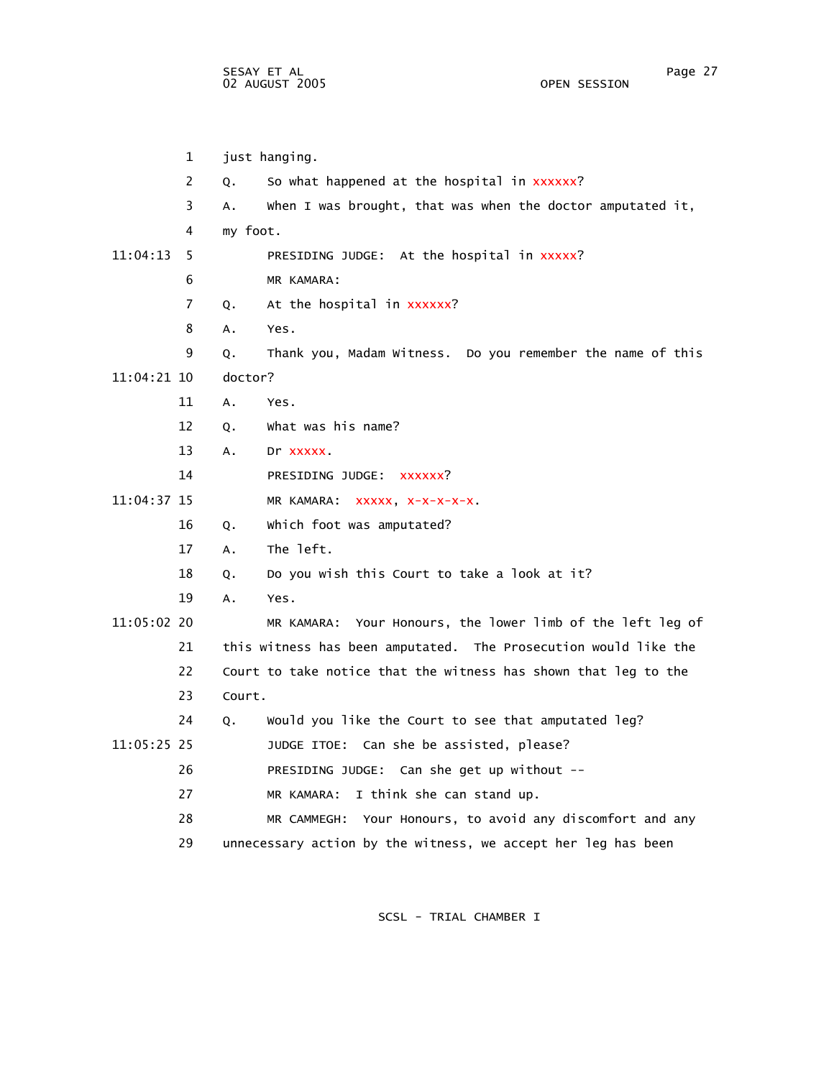1 just hanging. 2 Q. So what happened at the hospital in xxxxxx? 3 A. When I was brought, that was when the doctor amputated it, 4 my foot. 11:04:13 5 PRESIDING JUDGE: At the hospital in xxxxx? 6 MR KAMARA: 7 Q. At the hospital in xxxxxx? 8 A. Yes. 9 Q. Thank you, Madam Witness. Do you remember the name of this 11:04:21 10 doctor? 11 A. Yes. 12 Q. What was his name? 13 A. Dr xxxxx. 14 PRESIDING JUDGE: xxxxxx? 11:04:37 15 MR KAMARA: xxxxx, x-x-x-x-x. 16 Q. Which foot was amputated? 17 A. The left. 18 Q. Do you wish this Court to take a look at it? 19 A. Yes. 11:05:02 20 MR KAMARA: Your Honours, the lower limb of the left leg of 21 this witness has been amputated. The Prosecution would like the 22 Court to take notice that the witness has shown that leg to the 23 Court. 24 Q. Would you like the Court to see that amputated leg? 11:05:25 25 JUDGE ITOE: Can she be assisted, please? 26 PRESIDING JUDGE: Can she get up without -- 27 MR KAMARA: I think she can stand up. 28 MR CAMMEGH: Your Honours, to avoid any discomfort and any 29 unnecessary action by the witness, we accept her leg has been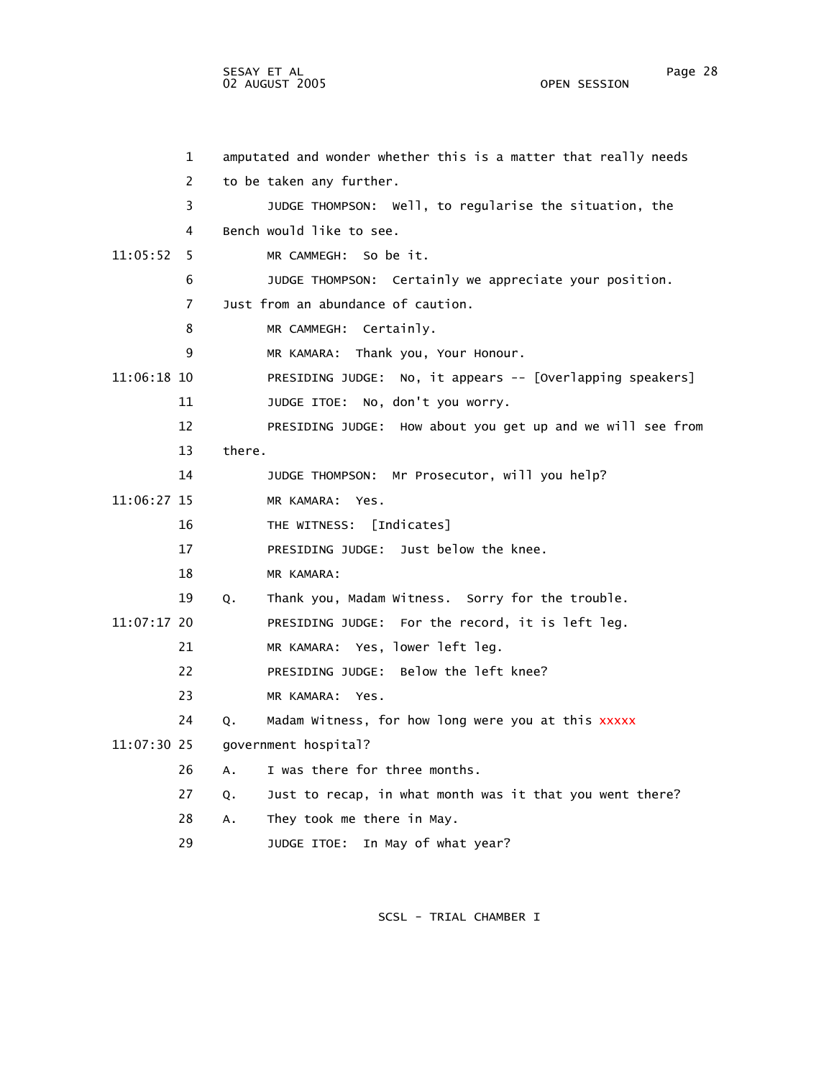SESAY ET AL Page 28 02 AUGUST 2005

 1 amputated and wonder whether this is a matter that really needs 2 to be taken any further. 3 JUDGE THOMPSON: Well, to regularise the situation, the 4 Bench would like to see. 11:05:52 5 MR CAMMEGH: So be it. 6 JUDGE THOMPSON: Certainly we appreciate your position. 7 Just from an abundance of caution. 8 MR CAMMEGH: Certainly. 9 MR KAMARA: Thank you, Your Honour. 11:06:18 10 PRESIDING JUDGE: No, it appears -- [Overlapping speakers] 11 JUDGE ITOE: No, don't you worry. 12 PRESIDING JUDGE: How about you get up and we will see from 13 there. 14 JUDGE THOMPSON: Mr Prosecutor, will you help? 11:06:27 15 MR KAMARA: Yes. 16 THE WITNESS: [Indicates] 17 PRESIDING JUDGE: Just below the knee. 18 MR KAMARA: 19 Q. Thank you, Madam Witness. Sorry for the trouble. 11:07:17 20 PRESIDING JUDGE: For the record, it is left leg. 21 MR KAMARA: Yes, lower left leg. 22 PRESIDING JUDGE: Below the left knee?

- 23 MR KAMARA: Yes.
- 24 Q. Madam Witness, for how long were you at this xxxxx
- 11:07:30 25 government hospital?
	- 26 A. I was there for three months.
	- 27 Q. Just to recap, in what month was it that you went there?
	- 28 A. They took me there in May.
	- 29 JUDGE ITOE: In May of what year?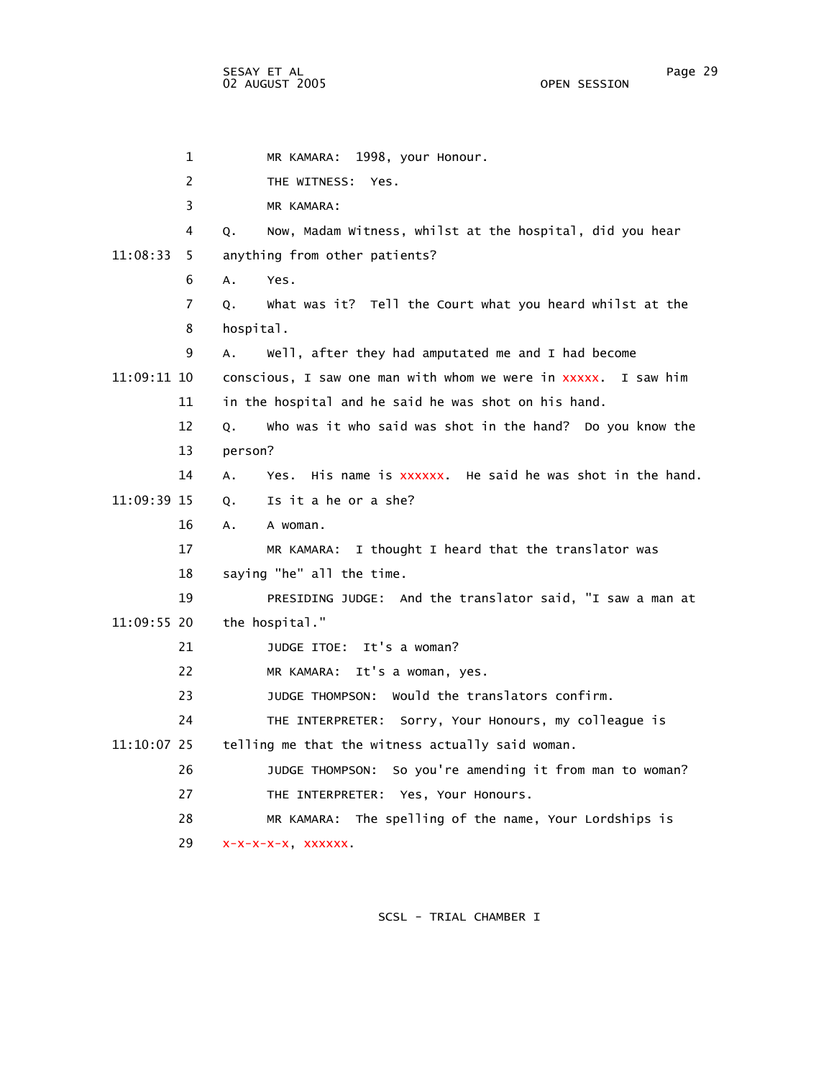1 MR KAMARA: 1998, your Honour. 2 THE WITNESS: Yes. 3 MR KAMARA: 4 Q. Now, Madam Witness, whilst at the hospital, did you hear 11:08:33 5 anything from other patients? 6 A. Yes. 7 Q. What was it? Tell the Court what you heard whilst at the 8 hospital. 9 A. Well, after they had amputated me and I had become 11:09:11 10 conscious, I saw one man with whom we were in xxxxx. I saw him 11 in the hospital and he said he was shot on his hand. 12 Q. Who was it who said was shot in the hand? Do you know the 13 person? 14 A. Yes. His name is xxxxxx. He said he was shot in the hand. 11:09:39 15 Q. Is it a he or a she? 16 A. A woman. 17 MR KAMARA: I thought I heard that the translator was 18 saying "he" all the time. 19 PRESIDING JUDGE: And the translator said, "I saw a man at 11:09:55 20 the hospital." 21 JUDGE ITOE: It's a woman? 22 MR KAMARA: It's a woman, yes. 23 JUDGE THOMPSON: Would the translators confirm. 24 THE INTERPRETER: Sorry, Your Honours, my colleague is 11:10:07 25 telling me that the witness actually said woman. 26 JUDGE THOMPSON: So you're amending it from man to woman? 27 THE INTERPRETER: Yes, Your Honours. 28 MR KAMARA: The spelling of the name, Your Lordships is 29 x-x-x-x-x, xxxxxx.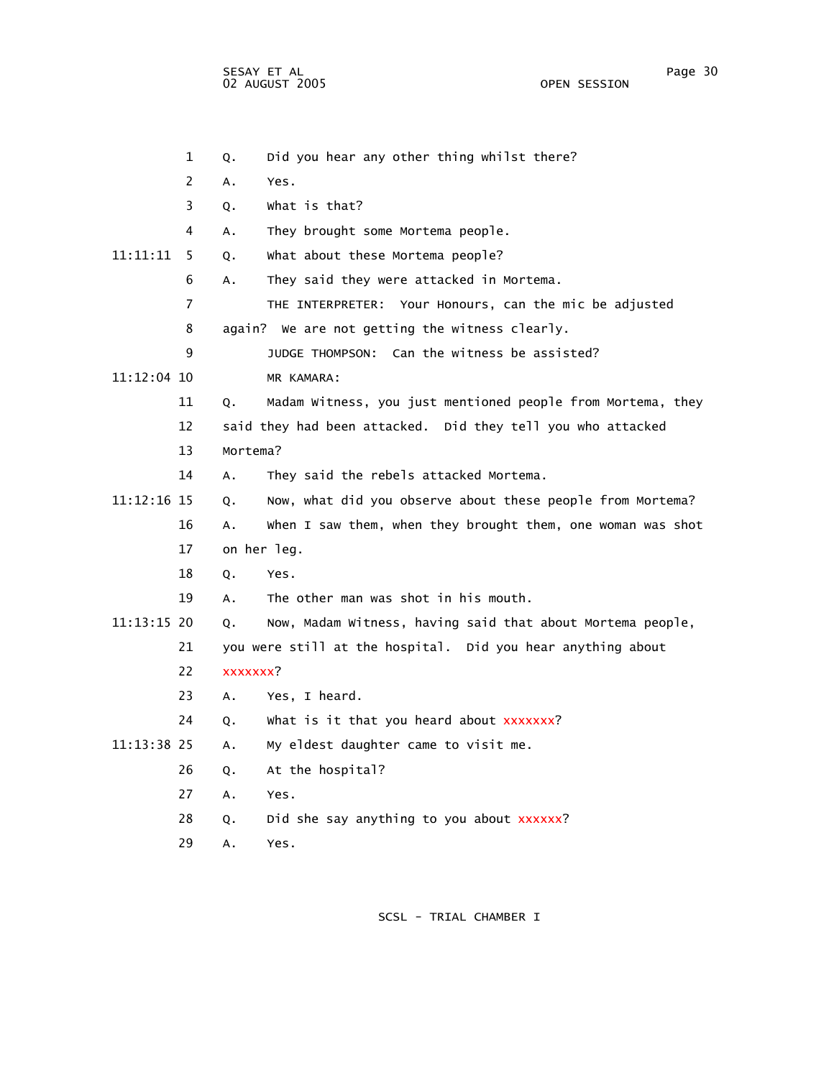1 Q. Did you hear any other thing whilst there? 2 A. Yes. 3 Q. What is that? 4 A. They brought some Mortema people. 11:11:11 5 Q. What about these Mortema people? 6 A. They said they were attacked in Mortema. 7 THE INTERPRETER: Your Honours, can the mic be adjusted 8 again? We are not getting the witness clearly. 9 JUDGE THOMPSON: Can the witness be assisted? 11:12:04 10 MR KAMARA: 11 Q. Madam Witness, you just mentioned people from Mortema, they 12 said they had been attacked. Did they tell you who attacked 13 Mortema? 14 A. They said the rebels attacked Mortema. 11:12:16 15 Q. Now, what did you observe about these people from Mortema? 16 A. When I saw them, when they brought them, one woman was shot 17 on her leg. 18 Q. Yes. 19 A. The other man was shot in his mouth. 11:13:15 20 Q. Now, Madam Witness, having said that about Mortema people, 21 you were still at the hospital. Did you hear anything about 22 xxxxxxx? 23 A. Yes, I heard. 24 Q. What is it that you heard about xxxxxxx? 11:13:38 25 A. My eldest daughter came to visit me. 26 Q. At the hospital? 27 A. Yes. 28 Q. Did she say anything to you about xxxxxx? 29 A. Yes.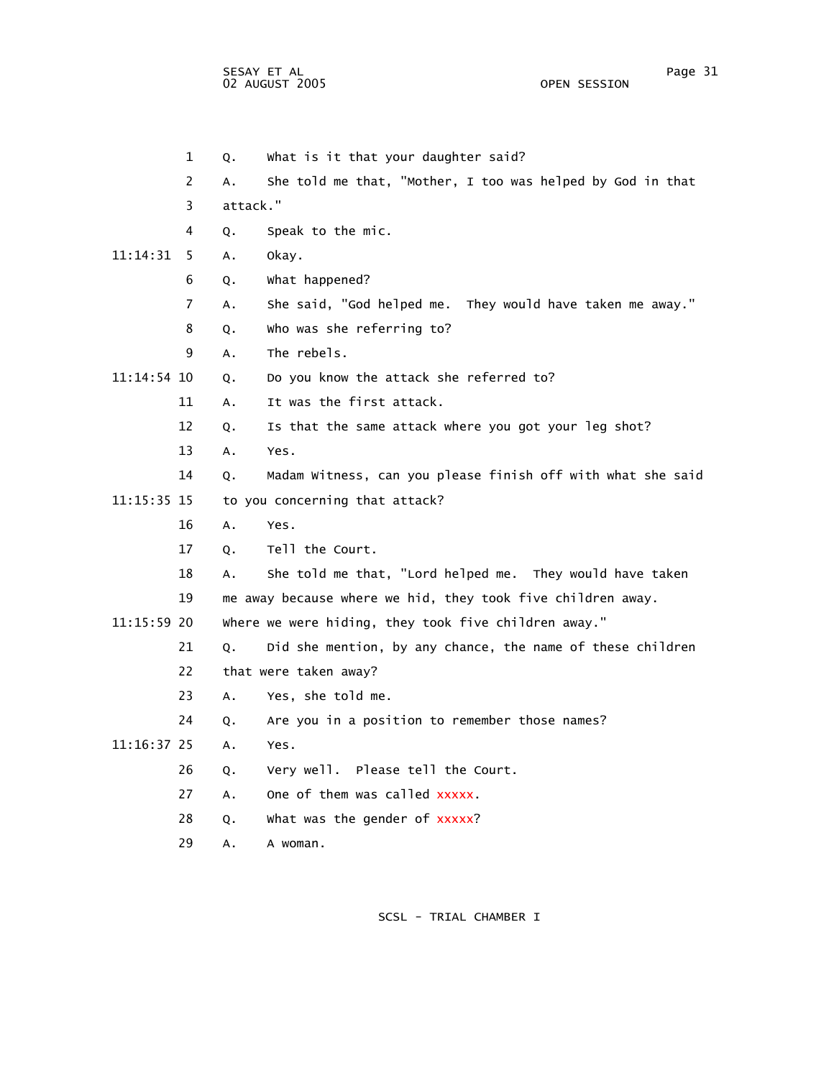SESAY ET AL Page 31 02 AUGUST 2005

 1 Q. What is it that your daughter said? 2 A. She told me that, "Mother, I too was helped by God in that 3 attack." 4 Q. Speak to the mic. 11:14:31 5 A. Okay. 6 Q. What happened? 7 A. She said, "God helped me. They would have taken me away." 8 Q. Who was she referring to? 9 A. The rebels. 11:14:54 10 Q. Do you know the attack she referred to? 11 A. It was the first attack. 12 Q. Is that the same attack where you got your leg shot? 13 A. Yes. 14 Q. Madam Witness, can you please finish off with what she said 11:15:35 15 to you concerning that attack? 16 A. Yes. 17 Q. Tell the Court. 18 A. She told me that, "Lord helped me. They would have taken 19 me away because where we hid, they took five children away. 11:15:59 20 Where we were hiding, they took five children away." 21 Q. Did she mention, by any chance, the name of these children 22 that were taken away? 23 A. Yes, she told me. 24 Q. Are you in a position to remember those names? 11:16:37 25 A. Yes. 26 Q. Very well. Please tell the Court. 27 A. One of them was called xxxxx. 28 Q. What was the gender of xxxxx? 29 A. A woman.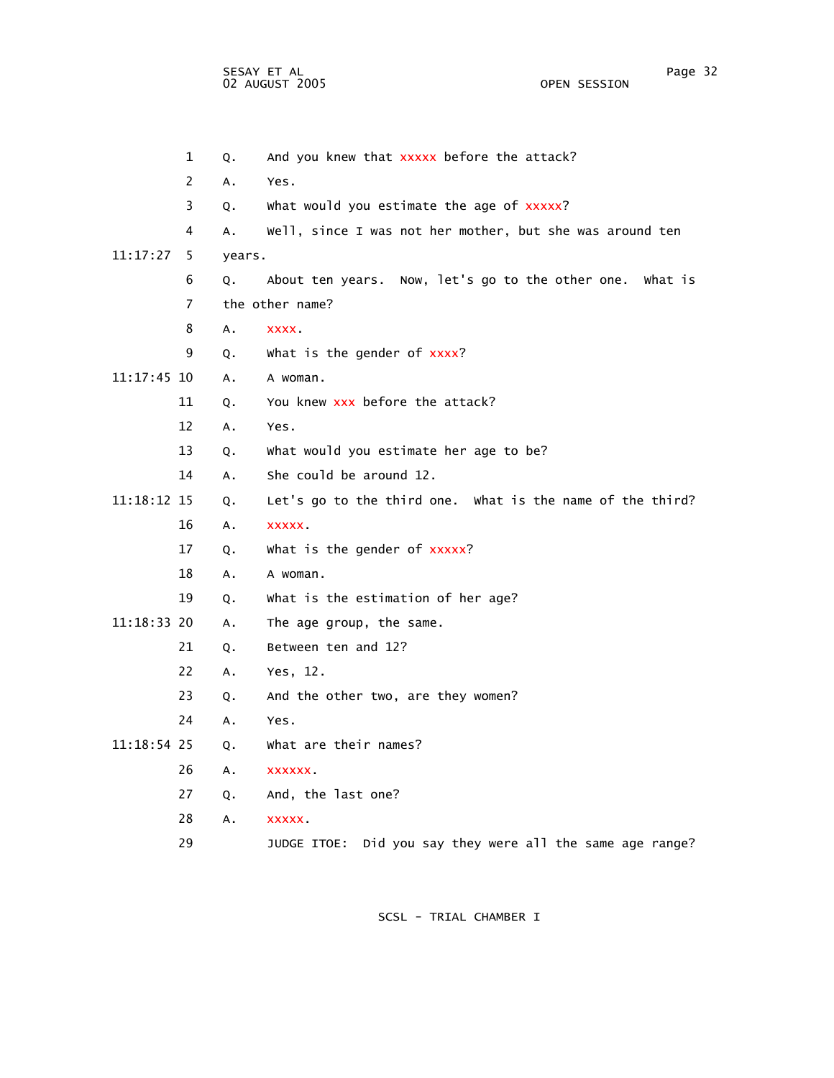1 Q. And you knew that xxxxx before the attack? 2 A. Yes. 3 Q. What would you estimate the age of xxxxx? 4 A. Well, since I was not her mother, but she was around ten 11:17:27 5 years. 6 Q. About ten years. Now, let's go to the other one. What is 7 the other name? 8 A. xxxx. 9 Q. What is the gender of xxxx? 11:17:45 10 A. A woman. 11 Q. You knew xxx before the attack? 12 A. Yes. 13 Q. What would you estimate her age to be? 14 A. She could be around 12. 11:18:12 15 Q. Let's go to the third one. What is the name of the third? 16 A. xxxxx. 17 Q. What is the gender of xxxxx? 18 A. A woman. 19 Q. What is the estimation of her age? 11:18:33 20 A. The age group, the same. 21 Q. Between ten and 12? 22 A. Yes, 12. 23 Q. And the other two, are they women? 24 A. Yes. 11:18:54 25 Q. What are their names? 26 A. xxxxxx. 27 Q. And, the last one? 28 A. xxxxx. 29 JUDGE ITOE: Did you say they were all the same age range?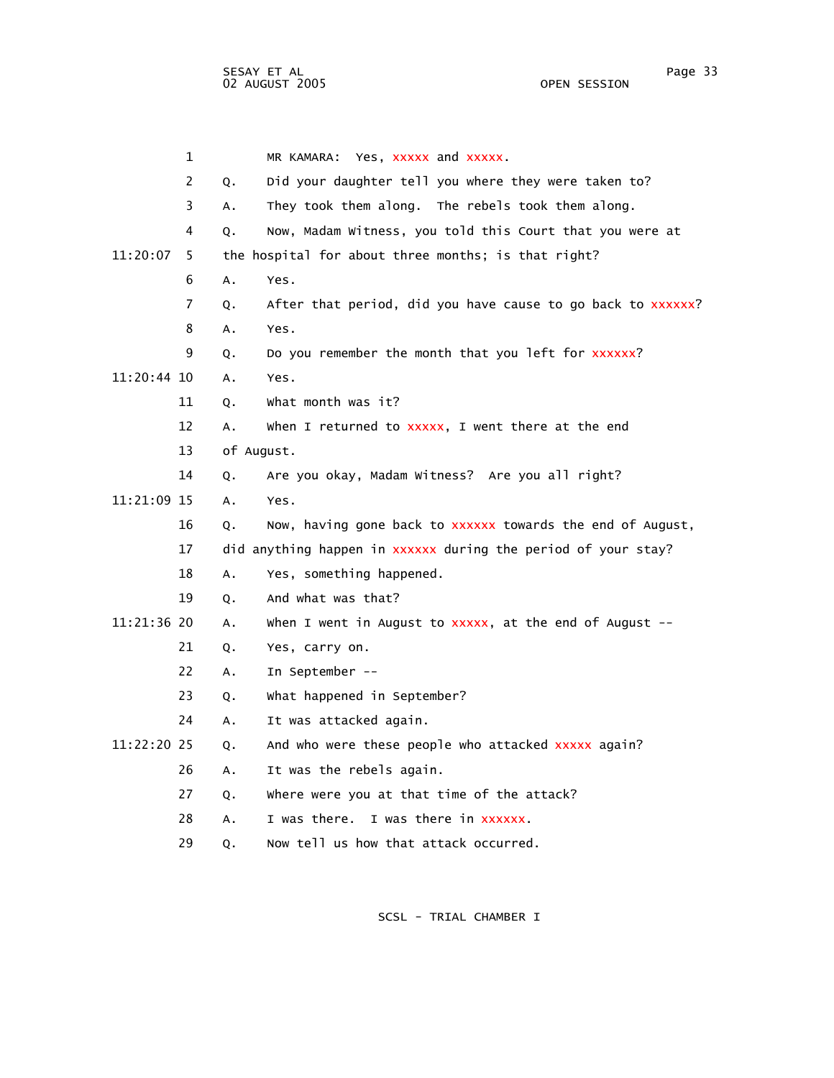1 MR KAMARA: Yes, xxxxx and xxxxx. 2 Q. Did your daughter tell you where they were taken to? 3 A. They took them along. The rebels took them along. 4 Q. Now, Madam Witness, you told this Court that you were at 11:20:07 5 the hospital for about three months; is that right? 6 A. Yes. 7 Q. After that period, did you have cause to go back to xxxxxx? 8 A. Yes. 9 Q. Do you remember the month that you left for xxxxxx? 11:20:44 10 A. Yes. 11 Q. What month was it? 12 A. When I returned to xxxxx, I went there at the end 13 of August. 14 Q. Are you okay, Madam Witness? Are you all right? 11:21:09 15 A. Yes. 16 Q. Now, having gone back to xxxxxx towards the end of August, 17 did anything happen in xxxxxx during the period of your stay? 18 A. Yes, something happened. 19 Q. And what was that? 11:21:36 20 A. When I went in August to xxxxx, at the end of August -- 21 Q. Yes, carry on. 22 A. In September -- 23 Q. What happened in September? 24 A. It was attacked again. 11:22:20 25 Q. And who were these people who attacked xxxxx again? 26 A. It was the rebels again. 27 Q. Where were you at that time of the attack? 28 A. I was there. I was there in xxxxxx. 29 Q. Now tell us how that attack occurred.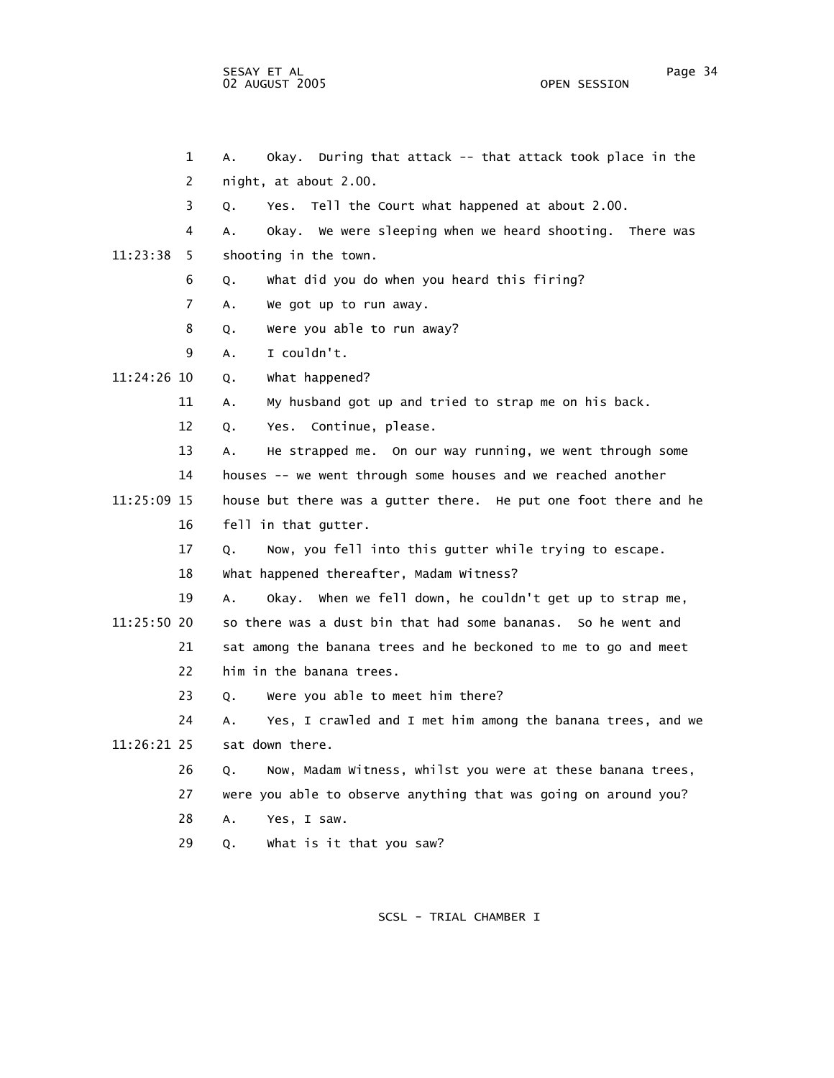sesay et al. International and the session of the session of the session of the session of the session of the s 02 AUGUST 2005 OPEN SESSION

| $\mathbf 1$    | Okay. During that attack -- that attack took place in the<br>Α.   |
|----------------|-------------------------------------------------------------------|
| 2              | night, at about 2.00.                                             |
| 3              | Yes. Tell the Court what happened at about 2.00.<br>Q.            |
| 4              | Okay. We were sleeping when we heard shooting. There was<br>А.    |
| 11:23:38<br>5. | shooting in the town.                                             |
| 6              | What did you do when you heard this firing?<br>Q.                 |
| $\overline{7}$ | We got up to run away.<br>A.                                      |
| 8              | Were you able to run away?<br>Q.                                  |
| 9              | I couldn't.<br>А.                                                 |
| 11:24:26 10    | What happened?<br>Q.                                              |
| 11             | My husband got up and tried to strap me on his back.<br>А.        |
| 12             | Yes. Continue, please.<br>Q.                                      |
| 13             | He strapped me. On our way running, we went through some<br>А.    |
| 14             | houses -- we went through some houses and we reached another      |
| 11:25:09 15    | house but there was a gutter there. He put one foot there and he  |
| 16             | fell in that gutter.                                              |
| 17             | Now, you fell into this gutter while trying to escape.<br>Q.      |
| 18             | What happened thereafter, Madam Witness?                          |
| 19             | Okay. When we fell down, he couldn't get up to strap me,<br>А.    |
| 11:25:50 20    | so there was a dust bin that had some bananas. So he went and     |
| 21             | sat among the banana trees and he beckoned to me to go and meet   |
| 22             | him in the banana trees.                                          |
| 23             | Were you able to meet him there?<br>Q.                            |
| 24             | Yes, I crawled and I met him among the banana trees, and we<br>А. |
| 11:26:21 25    | sat down there.                                                   |
| 26             | Now, Madam Witness, whilst you were at these banana trees,<br>Q.  |
| 27             | were you able to observe anything that was going on around you?   |
| 28             | А.<br>Yes, I saw.                                                 |
| 29             | What is it that you saw?<br>Q.                                    |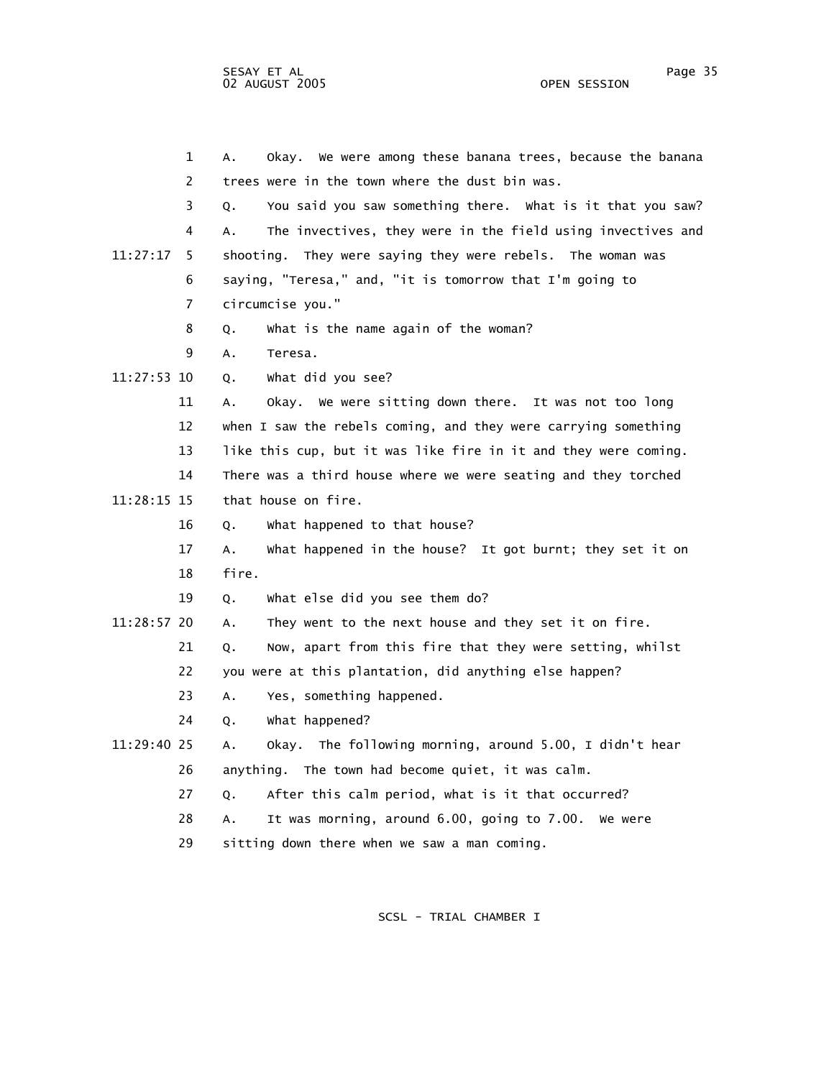1 A. Okay. We were among these banana trees, because the banana 2 trees were in the town where the dust bin was. 3 Q. You said you saw something there. What is it that you saw? 4 A. The invectives, they were in the field using invectives and 11:27:17 5 shooting. They were saying they were rebels. The woman was 6 saying, "Teresa," and, "it is tomorrow that I'm going to 7 circumcise you." 8 Q. What is the name again of the woman? 9 A. Teresa. 11:27:53 10 Q. What did you see? 11 A. Okay. We were sitting down there. It was not too long 12 when I saw the rebels coming, and they were carrying something 13 like this cup, but it was like fire in it and they were coming. 14 There was a third house where we were seating and they torched 11:28:15 15 that house on fire. 16 Q. What happened to that house? 17 A. What happened in the house? It got burnt; they set it on 18 fire. 19 Q. What else did you see them do? 11:28:57 20 A. They went to the next house and they set it on fire. 21 Q. Now, apart from this fire that they were setting, whilst 22 you were at this plantation, did anything else happen? 23 A. Yes, something happened. 24 Q. What happened? 11:29:40 25 A. Okay. The following morning, around 5.00, I didn't hear 26 anything. The town had become quiet, it was calm. 27 Q. After this calm period, what is it that occurred? 28 A. It was morning, around 6.00, going to 7.00. We were 29 sitting down there when we saw a man coming.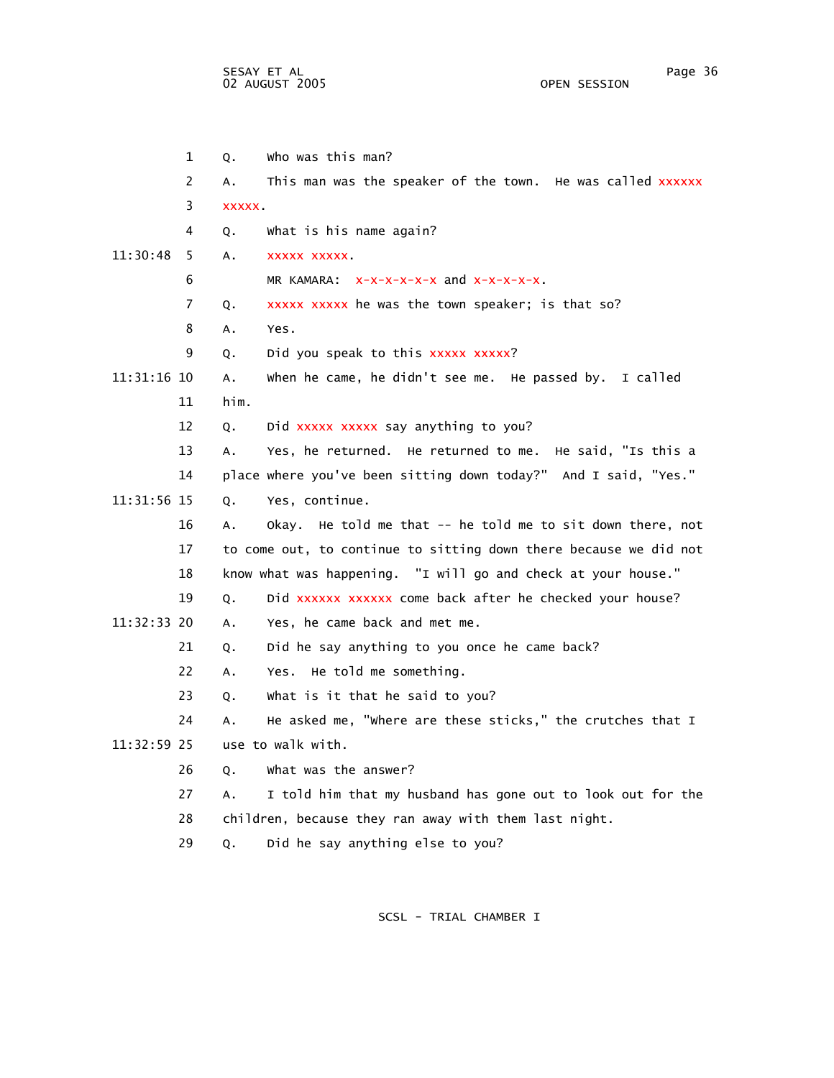|             | 1  | Q.     | who was this man?                                                 |
|-------------|----|--------|-------------------------------------------------------------------|
|             | 2  | Α.     | This man was the speaker of the town. He was called xxxxxx        |
|             | 3  | XXXXX. |                                                                   |
|             | 4  | Q.     | What is his name again?                                           |
| 11:30:48    | 5  | Α.     | XXXXX XXXXX                                                       |
|             | 6  |        | MR KAMARA: $x-x-x-x-x$ and $x-x-x-x$ .                            |
|             | 7  | Q.     | xxxxx xxxxx he was the town speaker; is that so?                  |
|             | 8  | А.     | Yes.                                                              |
|             | 9  | Q.     | Did you speak to this xxxxx xxxxx?                                |
| 11:31:16 10 |    | Α.     | when he came, he didn't see me. He passed by. I called            |
|             | 11 | him.   |                                                                   |
|             | 12 | Q.     | Did xxxxx xxxxx say anything to you?                              |
|             | 13 | Α.     | Yes, he returned. He returned to me. He said, "Is this a          |
|             | 14 |        | place where you've been sitting down today?" And I said, "Yes."   |
| 11:31:56 15 |    | Q.     | Yes, continue.                                                    |
|             | 16 | А.     | Okay. He told me that -- he told me to sit down there, not        |
|             | 17 |        | to come out, to continue to sitting down there because we did not |
|             | 18 |        | know what was happening. "I will go and check at your house."     |
|             | 19 | Q.     | Did xxxxxx xxxxxx come back after he checked your house?          |
| 11:32:33 20 |    | Α.     | Yes, he came back and met me.                                     |
|             | 21 | Q.     | Did he say anything to you once he came back?                     |
|             | 22 | А.     | Yes. He told me something.                                        |
|             | 23 | Q.     | What is it that he said to you?                                   |
|             | 24 | А.     | He asked me, "where are these sticks," the crutches that I        |
| 11:32:59 25 |    |        | use to walk with.                                                 |
|             | 26 | Q.     | what was the answer?                                              |
|             | 27 | A.     | I told him that my husband has gone out to look out for the       |
|             | 28 |        | children, because they ran away with them last night.             |
|             | 29 | Q.     | Did he say anything else to you?                                  |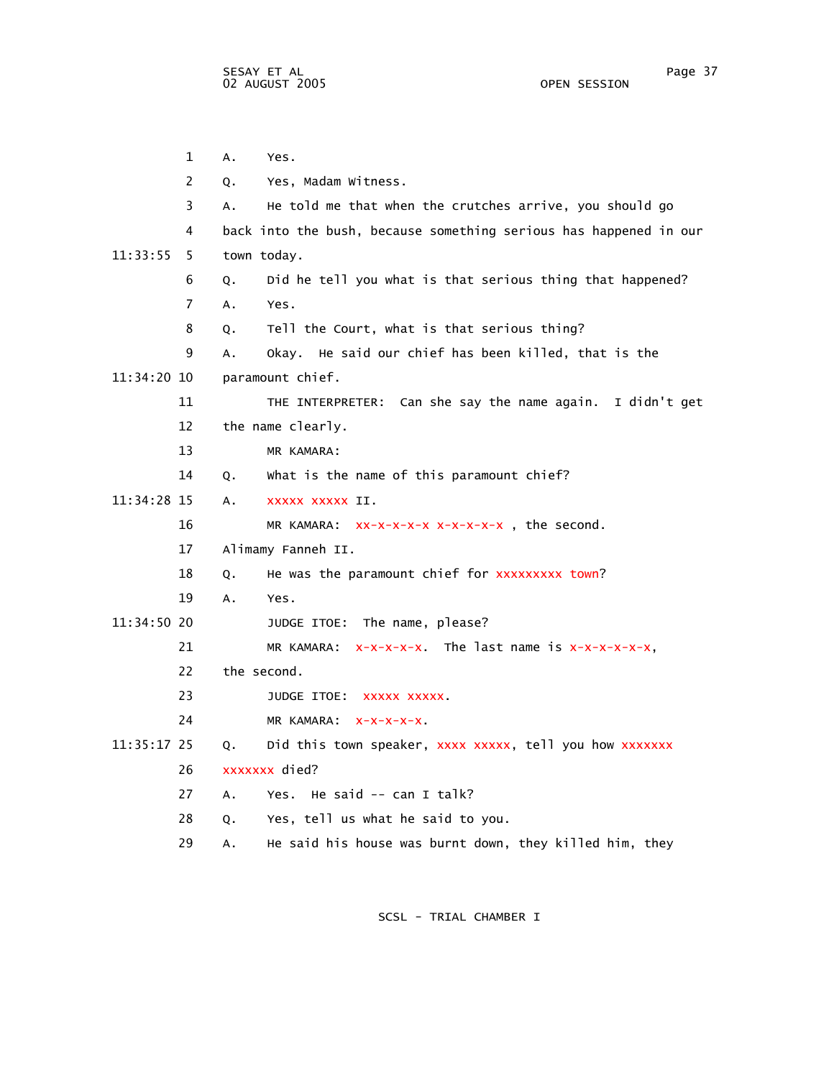1 A. Yes. 2 Q. Yes, Madam Witness. 3 A. He told me that when the crutches arrive, you should go 4 back into the bush, because something serious has happened in our 11:33:55 5 town today. 6 Q. Did he tell you what is that serious thing that happened? 7 A. Yes. 8 Q. Tell the Court, what is that serious thing? 9 A. Okay. He said our chief has been killed, that is the 11:34:20 10 paramount chief. 11 THE INTERPRETER: Can she say the name again. I didn't get 12 the name clearly. 13 MR KAMARA: 14 Q. What is the name of this paramount chief? 11:34:28 15 A. xxxxx xxxxx II. 16 MR KAMARA: xx-x-x-x-x x-x-x-x-x , the second. 17 Alimamy Fanneh II. 18 Q. He was the paramount chief for xxxxxxxxx town? 19 A. Yes. 11:34:50 20 JUDGE ITOE: The name, please? 21 MR KAMARA:  $x-x-x-x$ . The last name is  $x-x-x-x-x$ , 22 the second. 23 JUDGE ITOE: XXXXX XXXXX. 24 MR KAMARA:  $x-x-x-x$ . 11:35:17 25 Q. Did this town speaker, xxxx xxxxx, tell you how xxxxxxx 26 xxxxxxx died? 27 A. Yes. He said -- can I talk? 28 Q. Yes, tell us what he said to you. 29 A. He said his house was burnt down, they killed him, they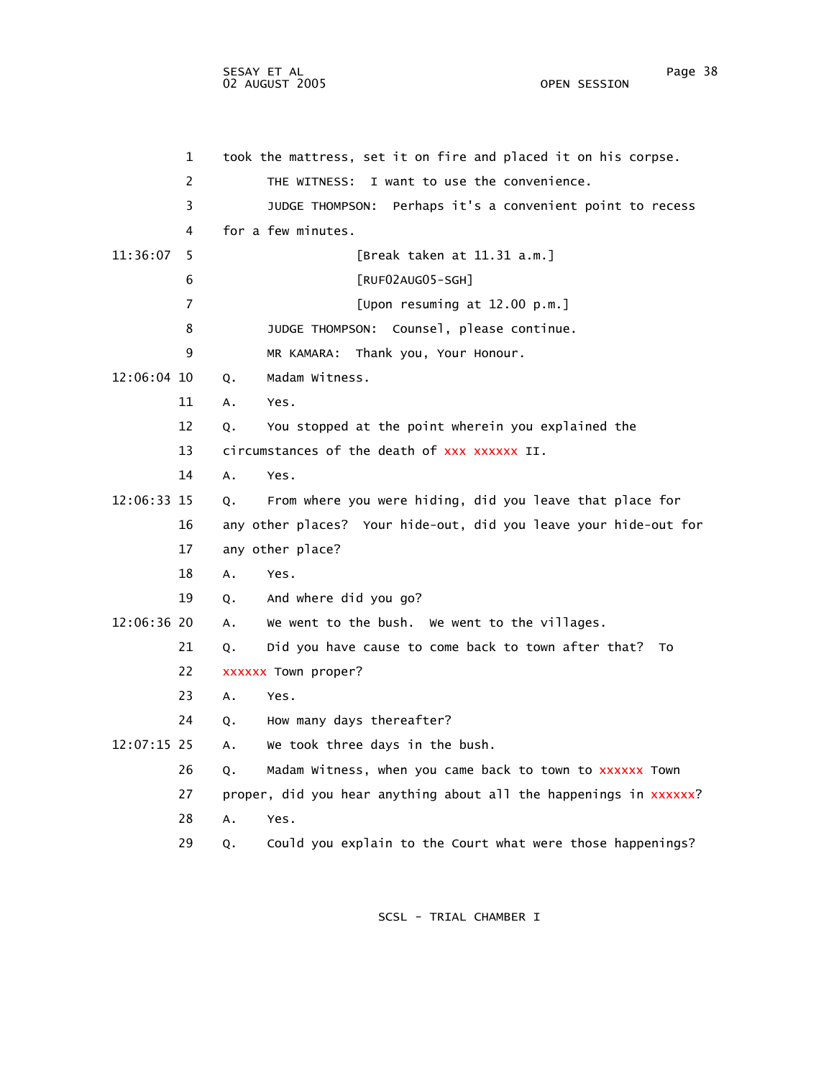1 took the mattress, set it on fire and placed it on his corpse. 2 THE WITNESS: I want to use the convenience. 3 JUDGE THOMPSON: Perhaps it's a convenient point to recess 4 for a few minutes. 11:36:07 5 [Break taken at 11.31 a.m.] 6 [RUF02AUG05-SGH] 7 [Upon resuming at 12.00 p.m.] 8 JUDGE THOMPSON: Counsel, please continue. 9 MR KAMARA: Thank you, Your Honour. 12:06:04 10 Q. Madam Witness. 11 A. Yes. 12 Q. You stopped at the point wherein you explained the 13 circumstances of the death of xxx xxxxxx II. 14 A. Yes. 12:06:33 15 Q. From where you were hiding, did you leave that place for 16 any other places? Your hide-out, did you leave your hide-out for 17 any other place? 18 A. Yes. 19 Q. And where did you go? 12:06:36 20 A. We went to the bush. We went to the villages. 21 Q. Did you have cause to come back to town after that? To 22 xxxxxx Town proper? 23 A. Yes. 24 Q. How many days thereafter? 12:07:15 25 A. We took three days in the bush. 26 Q. Madam Witness, when you came back to town to xxxxxx Town 27 proper, did you hear anything about all the happenings in xxxxxxx? 28 A. Yes. 29 Q. Could you explain to the Court what were those happenings?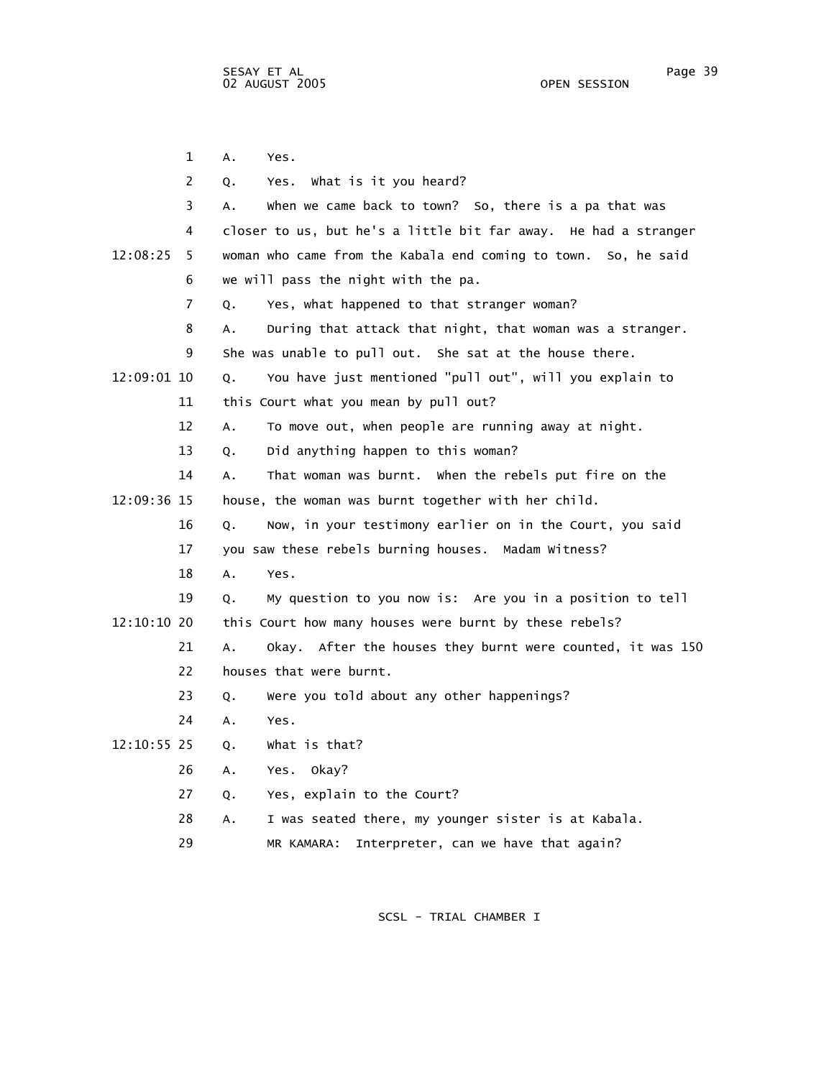1 A. Yes. 2 Q. Yes. What is it you heard? 3 A. When we came back to town? So, there is a pa that was 4 closer to us, but he's a little bit far away. He had a stranger 12:08:25 5 woman who came from the Kabala end coming to town. So, he said 6 we will pass the night with the pa. 7 Q. Yes, what happened to that stranger woman? 8 A. During that attack that night, that woman was a stranger. 9 She was unable to pull out. She sat at the house there. 12:09:01 10 Q. You have just mentioned "pull out", will you explain to 11 this Court what you mean by pull out? 12 A. To move out, when people are running away at night. 13 Q. Did anything happen to this woman? 14 A. That woman was burnt. When the rebels put fire on the 12:09:36 15 house, the woman was burnt together with her child. 16 Q. Now, in your testimony earlier on in the Court, you said 17 you saw these rebels burning houses. Madam Witness? 18 A. Yes. 19 Q. My question to you now is: Are you in a position to tell 12:10:10 20 this Court how many houses were burnt by these rebels? 21 A. Okay. After the houses they burnt were counted, it was 150 22 houses that were burnt. 23 Q. Were you told about any other happenings? 24 A. Yes. 12:10:55 25 Q. What is that? 26 A. Yes. Okay? 27 Q. Yes, explain to the Court? 28 A. I was seated there, my younger sister is at Kabala.

29 MR KAMARA: Interpreter, can we have that again?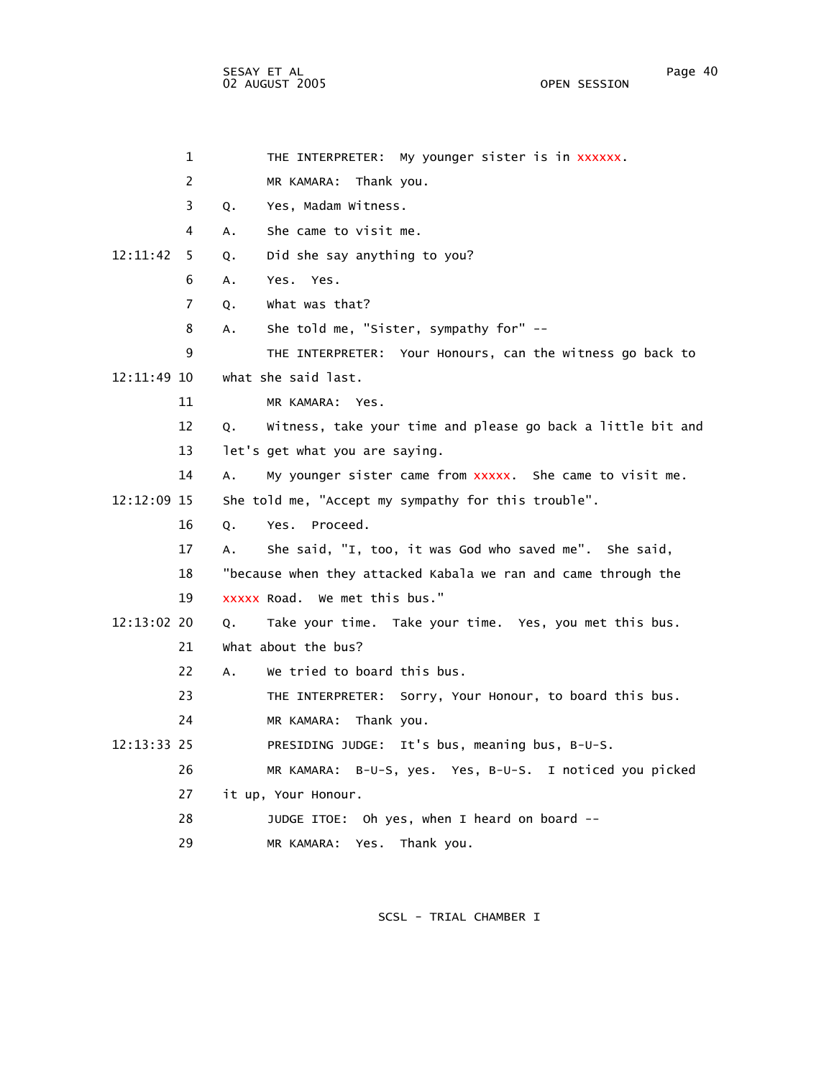SESAY ET AL Page 40 02 AUGUST 2005 OPEN SESSION

|               | $\mathbf{1}$   | THE INTERPRETER: My younger sister is in XXXXXX.                  |
|---------------|----------------|-------------------------------------------------------------------|
|               | 2              | MR KAMARA: Thank you.                                             |
|               | 3              | Yes, Madam Witness.<br>Q.                                         |
|               | 4              | She came to visit me.<br>A.                                       |
| 12:11:42      | 5              | Did she say anything to you?<br>Q.                                |
|               | 6              | Yes. Yes.<br>А.                                                   |
|               | $\overline{7}$ | what was that?<br>Q.                                              |
|               | 8              | She told me, "Sister, sympathy for" --<br>A.                      |
|               | 9              | THE INTERPRETER: Your Honours, can the witness go back to         |
| 12:11:49 10   |                | what she said last.                                               |
|               | 11             | MR KAMARA: Yes.                                                   |
|               | 12             | Witness, take your time and please go back a little bit and<br>Q. |
|               | 13             | let's get what you are saying.                                    |
|               | 14             | My younger sister came from xxxxx. She came to visit me.<br>А.    |
| 12:12:09 15   |                | She told me, "Accept my sympathy for this trouble".               |
|               | 16             | Yes. Proceed.<br>Q.                                               |
|               | 17             | She said, "I, too, it was God who saved me". She said,<br>А.      |
|               | 18             | "because when they attacked Kabala we ran and came through the    |
|               | 19             | xxxxx Road. We met this bus."                                     |
| 12:13:02 20   |                | Take your time. Take your time. Yes, you met this bus.<br>Q.      |
|               | 21             | what about the bus?                                               |
|               | 22             | We tried to board this bus.<br>$A_{\bullet}$                      |
|               | 23             | THE INTERPRETER: Sorry, Your Honour, to board this bus.           |
|               | 24             | MR KAMARA: Thank you.                                             |
| $12:13:33$ 25 |                | PRESIDING JUDGE: It's bus, meaning bus, B-U-S.                    |
|               | 26             | MR KAMARA: B-U-S, yes. Yes, B-U-S. I noticed you picked           |
|               | 27             | it up, Your Honour.                                               |
|               | 28             | JUDGE ITOE: Oh yes, when I heard on board --                      |
|               |                |                                                                   |

29 MR KAMARA: Yes. Thank you.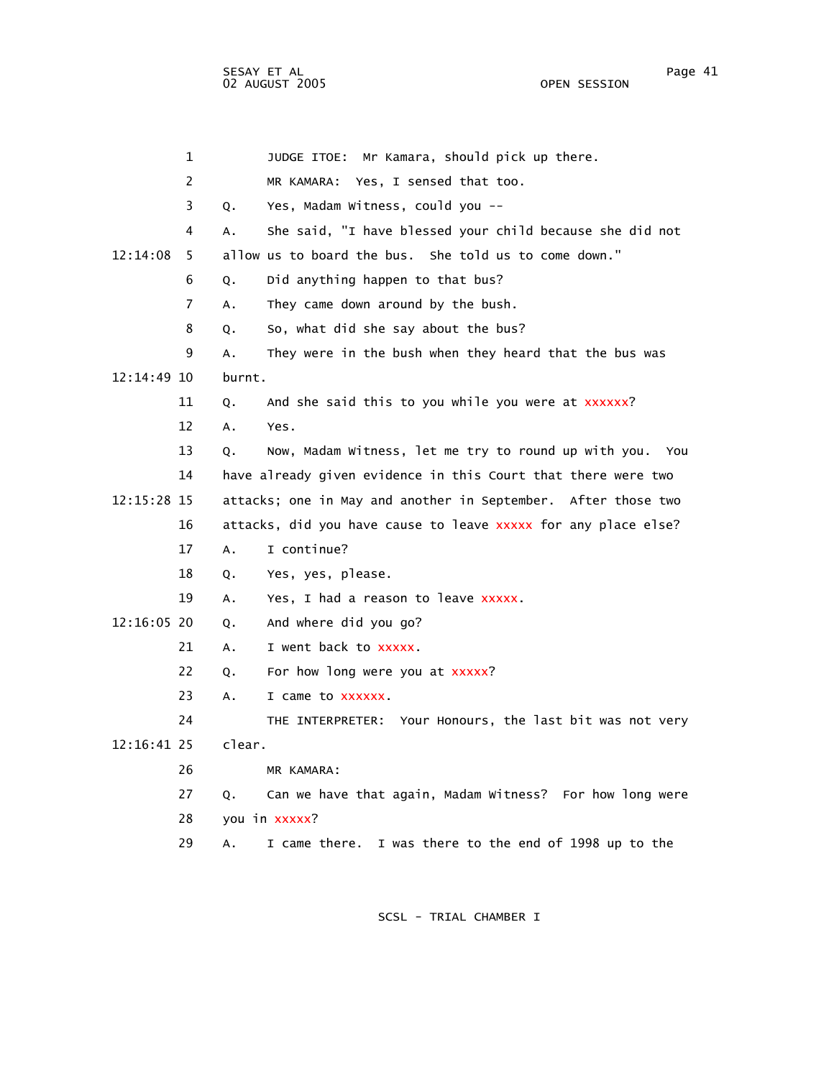| 1              | JUDGE ITOE: Mr Kamara, should pick up there.                    |
|----------------|-----------------------------------------------------------------|
| 2              | MR KAMARA: Yes, I sensed that too.                              |
| 3              | Yes, Madam Witness, could you --<br>Q.                          |
| 4              | She said, "I have blessed your child because she did not<br>A.  |
| 12:14:08<br>5. | allow us to board the bus. She told us to come down."           |
| 6              | Did anything happen to that bus?<br>Q.                          |
| 7              | They came down around by the bush.<br>Α.                        |
| 8              | So, what did she say about the bus?<br>Q.                       |
| 9              | They were in the bush when they heard that the bus was<br>Α.    |
| 12:14:49 10    | burnt.                                                          |
| 11             | And she said this to you while you were at xxxxxx?<br>Q.        |
| 12             | Yes.<br>Α.                                                      |
| 13             | Now, Madam Witness, let me try to round up with you. You<br>Q.  |
| 14             | have already given evidence in this Court that there were two   |
| 12:15:28 15    | attacks; one in May and another in September. After those two   |
| 16             | attacks, did you have cause to leave xxxxx for any place else?  |
| 17             | I continue?<br>A.                                               |
| 18             | Yes, yes, please.<br>Q.                                         |
| 19             | Yes, I had a reason to leave xxxxx.<br>А.                       |
| 12:16:05 20    | And where did you go?<br>Q.                                     |
| 21             | I went back to xxxxx.<br>А.                                     |
| 22             | For how long were you at xxxxx?<br>Q.                           |
| 23             | I came to xxxxxx.<br>А.                                         |
| 24             | THE INTERPRETER: Your Honours, the last bit was not very        |
| 12:16:41 25    | clear.                                                          |
| 26             | MR KAMARA:                                                      |
| 27             | Can we have that again, Madam Witness? For how long were<br>Q.  |
| 28             | you in xxxxx?                                                   |
| 29             | I was there to the end of 1998 up to the<br>I came there.<br>А. |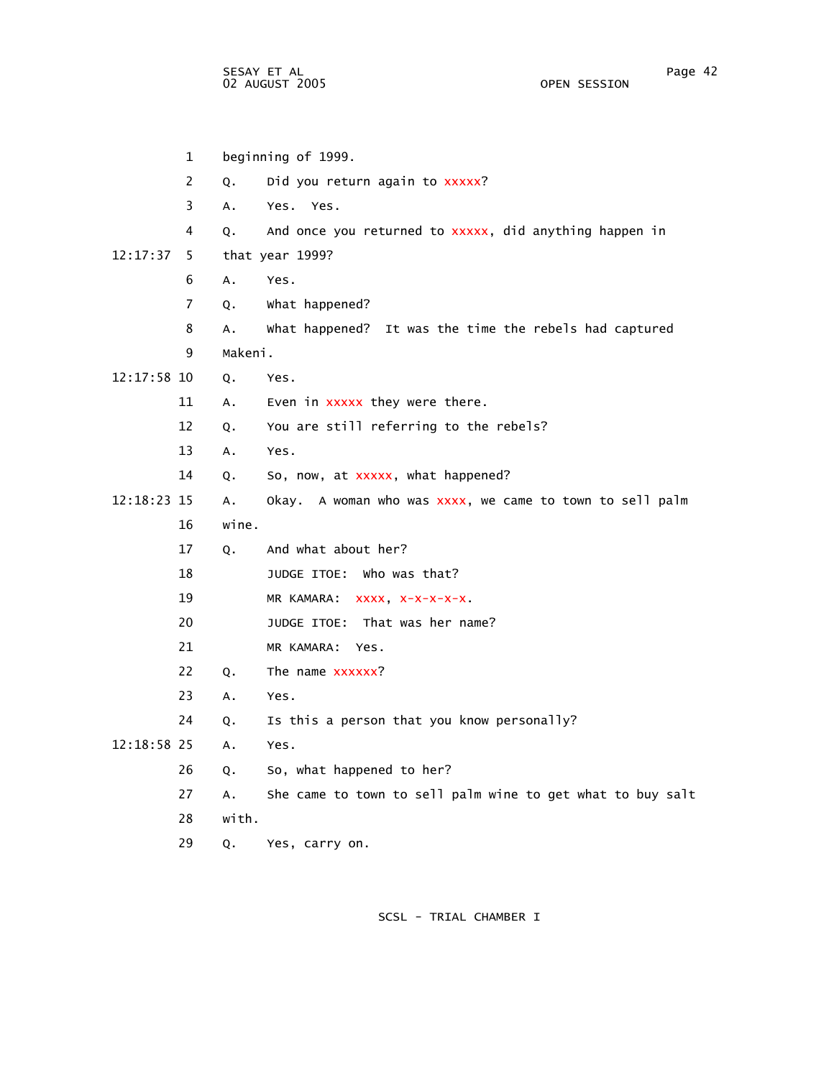1 beginning of 1999. 2 Q. Did you return again to xxxxx? 3 A. Yes. Yes. 4 Q. And once you returned to xxxxx, did anything happen in 12:17:37 5 that year 1999? 6 A. Yes. 7 Q. What happened? 8 A. What happened? It was the time the rebels had captured 9 Makeni. 12:17:58 10 Q. Yes. 11 A. Even in xxxxx they were there. 12 Q. You are still referring to the rebels? 13 A. Yes. 14 Q. So, now, at xxxxx, what happened? 12:18:23 15 A. Okay. A woman who was  $xxxx$ , we came to town to sell palm 16 wine. 17 Q. And what about her? 18 JUDGE ITOE: Who was that? 19 MR KAMARA: xxxx, x-x-x-x-x. 20 JUDGE ITOE: That was her name? 21 MR KAMARA: Yes. 22 Q. The name xxxxxx? 23 A. Yes. 24 Q. Is this a person that you know personally? 12:18:58 25 A. Yes. 26 Q. So, what happened to her? 27 A. She came to town to sell palm wine to get what to buy salt 28 with. 29 Q. Yes, carry on.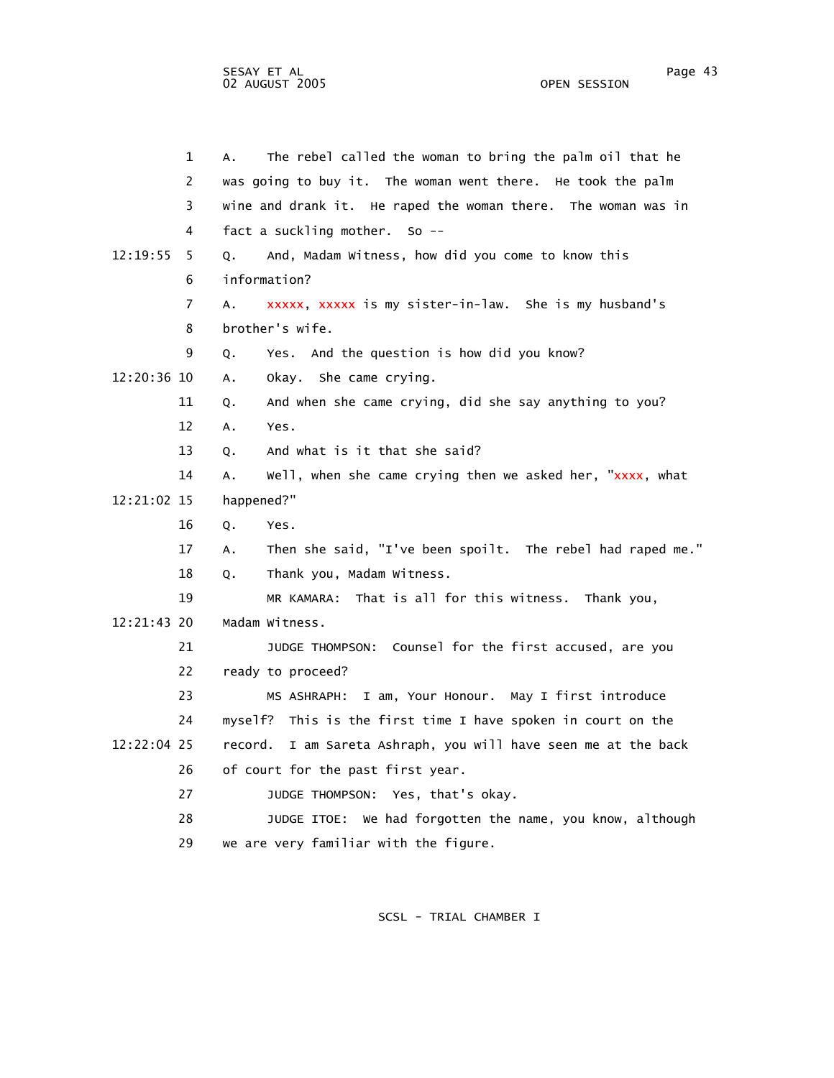|               | 1              | The rebel called the woman to bring the palm oil that he<br>А.    |
|---------------|----------------|-------------------------------------------------------------------|
|               | $\overline{2}$ | was going to buy it. The woman went there. He took the palm       |
|               | 3              | wine and drank it. He raped the woman there. The woman was in     |
|               | 4              | fact a suckling mother. So --                                     |
| 12:19:55      | 5              | And, Madam Witness, how did you come to know this<br>0.           |
|               | 6              | information?                                                      |
|               | 7              | xxxxx, xxxxx is my sister-in-law. She is my husband's<br>А.       |
|               | 8              | brother's wife.                                                   |
|               | 9              | Yes. And the question is how did you know?<br>Q.                  |
| 12:20:36 10   |                | Okay. She came crying.<br>A.                                      |
|               | 11             | And when she came crying, did she say anything to you?<br>Q.      |
|               | 12             | Α.<br>Yes.                                                        |
|               | 13             | And what is it that she said?<br>Q.                               |
|               | 14             | Well, when she came crying then we asked her, "xxxx, what<br>A.   |
| 12:21:02 15   |                | happened?"                                                        |
|               | 16             | Q.<br>Yes.                                                        |
|               | 17             | Then she said, "I've been spoilt. The rebel had raped me."<br>А.  |
|               | 18             | Thank you, Madam Witness.<br>Q.                                   |
|               | 19             | MR KAMARA: That is all for this witness. Thank you,               |
| $12:21:43$ 20 |                | Madam Witness.                                                    |
|               | 21             | JUDGE THOMPSON: Counsel for the first accused, are you            |
|               | 22             | ready to proceed?                                                 |
|               | 23             | MS ASHRAPH: I am, Your Honour. May I first introduce              |
|               | 24             | myself? This is the first time I have spoken in court on the      |
| 12:22:04 25   |                | I am Sareta Ashraph, you will have seen me at the back<br>record. |
|               | 26             | of court for the past first year.                                 |
|               | 27             | JUDGE THOMPSON: Yes, that's okay.                                 |
|               | 28             | JUDGE ITOE: We had forgotten the name, you know, although         |
|               | 29             | we are very familiar with the figure.                             |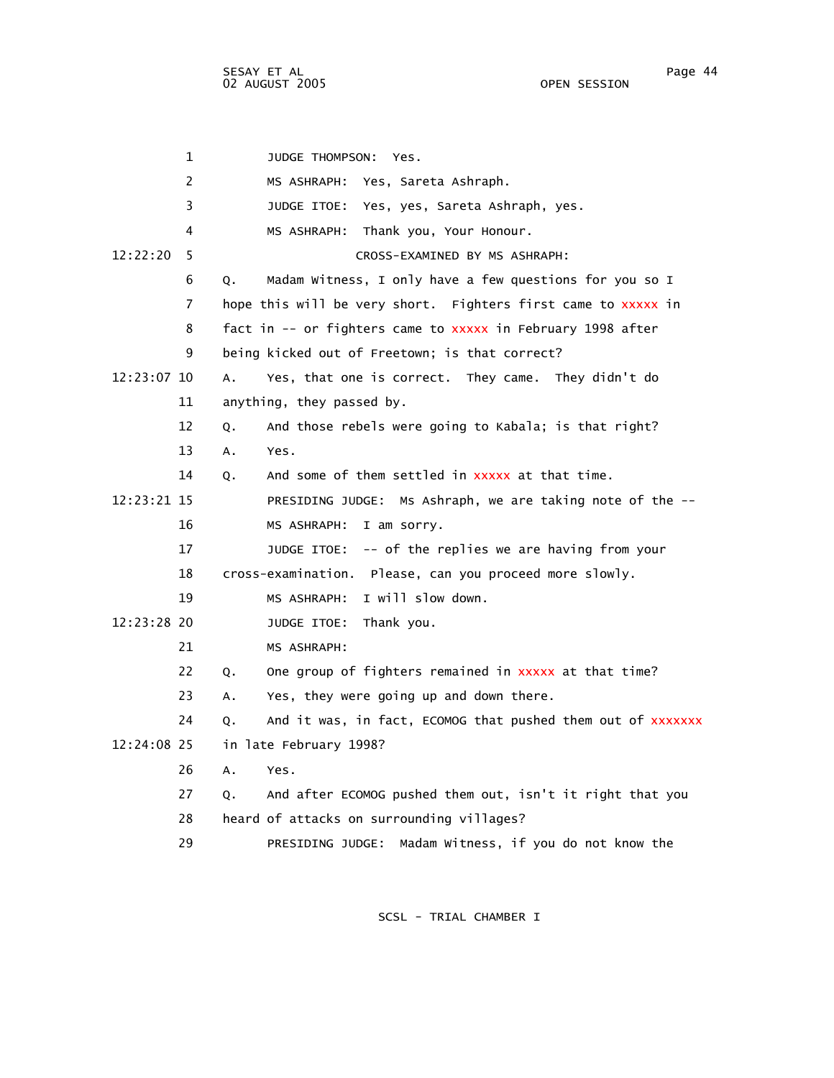SESAY ET AL Page 44 02 AUGUST 2005

 1 JUDGE THOMPSON: Yes. 2 MS ASHRAPH: Yes, Sareta Ashraph. 3 JUDGE ITOE: Yes, yes, Sareta Ashraph, yes. 4 MS ASHRAPH: Thank you, Your Honour. 12:22:20 5 CROSS-EXAMINED BY MS ASHRAPH: 6 Q. Madam Witness, I only have a few questions for you so I 7 hope this will be very short. Fighters first came to xxxxx in 8 fact in -- or fighters came to xxxxx in February 1998 after 9 being kicked out of Freetown; is that correct? 12:23:07 10 A. Yes, that one is correct. They came. They didn't do 11 anything, they passed by. 12 Q. And those rebels were going to Kabala; is that right? 13 A. Yes. 14 0. And some of them settled in xxxxx at that time. 12:23:21 15 PRESIDING JUDGE: Ms Ashraph, we are taking note of the -- 16 MS ASHRAPH: I am sorry. 17 JUDGE ITOE: -- of the replies we are having from your 18 cross-examination. Please, can you proceed more slowly. 19 MS ASHRAPH: I will slow down. 12:23:28 20 JUDGE ITOE: Thank you. 21 MS ASHRAPH: 22 Q. One group of fighters remained in xxxxx at that time? 23 A. Yes, they were going up and down there. 24 Q. And it was, in fact, ECOMOG that pushed them out of xxxxxxx 12:24:08 25 in late February 1998? 26 A. Yes. 27 Q. And after ECOMOG pushed them out, isn't it right that you 28 heard of attacks on surrounding villages? 29 PRESIDING JUDGE: Madam Witness, if you do not know the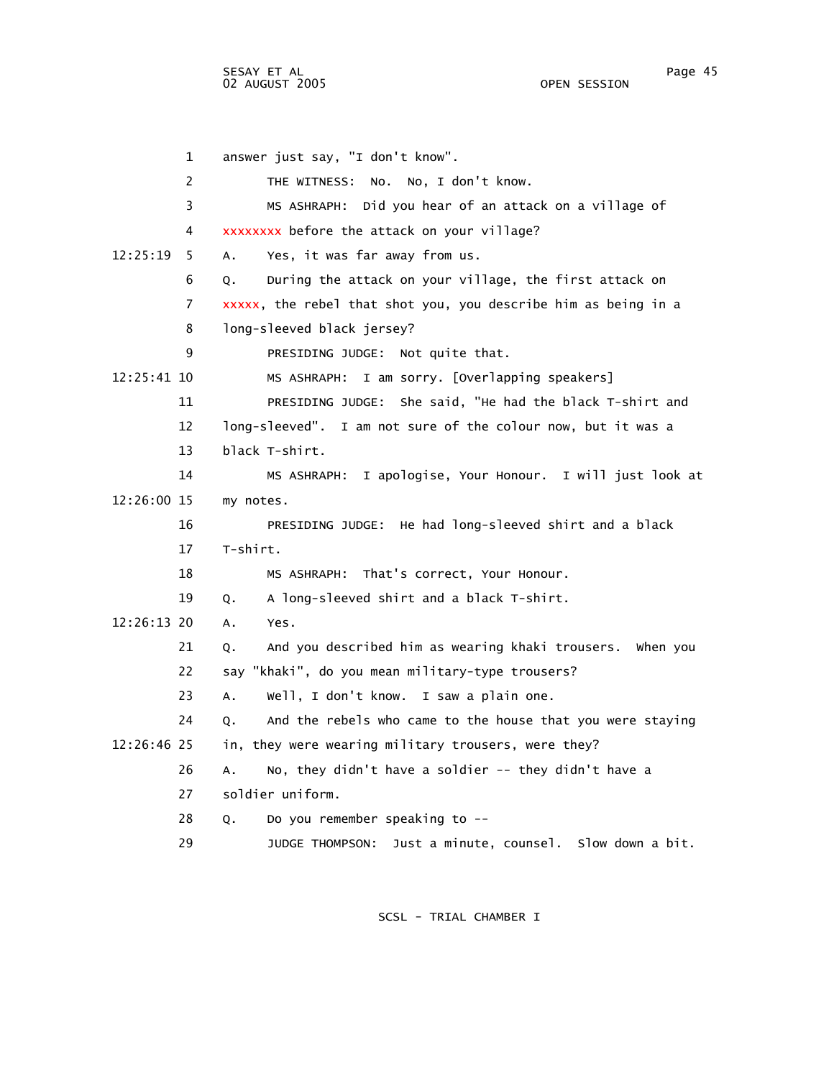1 answer just say, "I don't know". 2 THE WITNESS: No. No, I don't know. 3 MS ASHRAPH: Did you hear of an attack on a village of 4 xxxxxxxx before the attack on your village? 12:25:19 5 A. Yes, it was far away from us. 6 Q. During the attack on your village, the first attack on 7 xxxxx, the rebel that shot you, you describe him as being in a 8 long-sleeved black jersey? 9 PRESIDING JUDGE: Not quite that. 12:25:41 10 MS ASHRAPH: I am sorry. [Overlapping speakers] 11 PRESIDING JUDGE: She said, "He had the black T-shirt and 12 long-sleeved". I am not sure of the colour now, but it was a 13 black T-shirt. 14 MS ASHRAPH: I apologise, Your Honour. I will just look at 12:26:00 15 my notes. 16 PRESIDING JUDGE: He had long-sleeved shirt and a black 17 T-shirt. 18 MS ASHRAPH: That's correct, Your Honour. 19 Q. A long-sleeved shirt and a black T-shirt. 12:26:13 20 A. Yes. 21 Q. And you described him as wearing khaki trousers. When you 22 say "khaki", do you mean military-type trousers? 23 A. Well, I don't know. I saw a plain one. 24 Q. And the rebels who came to the house that you were staying 12:26:46 25 in, they were wearing military trousers, were they? 26 A. No, they didn't have a soldier -- they didn't have a 27 soldier uniform. 28 Q. Do you remember speaking to -- 29 JUDGE THOMPSON: Just a minute, counsel. Slow down a bit.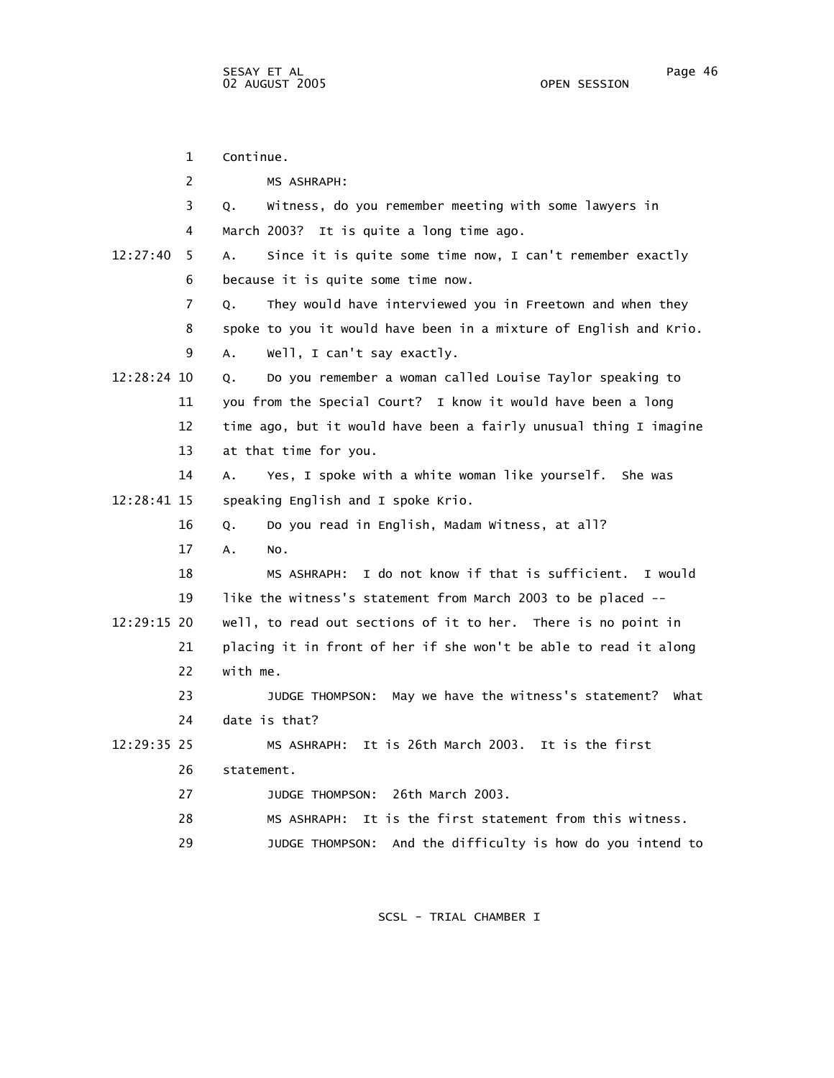1 Continue. 2 MS ASHRAPH: 3 Q. Witness, do you remember meeting with some lawyers in 4 March 2003? It is quite a long time ago. 12:27:40 5 A. Since it is quite some time now, I can't remember exactly 6 because it is quite some time now. 7 Q. They would have interviewed you in Freetown and when they 8 spoke to you it would have been in a mixture of English and Krio. 9 A. Well, I can't say exactly. 12:28:24 10 Q. Do you remember a woman called Louise Taylor speaking to 11 you from the Special Court? I know it would have been a long 12 time ago, but it would have been a fairly unusual thing I imagine 13 at that time for you. 14 A. Yes, I spoke with a white woman like yourself. She was 12:28:41 15 speaking English and I spoke Krio. 16 Q. Do you read in English, Madam Witness, at all? 17 A. No. 18 MS ASHRAPH: I do not know if that is sufficient. I would 19 like the witness's statement from March 2003 to be placed -- 12:29:15 20 well, to read out sections of it to her. There is no point in 21 placing it in front of her if she won't be able to read it along 22 with me. 23 JUDGE THOMPSON: May we have the witness's statement? What 24 date is that? 12:29:35 25 MS ASHRAPH: It is 26th March 2003. It is the first 26 statement. 27 JUDGE THOMPSON: 26th March 2003. 28 MS ASHRAPH: It is the first statement from this witness. 29 JUDGE THOMPSON: And the difficulty is how do you intend to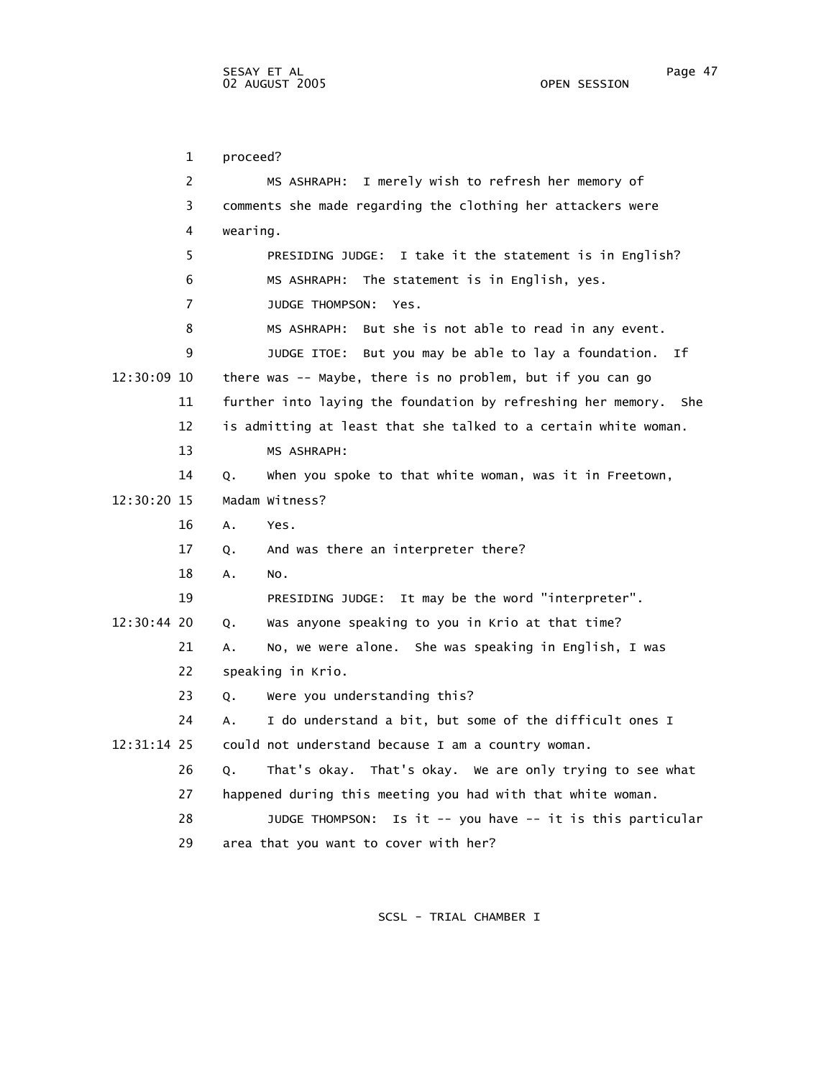1 proceed? 2 MS ASHRAPH: I merely wish to refresh her memory of 3 comments she made regarding the clothing her attackers were 4 wearing. 5 PRESIDING JUDGE: I take it the statement is in English? 6 MS ASHRAPH: The statement is in English, yes. 7 JUDGE THOMPSON: Yes. 8 MS ASHRAPH: But she is not able to read in any event. 9 JUDGE ITOE: But you may be able to lay a foundation. If 12:30:09 10 there was -- Maybe, there is no problem, but if you can go 11 further into laying the foundation by refreshing her memory. She 12 is admitting at least that she talked to a certain white woman. 13 MS ASHRAPH: 14 Q. When you spoke to that white woman, was it in Freetown, 12:30:20 15 Madam Witness? 16 A. Yes. 17 Q. And was there an interpreter there? 18 A. No. 19 PRESIDING JUDGE: It may be the word "interpreter". 12:30:44 20 Q. Was anyone speaking to you in Krio at that time? 21 A. No, we were alone. She was speaking in English, I was 22 speaking in Krio. 23 Q. Were you understanding this? 24 A. I do understand a bit, but some of the difficult ones I 12:31:14 25 could not understand because I am a country woman. 26 Q. That's okay. That's okay. We are only trying to see what 27 happened during this meeting you had with that white woman. 28 JUDGE THOMPSON: Is it -- you have -- it is this particular

SCSL - TRIAL CHAMBER I

29 area that you want to cover with her?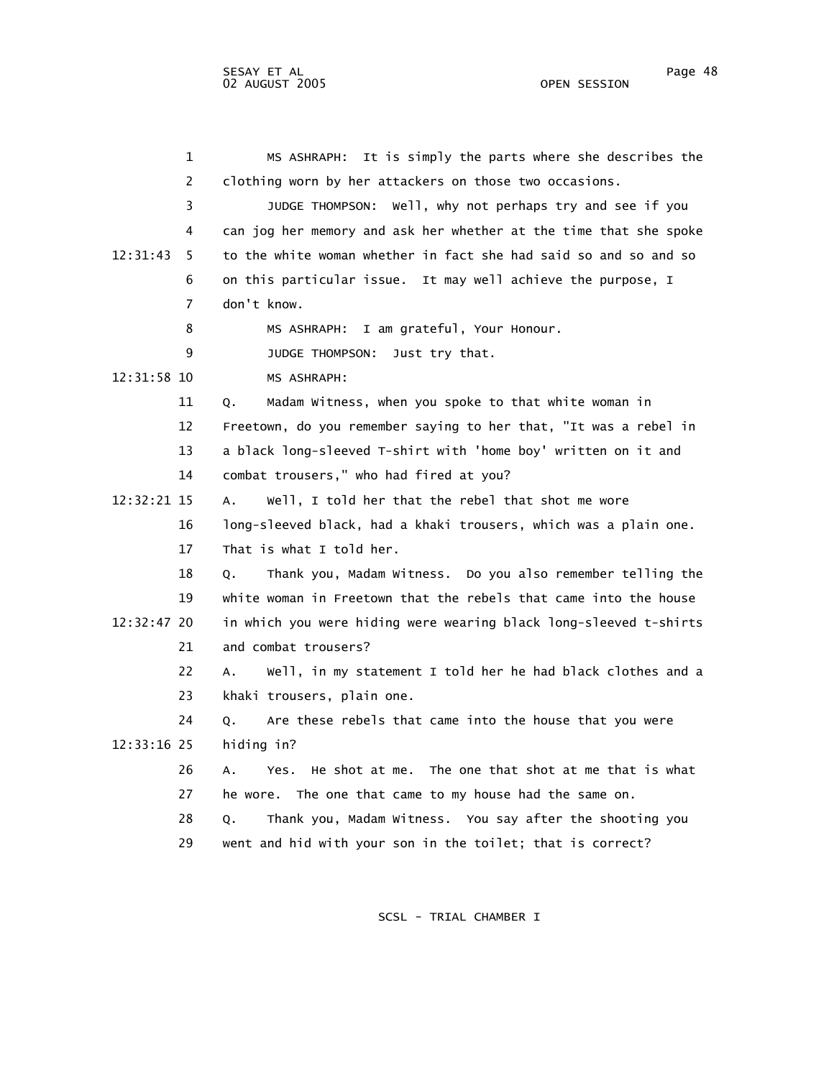1 MS ASHRAPH: It is simply the parts where she describes the 2 clothing worn by her attackers on those two occasions. 3 JUDGE THOMPSON: Well, why not perhaps try and see if you 4 can jog her memory and ask her whether at the time that she spoke 12:31:43 5 to the white woman whether in fact she had said so and so and so 6 on this particular issue. It may well achieve the purpose, I 7 don't know. 8 MS ASHRAPH: I am grateful, Your Honour. 9 JUDGE THOMPSON: Just try that. 12:31:58 10 MS ASHRAPH: 11 Q. Madam Witness, when you spoke to that white woman in 12 Freetown, do you remember saying to her that, "It was a rebel in 13 a black long-sleeved T-shirt with 'home boy' written on it and 14 combat trousers," who had fired at you? 12:32:21 15 A. Well, I told her that the rebel that shot me wore 16 long-sleeved black, had a khaki trousers, which was a plain one. 17 That is what I told her. 18 Q. Thank you, Madam Witness. Do you also remember telling the 19 white woman in Freetown that the rebels that came into the house 12:32:47 20 in which you were hiding were wearing black long-sleeved t-shirts 21 and combat trousers? 22 A. Well, in my statement I told her he had black clothes and a 23 khaki trousers, plain one. 24 Q. Are these rebels that came into the house that you were 12:33:16 25 hiding in? 26 A. Yes. He shot at me. The one that shot at me that is what 27 he wore. The one that came to my house had the same on. 28 Q. Thank you, Madam Witness. You say after the shooting you 29 went and hid with your son in the toilet; that is correct?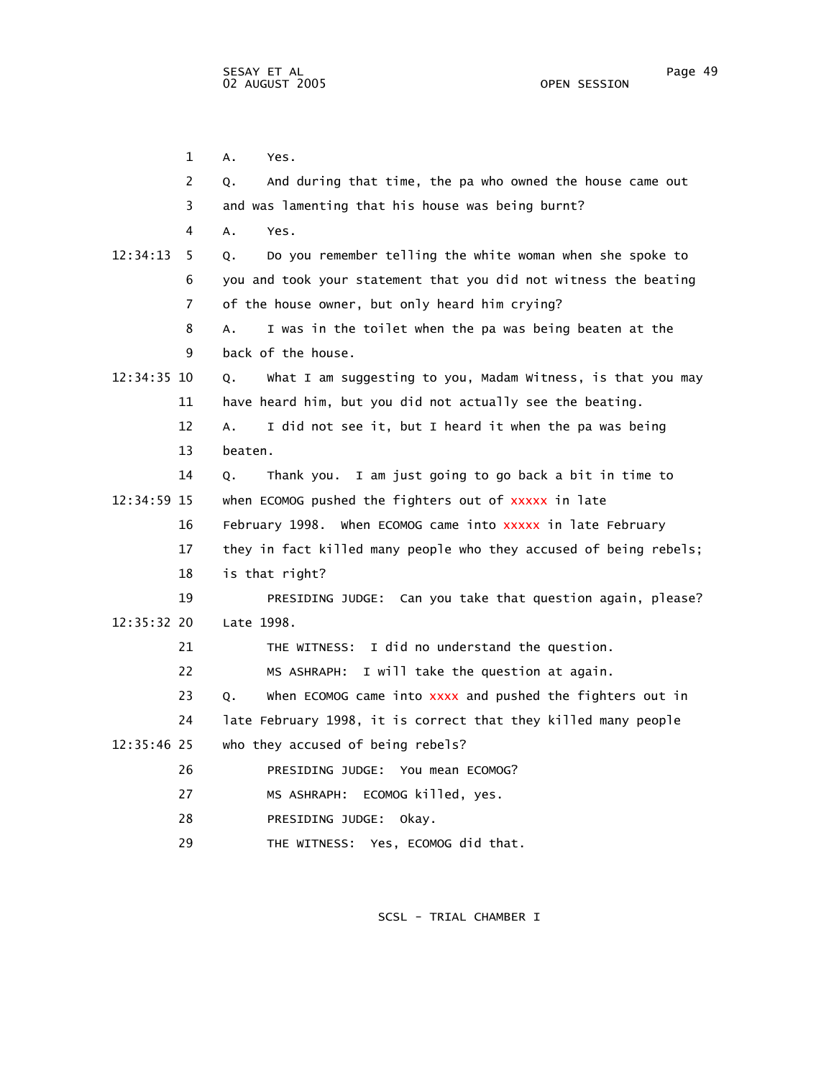1 A. Yes. 2 Q. And during that time, the pa who owned the house came out 3 and was lamenting that his house was being burnt? 4 A. Yes. 12:34:13 5 Q. Do you remember telling the white woman when she spoke to 6 you and took your statement that you did not witness the beating 7 of the house owner, but only heard him crying? 8 A. I was in the toilet when the pa was being beaten at the 9 back of the house. 12:34:35 10 Q. What I am suggesting to you, Madam Witness, is that you may 11 have heard him, but you did not actually see the beating. 12 A. I did not see it, but I heard it when the pa was being 13 beaten. 14 Q. Thank you. I am just going to go back a bit in time to 12:34:59 15 when ECOMOG pushed the fighters out of xxxxx in late 16 February 1998. When ECOMOG came into xxxxx in late February 17 they in fact killed many people who they accused of being rebels; 18 is that right? 19 PRESIDING JUDGE: Can you take that question again, please? 12:35:32 20 Late 1998. 21 THE WITNESS: I did no understand the question. 22 MS ASHRAPH: I will take the question at again. 23 Q. When ECOMOG came into xxxx and pushed the fighters out in 24 late February 1998, it is correct that they killed many people 12:35:46 25 who they accused of being rebels? 26 PRESIDING JUDGE: You mean ECOMOG? 27 MS ASHRAPH: ECOMOG killed, yes. 28 PRESIDING JUDGE: Okay. 29 THE WITNESS: Yes, ECOMOG did that.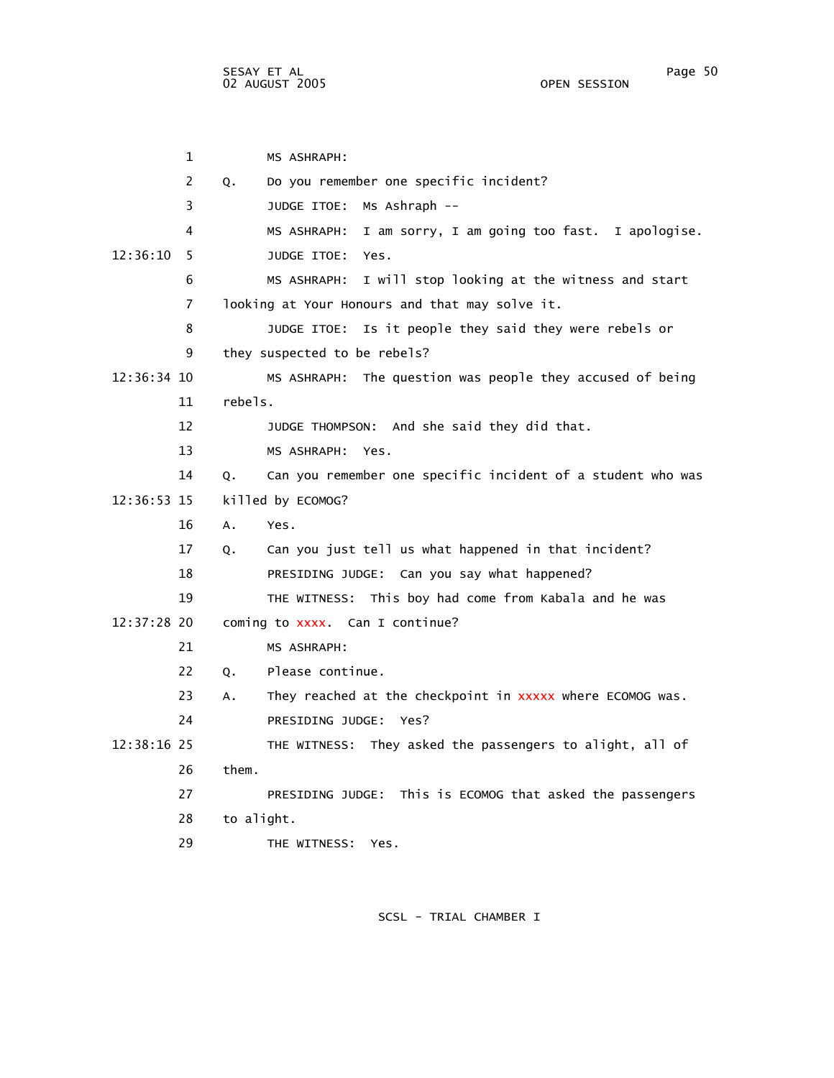1 MS ASHRAPH: 2 Q. Do you remember one specific incident? 3 JUDGE ITOE: Ms Ashraph -- 4 MS ASHRAPH: I am sorry, I am going too fast. I apologise. 12:36:10 5 JUDGE ITOE: Yes. 6 MS ASHRAPH: I will stop looking at the witness and start 7 looking at Your Honours and that may solve it. 8 JUDGE ITOE: Is it people they said they were rebels or 9 they suspected to be rebels? 12:36:34 10 MS ASHRAPH: The question was people they accused of being 11 rebels. 12 JUDGE THOMPSON: And she said they did that. 13 MS ASHRAPH: Yes. 14 Q. Can you remember one specific incident of a student who was 12:36:53 15 killed by ECOMOG? 16 A. Yes. 17 Q. Can you just tell us what happened in that incident? 18 PRESIDING JUDGE: Can you say what happened? 19 THE WITNESS: This boy had come from Kabala and he was 12:37:28 20 coming to xxxx. Can I continue? 21 MS ASHRAPH: 22 Q. Please continue. 23 A. They reached at the checkpoint in xxxxx where ECOMOG was. 24 PRESIDING JUDGE: Yes? 12:38:16 25 THE WITNESS: They asked the passengers to alight, all of 26 them. 27 PRESIDING JUDGE: This is ECOMOG that asked the passengers 28 to alight. 29 THE WITNESS: Yes.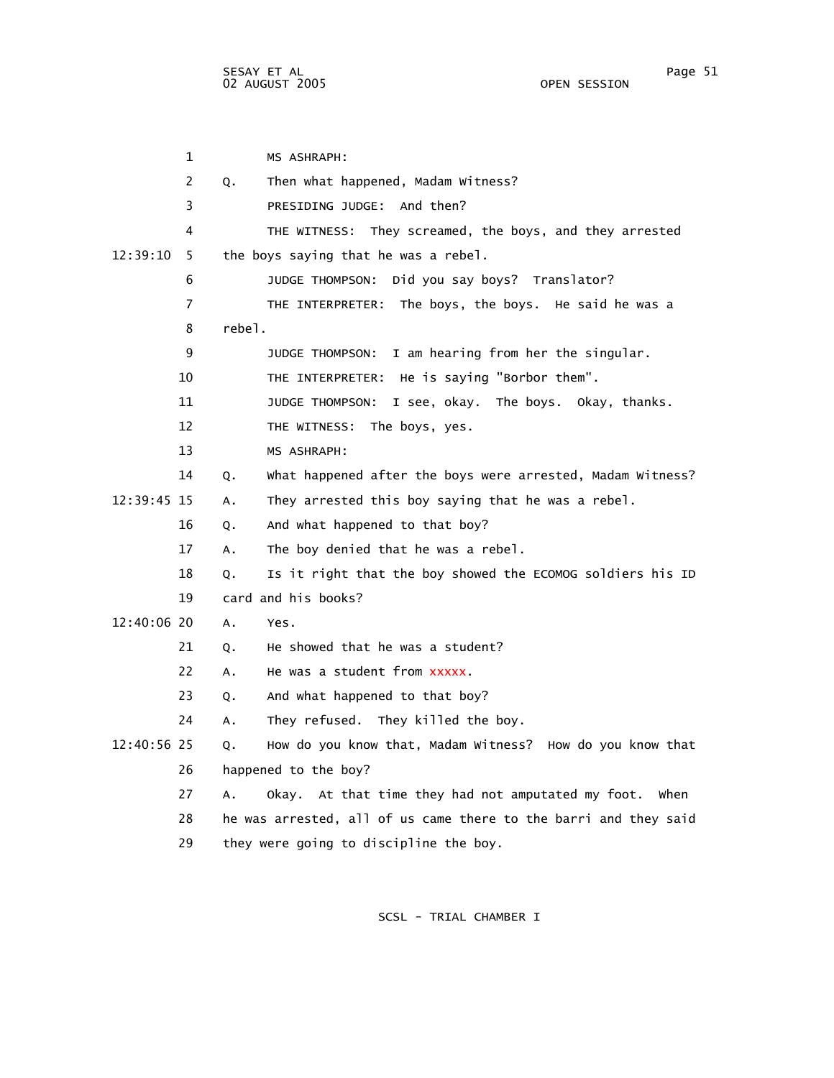1 MS ASHRAPH: 2 Q. Then what happened, Madam Witness? 3 PRESIDING JUDGE: And then? 4 THE WITNESS: They screamed, the boys, and they arrested 12:39:10 5 the boys saying that he was a rebel. 6 JUDGE THOMPSON: Did you say boys? Translator? 7 THE INTERPRETER: The boys, the boys. He said he was a 8 rebel. 9 JUDGE THOMPSON: I am hearing from her the singular. 10 THE INTERPRETER: He is saying "Borbor them". 11 JUDGE THOMPSON: I see, okay. The boys. Okay, thanks. 12 THE WITNESS: The boys, yes. 13 MS ASHRAPH: 14 Q. What happened after the boys were arrested, Madam Witness? 12:39:45 15 A. They arrested this boy saying that he was a rebel. 16 Q. And what happened to that boy? 17 A. The boy denied that he was a rebel. 18 Q. Is it right that the boy showed the ECOMOG soldiers his ID 19 card and his books? 12:40:06 20 A. Yes. 21 0. He showed that he was a student? 22 A. He was a student from xxxxx. 23 Q. And what happened to that boy? 24 A. They refused. They killed the boy. 12:40:56 25 Q. How do you know that, Madam Witness? How do you know that 26 happened to the boy? 27 A. Okay. At that time they had not amputated my foot. When 28 he was arrested, all of us came there to the barri and they said 29 they were going to discipline the boy.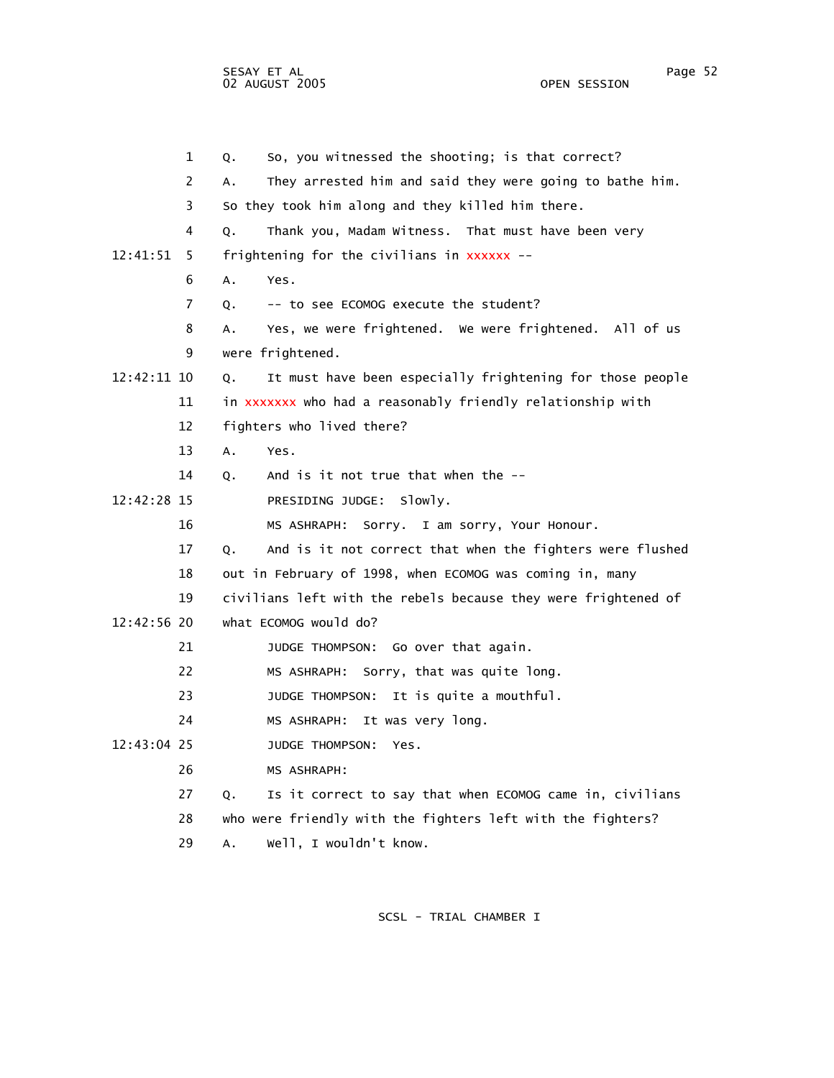SESAY ET AL Page 52 02 AUGUST 2005

 1 Q. So, you witnessed the shooting; is that correct? 2 A. They arrested him and said they were going to bathe him. 3 So they took him along and they killed him there. 4 Q. Thank you, Madam Witness. That must have been very 12:41:51 5 frightening for the civilians in xxxxxx -- 6 A. Yes. 7 Q. -- to see ECOMOG execute the student? 8 A. Yes, we were frightened. We were frightened. All of us 9 were frightened. 12:42:11 10 Q. It must have been especially frightening for those people 11 in xxxxxxx who had a reasonably friendly relationship with 12 fighters who lived there? 13 A. Yes. 14 O. And is it not true that when the -- 12:42:28 15 PRESIDING JUDGE: Slowly. 16 MS ASHRAPH: Sorry. I am sorry, Your Honour. 17 Q. And is it not correct that when the fighters were flushed 18 out in February of 1998, when ECOMOG was coming in, many 19 civilians left with the rebels because they were frightened of 12:42:56 20 what ECOMOG would do? 21 JUDGE THOMPSON: Go over that again. 22 MS ASHRAPH: Sorry, that was quite long. 23 JUDGE THOMPSON: It is quite a mouthful. 24 MS ASHRAPH: It was very long. 12:43:04 25 JUDGE THOMPSON: Yes. 26 MS ASHRAPH: 27 Q. Is it correct to say that when ECOMOG came in, civilians 28 who were friendly with the fighters left with the fighters? 29 A. Well, I wouldn't know.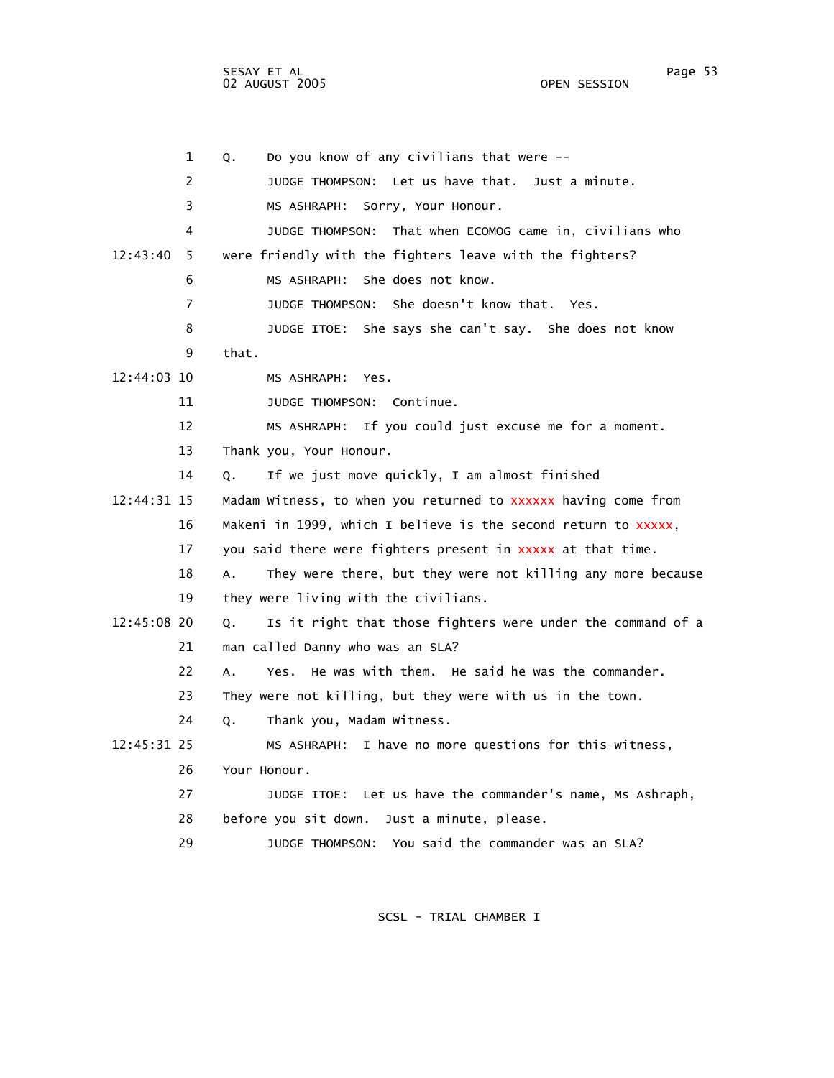1 Q. Do you know of any civilians that were -- 2 JUDGE THOMPSON: Let us have that. Just a minute. 3 MS ASHRAPH: Sorry, Your Honour. 4 JUDGE THOMPSON: That when ECOMOG came in, civilians who 12:43:40 5 were friendly with the fighters leave with the fighters? 6 MS ASHRAPH: She does not know. 7 JUDGE THOMPSON: She doesn't know that. Yes. 8 JUDGE ITOE: She says she can't say. She does not know 9 that. 12:44:03 10 MS ASHRAPH: Yes. 11 JUDGE THOMPSON: Continue. 12 MS ASHRAPH: If you could just excuse me for a moment. 13 Thank you, Your Honour. 14 Q. If we just move quickly, I am almost finished 12:44:31 15 Madam Witness, to when you returned to xxxxxx having come from 16 Makeni in 1999, which I believe is the second return to xxxxx, 17 you said there were fighters present in xxxxx at that time. 18 A. They were there, but they were not killing any more because 19 they were living with the civilians. 12:45:08 20 Q. Is it right that those fighters were under the command of a 21 man called Danny who was an SLA? 22 A. Yes. He was with them. He said he was the commander. 23 They were not killing, but they were with us in the town. 24 Q. Thank you, Madam Witness. 12:45:31 25 MS ASHRAPH: I have no more questions for this witness, 26 Your Honour. 27 JUDGE ITOE: Let us have the commander's name, Ms Ashraph, 28 before you sit down. Just a minute, please. 29 JUDGE THOMPSON: You said the commander was an SLA?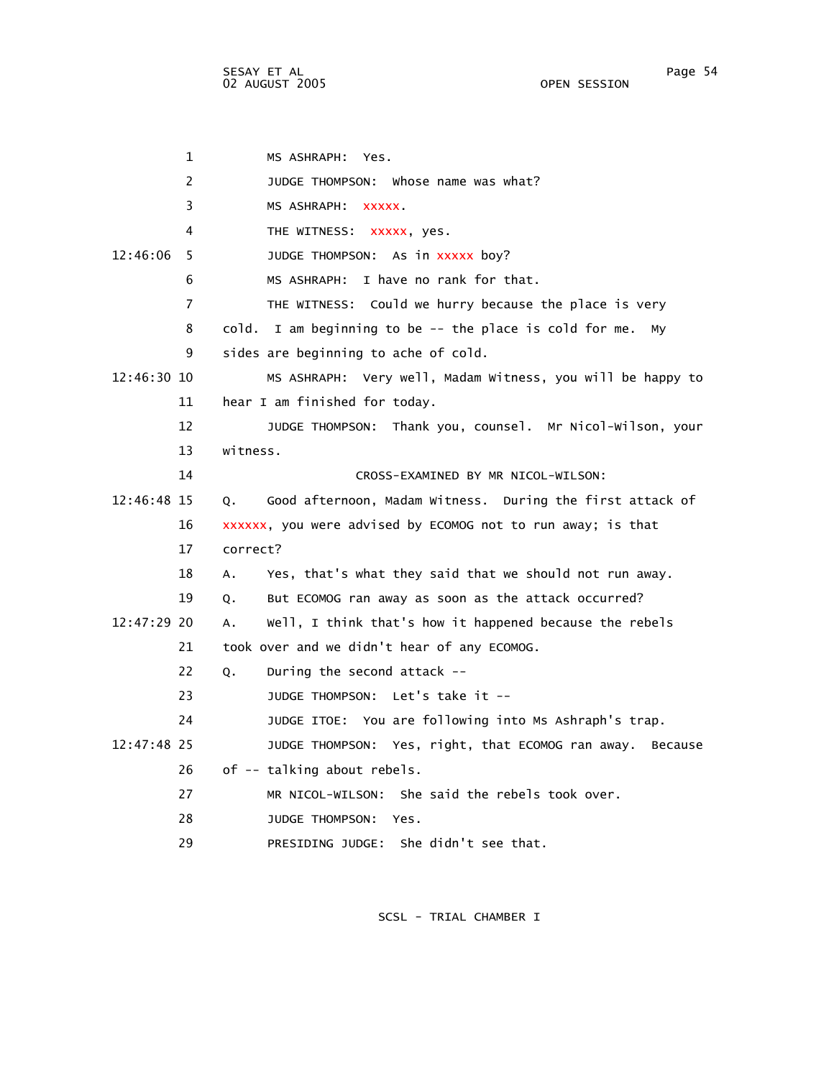SESAY ET AL Page 54 02 AUGUST 2005

 1 MS ASHRAPH: Yes. 2 JUDGE THOMPSON: Whose name was what? 3 MS ASHRAPH: xxxxx. 4 THE WITNESS: xxxxx, yes. 12:46:06 5 JUDGE THOMPSON: As in xxxxx boy? 6 MS ASHRAPH: I have no rank for that. 7 THE WITNESS: Could we hurry because the place is very 8 cold. I am beginning to be -- the place is cold for me. My 9 sides are beginning to ache of cold. 12:46:30 10 MS ASHRAPH: Very well, Madam Witness, you will be happy to 11 hear I am finished for today. 12 JUDGE THOMPSON: Thank you, counsel. Mr Nicol-Wilson, your 13 witness. 14 CROSS-EXAMINED BY MR NICOL-WILSON: 12:46:48 15 Q. Good afternoon, Madam Witness. During the first attack of 16 xxxxxx, you were advised by ECOMOG not to run away; is that 17 correct? 18 A. Yes, that's what they said that we should not run away. 19 Q. But ECOMOG ran away as soon as the attack occurred? 12:47:29 20 A. Well, I think that's how it happened because the rebels 21 took over and we didn't hear of any ECOMOG. 22 Q. During the second attack -- 23 JUDGE THOMPSON: Let's take it -- 24 JUDGE ITOE: You are following into Ms Ashraph's trap. 12:47:48 25 JUDGE THOMPSON: Yes, right, that ECOMOG ran away. Because 26 of -- talking about rebels. 27 MR NICOL-WILSON: She said the rebels took over. 28 JUDGE THOMPSON: Yes. 29 PRESIDING JUDGE: She didn't see that.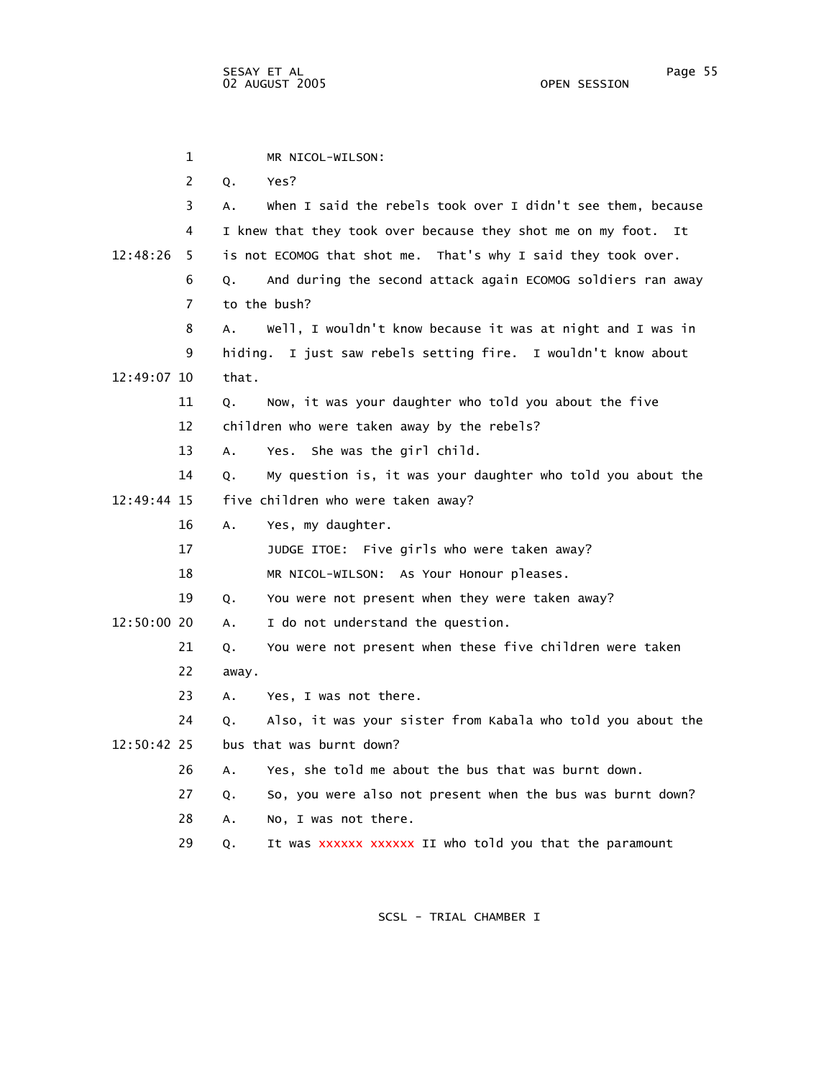1 MR NICOL-WILSON: 2 Q. Yes? 3 A. When I said the rebels took over I didn't see them, because 4 I knew that they took over because they shot me on my foot. It 12:48:26 5 is not ECOMOG that shot me. That's why I said they took over. 6 Q. And during the second attack again ECOMOG soldiers ran away 7 to the bush? 8 A. Well, I wouldn't know because it was at night and I was in 9 hiding. I just saw rebels setting fire. I wouldn't know about 12:49:07 10 that. 11 Q. Now, it was your daughter who told you about the five 12 children who were taken away by the rebels? 13 A. Yes. She was the girl child. 14 Q. My question is, it was your daughter who told you about the 12:49:44 15 five children who were taken away? 16 A. Yes, my daughter. 17 JUDGE ITOE: Five girls who were taken away? 18 MR NICOL-WILSON: As Your Honour pleases. 19 Q. You were not present when they were taken away? 12:50:00 20 A. I do not understand the question. 21 Q. You were not present when these five children were taken 22 away. 23 A. Yes, I was not there. 24 Q. Also, it was your sister from Kabala who told you about the 12:50:42 25 bus that was burnt down? 26 A. Yes, she told me about the bus that was burnt down. 27 Q. So, you were also not present when the bus was burnt down? 28 A. No, I was not there. 29 Q. It was xxxxxx xxxxxx II who told you that the paramount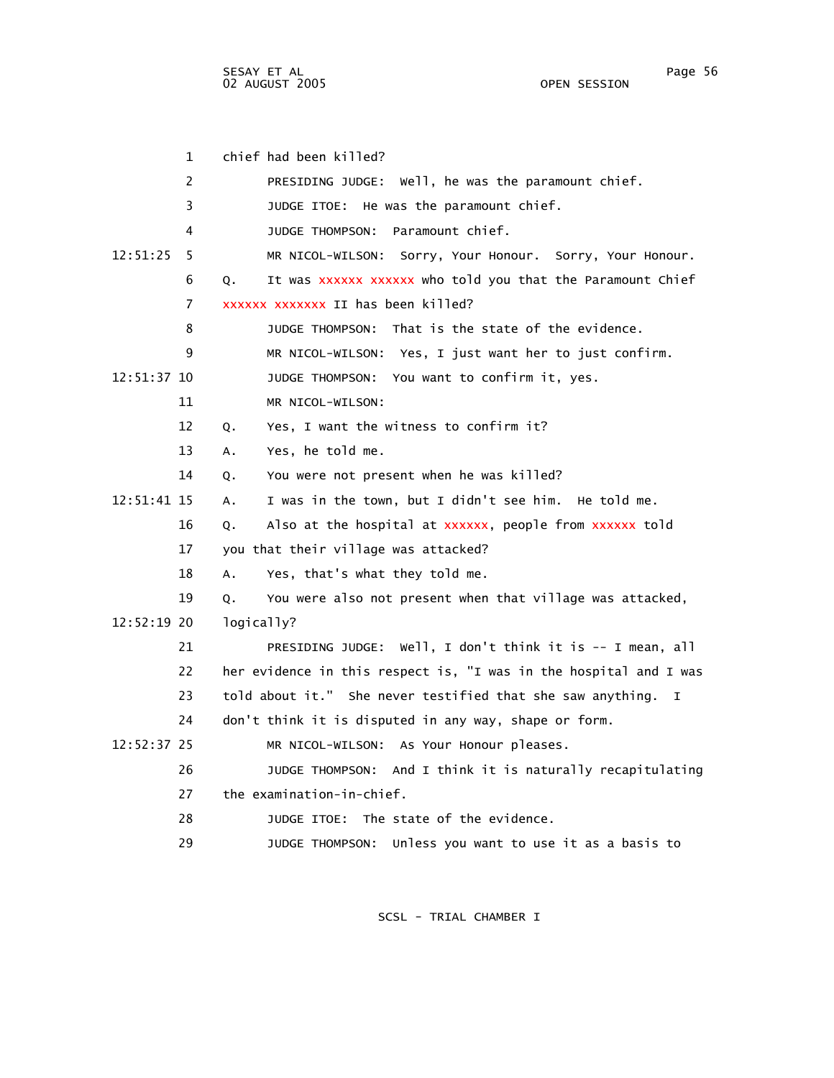SESAY ET AL Page 56 02 AUGUST 2005 OPEN SESSION

| $\mathbf{1}$  | chief had been killed?                                            |
|---------------|-------------------------------------------------------------------|
| 2             | PRESIDING JUDGE: Well, he was the paramount chief.                |
| 3             | JUDGE ITOE: He was the paramount chief.                           |
| 4             | Paramount chief.<br>JUDGE THOMPSON:                               |
| 12:51:25<br>5 | MR NICOL-WILSON: Sorry, Your Honour. Sorry, Your Honour.          |
| 6             | It was xxxxxx xxxxxx who told you that the Paramount Chief<br>Q.  |
| 7             | xxxxxx xxxxxxx II has been killed?                                |
| 8             | JUDGE THOMPSON: That is the state of the evidence.                |
| 9             | MR NICOL-WILSON: Yes, I just want her to just confirm.            |
| 12:51:37 10   | JUDGE THOMPSON: You want to confirm it, yes.                      |
| 11            | MR NICOL-WILSON:                                                  |
| 12            | Yes, I want the witness to confirm it?<br>Q.                      |
| 13            | Yes, he told me.<br>A.,                                           |
| 14            | You were not present when he was killed?<br>Q.                    |
| 12:51:41 15   | I was in the town, but I didn't see him. He told me.<br>А.        |
| 16            | Also at the hospital at xxxxxx, people from xxxxxx told<br>Q.     |
| 17            | you that their village was attacked?                              |
| 18            | Yes, that's what they told me.<br>Α.                              |
| 19            | You were also not present when that village was attacked,<br>Q.   |
| 12:52:19 20   | logically?                                                        |
| 21            | PRESIDING JUDGE: Well, I don't think it is -- I mean, all         |
| 22            | her evidence in this respect is, "I was in the hospital and I was |
| 23            | told about it." She never testified that she saw anything. I      |
| 24            | don't think it is disputed in any way, shape or form.             |
| 12:52:37 25   | MR NICOL-WILSON: As Your Honour pleases.                          |
| 26            | JUDGE THOMPSON: And I think it is naturally recapitulating        |
| 27            | the examination-in-chief.                                         |
| 28            | JUDGE ITOE: The state of the evidence.                            |
| 29            | Unless you want to use it as a basis to<br>JUDGE THOMPSON:        |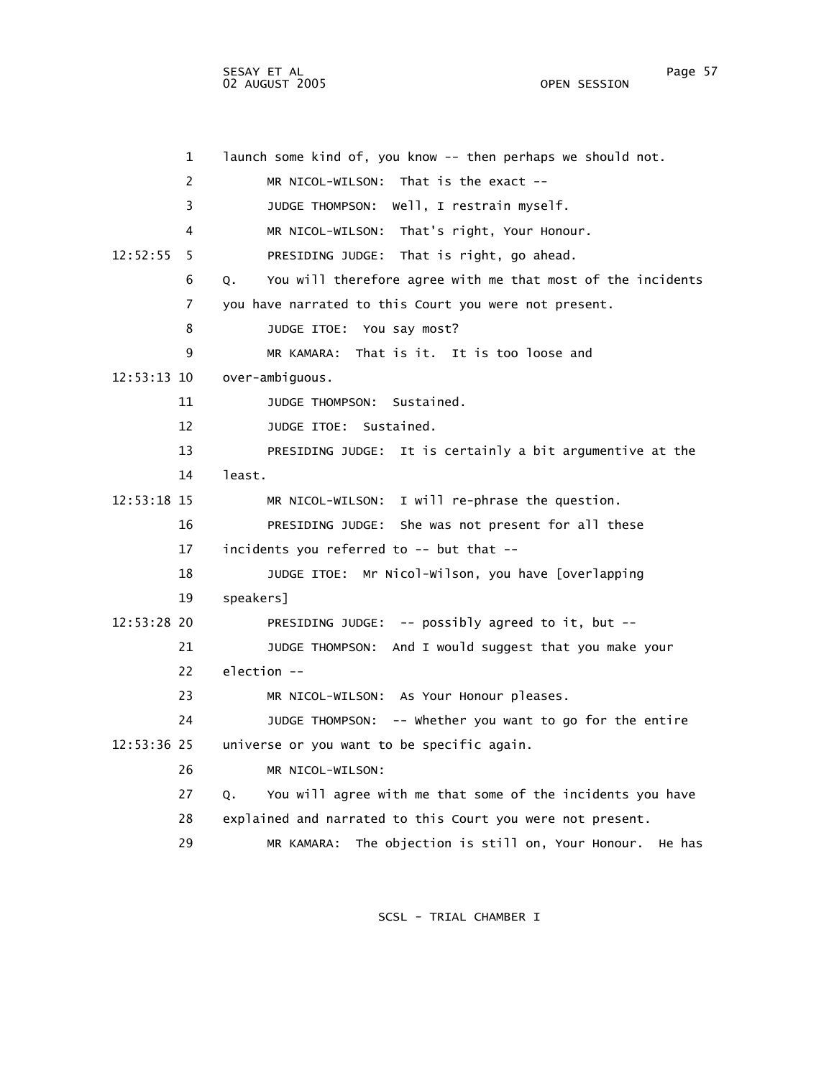1 launch some kind of, you know -- then perhaps we should not. 2 MR NICOL-WILSON: That is the exact -- 3 JUDGE THOMPSON: Well, I restrain myself. 4 MR NICOL-WILSON: That's right, Your Honour. 12:52:55 5 PRESIDING JUDGE: That is right, go ahead. 6 Q. You will therefore agree with me that most of the incidents 7 you have narrated to this Court you were not present. 8 JUDGE ITOE: You say most? 9 MR KAMARA: That is it. It is too loose and 12:53:13 10 over-ambiguous. 11 JUDGE THOMPSON: Sustained. 12 JUDGE ITOE: Sustained. 13 PRESIDING JUDGE: It is certainly a bit argumentive at the 14 least. 12:53:18 15 MR NICOL-WILSON: I will re-phrase the question. 16 PRESIDING JUDGE: She was not present for all these 17 incidents you referred to -- but that -- 18 JUDGE ITOE: Mr Nicol-Wilson, you have [overlapping 19 speakers] 12:53:28 20 PRESIDING JUDGE: -- possibly agreed to it, but -- 21 JUDGE THOMPSON: And I would suggest that you make your 22 election -- 23 MR NICOL-WILSON: As Your Honour pleases. 24 JUDGE THOMPSON: -- Whether you want to go for the entire 12:53:36 25 universe or you want to be specific again. 26 MR NICOL-WILSON: 27 Q. You will agree with me that some of the incidents you have 28 explained and narrated to this Court you were not present. 29 MR KAMARA: The objection is still on, Your Honour. He has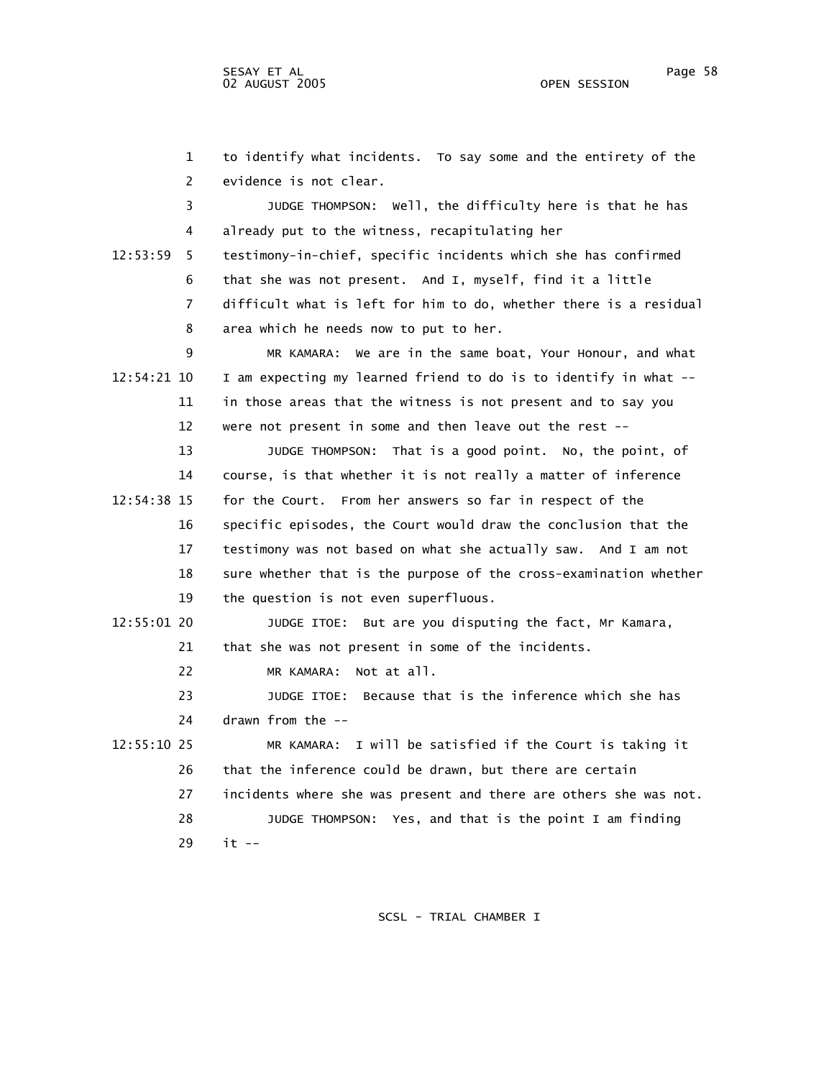1 to identify what incidents. To say some and the entirety of the 2 evidence is not clear. 3 JUDGE THOMPSON: Well, the difficulty here is that he has 4 already put to the witness, recapitulating her 12:53:59 5 testimony-in-chief, specific incidents which she has confirmed 6 that she was not present. And I, myself, find it a little 7 difficult what is left for him to do, whether there is a residual 8 area which he needs now to put to her. 9 MR KAMARA: We are in the same boat, Your Honour, and what 12:54:21 10 I am expecting my learned friend to do is to identify in what -- 11 in those areas that the witness is not present and to say you 12 were not present in some and then leave out the rest -- 13 JUDGE THOMPSON: That is a good point. No, the point, of 14 course, is that whether it is not really a matter of inference 12:54:38 15 for the Court. From her answers so far in respect of the 16 specific episodes, the Court would draw the conclusion that the 17 testimony was not based on what she actually saw. And I am not 18 sure whether that is the purpose of the cross-examination whether 19 the question is not even superfluous. 12:55:01 20 JUDGE ITOE: But are you disputing the fact, Mr Kamara, 21 that she was not present in some of the incidents. 22 MR KAMARA: Not at all. 23 JUDGE ITOE: Because that is the inference which she has 24 drawn from the -- 12:55:10 25 MR KAMARA: I will be satisfied if the Court is taking it 26 that the inference could be drawn, but there are certain 27 incidents where she was present and there are others she was not. 28 JUDGE THOMPSON: Yes, and that is the point I am finding 29 it --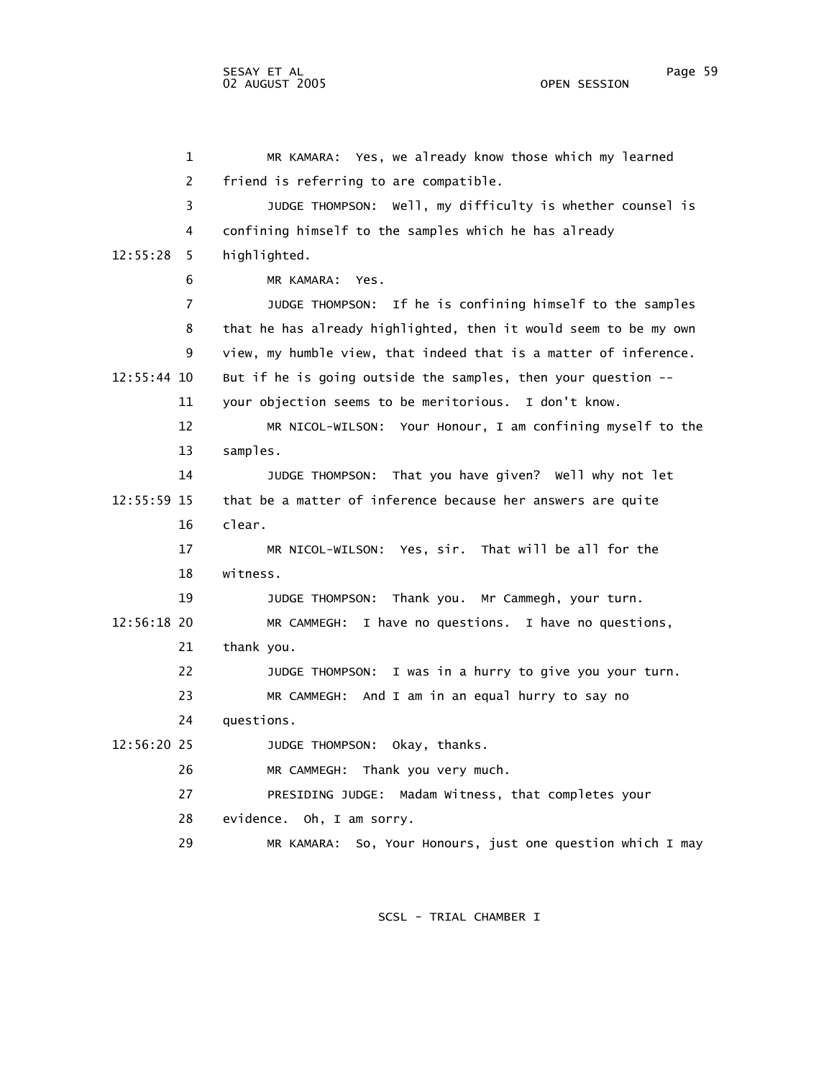1 MR KAMARA: Yes, we already know those which my learned 2 friend is referring to are compatible. 3 JUDGE THOMPSON: Well, my difficulty is whether counsel is 4 confining himself to the samples which he has already 12:55:28 5 highlighted. 6 MR KAMARA: Yes. 7 JUDGE THOMPSON: If he is confining himself to the samples 8 that he has already highlighted, then it would seem to be my own 9 view, my humble view, that indeed that is a matter of inference. 12:55:44 10 But if he is going outside the samples, then your question -- 11 your objection seems to be meritorious. I don't know. 12 MR NICOL-WILSON: Your Honour, I am confining myself to the 13 samples. 14 JUDGE THOMPSON: That you have given? Well why not let 12:55:59 15 that be a matter of inference because her answers are quite 16 clear. 17 MR NICOL-WILSON: Yes, sir. That will be all for the 18 witness. 19 JUDGE THOMPSON: Thank you. Mr Cammegh, your turn. 12:56:18 20 MR CAMMEGH: I have no questions. I have no questions, 21 thank you. 22 JUDGE THOMPSON: I was in a hurry to give you your turn. 23 MR CAMMEGH: And I am in an equal hurry to say no 24 questions. 12:56:20 25 JUDGE THOMPSON: Okay, thanks. 26 MR CAMMEGH: Thank you very much. 27 PRESIDING JUDGE: Madam Witness, that completes your 28 evidence. Oh, I am sorry. 29 MR KAMARA: So, Your Honours, just one question which I may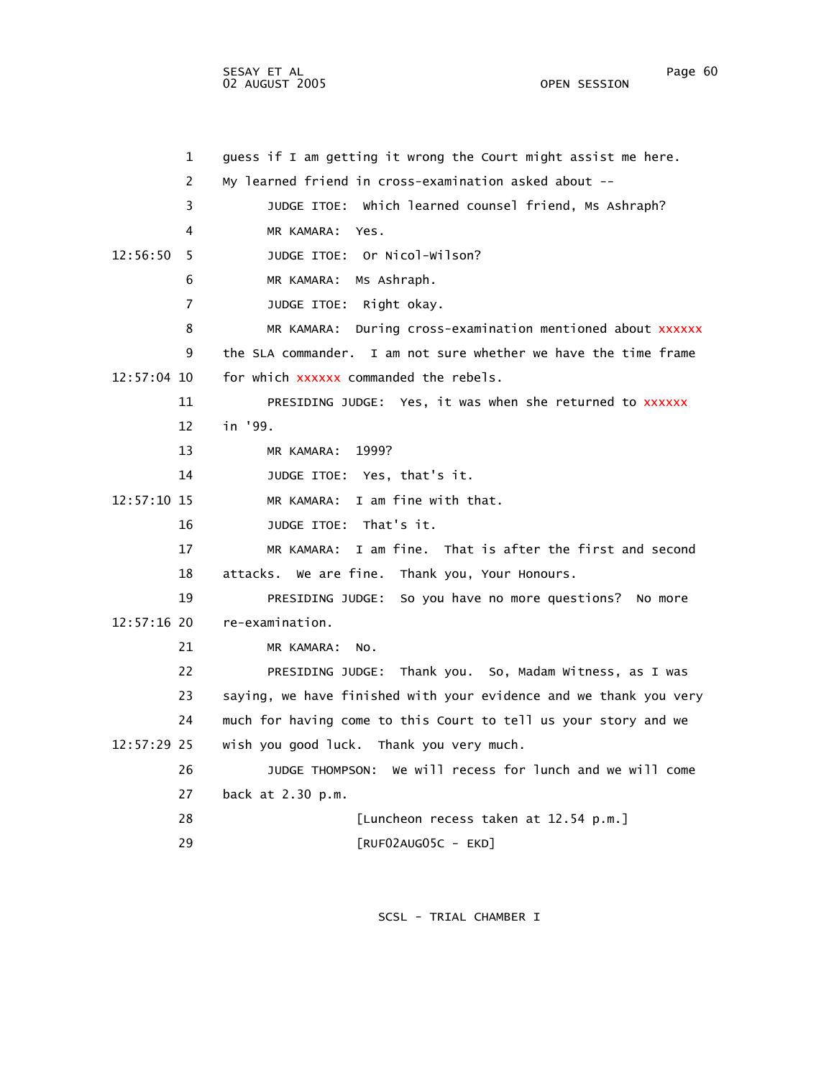SESAY ET AL Page 60 02 AUGUST 2005

 1 guess if I am getting it wrong the Court might assist me here. 2 My learned friend in cross-examination asked about -- 3 JUDGE ITOE: Which learned counsel friend, Ms Ashraph? 4 MR KAMARA: Yes. 12:56:50 5 JUDGE ITOE: Or Nicol-Wilson? 6 MR KAMARA: Ms Ashraph. 7 JUDGE ITOE: Right okay. 8 MR KAMARA: During cross-examination mentioned about xxxxxx 9 the SLA commander. I am not sure whether we have the time frame 12:57:04 10 for which xxxxxx commanded the rebels. 11 PRESIDING JUDGE: Yes, it was when she returned to xxxxxx 12 in '99. 13 MR KAMARA: 1999? 14 JUDGE ITOE: Yes, that's it. 12:57:10 15 MR KAMARA: I am fine with that. 16 JUDGE ITOE: That's it. 17 MR KAMARA: I am fine. That is after the first and second 18 attacks. We are fine. Thank you, Your Honours. 19 PRESIDING JUDGE: So you have no more questions? No more 12:57:16 20 re-examination. 21 MR KAMARA: No. 22 PRESIDING JUDGE: Thank you. So, Madam Witness, as I was 23 saying, we have finished with your evidence and we thank you very 24 much for having come to this Court to tell us your story and we 12:57:29 25 wish you good luck. Thank you very much. 26 JUDGE THOMPSON: We will recess for lunch and we will come 27 back at 2.30 p.m. 28 [Luncheon recess taken at 12.54 p.m.] 29 [RUF02AUG05C - EKD]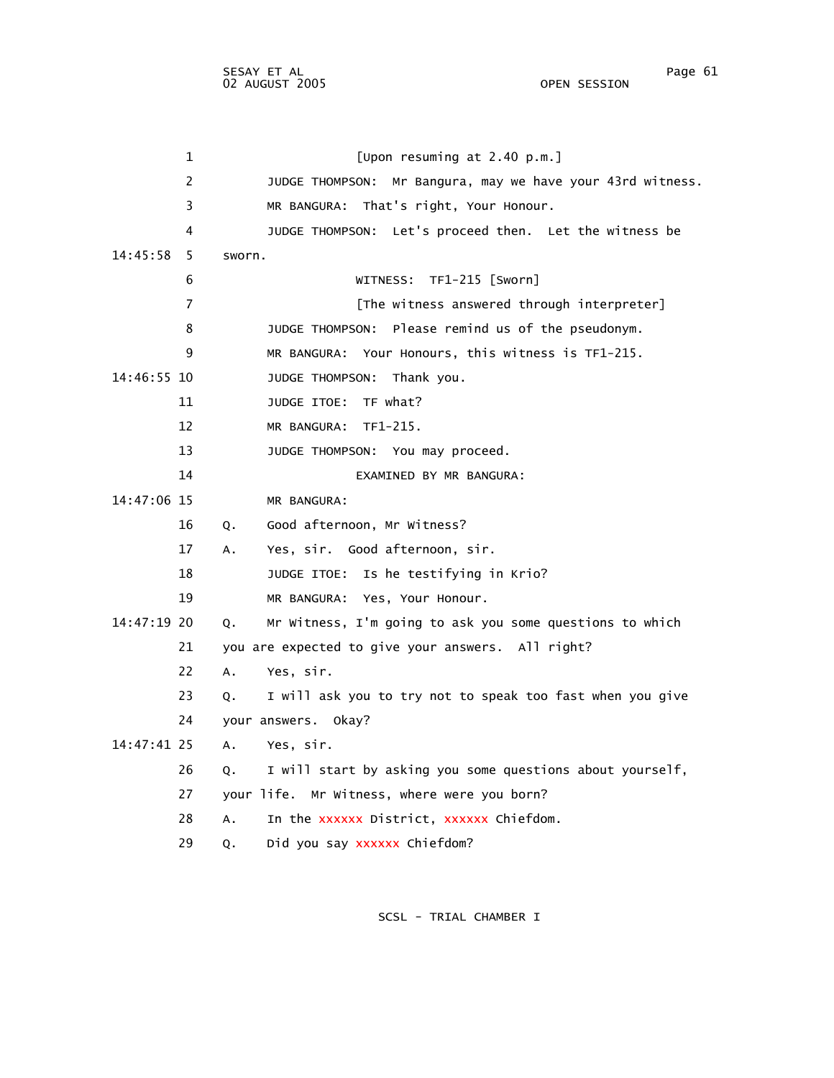| $\mathbf{1}$   | [Upon resuming at 2.40 p.m.]                                    |
|----------------|-----------------------------------------------------------------|
| $\overline{2}$ | JUDGE THOMPSON: Mr Bangura, may we have your 43rd witness.      |
| 3              | MR BANGURA: That's right, Your Honour.                          |
| 4              | JUDGE THOMPSON: Let's proceed then. Let the witness be          |
| 14:45:58<br>-5 | sworn.                                                          |
| 6              | WITNESS: TF1-215 [Sworn]                                        |
| $\overline{7}$ | [The witness answered through interpreter]                      |
| 8              | JUDGE THOMPSON:<br>Please remind us of the pseudonym.           |
| 9              | MR BANGURA: Your Honours, this witness is TF1-215.              |
| 14:46:55 10    | JUDGE THOMPSON: Thank you.                                      |
| 11             | JUDGE ITOE: TF what?                                            |
| 12             | MR BANGURA: TF1-215.                                            |
| 13             | JUDGE THOMPSON: You may proceed.                                |
| 14             | EXAMINED BY MR BANGURA:                                         |
| 14:47:06 15    | MR BANGURA:                                                     |
| 16             | Good afternoon, Mr Witness?<br>Q.                               |
| 17             | Yes, sir. Good afternoon, sir.<br>А.                            |
| 18             | JUDGE ITOE: Is he testifying in Krio?                           |
| 19             | MR BANGURA: Yes, Your Honour.                                   |
| 14:47:19 20    | Mr Witness, I'm going to ask you some questions to which<br>Q.  |
| 21             | you are expected to give your answers. All right?               |
| 22             | Yes, sir.<br>Α.                                                 |
| 23             | I will ask you to try not to speak too fast when you give<br>Q. |
| 24             | your answers. Okay?                                             |
| 14:47:41 25    | A.<br>Yes, sir.                                                 |
| 26             | I will start by asking you some questions about yourself,<br>Q. |
| 27             | your life. Mr Witness, where were you born?                     |
| 28             | In the xxxxxx District, xxxxxx Chiefdom.<br>Α.                  |
| 29             | Did you say xxxxxx Chiefdom?<br>Q.                              |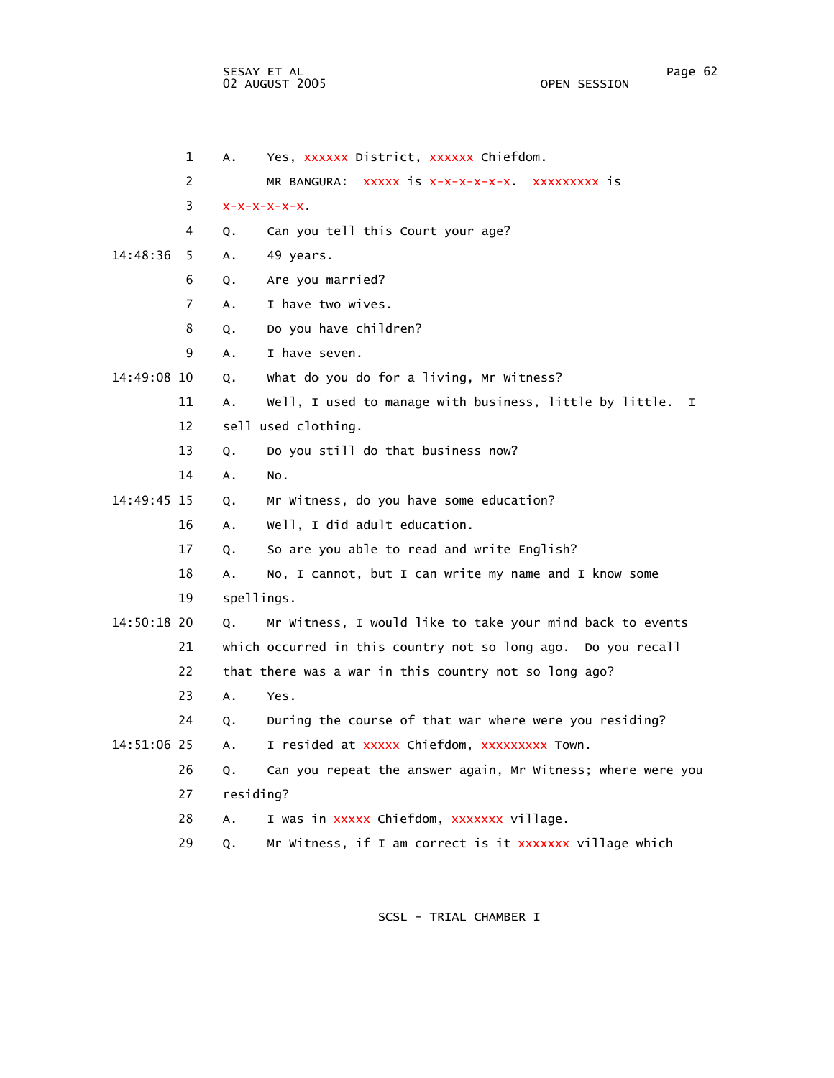|             | $\mathbf 1$ | А.         | Yes, XXXXXX District, XXXXXX Chiefdom.                           |
|-------------|-------------|------------|------------------------------------------------------------------|
|             | 2           |            | MR BANGURA: XXXXX IS X-X-X-X-X-X-X. XXXXXXXXX IS                 |
|             | 3           |            | $X-X-X-X-X$                                                      |
|             | 4           | Q.         | Can you tell this Court your age?                                |
| 14:48:36    | 5           | Α.         | 49 years.                                                        |
|             | 6           | Q.         | Are you married?                                                 |
|             | 7           | Α.         | I have two wives.                                                |
|             | 8           | Q.         | Do you have children?                                            |
|             | 9           | А.         | I have seven.                                                    |
| 14:49:08 10 |             | Q.         | What do you do for a living, Mr Witness?                         |
|             | 11          | А.         | Well, I used to manage with business, little by little.<br>I.    |
|             | 12          |            | sell used clothing.                                              |
|             | 13          | Q.         | Do you still do that business now?                               |
|             | 14          | А.         | NO.                                                              |
| 14:49:45 15 |             | Q.         | Mr Witness, do you have some education?                          |
|             | 16          | А.         | Well, I did adult education.                                     |
|             | 17          | Q.         | So are you able to read and write English?                       |
|             | 18          | Α.         | No, I cannot, but I can write my name and I know some            |
|             | 19          | spellings. |                                                                  |
| 14:50:18 20 |             | Q.         | Mr Witness, I would like to take your mind back to events        |
|             | 21          |            | which occurred in this country not so long ago.<br>Do you recall |
|             | 22          |            | that there was a war in this country not so long ago?            |
|             | 23          | Α.         | Yes.                                                             |
|             | 24          | Q.         | During the course of that war where were you residing?           |
| 14:51:06 25 |             | Α.         | I resided at xxxxx Chiefdom, xxxxxxxxx Town.                     |
|             | 26          | Q.         | Can you repeat the answer again, Mr Witness; where were you      |
|             | 27          | residing?  |                                                                  |
|             | 28          | A.         | I was in xxxxx Chiefdom, xxxxxxx village.                        |
|             | 29          | Q.         | Mr Witness, if I am correct is it xxxxxxx village which          |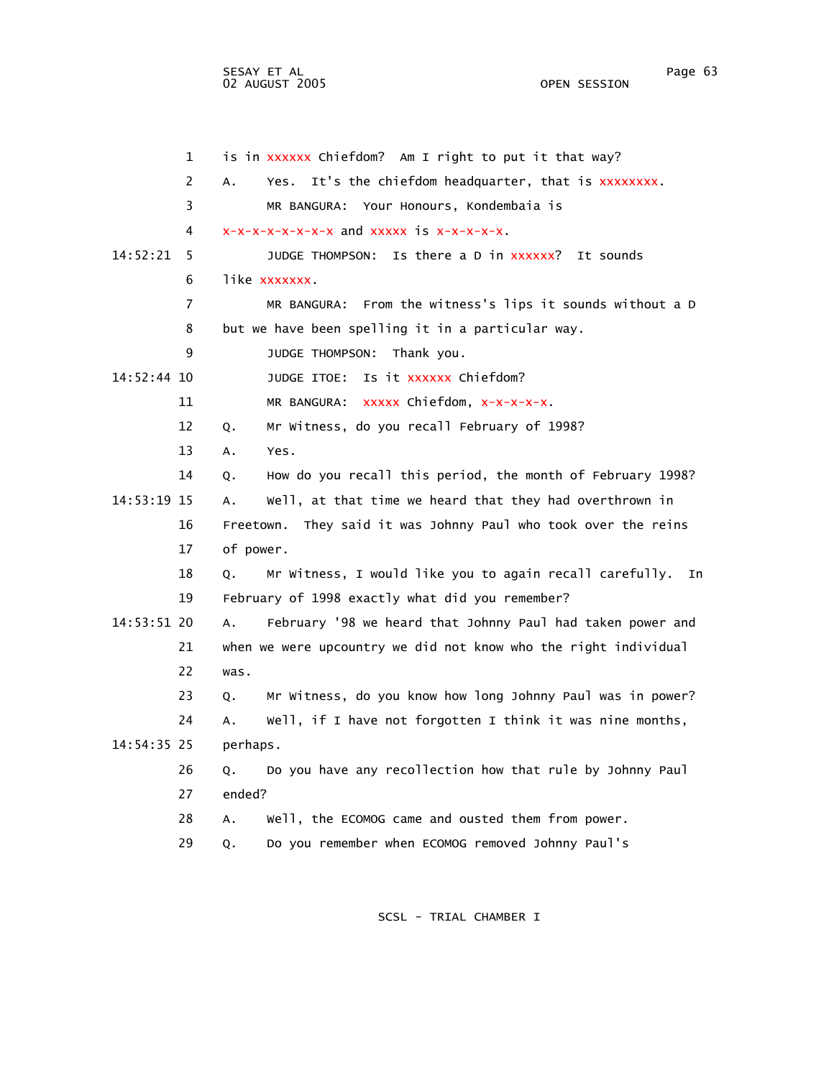1 is in xxxxxx Chiefdom? Am I right to put it that way? 2 A. Yes. It's the chiefdom headquarter, that is xxxxxxxx. 3 MR BANGURA: Your Honours, Kondembaia is  $4$   $x-x-x-x-x-x-x-x$  and  $xxxxx$  is  $x-x-x-x$ . 14:52:21 5 JUDGE THOMPSON: Is there a D in xxxxxx? It sounds 6 like xxxxxxx. 7 MR BANGURA: From the witness's lips it sounds without a D 8 but we have been spelling it in a particular way. 9 JUDGE THOMPSON: Thank you. 14:52:44 10 JUDGE ITOE: Is it xxxxxx Chiefdom? 11 MR BANGURA: xxxxx Chiefdom, x-x-x-x-x. 12 Q. Mr Witness, do you recall February of 1998? 13 A. Yes. 14 Q. How do you recall this period, the month of February 1998? 14:53:19 15 A. Well, at that time we heard that they had overthrown in 16 Freetown. They said it was Johnny Paul who took over the reins 17 of power. 18 Q. Mr Witness, I would like you to again recall carefully. In 19 February of 1998 exactly what did you remember? 14:53:51 20 A. February '98 we heard that Johnny Paul had taken power and 21 when we were upcountry we did not know who the right individual 22 was. 23 Q. Mr Witness, do you know how long Johnny Paul was in power? 24 A. Well, if I have not forgotten I think it was nine months, 14:54:35 25 perhaps. 26 Q. Do you have any recollection how that rule by Johnny Paul 27 ended? 28 A. Well, the ECOMOG came and ousted them from power. 29 Q. Do you remember when ECOMOG removed Johnny Paul's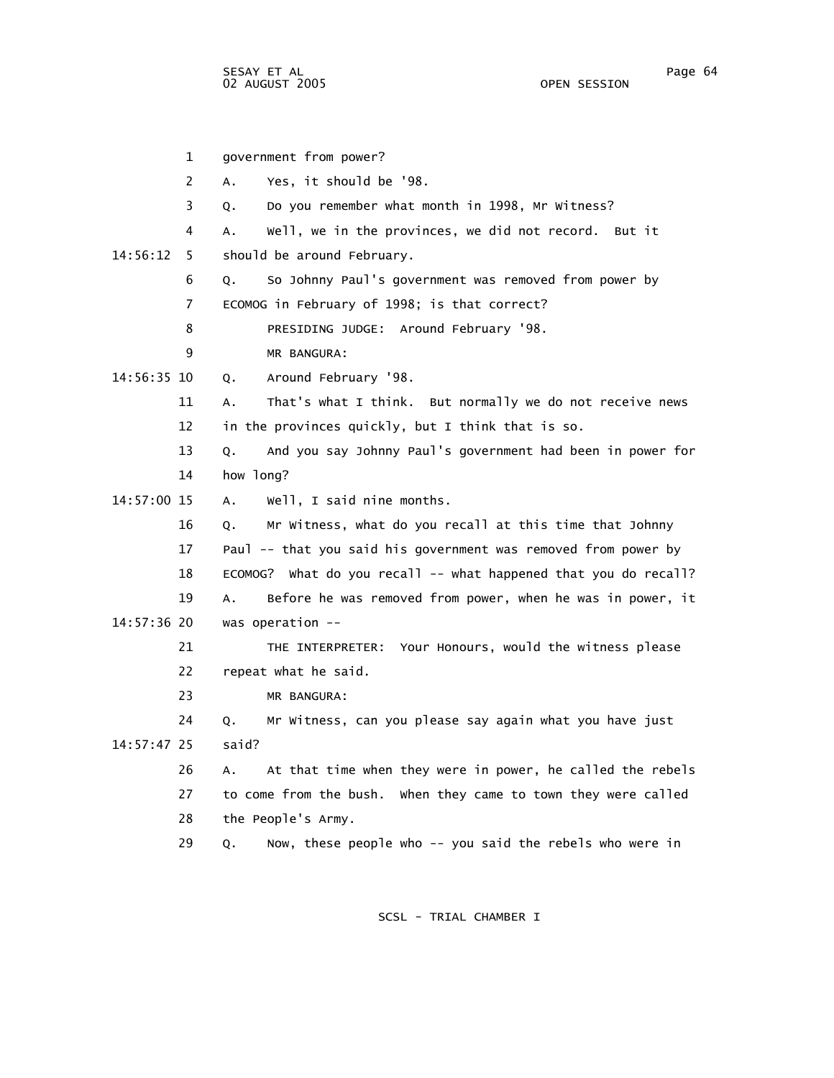1 government from power? 2 A. Yes, it should be '98. 3 Q. Do you remember what month in 1998, Mr Witness? 4 A. Well, we in the provinces, we did not record. But it 14:56:12 5 should be around February. 6 Q. So Johnny Paul's government was removed from power by 7 ECOMOG in February of 1998; is that correct? 8 PRESIDING JUDGE: Around February '98. 9 MR BANGURA: 14:56:35 10 Q. Around February '98. 11 A. That's what I think. But normally we do not receive news 12 in the provinces quickly, but I think that is so. 13 Q. And you say Johnny Paul's government had been in power for 14 how long? 14:57:00 15 A. Well, I said nine months. 16 Q. Mr Witness, what do you recall at this time that Johnny 17 Paul -- that you said his government was removed from power by 18 ECOMOG? What do you recall -- what happened that you do recall? 19 A. Before he was removed from power, when he was in power, it 14:57:36 20 was operation -- 21 THE INTERPRETER: Your Honours, would the witness please 22 repeat what he said. 23 MR BANGURA: 24 Q. Mr Witness, can you please say again what you have just 14:57:47 25 said? 26 A. At that time when they were in power, he called the rebels 27 to come from the bush. When they came to town they were called 28 the People's Army. 29 Q. Now, these people who -- you said the rebels who were in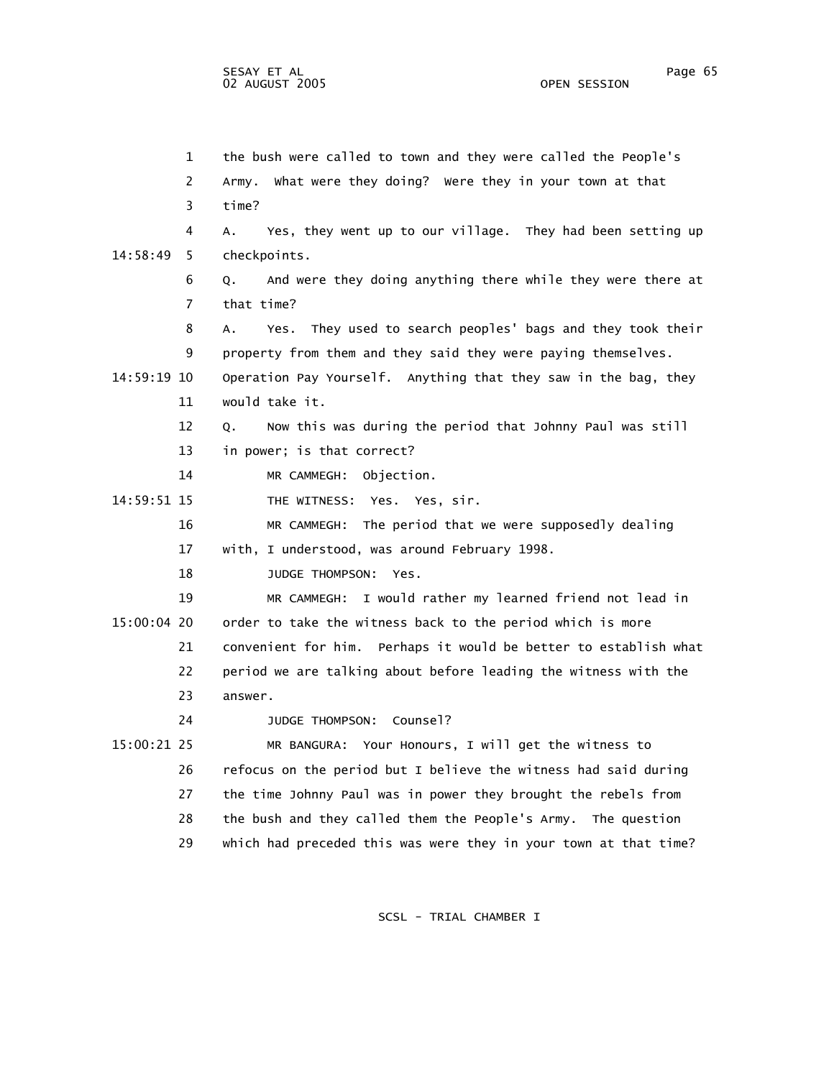1 the bush were called to town and they were called the People's 2 Army. What were they doing? Were they in your town at that 3 time? 4 A. Yes, they went up to our village. They had been setting up 14:58:49 5 checkpoints. 6 Q. And were they doing anything there while they were there at 7 that time? 8 A. Yes. They used to search peoples' bags and they took their 9 property from them and they said they were paying themselves. 14:59:19 10 Operation Pay Yourself. Anything that they saw in the bag, they 11 would take it. 12 Q. Now this was during the period that Johnny Paul was still 13 in power; is that correct? 14 MR CAMMEGH: Objection. 14:59:51 15 THE WITNESS: Yes. Yes, sir. 16 MR CAMMEGH: The period that we were supposedly dealing 17 with, I understood, was around February 1998. 18 JUDGE THOMPSON: Yes. 19 MR CAMMEGH: I would rather my learned friend not lead in 15:00:04 20 order to take the witness back to the period which is more 21 convenient for him. Perhaps it would be better to establish what 22 period we are talking about before leading the witness with the 23 answer. 24 JUDGE THOMPSON: Counsel? 15:00:21 25 MR BANGURA: Your Honours, I will get the witness to 26 refocus on the period but I believe the witness had said during 27 the time Johnny Paul was in power they brought the rebels from 28 the bush and they called them the People's Army. The question 29 which had preceded this was were they in your town at that time?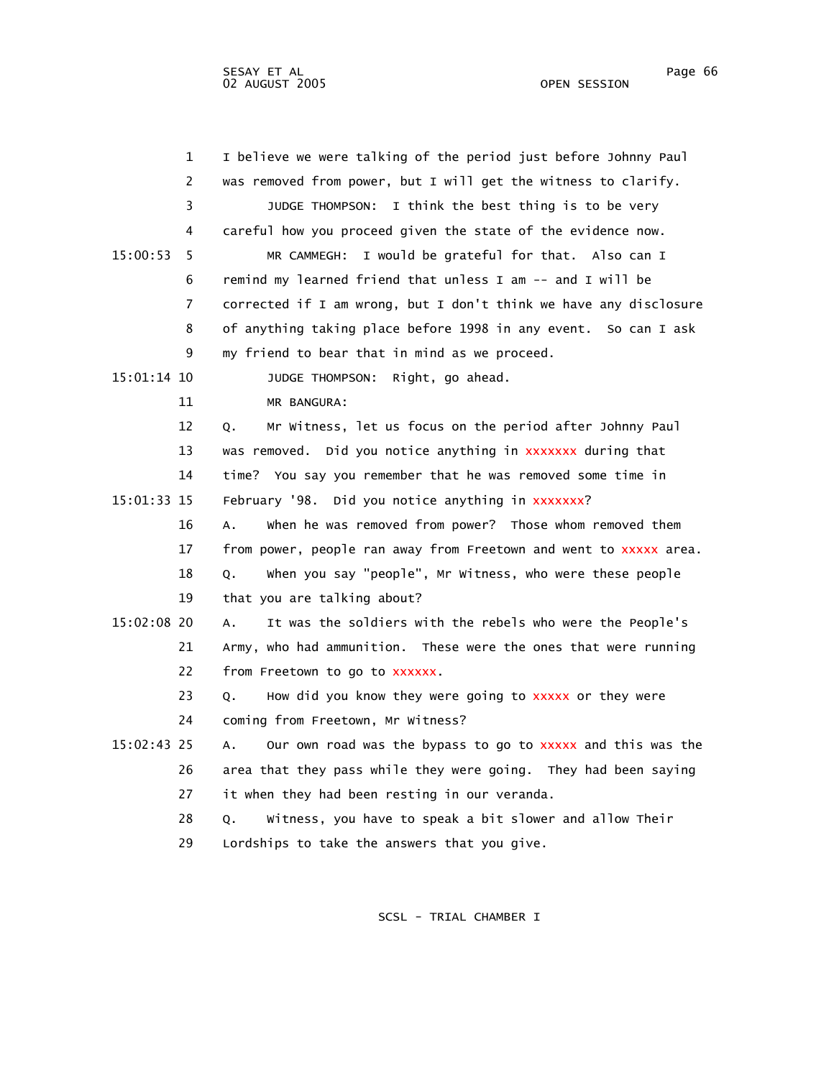|             | $\mathbf{1}$   | I believe we were talking of the period just before Johnny Paul   |
|-------------|----------------|-------------------------------------------------------------------|
|             | 2              | was removed from power, but I will get the witness to clarify.    |
|             | 3              | JUDGE THOMPSON: I think the best thing is to be very              |
|             | 4              | careful how you proceed given the state of the evidence now.      |
| 15:00:53    | 5              | MR CAMMEGH: I would be grateful for that. Also can I              |
|             | 6              | remind my learned friend that unless I am -- and I will be        |
|             | $\overline{7}$ | corrected if I am wrong, but I don't think we have any disclosure |
|             | 8              | of anything taking place before 1998 in any event. So can I ask   |
|             | 9              | my friend to bear that in mind as we proceed.                     |
| 15:01:14 10 |                | Right, go ahead.<br>JUDGE THOMPSON:                               |
|             | 11             | MR BANGURA:                                                       |
|             | 12             | Mr Witness, let us focus on the period after Johnny Paul<br>Q.    |
|             | 13             | was removed. Did you notice anything in xxxxxxx during that       |
|             | 14             | time? You say you remember that he was removed some time in       |
| 15:01:33 15 |                | February '98. Did you notice anything in xxxxxxx?                 |
|             | 16             | when he was removed from power? Those whom removed them<br>Α.     |
|             | 17             | from power, people ran away from Freetown and went to xxxxx area. |
|             | 18             | when you say "people", Mr Witness, who were these people<br>Q.    |
|             | 19             | that you are talking about?                                       |
| 15:02:08 20 |                | It was the soldiers with the rebels who were the People's<br>Α.   |
|             | 21             | Army, who had ammunition. These were the ones that were running   |
|             | 22             | from Freetown to go to xxxxxx.                                    |
|             | 23             | How did you know they were going to xxxxx or they were<br>Q.      |
|             | 24             | coming from Freetown, Mr Witness?                                 |
| 15:02:43 25 |                | Our own road was the bypass to go to XXXXX and this was the<br>A. |
|             | 26             | area that they pass while they were going. They had been saying   |
|             | 27             | it when they had been resting in our veranda.                     |
|             | 28             | Witness, you have to speak a bit slower and allow Their<br>Q.     |
|             | 29             | Lordships to take the answers that you give.                      |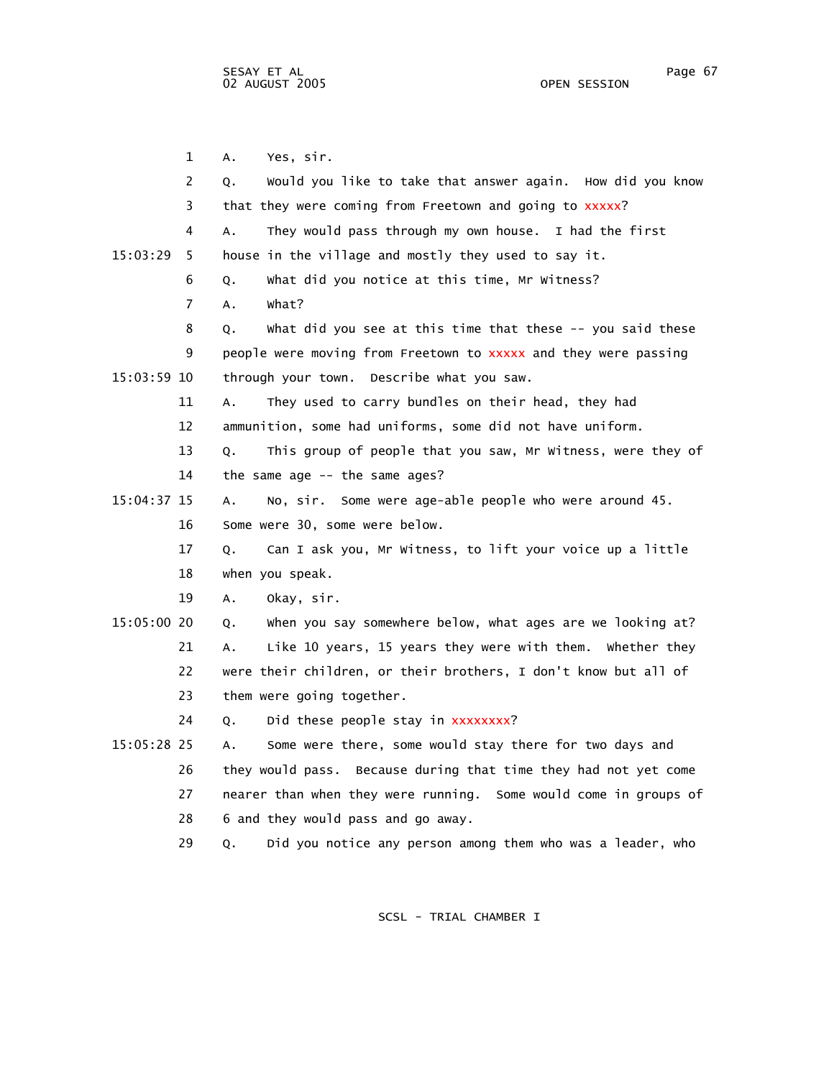1 A. Yes, sir. 2 Q. Would you like to take that answer again. How did you know 3 that they were coming from Freetown and going to xxxxx? 4 A. They would pass through my own house. I had the first 15:03:29 5 house in the village and mostly they used to say it. 6 Q. What did you notice at this time, Mr Witness? 7 A. What? 8 Q. What did you see at this time that these -- you said these 9 people were moving from Freetown to xxxxx and they were passing 15:03:59 10 through your town. Describe what you saw. 11 A. They used to carry bundles on their head, they had 12 ammunition, some had uniforms, some did not have uniform. 13 Q. This group of people that you saw, Mr Witness, were they of 14 the same age -- the same ages? 15:04:37 15 A. No, sir. Some were age-able people who were around 45. 16 Some were 30, some were below. 17 Q. Can I ask you, Mr Witness, to lift your voice up a little 18 when you speak. 19 A. Okay, sir. 15:05:00 20 Q. When you say somewhere below, what ages are we looking at? 21 A. Like 10 years, 15 years they were with them. Whether they 22 were their children, or their brothers, I don't know but all of 23 them were going together. 24 Q. Did these people stay in xxxxxxxx? 15:05:28 25 A. Some were there, some would stay there for two days and 26 they would pass. Because during that time they had not yet come 27 nearer than when they were running. Some would come in groups of 28 6 and they would pass and go away.

29 Q. Did you notice any person among them who was a leader, who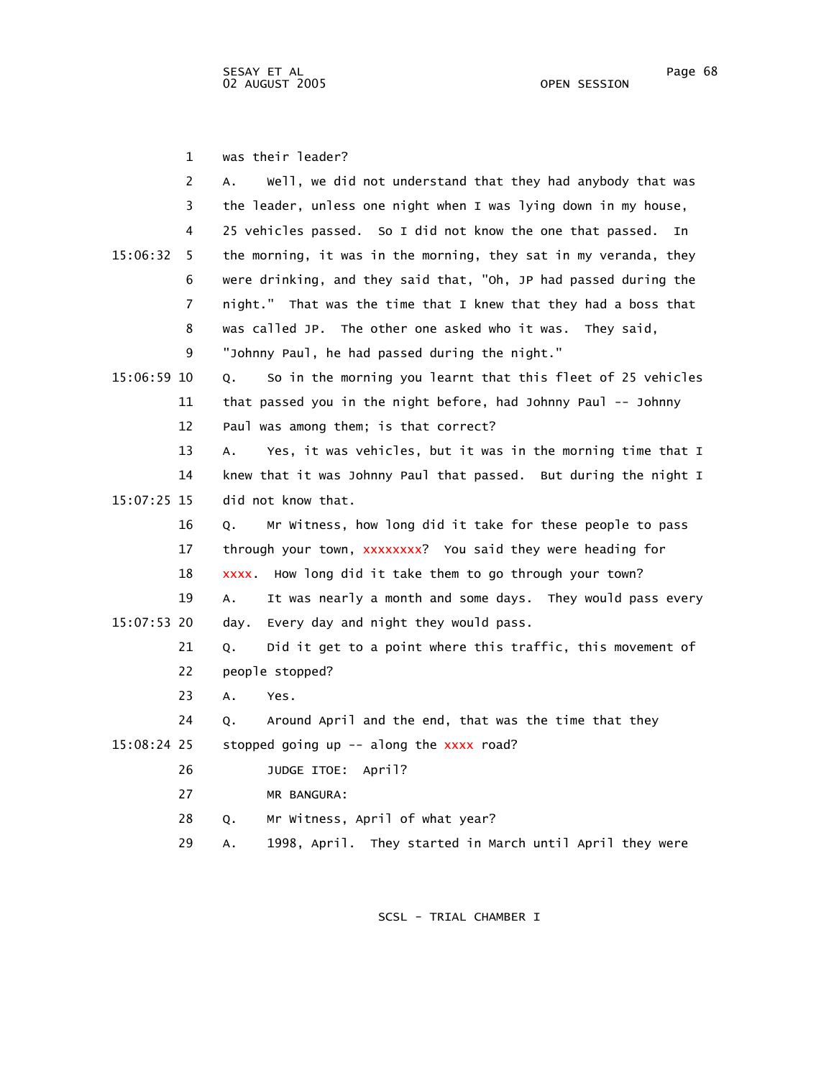1 was their leader?

|             | 2  | Well, we did not understand that they had anybody that was<br>А.  |
|-------------|----|-------------------------------------------------------------------|
|             | 3  | the leader, unless one night when I was lying down in my house,   |
|             | 4  | 25 vehicles passed. So I did not know the one that passed.<br>In  |
| 15:06:32    | 5. | the morning, it was in the morning, they sat in my veranda, they  |
|             | 6  | were drinking, and they said that, "Oh, JP had passed during the  |
|             | 7  | night." That was the time that I knew that they had a boss that   |
|             | 8  | was called JP. The other one asked who it was. They said,         |
|             | 9  | "Johnny Paul, he had passed during the night."                    |
| 15:06:59 10 |    | So in the morning you learnt that this fleet of 25 vehicles<br>Q. |
|             | 11 | that passed you in the night before, had Johnny Paul -- Johnny    |
|             | 12 | Paul was among them; is that correct?                             |
|             | 13 | Yes, it was vehicles, but it was in the morning time that I<br>А. |
|             | 14 | knew that it was Johnny Paul that passed. But during the night I  |
| 15:07:25 15 |    | did not know that.                                                |
|             | 16 | Mr Witness, how long did it take for these people to pass<br>Q.   |
|             | 17 | through your town, xxxxxxxx? You said they were heading for       |
|             | 18 | xxxx. How long did it take them to go through your town?          |
|             | 19 | It was nearly a month and some days. They would pass every<br>А.  |
| 15:07:53 20 |    | Every day and night they would pass.<br>day.                      |
|             | 21 | Did it get to a point where this traffic, this movement of<br>Q.  |
|             | 22 | people stopped?                                                   |
|             | 23 | Α.<br>Yes.                                                        |
|             | 24 | Around April and the end, that was the time that they<br>Q.       |
| 15:08:24 25 |    | stopped going up -- along the xxxx road?                          |
|             | 26 | JUDGE ITOE:<br>April?                                             |
|             | 27 | MR BANGURA:                                                       |
|             | 28 | Mr Witness, April of what year?<br>Q.                             |
|             | 29 | 1998, April. They started in March until April they were<br>А.    |
|             |    |                                                                   |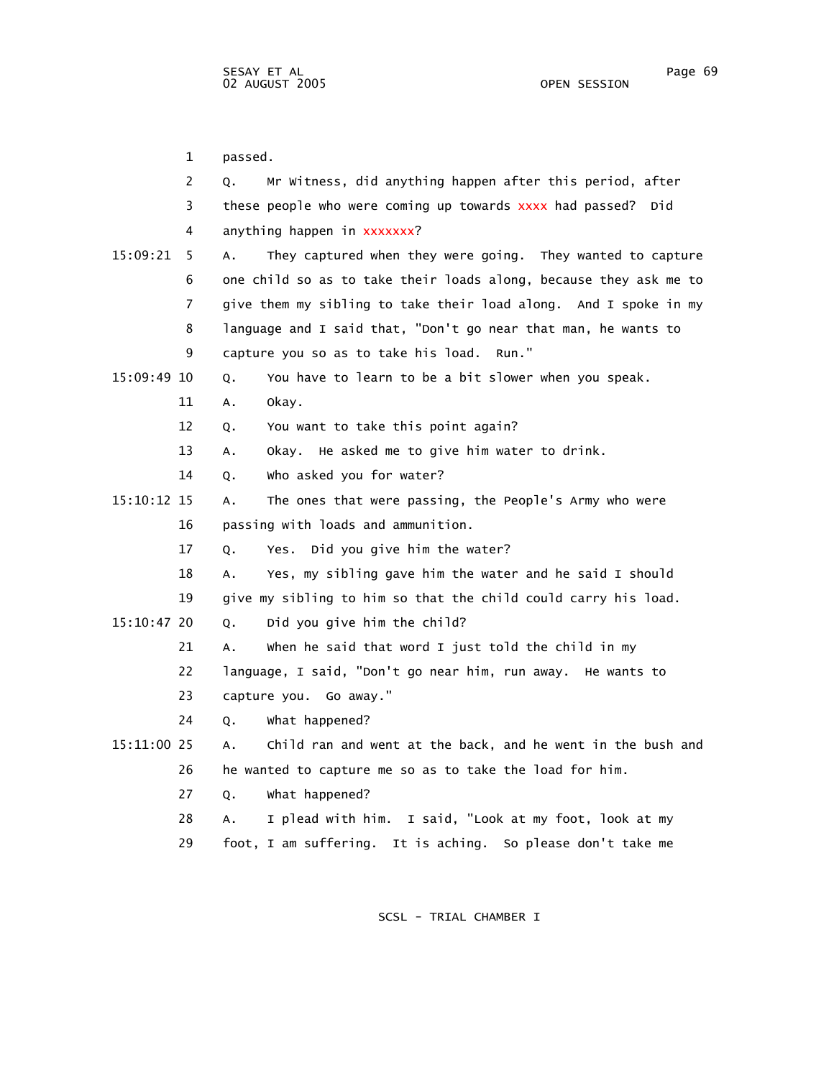1 passed. 2 Q. Mr Witness, did anything happen after this period, after 3 these people who were coming up towards xxxx had passed? Did 4 anything happen in xxxxxxx? 15:09:21 5 A. They captured when they were going. They wanted to capture 6 one child so as to take their loads along, because they ask me to 7 give them my sibling to take their load along. And I spoke in my 8 language and I said that, "Don't go near that man, he wants to 9 capture you so as to take his load. Run." 15:09:49 10 Q. You have to learn to be a bit slower when you speak. 11 A. Okay. 12 Q. You want to take this point again? 13 A. Okay. He asked me to give him water to drink. 14 Q. Who asked you for water? 15:10:12 15 A. The ones that were passing, the People's Army who were 16 passing with loads and ammunition. 17 Q. Yes. Did you give him the water? 18 A. Yes, my sibling gave him the water and he said I should 19 give my sibling to him so that the child could carry his load. 15:10:47 20 Q. Did you give him the child? 21 A. When he said that word I just told the child in my 22 language, I said, "Don't go near him, run away. He wants to 23 capture you. Go away." 24 Q. What happened? 15:11:00 25 A. Child ran and went at the back, and he went in the bush and 26 he wanted to capture me so as to take the load for him. 27 Q. What happened? 28 A. I plead with him. I said, "Look at my foot, look at my 29 foot, I am suffering. It is aching. So please don't take me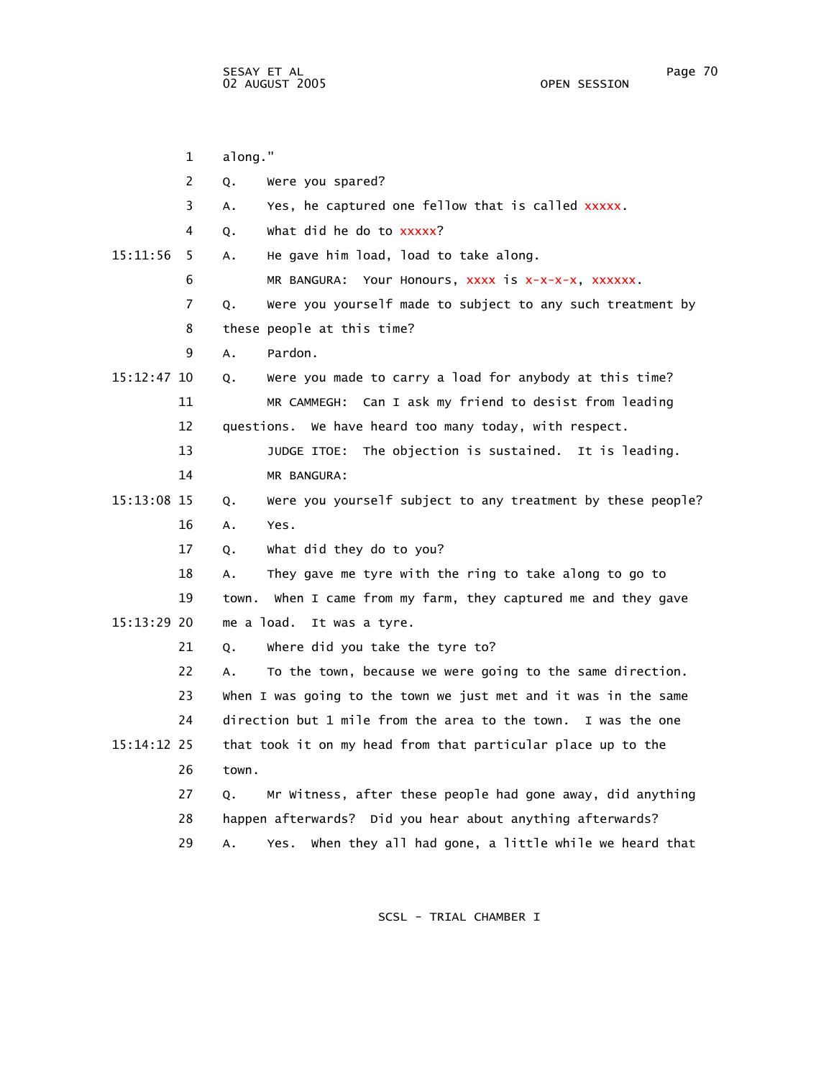1 along." 2 Q. Were you spared? 3 A. Yes, he captured one fellow that is called xxxxx. 4 Q. What did he do to xxxxx? 15:11:56 5 A. He gave him load, load to take along. 6 MR BANGURA: Your Honours, xxxx is x-x-x-x, xxxxxx. 7 Q. Were you yourself made to subject to any such treatment by 8 these people at this time? 9 A. Pardon. 15:12:47 10 Q. Were you made to carry a load for anybody at this time? 11 MR CAMMEGH: Can I ask my friend to desist from leading 12 questions. We have heard too many today, with respect. 13 JUDGE ITOE: The objection is sustained. It is leading. 14 MR BANGURA: 15:13:08 15 Q. Were you yourself subject to any treatment by these people? 16 A. Yes. 17 Q. What did they do to you? 18 A. They gave me tyre with the ring to take along to go to 19 town. When I came from my farm, they captured me and they gave 15:13:29 20 me a load. It was a tyre. 21 Q. Where did you take the tyre to? 22 A. To the town, because we were going to the same direction. 23 When I was going to the town we just met and it was in the same 24 direction but 1 mile from the area to the town. I was the one 15:14:12 25 that took it on my head from that particular place up to the 26 town. 27 Q. Mr Witness, after these people had gone away, did anything 28 happen afterwards? Did you hear about anything afterwards? 29 A. Yes. When they all had gone, a little while we heard that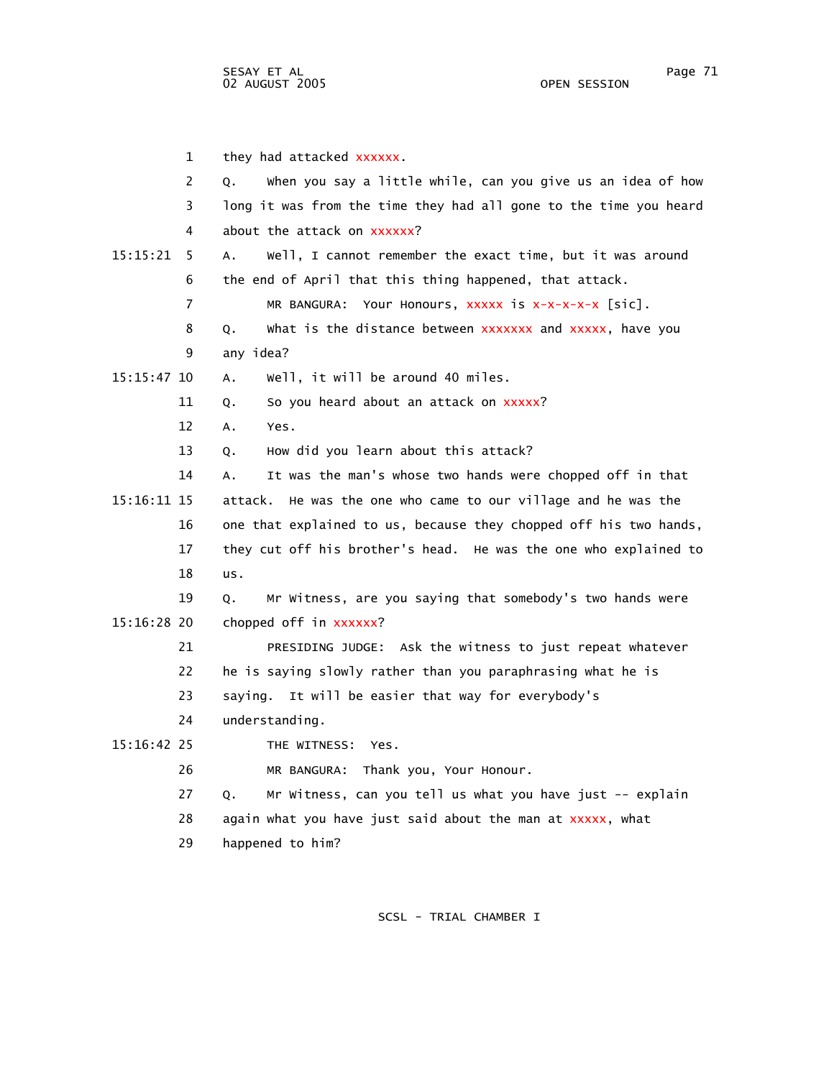|               | 1  | they had attacked xxxxxx.                                         |
|---------------|----|-------------------------------------------------------------------|
|               | 2  | when you say a little while, can you give us an idea of how<br>Q. |
|               | 3  | long it was from the time they had all gone to the time you heard |
|               | 4  | about the attack on xxxxxx?                                       |
| 15:15:21      | 5  | Well, I cannot remember the exact time, but it was around<br>Α.   |
|               | 6  | the end of April that this thing happened, that attack.           |
|               | 7  | MR BANGURA: Your Honours, XXXXX is X-X-X-X-X [Sic].               |
|               | 8  | Q.<br>what is the distance between xxxxxxx and xxxxx, have you    |
|               | 9  | any idea?                                                         |
| $15:15:47$ 10 |    | well, it will be around 40 miles.<br>Α.                           |
|               | 11 | So you heard about an attack on xxxxx?<br>Q.                      |
|               | 12 | A.<br>Yes.                                                        |
|               | 13 | How did you learn about this attack?<br>Q.                        |
|               | 14 | It was the man's whose two hands were chopped off in that<br>А.   |
| 15:16:11 15   |    | attack. He was the one who came to our village and he was the     |
|               | 16 | one that explained to us, because they chopped off his two hands, |
|               | 17 | they cut off his brother's head. He was the one who explained to  |
|               | 18 | us.                                                               |
|               | 19 | Mr Witness, are you saying that somebody's two hands were<br>Q.   |
| 15:16:28 20   |    | chopped off in xxxxxx?                                            |
|               | 21 | PRESIDING JUDGE: Ask the witness to just repeat whatever          |
|               | 22 | he is saying slowly rather than you paraphrasing what he is       |
|               | 23 | saying. It will be easier that way for everybody's                |
|               | 24 | understanding.                                                    |
| 15:16:42 25   |    | THE WITNESS: Yes.                                                 |
|               | 26 | MR BANGURA: Thank you, Your Honour.                               |
|               | 27 | Mr Witness, can you tell us what you have just -- explain<br>Q.   |
|               | 28 | again what you have just said about the man at xxxxx, what        |
|               | 29 | happened to him?                                                  |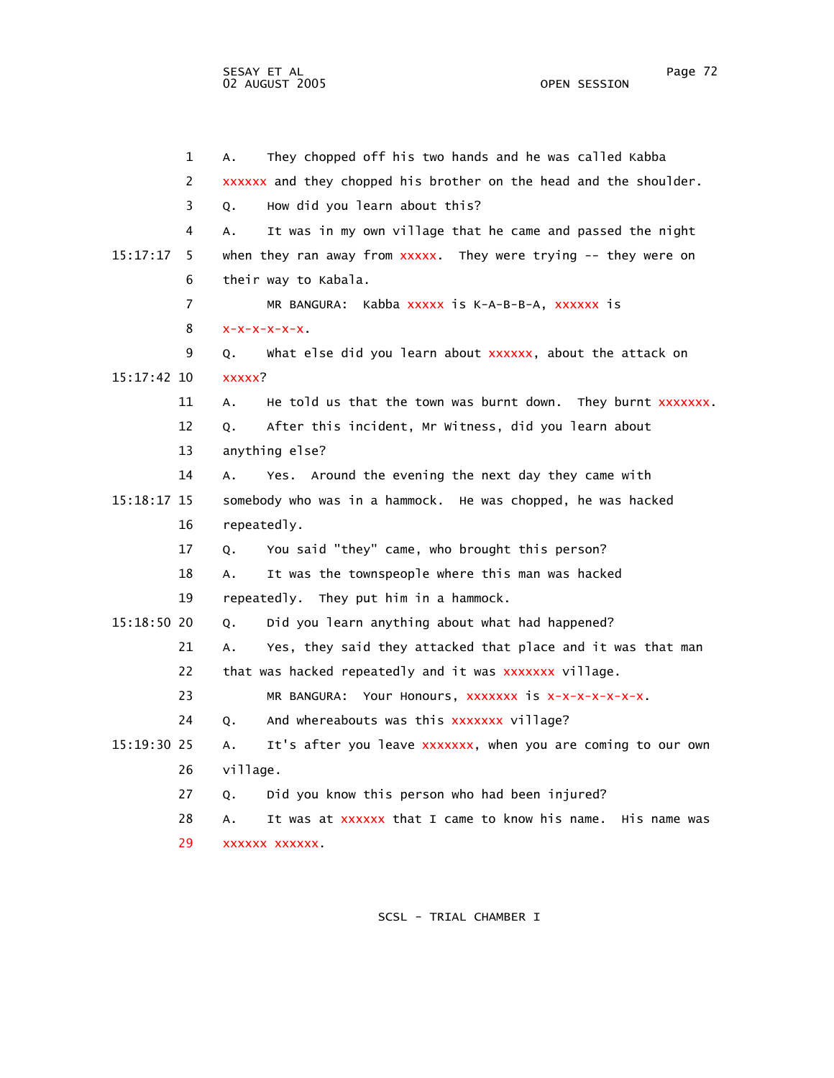1 A. They chopped off his two hands and he was called Kabba 2 xxxxxx and they chopped his brother on the head and the shoulder. 3 Q. How did you learn about this? 4 A. It was in my own village that he came and passed the night 15:17:17 5 when they ran away from xxxxx. They were trying -- they were on 6 their way to Kabala. 7 MR BANGURA: Kabba xxxxx is K-A-B-B-A, xxxxxx is  $8 \times -x-x-x-x-x$ . 9 Q. What else did you learn about xxxxxx, about the attack on 15:17:42 10 xxxxx? 11 A. He told us that the town was burnt down. They burnt xxxxxxx. 12 Q. After this incident, Mr Witness, did you learn about 13 anything else? 14 A. Yes. Around the evening the next day they came with 15:18:17 15 somebody who was in a hammock. He was chopped, he was hacked 16 repeatedly. 17 Q. You said "they" came, who brought this person? 18 A. It was the townspeople where this man was hacked 19 repeatedly. They put him in a hammock. 15:18:50 20 Q. Did you learn anything about what had happened? 21 A. Yes, they said they attacked that place and it was that man 22 that was hacked repeatedly and it was xxxxxxx village. 23 MR BANGURA: Your Honours, xxxxxxx is x-x-x-x-x-x-x. 24 Q. And whereabouts was this xxxxxxx village? 15:19:30 25 A. It's after you leave xxxxxxx, when you are coming to our own 26 village. 27 Q. Did you know this person who had been injured? 28 A. It was at xxxxxx that I came to know his name. His name was 29 xxxxxx xxxxxx.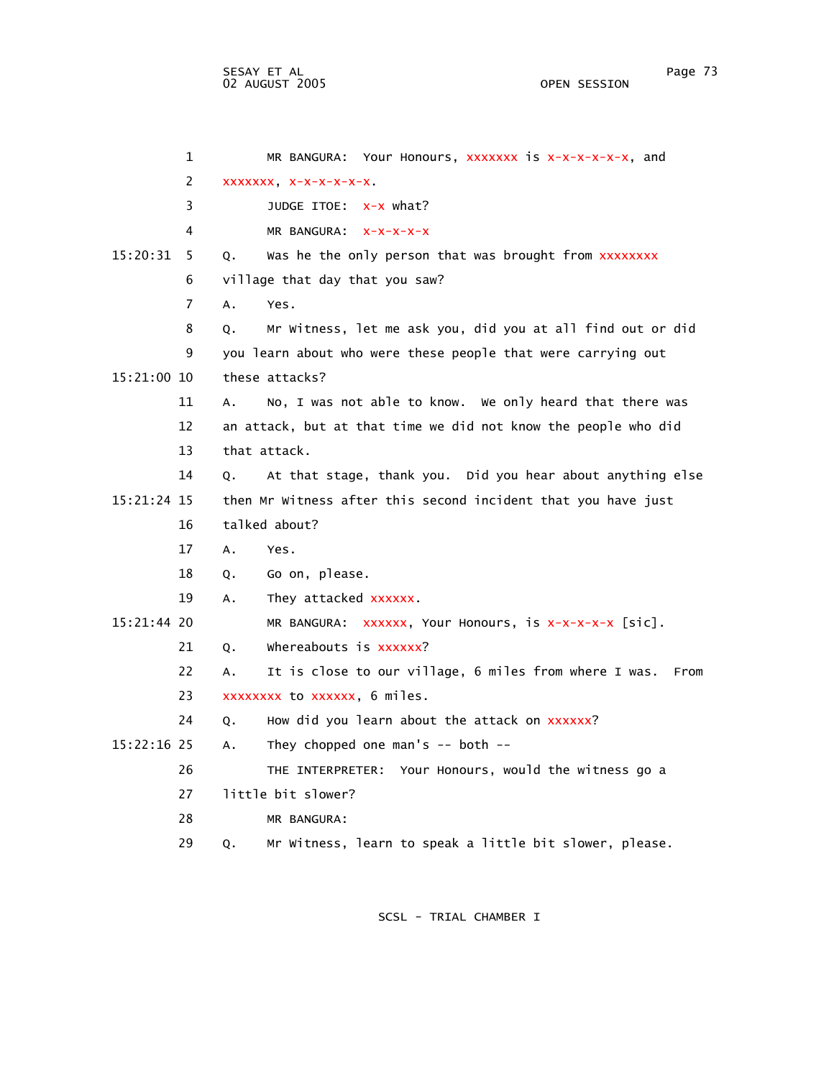1 MR BANGURA: Your Honours, xxxxxxx is x-x-x-x-x-x, and 2 xxxxxxx, x-x-x-x-x-x. 3 JUDGE ITOE: x-x what? 4 MR BANGURA: x-x-x-x-x 15:20:31 5 Q. Was he the only person that was brought from xxxxxxxx 6 village that day that you saw? 7 A. Yes. 8 Q. Mr Witness, let me ask you, did you at all find out or did 9 you learn about who were these people that were carrying out 15:21:00 10 these attacks? 11 A. No, I was not able to know. We only heard that there was 12 an attack, but at that time we did not know the people who did 13 that attack. 14 Q. At that stage, thank you. Did you hear about anything else 15:21:24 15 then Mr Witness after this second incident that you have just 16 talked about? 17 A. Yes. 18 Q. Go on, please. 19 A. They attacked xxxxxx. 15:21:44 20 MR BANGURA: xxxxxx, Your Honours, is x-x-x-x-x [sic]. 21 Q. Whereabouts is xxxxxx? 22 A. It is close to our village, 6 miles from where I was. From 23 xxxxxxxx to xxxxxx, 6 miles. 24 Q. How did you learn about the attack on xxxxxx? 15:22:16 25 A. They chopped one man's -- both -- 26 THE INTERPRETER: Your Honours, would the witness go a 27 little bit slower? 28 MR BANGURA: 29 Q. Mr Witness, learn to speak a little bit slower, please.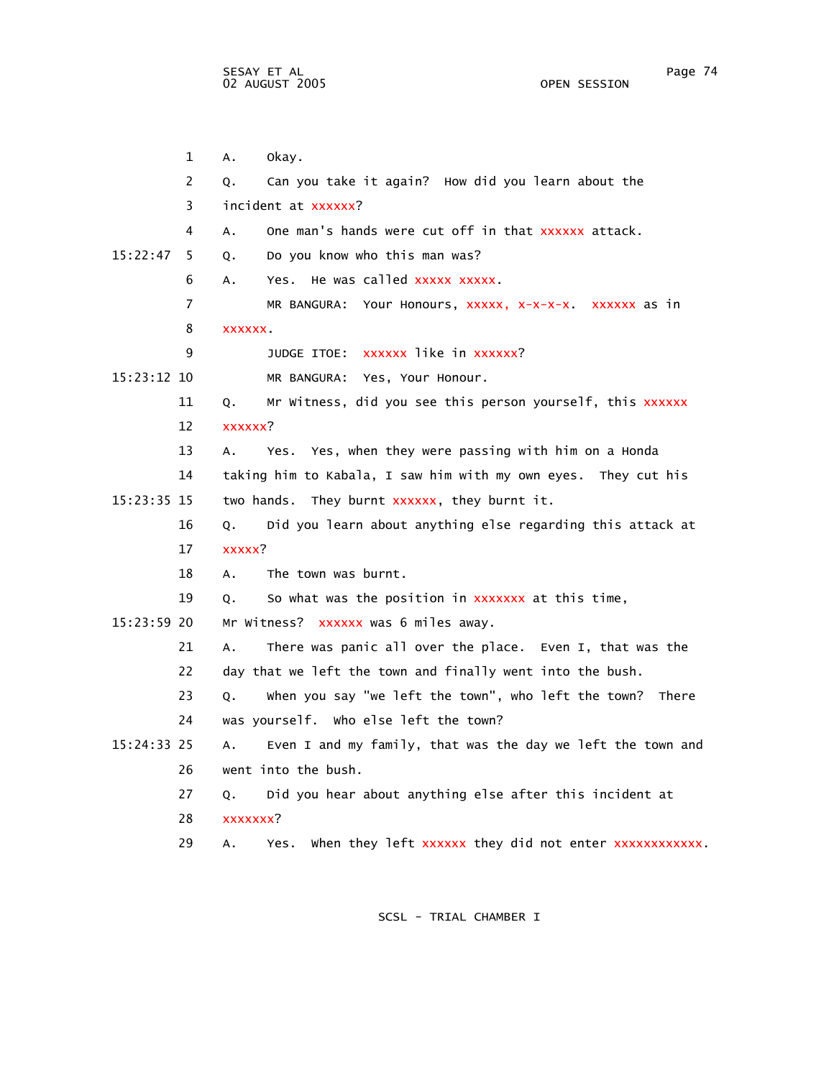1 A. Okay. 2 Q. Can you take it again? How did you learn about the 3 incident at xxxxxx? 4 A. One man's hands were cut off in that xxxxxx attack. 15:22:47 5 Q. Do you know who this man was? 6 A. Yes. He was called xxxxx xxxxx. 7 MR BANGURA: Your Honours, xxxxx, x-x-x-x. xxxxxx as in 8 xxxxxx. 9 JUDGE ITOE: xxxxxx like in xxxxxx? 15:23:12 10 MR BANGURA: Yes, Your Honour. 11 Q. Mr Witness, did you see this person yourself, this xxxxxx 12 xxxxxx? 13 A. Yes. Yes, when they were passing with him on a Honda 14 taking him to Kabala, I saw him with my own eyes. They cut his 15:23:35 15 two hands. They burnt xxxxxx, they burnt it. 16 Q. Did you learn about anything else regarding this attack at 17 xxxxx? 18 A. The town was burnt. 19 Q. So what was the position in xxxxxxx at this time, 15:23:59 20 Mr Witness? xxxxxx was 6 miles away. 21 A. There was panic all over the place. Even I, that was the 22 day that we left the town and finally went into the bush. 23 Q. When you say "we left the town", who left the town? There 24 was yourself. Who else left the town? 15:24:33 25 A. Even I and my family, that was the day we left the town and 26 went into the bush. 27 Q. Did you hear about anything else after this incident at 28 xxxxxxx? 29 A. Yes. When they left xxxxxx they did not enter xxxxxxxxxxxx.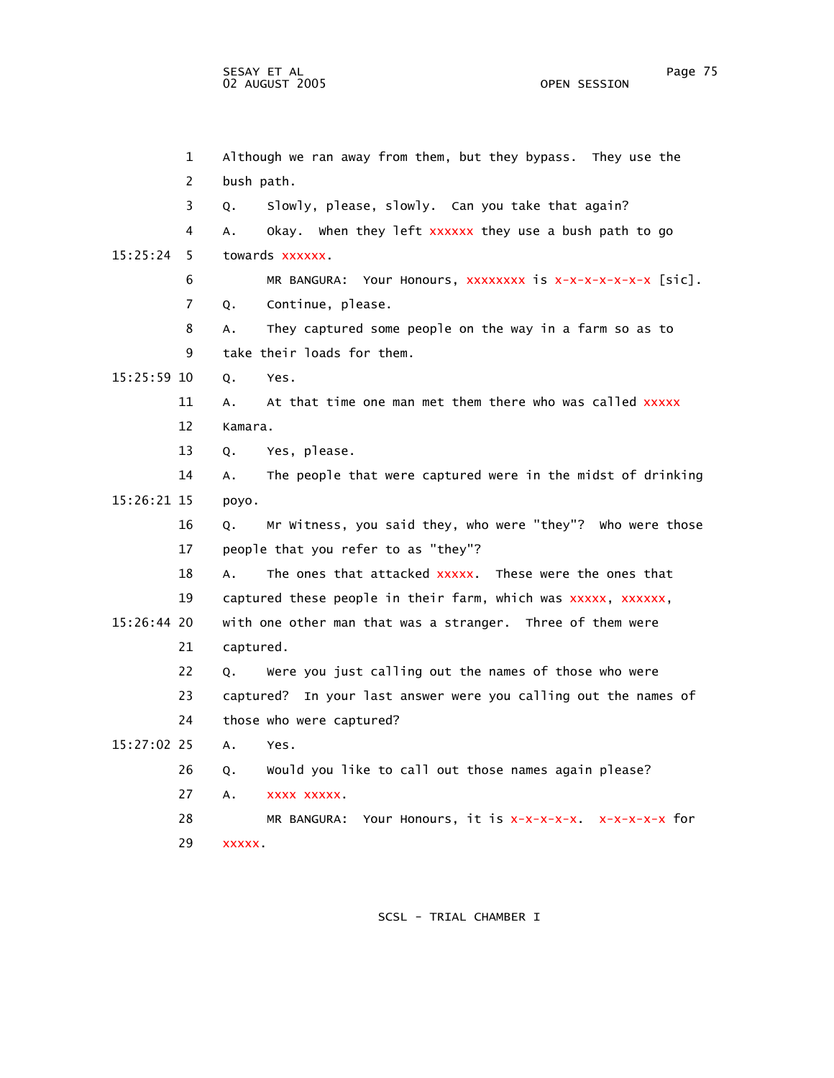1 Although we ran away from them, but they bypass. They use the 2 bush path. 3 Q. Slowly, please, slowly. Can you take that again? 4 A. Okay. When they left xxxxxx they use a bush path to go 15:25:24 5 towards xxxxxx. 6 MR BANGURA: Your Honours, xxxxxxxx is x-x-x-x-x-x-x [sic]. 7 Q. Continue, please. 8 A. They captured some people on the way in a farm so as to 9 take their loads for them. 15:25:59 10 Q. Yes. 11 A. At that time one man met them there who was called xxxxx 12 Kamara. 13 Q. Yes, please. 14 A. The people that were captured were in the midst of drinking 15:26:21 15 poyo. 16 Q. Mr Witness, you said they, who were "they"? Who were those 17 people that you refer to as "they"? 18 A. The ones that attacked xxxxx. These were the ones that 19 captured these people in their farm, which was xxxxx, xxxxxx, 15:26:44 20 with one other man that was a stranger. Three of them were 21 captured. 22 Q. Were you just calling out the names of those who were 23 captured? In your last answer were you calling out the names of 24 those who were captured? 15:27:02 25 A. Yes. 26 Q. Would you like to call out those names again please? 27 A. xxxx xxxxx. 28 MR BANGURA: Your Honours, it is x-x-x-x-x. x-x-x-x-x for 29 xxxxx.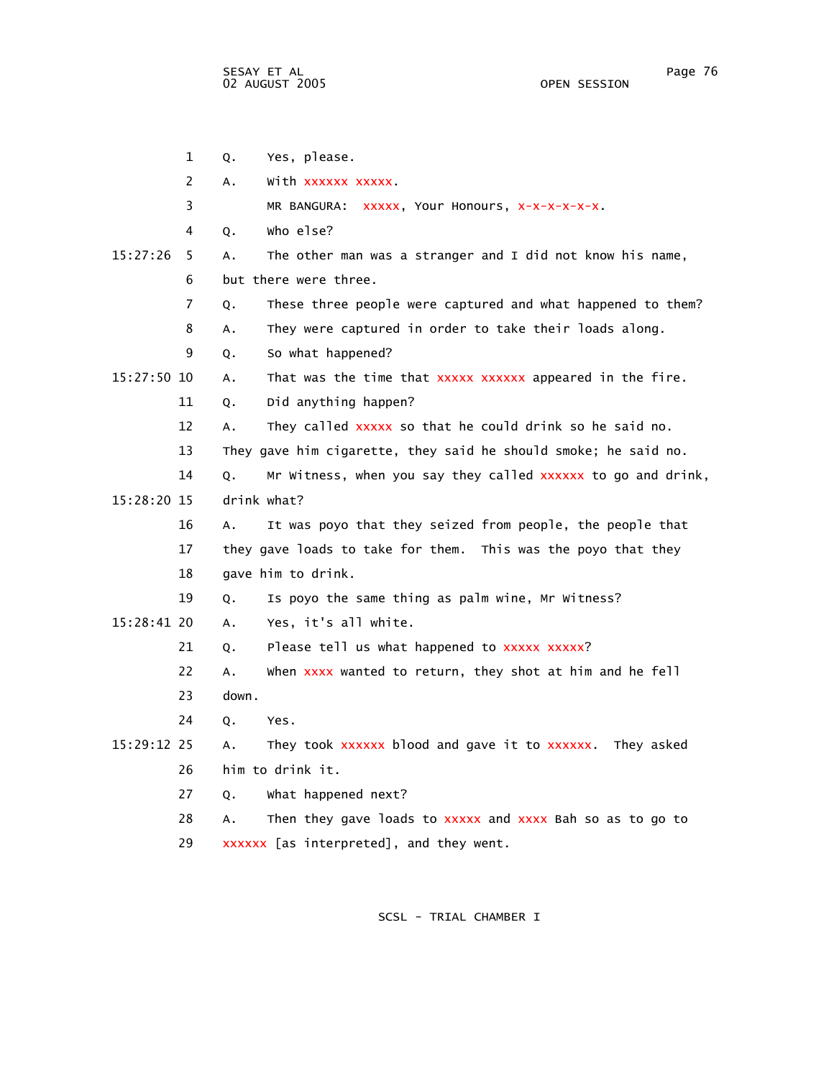|             | 1  | Yes, please.<br>Q.                                                 |
|-------------|----|--------------------------------------------------------------------|
|             | 2  | With xxxxxx xxxxx.<br>A.                                           |
|             | 3  | MR BANGURA: XXXXX, Your Honours, X-X-X-X-X-X.                      |
|             | 4  | who else?<br>Q.                                                    |
| 15:27:26    | 5  | The other man was a stranger and I did not know his name,<br>А.    |
|             | 6  | but there were three.                                              |
|             | 7  | These three people were captured and what happened to them?<br>Q.  |
|             | 8  | They were captured in order to take their loads along.<br>А.       |
|             | 9  | So what happened?<br>Q.                                            |
| 15:27:50 10 |    | That was the time that xxxxx xxxxxx appeared in the fire.<br>А.    |
|             | 11 | Did anything happen?<br>Q.                                         |
|             | 12 | They called xxxxx so that he could drink so he said no.<br>Α.      |
|             | 13 | They gave him cigarette, they said he should smoke; he said no.    |
|             | 14 | Mr Witness, when you say they called xxxxxx to go and drink,<br>Q. |
| 15:28:20 15 |    | drink what?                                                        |
|             | 16 | It was poyo that they seized from people, the people that<br>Α.    |
|             | 17 | they gave loads to take for them. This was the poyo that they      |
|             | 18 | gave him to drink.                                                 |
|             | 19 | Is poyo the same thing as palm wine, Mr Witness?<br>Q.             |
| 15:28:41 20 |    | Yes, it's all white.<br>А.                                         |
|             | 21 | Please tell us what happened to xxxxx xxxxx?<br>Q.                 |
|             | 22 | When xxxx wanted to return, they shot at him and he fell<br>А.     |
|             | 23 | down.                                                              |
|             | 24 | Yes.<br>Q.                                                         |
| 15:29:12 25 |    | They took xxxxxx blood and gave it to xxxxxx. They asked<br>Α.     |
|             | 26 | him to drink it.                                                   |
|             | 27 | what happened next?<br>Q.                                          |
|             | 28 | Then they gave loads to xxxxx and xxxx Bah so as to go to<br>А.    |
|             | 29 | xxxxxx [as interpreted], and they went.                            |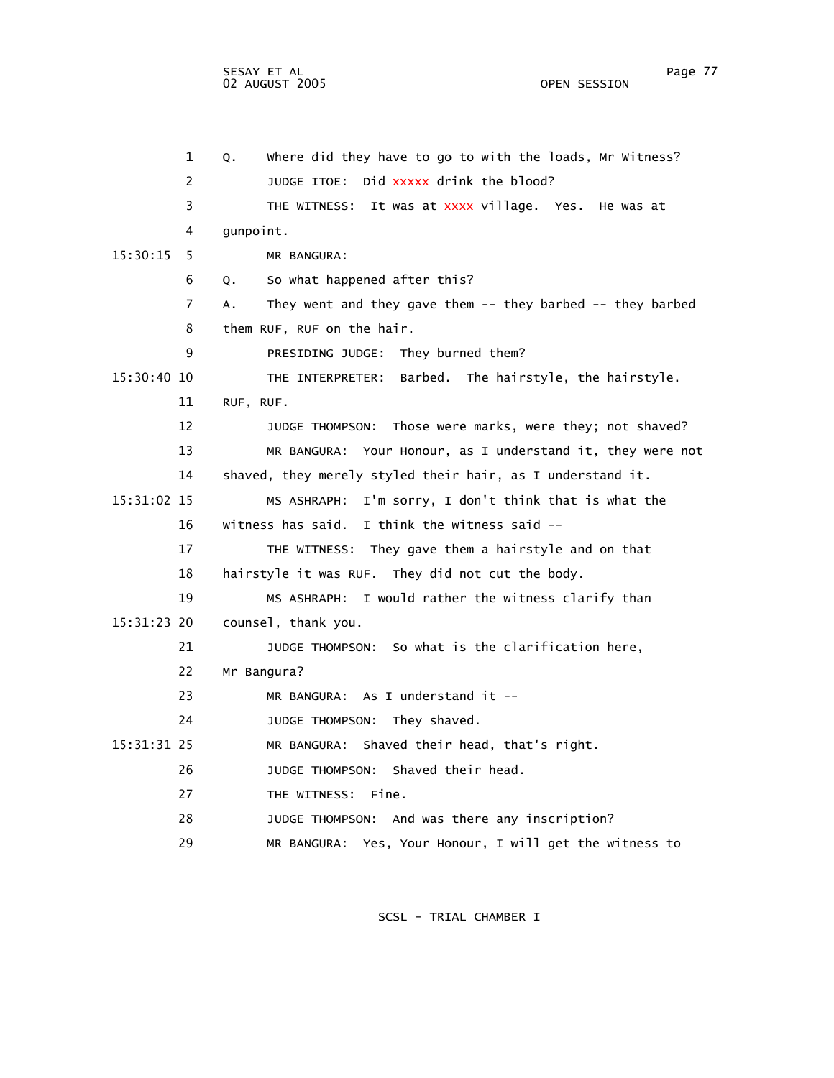1 Q. Where did they have to go to with the loads, Mr Witness? 2 JUDGE ITOE: Did xxxxx drink the blood? 3 THE WITNESS: It was at xxxx village. Yes. He was at 4 gunpoint. 15:30:15 5 MR BANGURA: 6 Q. So what happened after this? 7 A. They went and they gave them -- they barbed -- they barbed 8 them RUF, RUF on the hair. 9 PRESIDING JUDGE: They burned them? 15:30:40 10 THE INTERPRETER: Barbed. The hairstyle, the hairstyle. 11 RUF, RUF. 12 JUDGE THOMPSON: Those were marks, were they; not shaved? 13 MR BANGURA: Your Honour, as I understand it, they were not 14 shaved, they merely styled their hair, as I understand it. 15:31:02 15 MS ASHRAPH: I'm sorry, I don't think that is what the 16 witness has said. I think the witness said -- 17 THE WITNESS: They gave them a hairstyle and on that 18 hairstyle it was RUF. They did not cut the body. 19 MS ASHRAPH: I would rather the witness clarify than 15:31:23 20 counsel, thank you. 21 JUDGE THOMPSON: So what is the clarification here, 22 Mr Bangura? 23 MR BANGURA: As I understand it -- 24 JUDGE THOMPSON: They shaved. 15:31:31 25 MR BANGURA: Shaved their head, that's right. 26 JUDGE THOMPSON: Shaved their head. 27 THE WITNESS: Fine. 28 JUDGE THOMPSON: And was there any inscription? 29 MR BANGURA: Yes, Your Honour, I will get the witness to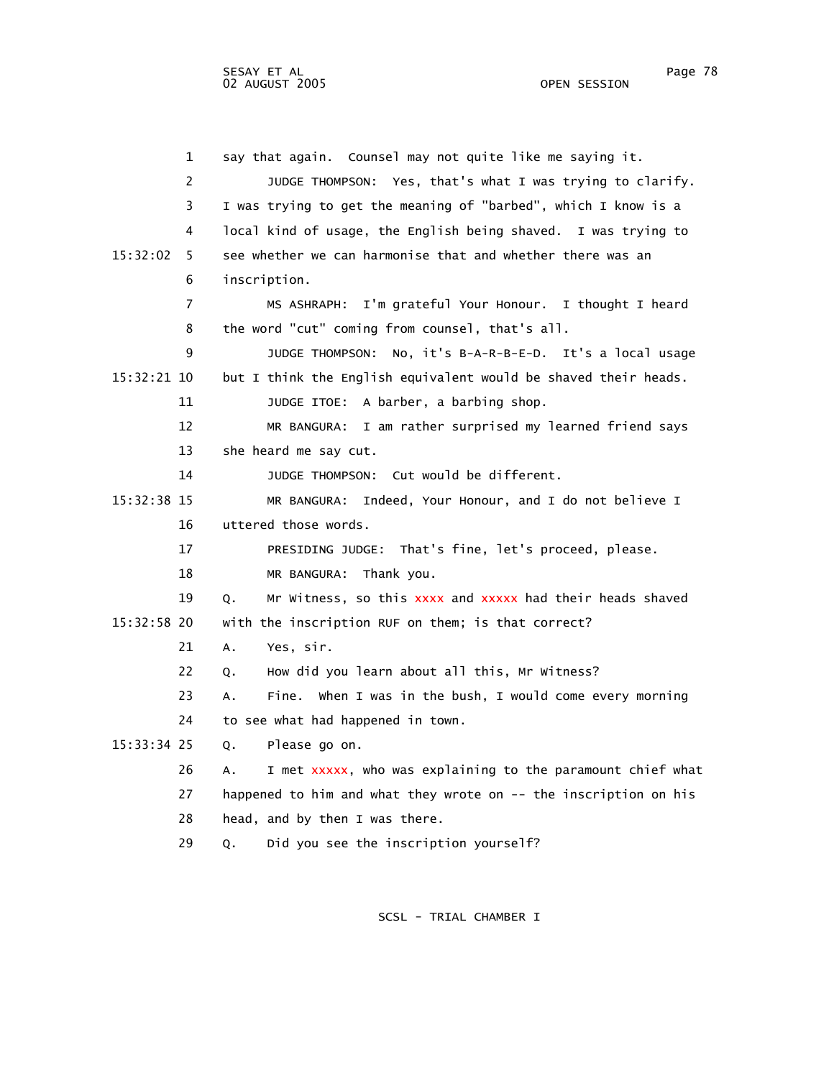1 say that again. Counsel may not quite like me saying it. 2 JUDGE THOMPSON: Yes, that's what I was trying to clarify. 3 I was trying to get the meaning of "barbed", which I know is a 4 local kind of usage, the English being shaved. I was trying to 15:32:02 5 see whether we can harmonise that and whether there was an 6 inscription. 7 MS ASHRAPH: I'm grateful Your Honour. I thought I heard 8 the word "cut" coming from counsel, that's all. 9 JUDGE THOMPSON: No, it's B-A-R-B-E-D. It's a local usage 15:32:21 10 but I think the English equivalent would be shaved their heads. 11 JUDGE ITOE: A barber, a barbing shop. 12 MR BANGURA: I am rather surprised my learned friend says 13 she heard me say cut. 14 JUDGE THOMPSON: Cut would be different. 15:32:38 15 MR BANGURA: Indeed, Your Honour, and I do not believe I 16 uttered those words. 17 PRESIDING JUDGE: That's fine, let's proceed, please. 18 MR BANGURA: Thank you. 19 Q. Mr Witness, so this xxxx and xxxxx had their heads shaved 15:32:58 20 with the inscription RUF on them; is that correct? 21 A. Yes, sir. 22 Q. How did you learn about all this, Mr Witness? 23 A. Fine. When I was in the bush, I would come every morning 24 to see what had happened in town. 15:33:34 25 Q. Please go on. 26 A. I met xxxxx, who was explaining to the paramount chief what 27 happened to him and what they wrote on -- the inscription on his 28 head, and by then I was there. 29 Q. Did you see the inscription yourself?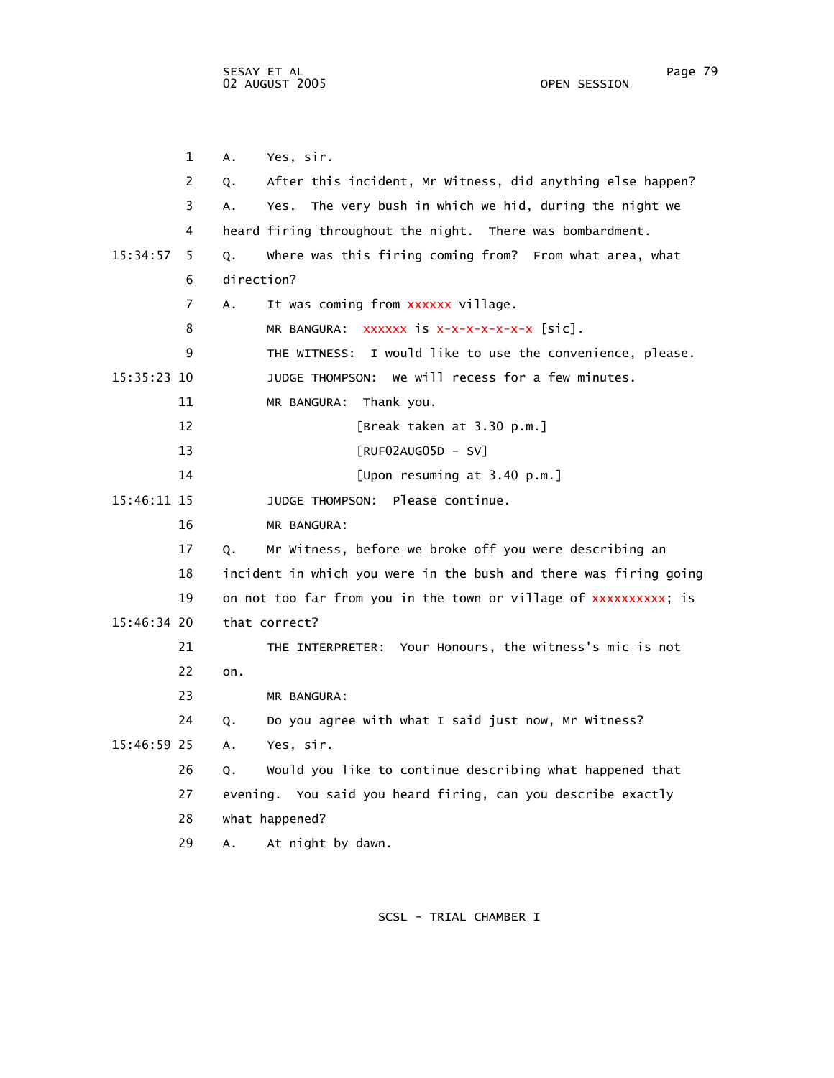1 A. Yes, sir. 2 Q. After this incident, Mr Witness, did anything else happen? 3 A. Yes. The very bush in which we hid, during the night we 4 heard firing throughout the night. There was bombardment. 15:34:57 5 Q. Where was this firing coming from? From what area, what 6 direction? 7 A. It was coming from xxxxxx village. 8 MR BANGURA: xxxxxx is x-x-x-x-x-x-x [sic]. 9 THE WITNESS: I would like to use the convenience, please. 15:35:23 10 JUDGE THOMPSON: We will recess for a few minutes. 11 MR BANGURA: Thank you. 12 [Break taken at 3.30 p.m.] 13 [RUF02AUG05D - SV] 14 [Upon resuming at 3.40 p.m.] 15:46:11 15 JUDGE THOMPSON: Please continue. 16 MR BANGURA: 17 Q. Mr Witness, before we broke off you were describing an 18 incident in which you were in the bush and there was firing going 19 on not too far from you in the town or village of xxxxxxxxxx; is 15:46:34 20 that correct? 21 THE INTERPRETER: Your Honours, the witness's mic is not 22 on. 23 MR BANGURA: 24 Q. Do you agree with what I said just now, Mr Witness? 15:46:59 25 A. Yes, sir. 26 Q. Would you like to continue describing what happened that 27 evening. You said you heard firing, can you describe exactly 28 what happened? 29 A. At night by dawn.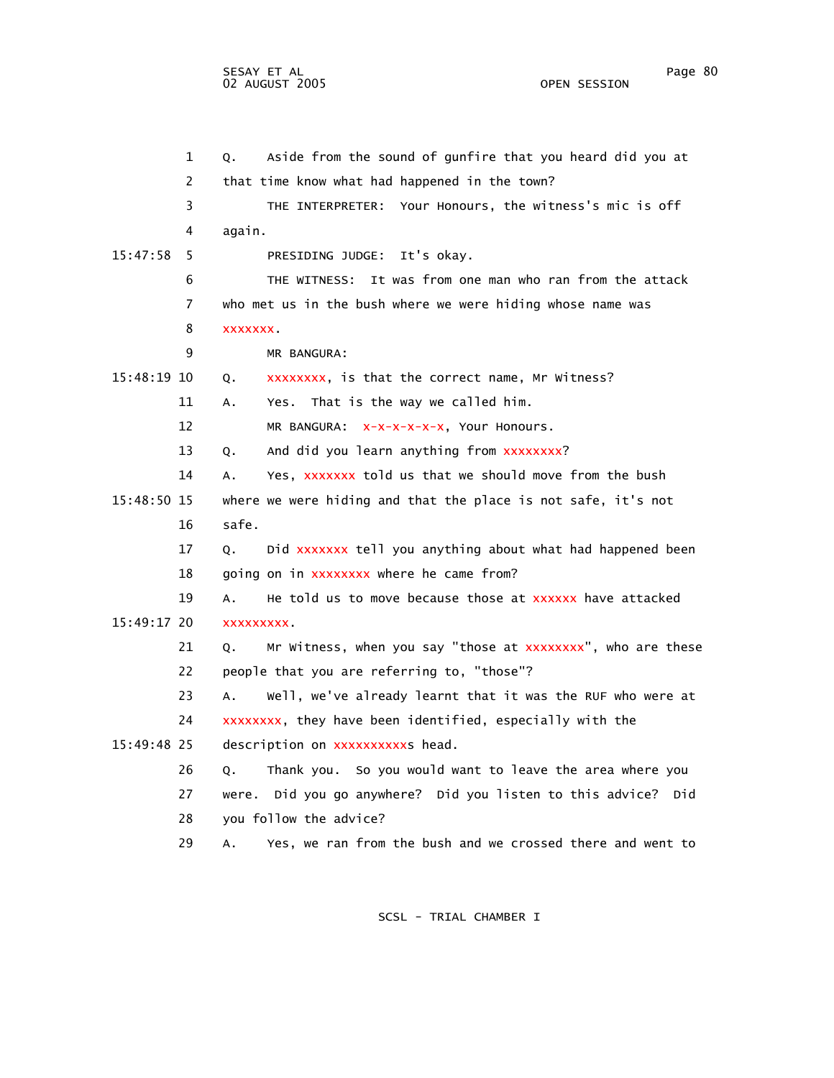1 Q. Aside from the sound of gunfire that you heard did you at 2 that time know what had happened in the town? 3 THE INTERPRETER: Your Honours, the witness's mic is off 4 again. 15:47:58 5 PRESIDING JUDGE: It's okay. 6 THE WITNESS: It was from one man who ran from the attack 7 who met us in the bush where we were hiding whose name was 8 xxxxxxx. 9 MR BANGURA: 15:48:19 10 Q. xxxxxxxx, is that the correct name, Mr Witness? 11 A. Yes. That is the way we called him. 12 MR BANGURA: x-x-x-x-x-x, Your Honours. 13 Q. And did you learn anything from xxxxxxxx? 14 A. Yes, xxxxxxx told us that we should move from the bush 15:48:50 15 where we were hiding and that the place is not safe, it's not 16 safe. 17 Q. Did xxxxxxx tell you anything about what had happened been 18 going on in xxxxxxxx where he came from? 19 A. He told us to move because those at xxxxxx have attacked 15:49:17 20 xxxxxxxxx. 21 Q. Mr Witness, when you say "those at xxxxxxxx", who are these 22 people that you are referring to, "those"? 23 A. Well, we've already learnt that it was the RUF who were at 24 xxxxxxxx, they have been identified, especially with the 15:49:48 25 description on xxxxxxxxxxx head. 26 Q. Thank you. So you would want to leave the area where you 27 were. Did you go anywhere? Did you listen to this advice? Did 28 you follow the advice? 29 A. Yes, we ran from the bush and we crossed there and went to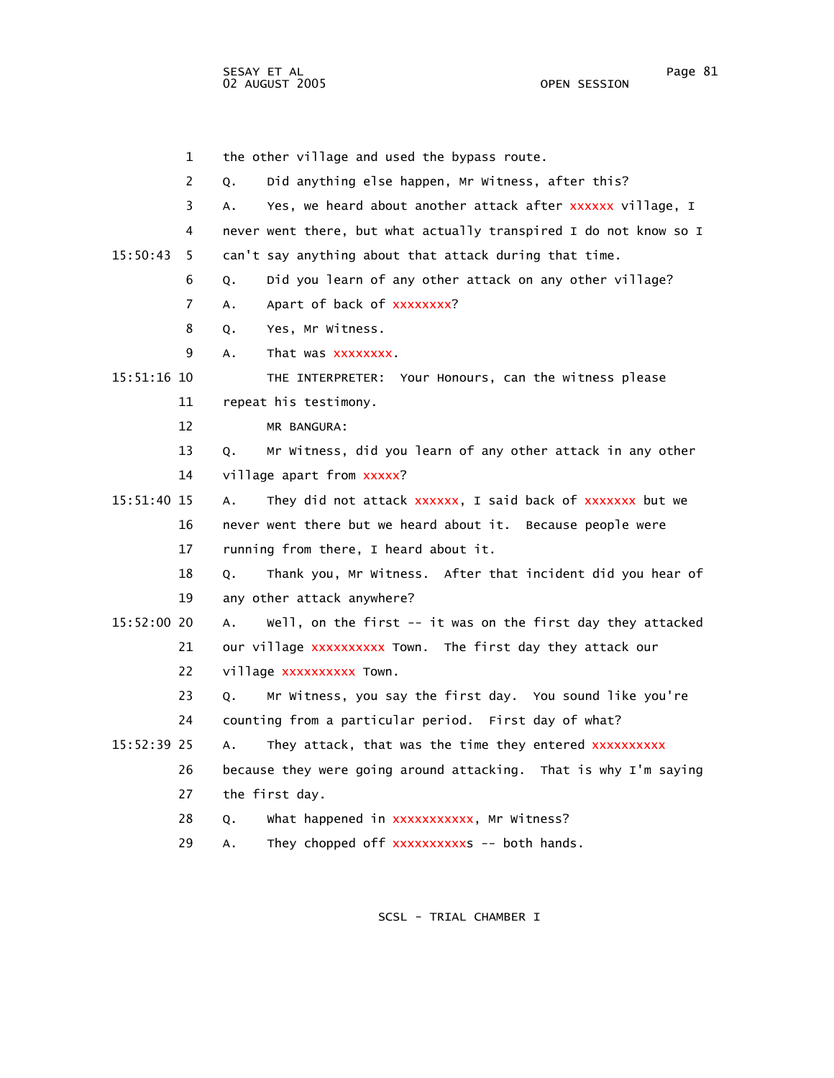SESAY ET AL Page 81 02 AUGUST 2005

 1 the other village and used the bypass route. 2 Q. Did anything else happen, Mr Witness, after this? 3 A. Yes, we heard about another attack after xxxxxx village, I 4 never went there, but what actually transpired I do not know so I 15:50:43 5 can't say anything about that attack during that time. 6 Q. Did you learn of any other attack on any other village? 7 A. Apart of back of xxxxxxxx? 8 Q. Yes, Mr Witness. 9 A. That was xxxxxxxx. 15:51:16 10 THE INTERPRETER: Your Honours, can the witness please 11 repeat his testimony. 12 MR BANGURA: 13 Q. Mr Witness, did you learn of any other attack in any other 14 village apart from xxxxx? 15:51:40 15 A. They did not attack xxxxxx, I said back of xxxxxxx but we 16 never went there but we heard about it. Because people were 17 running from there, I heard about it. 18 Q. Thank you, Mr Witness. After that incident did you hear of 19 any other attack anywhere? 15:52:00 20 A. Well, on the first -- it was on the first day they attacked 21 our village xxxxxxxxx Town. The first day they attack our 22 village xxxxxxxxxx Town. 23 Q. Mr Witness, you say the first day. You sound like you're 24 counting from a particular period. First day of what? 15:52:39 25 A. They attack, that was the time they entered xxxxxxxxxx 26 because they were going around attacking. That is why I'm saying 27 the first day. 28 Q. What happened in xxxxxxxxxxx, Mr Witness? 29 A. They chopped off xxxxxxxxxxx -- both hands.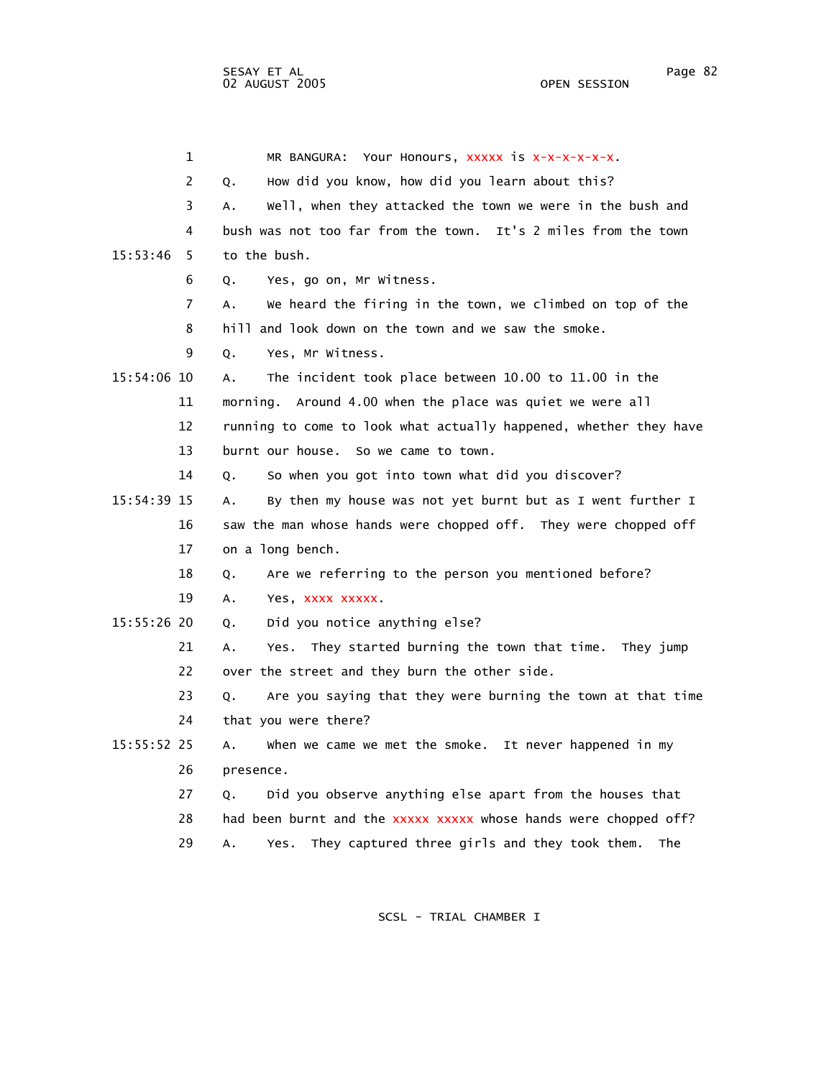1 MR BANGURA: Your Honours, xxxxx is x-x-x-x-x-x. 2 Q. How did you know, how did you learn about this? 3 A. Well, when they attacked the town we were in the bush and 4 bush was not too far from the town. It's 2 miles from the town 15:53:46 5 to the bush. 6 Q. Yes, go on, Mr Witness. 7 A. We heard the firing in the town, we climbed on top of the 8 hill and look down on the town and we saw the smoke. 9 Q. Yes, Mr Witness. 15:54:06 10 A. The incident took place between 10.00 to 11.00 in the 11 morning. Around 4.00 when the place was quiet we were all 12 running to come to look what actually happened, whether they have 13 burnt our house. So we came to town. 14 Q. So when you got into town what did you discover? 15:54:39 15 A. By then my house was not yet burnt but as I went further I 16 saw the man whose hands were chopped off. They were chopped off 17 on a long bench. 18 Q. Are we referring to the person you mentioned before? 19 A. Yes, xxxx xxxxx. 15:55:26 20 Q. Did you notice anything else? 21 A. Yes. They started burning the town that time. They jump 22 over the street and they burn the other side. 23 Q. Are you saying that they were burning the town at that time 24 that you were there? 15:55:52 25 A. When we came we met the smoke. It never happened in my 26 presence. 27 Q. Did you observe anything else apart from the houses that 28 had been burnt and the xxxxx xxxxx whose hands were chopped off? 29 A. Yes. They captured three girls and they took them. The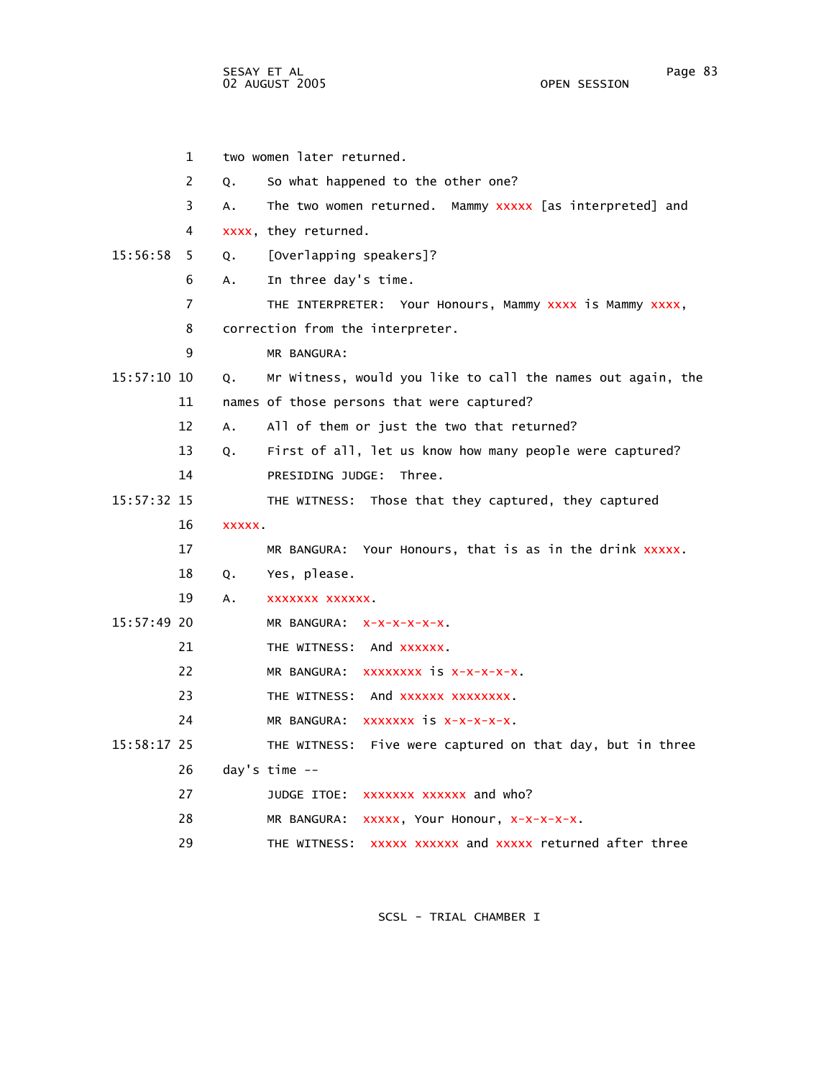|               | $\mathbf{1}$ |        | two women later returned.                                   |
|---------------|--------------|--------|-------------------------------------------------------------|
|               | 2            | 0.     | So what happened to the other one?                          |
|               | 3            | A.     | The two women returned. Mammy XXXXX [as interpreted] and    |
|               | 4            |        | xxxx, they returned.                                        |
| 15:56:58      | 5            | Q.     | [Overlapping speakers]?                                     |
|               | 6            | A.     | In three day's time.                                        |
|               | 7            |        | THE INTERPRETER: Your Honours, Mammy XXXX is Mammy XXXX,    |
|               | 8            |        | correction from the interpreter.                            |
|               | 9            |        | MR BANGURA:                                                 |
| $15:57:10$ 10 |              | Q.     | Mr Witness, would you like to call the names out again, the |
|               | 11           |        | names of those persons that were captured?                  |
|               | 12           | Α.     | All of them or just the two that returned?                  |
|               | 13           | Q.     | First of all, let us know how many people were captured?    |
|               | 14           |        | PRESIDING JUDGE: Three.                                     |
| 15:57:32 15   |              |        | THE WITNESS: Those that they captured, they captured        |
|               | 16           | XXXXX. |                                                             |
|               | 17           |        | MR BANGURA: Your Honours, that is as in the drink xxxxx.    |
|               | 18           | Q.     | Yes, please.                                                |
|               | 19           | А.     | XXXXXXX XXXXXX.                                             |
| $15:57:49$ 20 |              |        | MR BANGURA: X-X-X-X-X-X.                                    |
|               | 21           |        | THE WITNESS: And XXXXXX.                                    |
|               | 22           |        | MR BANGURA: XXXXXXXX IS X-X-X-X-X.                          |
|               | 23           |        | THE WITNESS: And XXXXXX XXXXXXXX.                           |
|               | 24           |        | MR BANGURA: XXXXXXX IS X-X-X-X-X.                           |
| 15:58:17 25   |              |        | THE WITNESS: Five were captured on that day, but in three   |
|               | 26           |        | day's time $-$                                              |
|               | 27           |        | JUDGE ITOE: XXXXXXX XXXXXX and who?                         |
|               | 28           |        | xxxxx, Your Honour, x-x-x-x-x.<br>MR BANGURA:               |
|               | 29           |        | xxxxx xxxxxx and xxxxx returned after three<br>THE WITNESS: |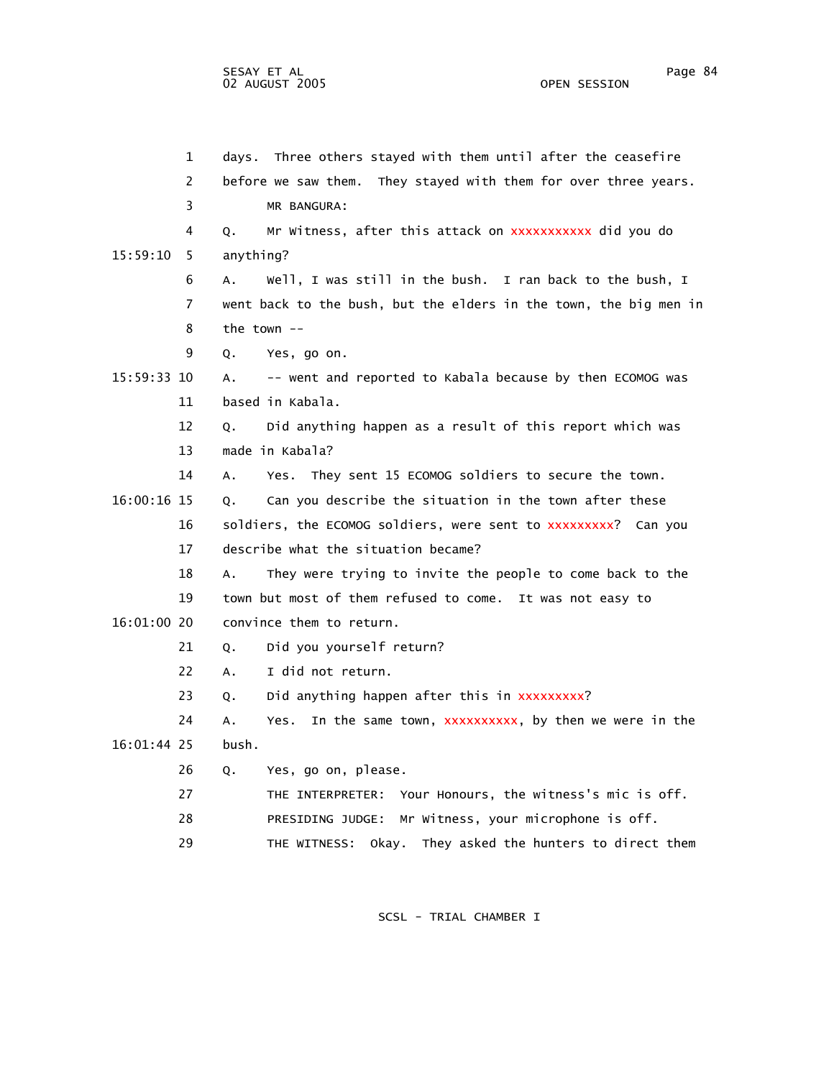1 days. Three others stayed with them until after the ceasefire 2 before we saw them. They stayed with them for over three years. 3 MR BANGURA: 4 Q. Mr Witness, after this attack on xxxxxxxxxxx did you do 15:59:10 5 anything? 6 A. Well, I was still in the bush. I ran back to the bush, I 7 went back to the bush, but the elders in the town, the big men in 8 the town -- 9 Q. Yes, go on. 15:59:33 10 A. -- went and reported to Kabala because by then ECOMOG was 11 based in Kabala. 12 Q. Did anything happen as a result of this report which was 13 made in Kabala? 14 A. Yes. They sent 15 ECOMOG soldiers to secure the town. 16:00:16 15 Q. Can you describe the situation in the town after these 16 soldiers, the ECOMOG soldiers, were sent to xxxxxxxxx? Can you 17 describe what the situation became? 18 A. They were trying to invite the people to come back to the 19 town but most of them refused to come. It was not easy to 16:01:00 20 convince them to return. 21 0. Did you yourself return? 22 A. I did not return. 23 Q. Did anything happen after this in xxxxxxxxx? 24 A. Yes. In the same town, xxxxxxxxxx, by then we were in the 16:01:44 25 bush. 26 Q. Yes, go on, please. 27 THE INTERPRETER: Your Honours, the witness's mic is off. 28 PRESIDING JUDGE: Mr Witness, your microphone is off. 29 THE WITNESS: Okay. They asked the hunters to direct them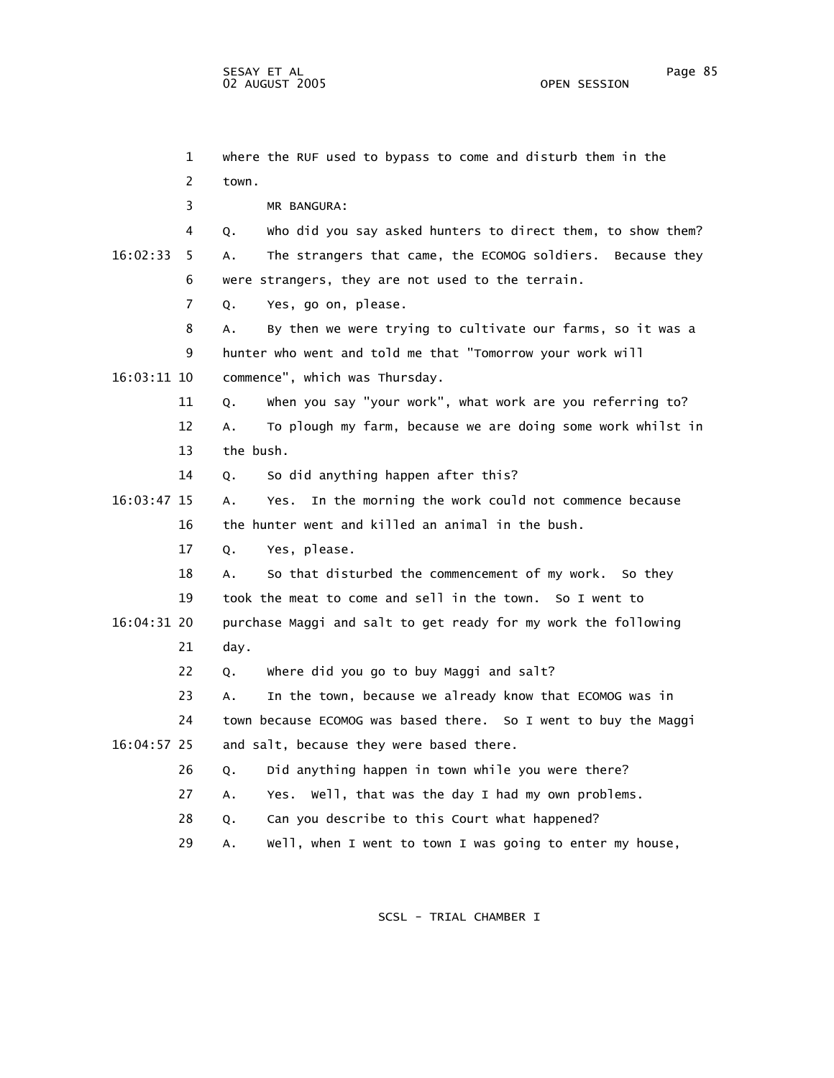1 where the RUF used to bypass to come and disturb them in the 2 town. 3 MR BANGURA: 4 Q. Who did you say asked hunters to direct them, to show them? 16:02:33 5 A. The strangers that came, the ECOMOG soldiers. Because they 6 were strangers, they are not used to the terrain. 7 Q. Yes, go on, please. 8 A. By then we were trying to cultivate our farms, so it was a 9 hunter who went and told me that "Tomorrow your work will 16:03:11 10 commence", which was Thursday. 11 Q. When you say "your work", what work are you referring to? 12 A. To plough my farm, because we are doing some work whilst in 13 the bush. 14 Q. So did anything happen after this? 16:03:47 15 A. Yes. In the morning the work could not commence because 16 the hunter went and killed an animal in the bush. 17 Q. Yes, please. 18 A. So that disturbed the commencement of my work. So they 19 took the meat to come and sell in the town. So I went to 16:04:31 20 purchase Maggi and salt to get ready for my work the following 21 day. 22 Q. Where did you go to buy Maggi and salt? 23 A. In the town, because we already know that ECOMOG was in 24 town because ECOMOG was based there. So I went to buy the Maggi 16:04:57 25 and salt, because they were based there. 26 Q. Did anything happen in town while you were there? 27 A. Yes. Well, that was the day I had my own problems. 28 Q. Can you describe to this Court what happened?

SCSL - TRIAL CHAMBER I

29 A. Well, when I went to town I was going to enter my house,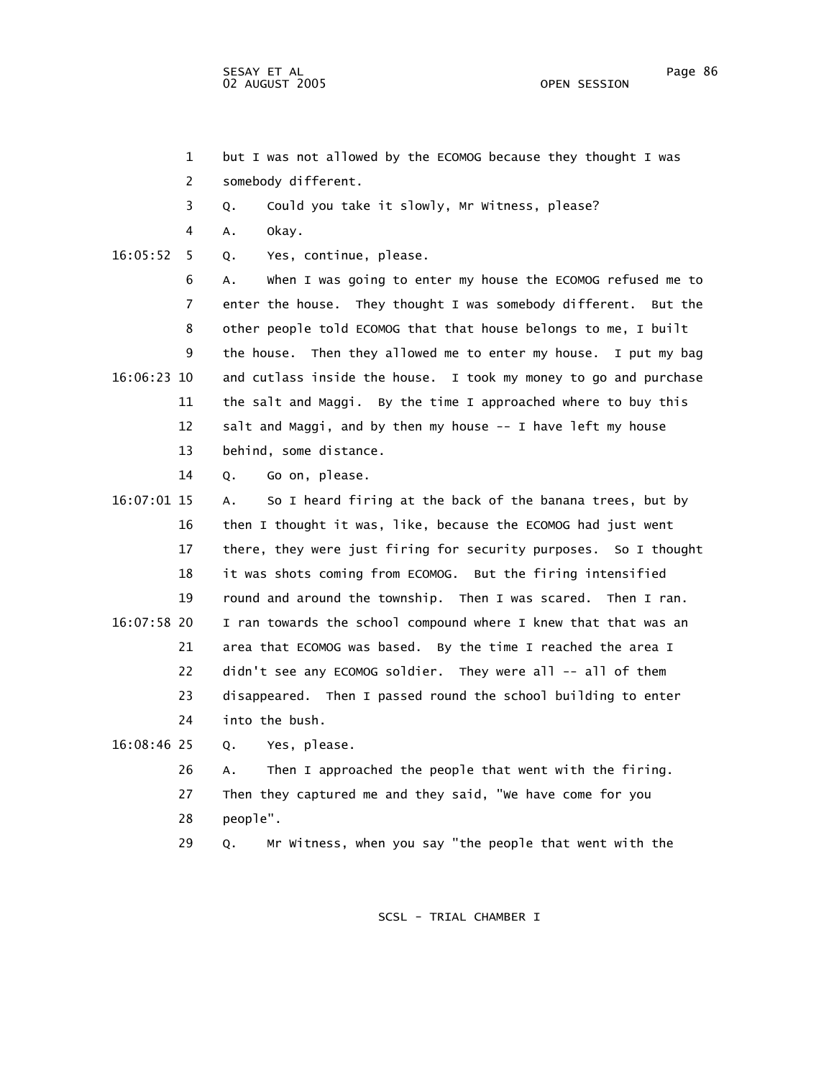- 
- 1 but I was not allowed by the ECOMOG because they thought I was
- 2 somebody different.
- 3 Q. Could you take it slowly, Mr Witness, please?
- 4 A. Okay.
- 16:05:52 5 Q. Yes, continue, please.

 6 A. When I was going to enter my house the ECOMOG refused me to 7 enter the house. They thought I was somebody different. But the 8 other people told ECOMOG that that house belongs to me, I built 9 the house. Then they allowed me to enter my house. I put my bag 16:06:23 10 and cutlass inside the house. I took my money to go and purchase 11 the salt and Maggi. By the time I approached where to buy this 12 salt and Maggi, and by then my house -- I have left my house 13 behind, some distance.

- 14 Q. Go on, please.
- 16:07:01 15 A. So I heard firing at the back of the banana trees, but by 16 then I thought it was, like, because the ECOMOG had just went 17 there, they were just firing for security purposes. So I thought 18 it was shots coming from ECOMOG. But the firing intensified 19 round and around the township. Then I was scared. Then I ran. 16:07:58 20 I ran towards the school compound where I knew that that was an 21 area that ECOMOG was based. By the time I reached the area I 22 didn't see any ECOMOG soldier. They were all -- all of them 23 disappeared. Then I passed round the school building to enter 24 into the bush.
- 16:08:46 25 Q. Yes, please.
	- 26 A. Then I approached the people that went with the firing. 27 Then they captured me and they said, "We have come for you 28 people".
	- 29 Q. Mr Witness, when you say "the people that went with the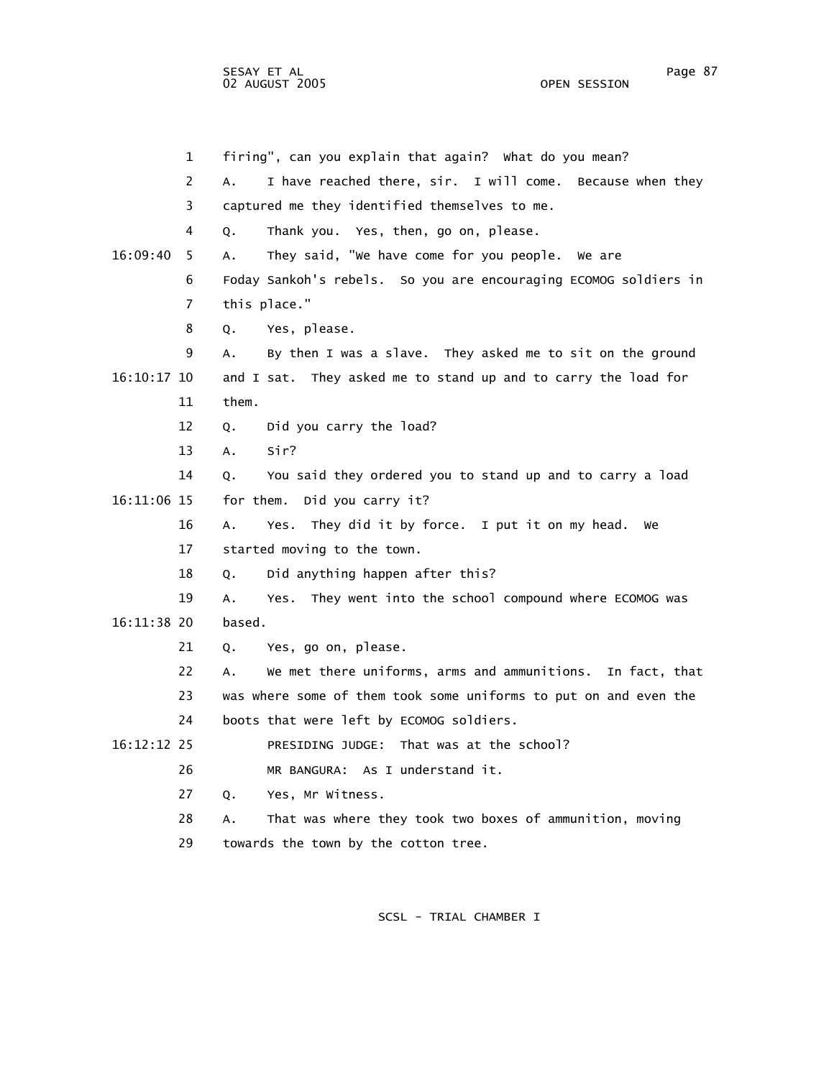SESAY ET AL Page 87 02 AUGUST 2005

 1 firing", can you explain that again? What do you mean? 2 A. I have reached there, sir. I will come. Because when they 3 captured me they identified themselves to me. 4 Q. Thank you. Yes, then, go on, please. 16:09:40 5 A. They said, "We have come for you people. We are 6 Foday Sankoh's rebels. So you are encouraging ECOMOG soldiers in 7 this place." 8 Q. Yes, please. 9 A. By then I was a slave. They asked me to sit on the ground 16:10:17 10 and I sat. They asked me to stand up and to carry the load for 11 them. 12 Q. Did you carry the load? 13 A. Sir? 14 Q. You said they ordered you to stand up and to carry a load 16:11:06 15 for them. Did you carry it? 16 A. Yes. They did it by force. I put it on my head. We 17 started moving to the town. 18 Q. Did anything happen after this? 19 A. Yes. They went into the school compound where ECOMOG was 16:11:38 20 based. 21 Q. Yes, go on, please. 22 A. We met there uniforms, arms and ammunitions. In fact, that 23 was where some of them took some uniforms to put on and even the 24 boots that were left by ECOMOG soldiers. 16:12:12 25 PRESIDING JUDGE: That was at the school? 26 MR BANGURA: As I understand it. 27 Q. Yes, Mr Witness. 28 A. That was where they took two boxes of ammunition, moving

29 towards the town by the cotton tree.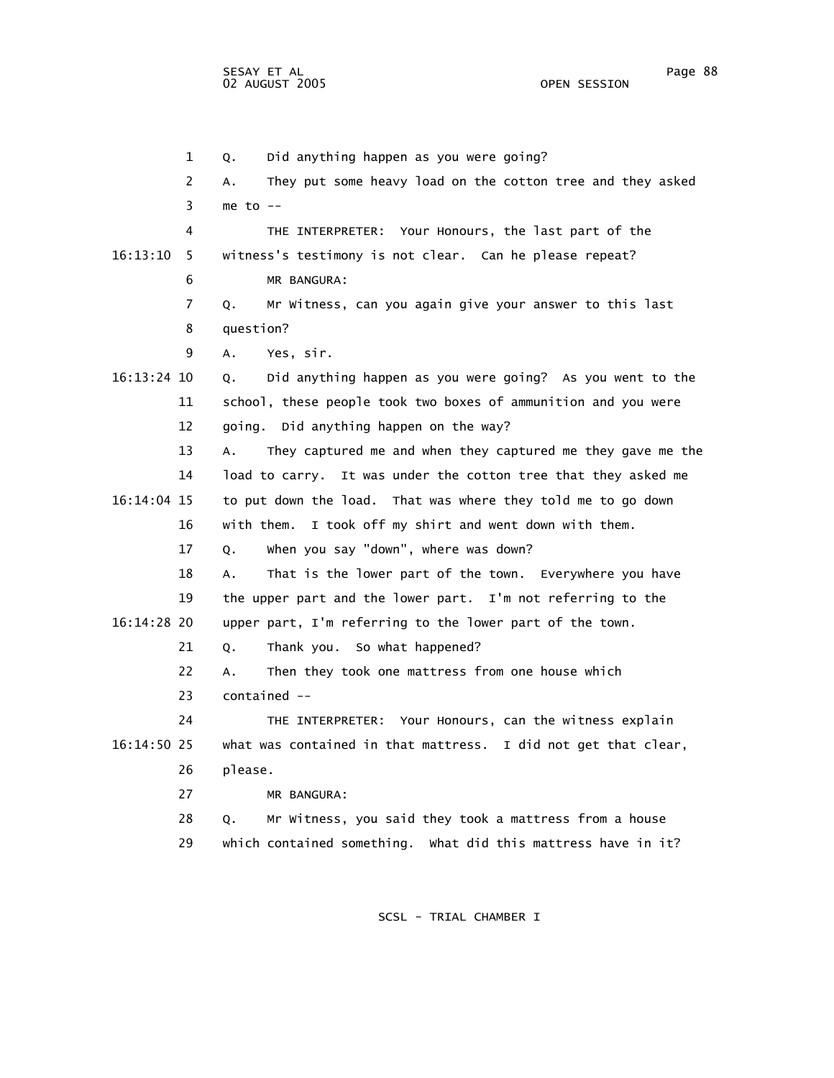1 Q. Did anything happen as you were going? 2 A. They put some heavy load on the cotton tree and they asked  $3$  me to  $-$  4 THE INTERPRETER: Your Honours, the last part of the 16:13:10 5 witness's testimony is not clear. Can he please repeat? 6 MR BANGURA: 7 Q. Mr Witness, can you again give your answer to this last 8 question? 9 A. Yes, sir. 16:13:24 10 Q. Did anything happen as you were going? As you went to the 11 school, these people took two boxes of ammunition and you were 12 going. Did anything happen on the way? 13 A. They captured me and when they captured me they gave me the 14 load to carry. It was under the cotton tree that they asked me 16:14:04 15 to put down the load. That was where they told me to go down 16 with them. I took off my shirt and went down with them. 17 Q. When you say "down", where was down? 18 A. That is the lower part of the town. Everywhere you have 19 the upper part and the lower part. I'm not referring to the 16:14:28 20 upper part, I'm referring to the lower part of the town. 21 Q. Thank you. So what happened? 22 A. Then they took one mattress from one house which 23 contained -- 24 THE INTERPRETER: Your Honours, can the witness explain 16:14:50 25 what was contained in that mattress. I did not get that clear, 26 please. 27 MR BANGURA: 28 Q. Mr Witness, you said they took a mattress from a house 29 which contained something. What did this mattress have in it?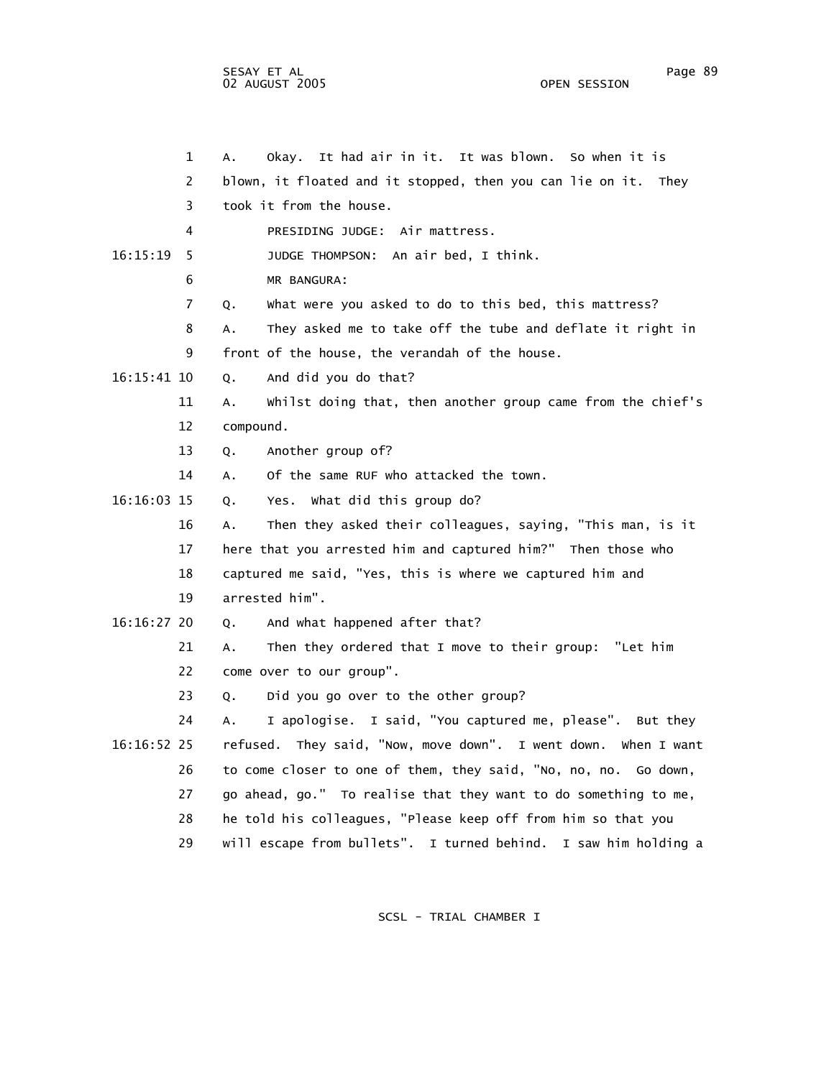|             | $\mathbf 1$ | Okay. It had air in it. It was blown. So when it is<br>А.         |
|-------------|-------------|-------------------------------------------------------------------|
|             | 2           | blown, it floated and it stopped, then you can lie on it. They    |
|             | 3           | took it from the house.                                           |
|             | 4           | PRESIDING JUDGE: Air mattress.                                    |
| 16:15:19    | 5           | JUDGE THOMPSON: An air bed, I think.                              |
|             | 6           | MR BANGURA:                                                       |
|             | 7           | What were you asked to do to this bed, this mattress?<br>Q.       |
|             | 8           | They asked me to take off the tube and deflate it right in<br>А.  |
|             | 9           | front of the house, the verandah of the house.                    |
| 16:15:41 10 |             | And did you do that?<br>Q.                                        |
|             | 11          | whilst doing that, then another group came from the chief's<br>Α. |
|             | 12          | compound.                                                         |
|             | 13          | Another group of?<br>Q.                                           |
|             | 14          | Of the same RUF who attacked the town.<br>A.                      |
| 16:16:03 15 |             | Yes. What did this group do?<br>Q.                                |
|             | 16          | Then they asked their colleagues, saying, "This man, is it<br>А.  |
|             | 17          | here that you arrested him and captured him?" Then those who      |
|             | 18          | captured me said, "Yes, this is where we captured him and         |
|             | 19          | arrested him".                                                    |
| 16:16:27 20 |             | And what happened after that?<br>Q.                               |
|             | 21          | Then they ordered that I move to their group: "Let him<br>А.      |
|             | 22          | come over to our group".                                          |
|             | 23          | Did you go over to the other group?<br>Q.                         |
|             | 24          | I apologise. I said, "You captured me, please". But they<br>А.    |
| 16:16:52 25 |             | refused. They said, "Now, move down". I went down. When I want    |
|             | 26          | to come closer to one of them, they said, "No, no, no. Go down,   |
|             | 27          | go ahead, go." To realise that they want to do something to me,   |
|             | 28          | he told his colleagues, "Please keep off from him so that you     |
|             | 29          | will escape from bullets". I turned behind. I saw him holding a   |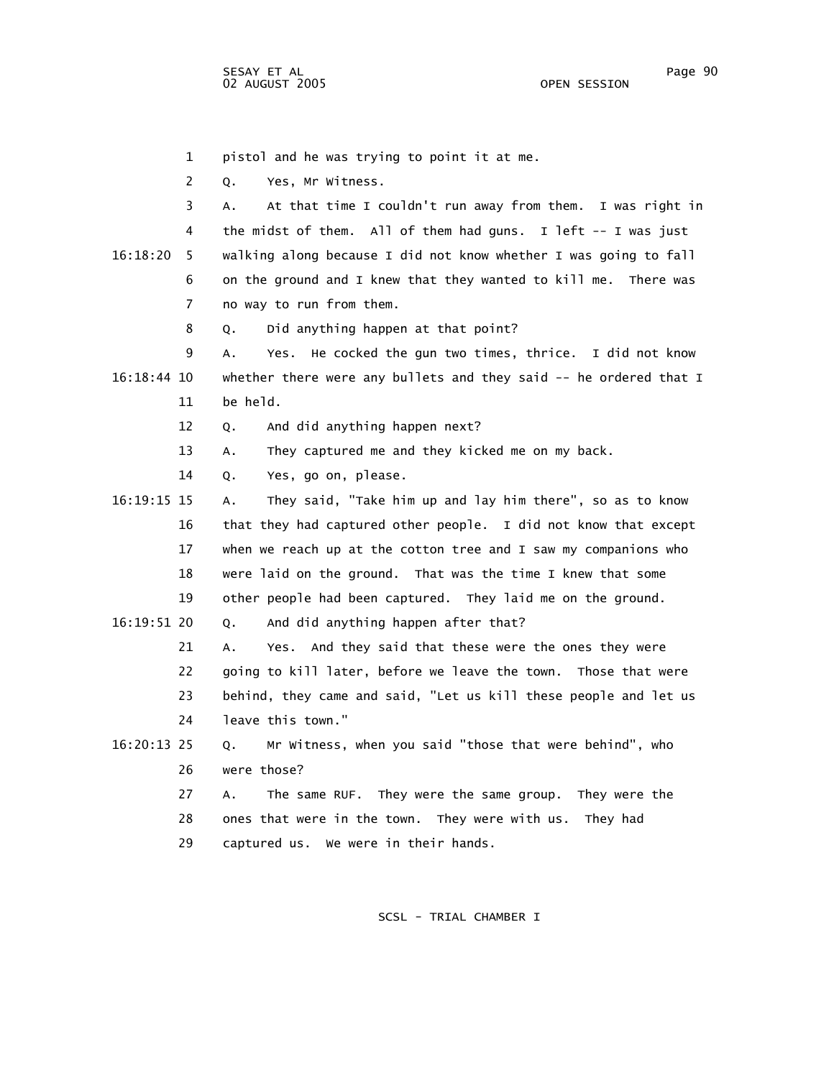1 pistol and he was trying to point it at me.

2 Q. Yes, Mr Witness.

 3 A. At that time I couldn't run away from them. I was right in 4 the midst of them. All of them had guns. I left -- I was just 16:18:20 5 walking along because I did not know whether I was going to fall 6 on the ground and I knew that they wanted to kill me. There was 7 no way to run from them.

8 Q. Did anything happen at that point?

 9 A. Yes. He cocked the gun two times, thrice. I did not know 16:18:44 10 whether there were any bullets and they said -- he ordered that I 11 be held.

12 Q. And did anything happen next?

13 A. They captured me and they kicked me on my back.

14 Q. Yes, go on, please.

 16:19:15 15 A. They said, "Take him up and lay him there", so as to know 16 that they had captured other people. I did not know that except 17 when we reach up at the cotton tree and I saw my companions who 18 were laid on the ground. That was the time I knew that some 19 other people had been captured. They laid me on the ground.

16:19:51 20 Q. And did anything happen after that?

 21 A. Yes. And they said that these were the ones they were 22 going to kill later, before we leave the town. Those that were

 23 behind, they came and said, "Let us kill these people and let us 24 leave this town."

 16:20:13 25 Q. Mr Witness, when you said "those that were behind", who 26 were those?

> 27 A. The same RUF. They were the same group. They were the 28 ones that were in the town. They were with us. They had 29 captured us. We were in their hands.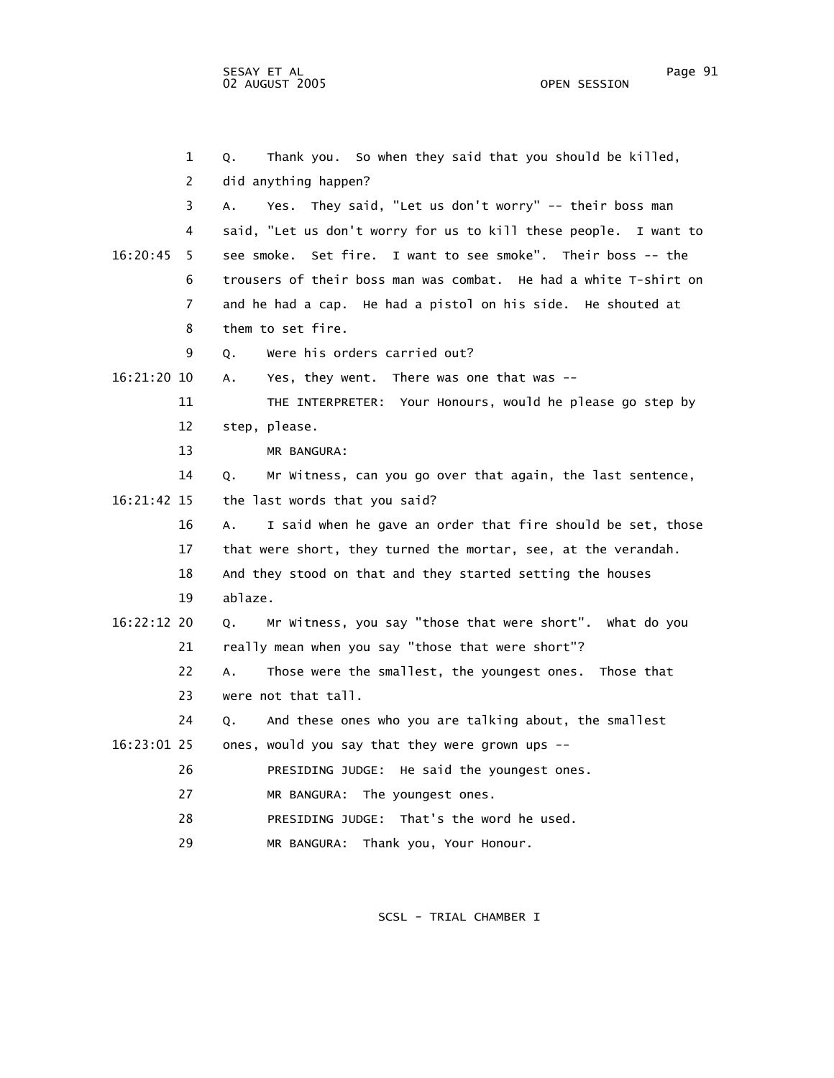1 Q. Thank you. So when they said that you should be killed, 2 did anything happen? 3 A. Yes. They said, "Let us don't worry" -- their boss man 4 said, "Let us don't worry for us to kill these people. I want to 16:20:45 5 see smoke. Set fire. I want to see smoke". Their boss -- the 6 trousers of their boss man was combat. He had a white T-shirt on 7 and he had a cap. He had a pistol on his side. He shouted at 8 them to set fire. 9 Q. Were his orders carried out? 16:21:20 10 A. Yes, they went. There was one that was -- 11 THE INTERPRETER: Your Honours, would he please go step by 12 step, please. 13 MR BANGURA: 14 Q. Mr Witness, can you go over that again, the last sentence, 16:21:42 15 the last words that you said? 16 A. I said when he gave an order that fire should be set, those 17 that were short, they turned the mortar, see, at the verandah. 18 And they stood on that and they started setting the houses 19 ablaze. 16:22:12 20 Q. Mr Witness, you say "those that were short". What do you 21 really mean when you say "those that were short"? 22 A. Those were the smallest, the youngest ones. Those that 23 were not that tall. 24 Q. And these ones who you are talking about, the smallest 16:23:01 25 ones, would you say that they were grown ups -- 26 PRESIDING JUDGE: He said the youngest ones. 27 MR BANGURA: The youngest ones. 28 PRESIDING JUDGE: That's the word he used. 29 MR BANGURA: Thank you, Your Honour.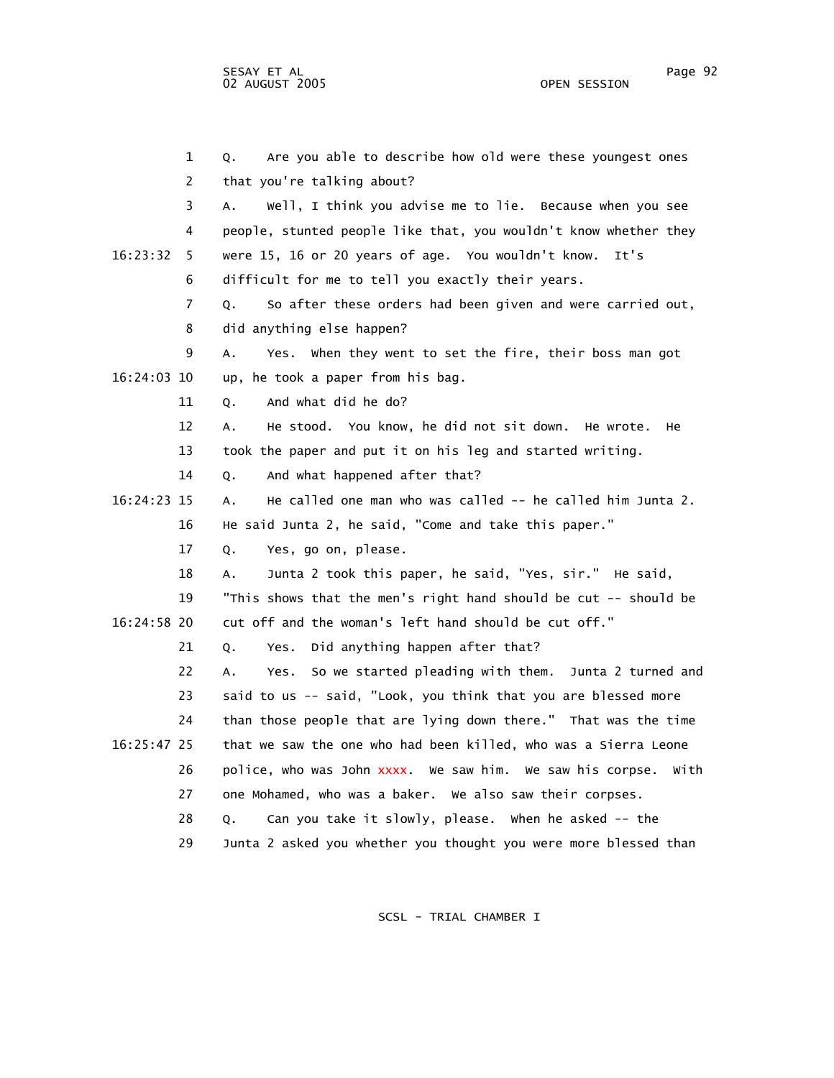| 1              | Are you able to describe how old were these youngest ones<br>Q.    |
|----------------|--------------------------------------------------------------------|
| $\overline{2}$ | that you're talking about?                                         |
| 3              | Well, I think you advise me to lie. Because when you see<br>А.     |
| 4              | people, stunted people like that, you wouldn't know whether they   |
| 16:23:32<br>5. | were 15, 16 or 20 years of age. You wouldn't know.<br>It's         |
| 6              | difficult for me to tell you exactly their years.                  |
| 7              | So after these orders had been given and were carried out,<br>Q.   |
| 8              | did anything else happen?                                          |
| 9              | Yes. When they went to set the fire, their boss man got<br>Α.      |
| 16:24:03 10    | up, he took a paper from his bag.                                  |
| 11             | And what did he do?<br>Q.                                          |
| 12             | He stood. You know, he did not sit down. He wrote.<br>А.<br>He.    |
| 13             | took the paper and put it on his leg and started writing.          |
| 14             | And what happened after that?<br>Q.                                |
| 16:24:23 15    | He called one man who was called -- he called him Junta 2.<br>А.   |
| 16             | He said Junta 2, he said, "Come and take this paper."              |
| 17             | Yes, go on, please.<br>Q.                                          |
| 18             | Junta 2 took this paper, he said, "Yes, sir." He said,<br>А.       |
| 19             | "This shows that the men's right hand should be cut -- should be   |
| 16:24:58 20    | cut off and the woman's left hand should be cut off."              |
| 21             | Did anything happen after that?<br>Yes.<br>Q.                      |
| 22             | So we started pleading with them. Junta 2 turned and<br>А.<br>Yes. |
| 23             | said to us -- said, "Look, you think that you are blessed more     |
| 24             | than those people that are lying down there." That was the time    |
| 16:25:47 25    | that we saw the one who had been killed, who was a Sierra Leone    |
| 26             | police, who was John xxxx. We saw him. We saw his corpse.<br>With  |
| 27             | one Mohamed, who was a baker. We also saw their corpses.           |
| 28             | Can you take it slowly, please. When he asked -- the<br>Q.         |
| 29             | Junta 2 asked you whether you thought you were more blessed than   |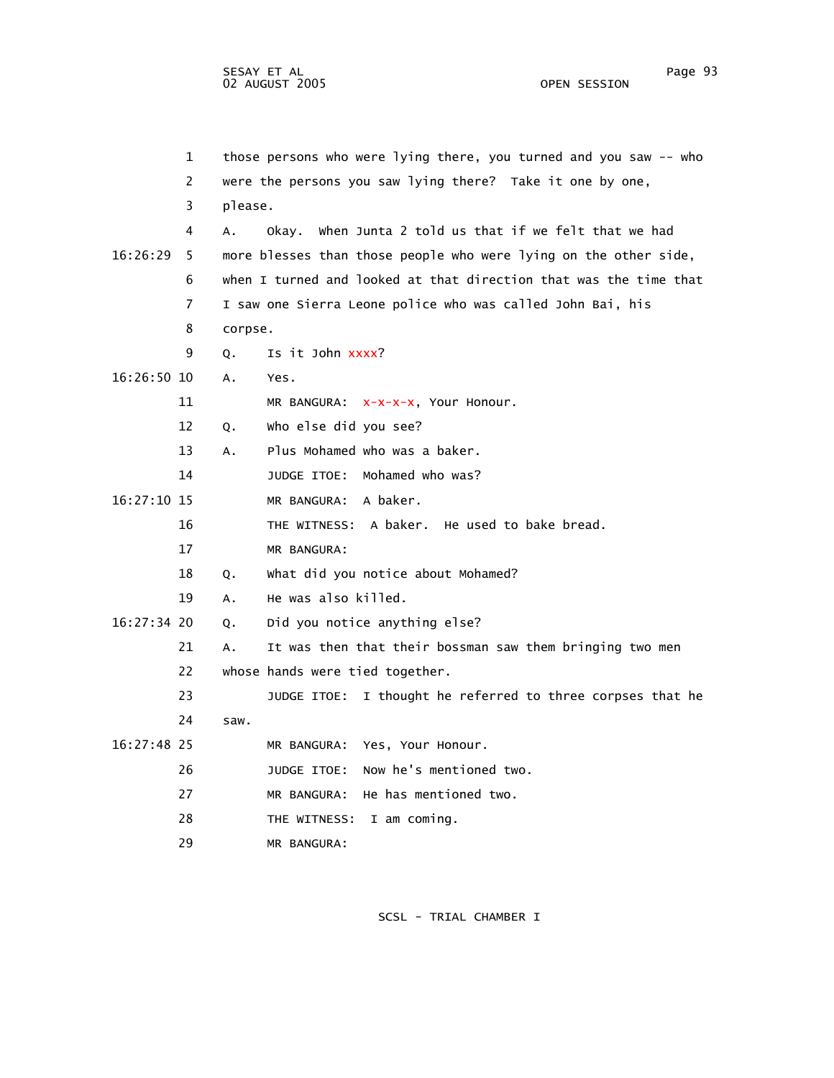1 those persons who were lying there, you turned and you saw -- who 2 were the persons you saw lying there? Take it one by one, 3 please. 4 A. Okay. When Junta 2 told us that if we felt that we had 16:26:29 5 more blesses than those people who were lying on the other side, 6 when I turned and looked at that direction that was the time that 7 I saw one Sierra Leone police who was called John Bai, his 8 corpse. 9 Q. Is it John xxxx? 16:26:50 10 A. Yes. 11 MR BANGURA: x-x-x-x, Your Honour. 12 Q. Who else did you see? 13 A. Plus Mohamed who was a baker. 14 JUDGE ITOE: Mohamed who was? 16:27:10 15 MR BANGURA: A baker. 16 THE WITNESS: A baker. He used to bake bread. 17 MR BANGURA: 18 Q. What did you notice about Mohamed? 19 A. He was also killed. 16:27:34 20 Q. Did you notice anything else? 21 A. It was then that their bossman saw them bringing two men 22 whose hands were tied together. 23 JUDGE ITOE: I thought he referred to three corpses that he 24 saw. 16:27:48 25 MR BANGURA: Yes, Your Honour. 26 JUDGE ITOE: Now he's mentioned two. 27 MR BANGURA: He has mentioned two. 28 THE WITNESS: I am coming. 29 MR BANGURA: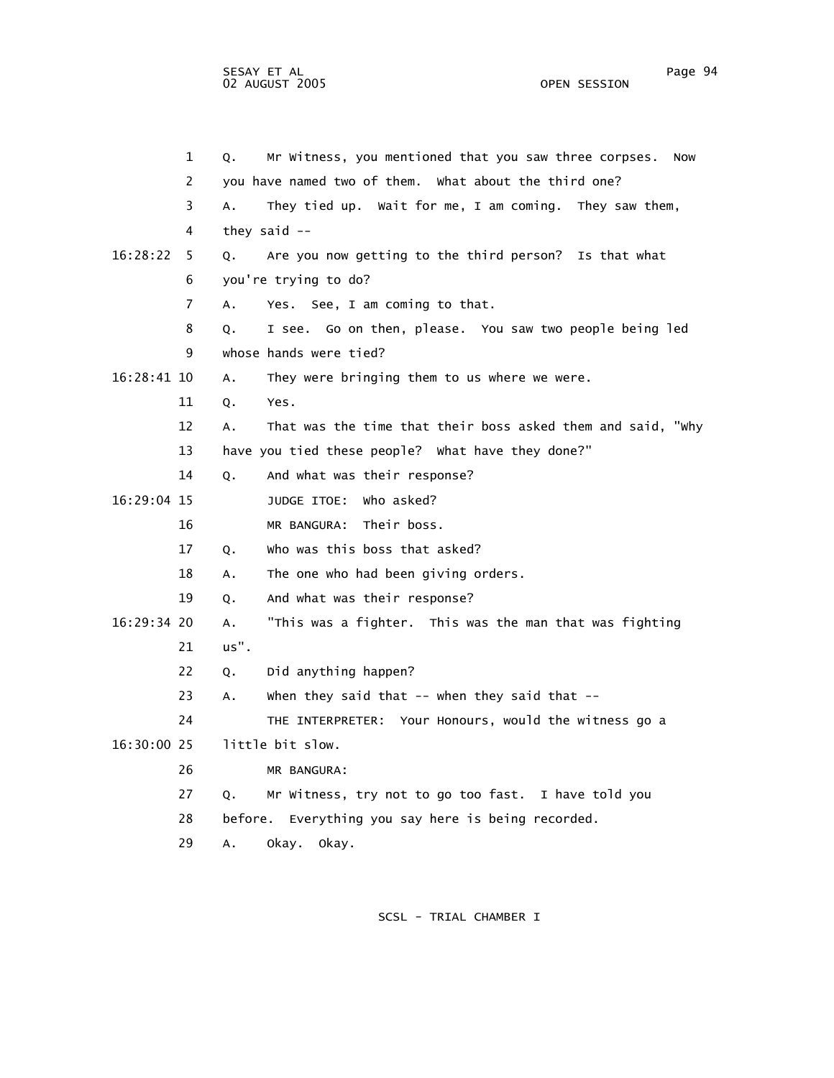1 Q. Mr Witness, you mentioned that you saw three corpses. Now 2 you have named two of them. What about the third one? 3 A. They tied up. Wait for me, I am coming. They saw them, 4 they said -- 16:28:22 5 Q. Are you now getting to the third person? Is that what 6 you're trying to do? 7 A. Yes. See, I am coming to that. 8 Q. I see. Go on then, please. You saw two people being led 9 whose hands were tied? 16:28:41 10 A. They were bringing them to us where we were. 11 Q. Yes. 12 A. That was the time that their boss asked them and said, "Why 13 have you tied these people? What have they done?" 14 Q. And what was their response? 16:29:04 15 JUDGE ITOE: Who asked? 16 MR BANGURA: Their boss. 17 Q. Who was this boss that asked? 18 A. The one who had been giving orders. 19 Q. And what was their response? 16:29:34 20 A. "This was a fighter. This was the man that was fighting 21 us". 22 Q. Did anything happen? 23 A. When they said that -- when they said that -- 24 THE INTERPRETER: Your Honours, would the witness go a 16:30:00 25 little bit slow. 26 MR BANGURA: 27 Q. Mr Witness, try not to go too fast. I have told you 28 before. Everything you say here is being recorded. 29 A. Okay. Okay.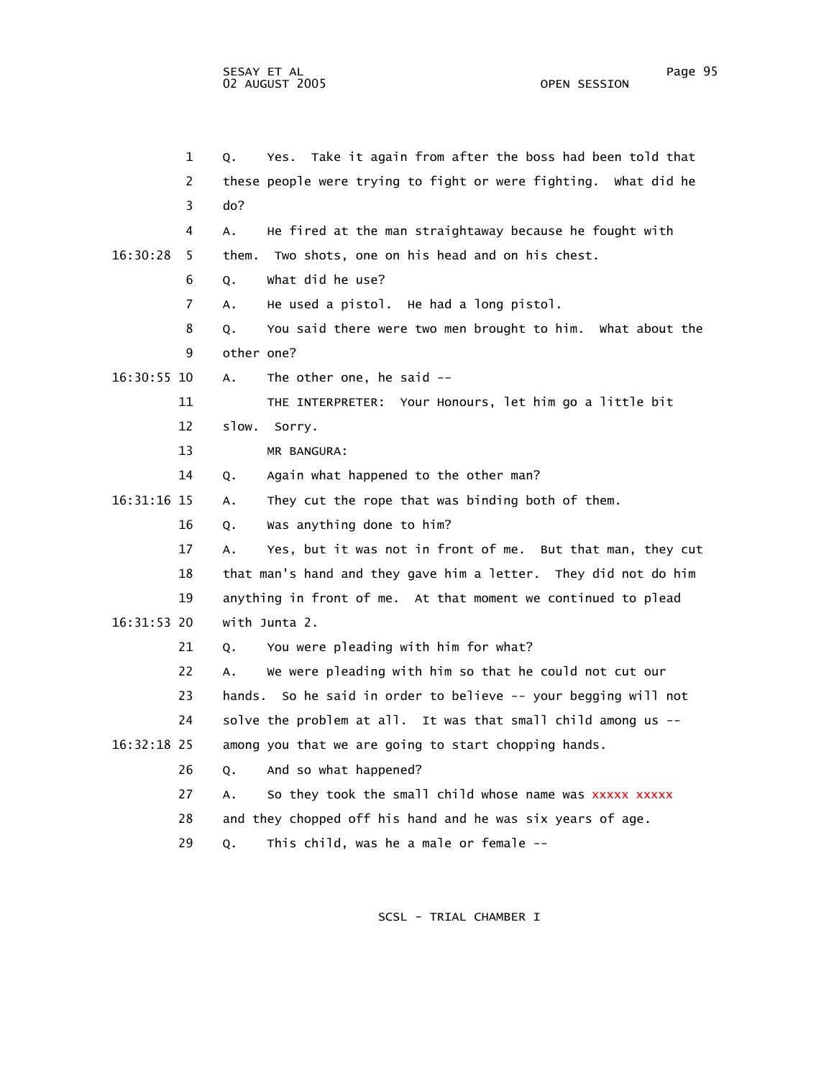|             | $\mathbf 1$ | Take it again from after the boss had been told that<br>Q.<br>Yes. |
|-------------|-------------|--------------------------------------------------------------------|
|             | 2           | these people were trying to fight or were fighting. What did he    |
|             | 3           | do?                                                                |
|             | 4           | He fired at the man straightaway because he fought with<br>А.      |
| 16:30:28    | 5.          | Two shots, one on his head and on his chest.<br>them.              |
|             | 6           | what did he use?<br>Q.                                             |
|             | 7           | He used a pistol. He had a long pistol.<br>Α.                      |
|             | 8           | You said there were two men brought to him. What about the<br>Q.   |
|             | 9           | other one?                                                         |
| 16:30:55 10 |             | The other one, he said --<br>А.                                    |
|             | 11          | THE INTERPRETER: Your Honours, let him go a little bit             |
|             | 12          | slow.<br>Sorry.                                                    |
|             | 13          | MR BANGURA:                                                        |
|             | 14          | Again what happened to the other man?<br>Q.                        |
| 16:31:16 15 |             | They cut the rope that was binding both of them.<br>А.             |
|             | 16          | Was anything done to him?<br>Q.                                    |
|             | 17          | Yes, but it was not in front of me. But that man, they cut<br>А.   |
|             | 18          | that man's hand and they gave him a letter. They did not do him    |
|             | 19          | anything in front of me. At that moment we continued to plead      |
| 16:31:53 20 |             | with Junta 2.                                                      |
|             | 21          | You were pleading with him for what?<br>Q.                         |
|             | 22          | We were pleading with him so that he could not cut our<br>Α.       |
|             | 23          | So he said in order to believe -- your begging will not<br>hands.  |
|             | 24          | solve the problem at all. It was that small child among us --      |
| 16:32:18 25 |             | among you that we are going to start chopping hands.               |
|             | 26          | And so what happened?<br>Q.                                        |
|             | 27          | So they took the small child whose name was xxxxx xxxxx<br>А.      |
|             | 28          | and they chopped off his hand and he was six years of age.         |
|             | 29          | This child, was he a male or female --<br>Q.                       |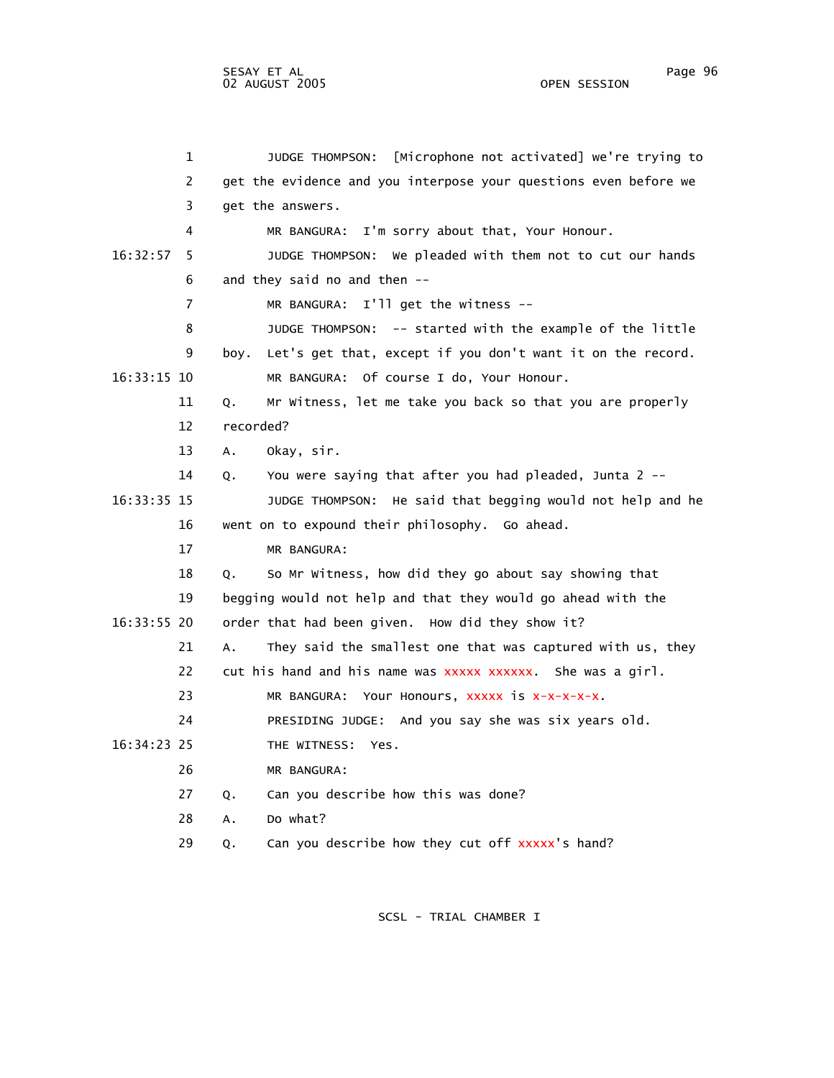|             | 1              |           | [Microphone not activated] we're trying to<br>JUDGE THOMPSON:    |
|-------------|----------------|-----------|------------------------------------------------------------------|
|             | 2              |           | get the evidence and you interpose your questions even before we |
|             | 3              |           | get the answers.                                                 |
|             | 4              |           | MR BANGURA: I'm sorry about that, Your Honour.                   |
| 16:32:57    | 5              |           | We pleaded with them not to cut our hands<br>JUDGE THOMPSON:     |
|             | 6              |           | and they said no and then --                                     |
|             | $\overline{7}$ |           | MR BANGURA: I'll get the witness --                              |
|             | 8              |           | JUDGE THOMPSON: -- started with the example of the little        |
|             | 9              | boy.      | Let's get that, except if you don't want it on the record.       |
| 16:33:15 10 |                |           | MR BANGURA: Of course I do, Your Honour.                         |
|             | 11             | Q.        | Mr Witness, let me take you back so that you are properly        |
|             | 12             | recorded? |                                                                  |
|             | 13             | А.        | Okay, sir.                                                       |
|             | 14             | Q.        | You were saying that after you had pleaded, Junta 2 --           |
| 16:33:35 15 |                |           | JUDGE THOMPSON: He said that begging would not help and he       |
|             | 16             |           | went on to expound their philosophy. Go ahead.                   |
|             | 17             |           | MR BANGURA:                                                      |
|             | 18             | Q.        | So Mr Witness, how did they go about say showing that            |
|             | 19             |           | begging would not help and that they would go ahead with the     |
| 16:33:55 20 |                |           | order that had been given. How did they show it?                 |
|             | 21             | А.        | They said the smallest one that was captured with us, they       |
|             | 22             |           | cut his hand and his name was xxxxx xxxxxx. She was a girl.      |
|             | 23             |           | MR BANGURA: Your Honours, XXXXX is X-X-X-X-X.                    |
|             | 24             |           | PRESIDING JUDGE: And you say she was six years old.              |
| 16:34:23 25 |                |           | THE WITNESS: Yes.                                                |
|             | 26             |           | MR BANGURA:                                                      |
|             | 27             | Q.        | Can you describe how this was done?                              |
|             | 28             | А.        | Do what?                                                         |
|             |                |           |                                                                  |

SCSL - TRIAL CHAMBER I

29 Q. Can you describe how they cut off xxxxx's hand?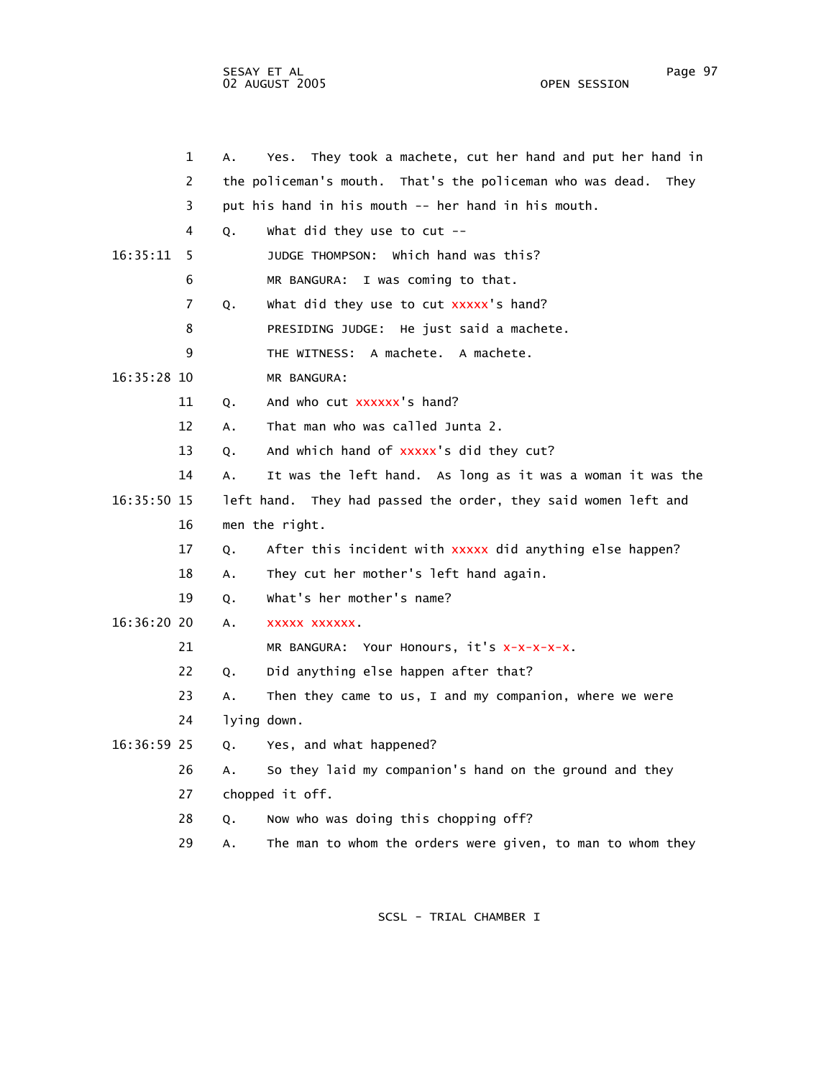sesay et al. International and the second service of the service of the service of the service of the service o 02 AUGUST 2005 OPEN SESSION

|               | $\mathbf 1$ | А. | They took a machete, cut her hand and put her hand in<br>Yes.     |
|---------------|-------------|----|-------------------------------------------------------------------|
|               | 2           |    | the policeman's mouth. That's the policeman who was dead.<br>They |
|               | 3           |    | put his hand in his mouth -- her hand in his mouth.               |
|               | 4           | Q. | What did they use to $cut$ --                                     |
| 16:35:11      | 5           |    | JUDGE THOMPSON: Which hand was this?                              |
|               | 6           |    | MR BANGURA: I was coming to that.                                 |
|               | 7           | Q. | what did they use to cut xxxxx's hand?                            |
|               | 8           |    | PRESIDING JUDGE: He just said a machete.                          |
|               | 9           |    | THE WITNESS: A machete. A machete.                                |
| 16:35:28 10   |             |    | MR BANGURA:                                                       |
|               | 11          | Q. | And who cut xxxxxx's hand?                                        |
|               | 12          | А. | That man who was called Junta 2.                                  |
|               | 13          | Q. | And which hand of xxxxx's did they cut?                           |
|               | 14          | Α. | It was the left hand. As long as it was a woman it was the        |
| $16:35:50$ 15 |             |    | left hand. They had passed the order, they said women left and    |
|               | 16          |    | men the right.                                                    |
|               | 17          | Q. | After this incident with xxxxx did anything else happen?          |
|               | 18          | A. | They cut her mother's left hand again.                            |
|               | 19          | Q. | what's her mother's name?                                         |
| 16:36:20 20   |             | А. | XXXXX XXXXXX.                                                     |
|               | 21          |    | MR BANGURA: Your Honours, it's x-x-x-x-x.                         |
|               | 22          | Q. | Did anything else happen after that?                              |
|               | 23          | Α. | Then they came to us, I and my companion, where we were           |
|               | 24          |    | lying down.                                                       |
| $16:36:59$ 25 |             | Q. | Yes, and what happened?                                           |
|               | 26          | А. | So they laid my companion's hand on the ground and they           |
|               | 27          |    | chopped it off.                                                   |
|               | 28          | Q. | Now who was doing this chopping off?                              |
|               |             |    |                                                                   |

29 A. The man to whom the orders were given, to man to whom they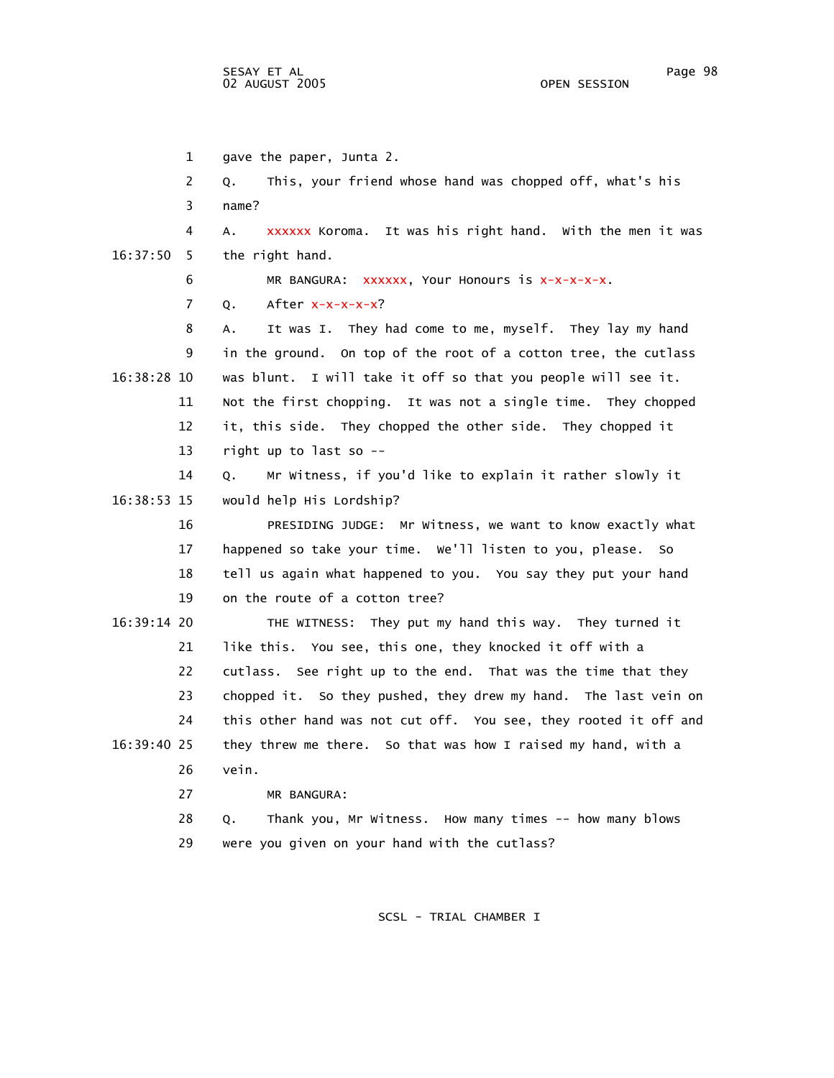1 gave the paper, Junta 2. 2 Q. This, your friend whose hand was chopped off, what's his 3 name? 4 A. xxxxxx Koroma. It was his right hand. With the men it was 16:37:50 5 the right hand.  $6$  MR BANGURA:  $xxxxxx$ , Your Honours is  $x-x-x-x$ . 7 Q. After x-x-x-x-x? 8 A. It was I. They had come to me, myself. They lay my hand 9 in the ground. On top of the root of a cotton tree, the cutlass 16:38:28 10 was blunt. I will take it off so that you people will see it. 11 Not the first chopping. It was not a single time. They chopped 12 it, this side. They chopped the other side. They chopped it 13 right up to last so -- 14 Q. Mr Witness, if you'd like to explain it rather slowly it 16:38:53 15 would help His Lordship? 16 PRESIDING JUDGE: Mr Witness, we want to know exactly what 17 happened so take your time. We'll listen to you, please. So 18 tell us again what happened to you. You say they put your hand 19 on the route of a cotton tree? 16:39:14 20 THE WITNESS: They put my hand this way. They turned it 21 like this. You see, this one, they knocked it off with a 22 cutlass. See right up to the end. That was the time that they 23 chopped it. So they pushed, they drew my hand. The last vein on 24 this other hand was not cut off. You see, they rooted it off and 16:39:40 25 they threw me there. So that was how I raised my hand, with a 26 vein. 27 MR BANGURA: 28 Q. Thank you, Mr Witness. How many times -- how many blows 29 were you given on your hand with the cutlass?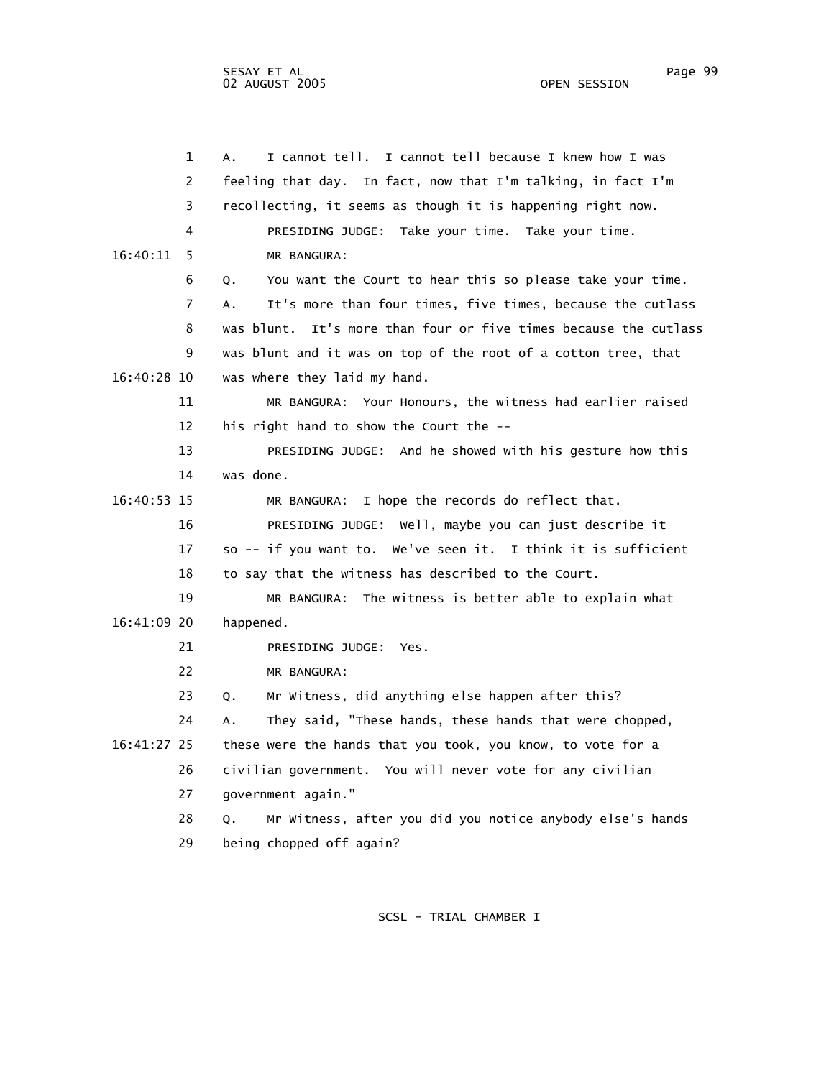|             | $\mathbf 1$    | I cannot tell.<br>I cannot tell because I knew how I was<br>А.   |
|-------------|----------------|------------------------------------------------------------------|
|             | 2              | feeling that day. In fact, now that I'm talking, in fact I'm     |
|             | 3              | recollecting, it seems as though it is happening right now.      |
|             | 4              | PRESIDING JUDGE: Take your time. Take your time.                 |
| 16:40:11    | 5              | MR BANGURA:                                                      |
|             | 6              | You want the Court to hear this so please take your time.<br>Q.  |
|             | $\overline{7}$ | It's more than four times, five times, because the cutlass<br>А. |
|             | 8              | was blunt. It's more than four or five times because the cutlass |
|             | 9              | was blunt and it was on top of the root of a cotton tree, that   |
| 16:40:28 10 |                | was where they laid my hand.                                     |
|             | 11             | MR BANGURA: Your Honours, the witness had earlier raised         |
|             | 12             | his right hand to show the Court the --                          |
|             | 13             | PRESIDING JUDGE: And he showed with his gesture how this         |
|             | 14             | was done.                                                        |
| 16:40:53 15 |                | MR BANGURA: I hope the records do reflect that.                  |
|             | 16             | PRESIDING JUDGE: Well, maybe you can just describe it            |
|             | 17             | so -- if you want to. We've seen it. I think it is sufficient    |
|             | 18             | to say that the witness has described to the Court.              |
|             | 19             | MR BANGURA: The witness is better able to explain what           |
| 16:41:09 20 |                | happened.                                                        |
|             | 21             | PRESIDING JUDGE: Yes.                                            |
|             | 22             | MR BANGURA:                                                      |
|             | 23             | Mr Witness, did anything else happen after this?<br>Q.           |
|             | 24             | They said, "These hands, these hands that were chopped,<br>Α.    |
| 16:41:27 25 |                | these were the hands that you took, you know, to vote for a      |
|             | 26             | civilian government. You will never vote for any civilian        |
|             | 27             | government again."                                               |
|             | 28             | Mr Witness, after you did you notice anybody else's hands<br>Q.  |
|             | 29             | being chopped off again?                                         |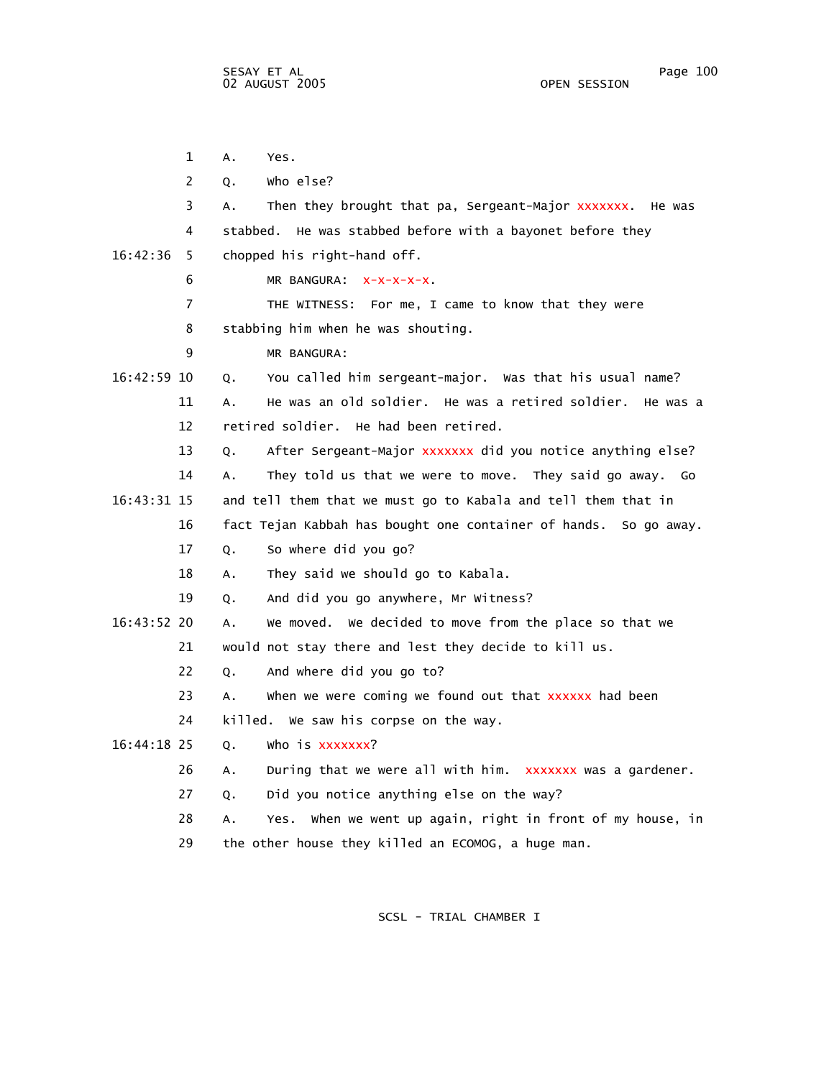1 A. Yes. 2 Q. Who else? 3 A. Then they brought that pa, Sergeant-Major xxxxxxx. He was 4 stabbed. He was stabbed before with a bayonet before they 16:42:36 5 chopped his right-hand off. 6 MR BANGURA:  $x-x-x-x$ . 7 THE WITNESS: For me, I came to know that they were 8 stabbing him when he was shouting. 9 MR BANGURA: 16:42:59 10 Q. You called him sergeant-major. Was that his usual name? 11 A. He was an old soldier. He was a retired soldier. He was a 12 retired soldier. He had been retired. 13 Q. After Sergeant-Major xxxxxxx did you notice anything else? 14 A. They told us that we were to move. They said go away. Go 16:43:31 15 and tell them that we must go to Kabala and tell them that in 16 fact Tejan Kabbah has bought one container of hands. So go away. 17 Q. So where did you go? 18 A. They said we should go to Kabala. 19 Q. And did you go anywhere, Mr Witness? 16:43:52 20 A. We moved. We decided to move from the place so that we 21 would not stay there and lest they decide to kill us. 22 Q. And where did you go to? 23 A. When we were coming we found out that xxxxxx had been 24 killed. We saw his corpse on the way.  $16:44:18$  25 0. 26  $\,$  A.  $\,$  During that we were all with him.  $\,$  xxxxxxx was a gardener. 27 Q. Did you notice anything else on the way? 28 A. Yes. When we went up again, right in front of my house, in 29 the other house they killed an ECOMOG, a huge man. who is xxxxxxx?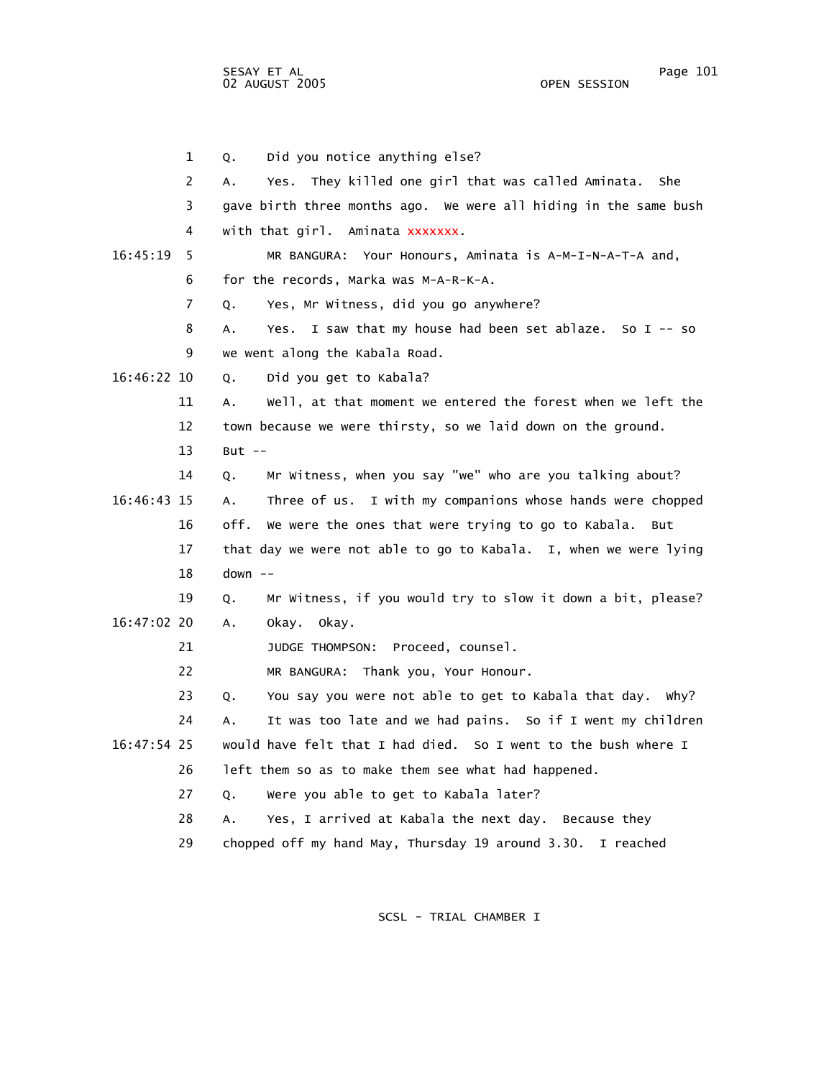SESAY ET AL Page 101 02 AUGUST 2005

 1 Q. Did you notice anything else? 2 A. Yes. They killed one girl that was called Aminata. She 3 gave birth three months ago. We were all hiding in the same bush 4 with that girl. Aminata xxxxxxx. 16:45:19 5 MR BANGURA: Your Honours, Aminata is A-M-I-N-A-T-A and, 6 for the records, Marka was M-A-R-K-A. 7 Q. Yes, Mr Witness, did you go anywhere? 8 A. Yes. I saw that my house had been set ablaze. So I -- so 9 we went along the Kabala Road. 16:46:22 10 Q. Did you get to Kabala? 11 A. Well, at that moment we entered the forest when we left the 12 town because we were thirsty, so we laid down on the ground. 13 But -- 14 Q. Mr Witness, when you say "we" who are you talking about? 16:46:43 15 A. Three of us. I with my companions whose hands were chopped 16 off. We were the ones that were trying to go to Kabala. But 17 that day we were not able to go to Kabala. I, when we were lying 18 down -- 19 Q. Mr Witness, if you would try to slow it down a bit, please? 16:47:02 20 A. Okay. Okay. 21 JUDGE THOMPSON: Proceed, counsel. 22 MR BANGURA: Thank you, Your Honour. 23 Q. You say you were not able to get to Kabala that day. Why? 24 A. It was too late and we had pains. So if I went my children 16:47:54 25 would have felt that I had died. So I went to the bush where I 26 left them so as to make them see what had happened. 27 Q. Were you able to get to Kabala later? 28 A. Yes, I arrived at Kabala the next day. Because they

SCSL - TRIAL CHAMBER I

29 chopped off my hand May, Thursday 19 around 3.30. I reached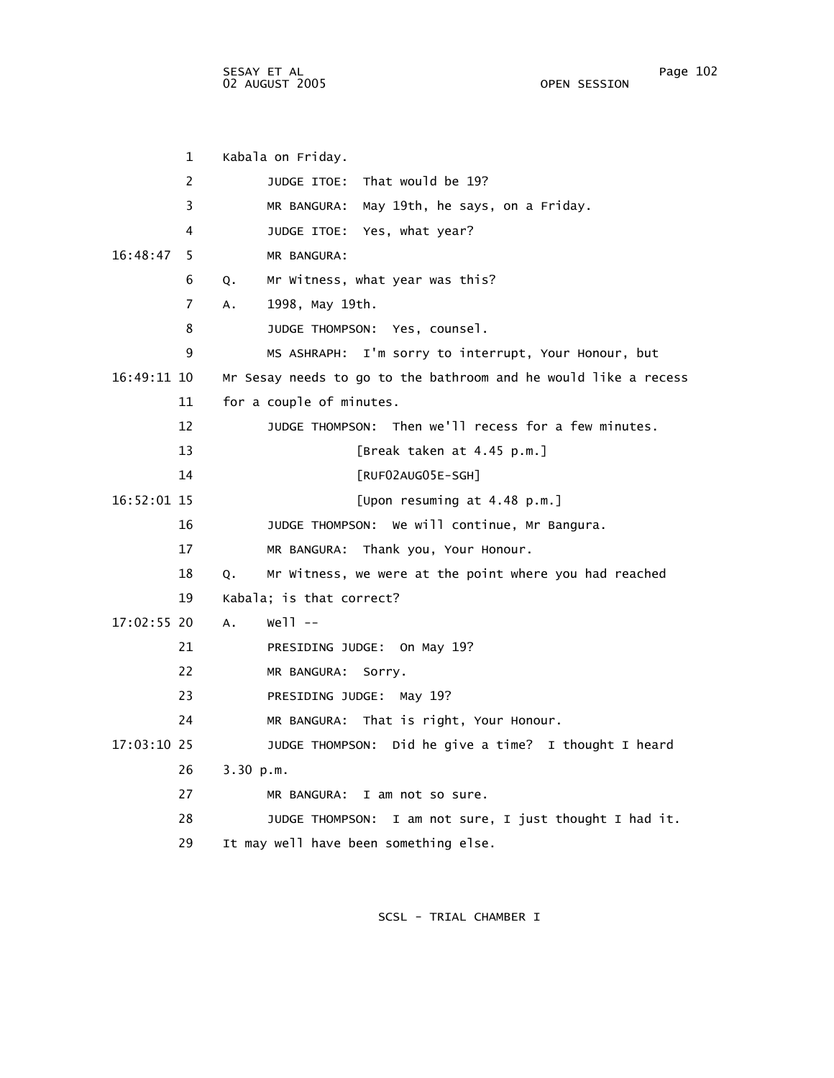SESAY ET AL Page 102 02 AUGUST 2005

 1 Kabala on Friday. 2 JUDGE ITOE: That would be 19? 3 MR BANGURA: May 19th, he says, on a Friday. 4 JUDGE ITOE: Yes, what year? 16:48:47 5 MR BANGURA: 6 Q. Mr Witness, what year was this? 7 A. 1998, May 19th. 8 JUDGE THOMPSON: Yes, counsel. 9 MS ASHRAPH: I'm sorry to interrupt, Your Honour, but 16:49:11 10 Mr Sesay needs to go to the bathroom and he would like a recess 11 for a couple of minutes. 12 JUDGE THOMPSON: Then we'll recess for a few minutes. 13 [Break taken at 4.45 p.m.] 14 [RUF02AUG05E-SGH] 16:52:01 15 [Upon resuming at 4.48 p.m.] 16 JUDGE THOMPSON: We will continue, Mr Bangura. 17 MR BANGURA: Thank you, Your Honour. 18 Q. Mr Witness, we were at the point where you had reached 19 Kabala; is that correct? 17:02:55 20 A. Well -- 21 PRESIDING JUDGE: On May 19? 22 MR BANGURA: Sorry. 23 PRESIDING JUDGE: May 19? 24 MR BANGURA: That is right, Your Honour. 17:03:10 25 JUDGE THOMPSON: Did he give a time? I thought I heard 26 3.30 p.m. 27 MR BANGURA: I am not so sure. 28 JUDGE THOMPSON: I am not sure, I just thought I had it. 29 It may well have been something else.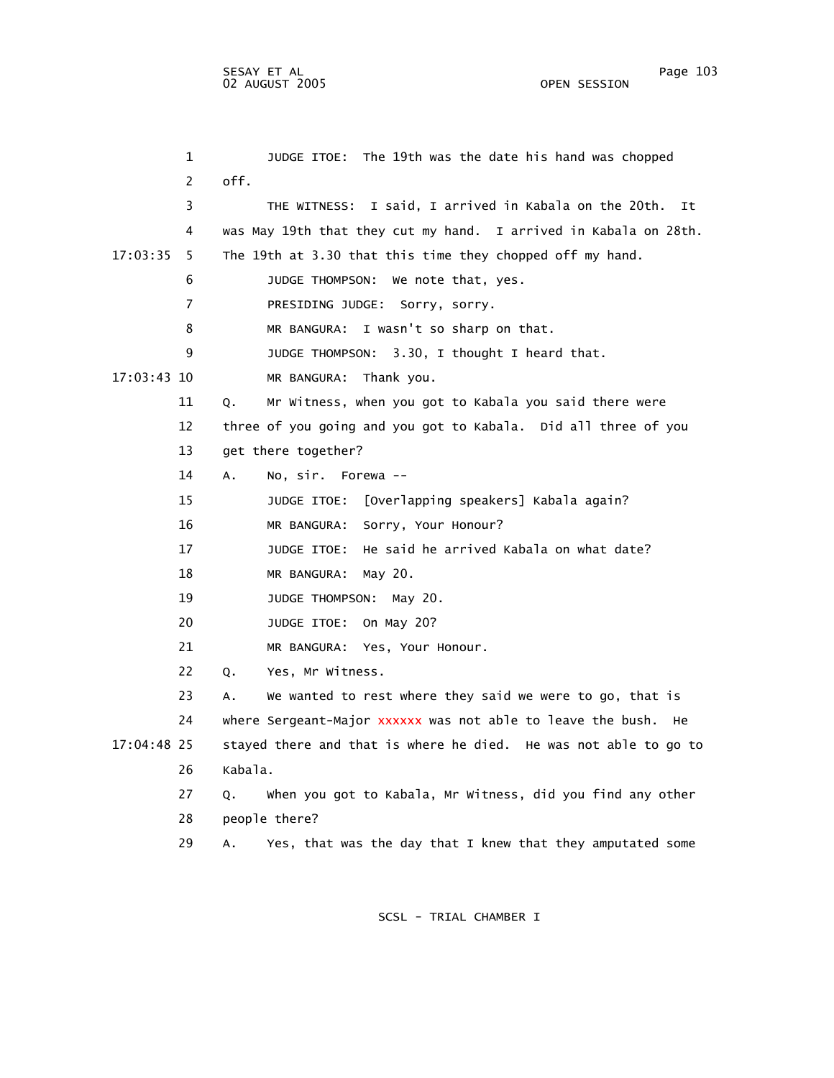1 JUDGE ITOE: The 19th was the date his hand was chopped 2 off. 3 THE WITNESS: I said, I arrived in Kabala on the 20th. It 4 was May 19th that they cut my hand. I arrived in Kabala on 28th. 17:03:35 5 The 19th at 3.30 that this time they chopped off my hand. 6 JUDGE THOMPSON: We note that, yes. 7 PRESIDING JUDGE: Sorry, sorry. 8 MR BANGURA: I wasn't so sharp on that. 9 JUDGE THOMPSON: 3.30, I thought I heard that. 17:03:43 10 MR BANGURA: Thank you. 11 Q. Mr Witness, when you got to Kabala you said there were 12 three of you going and you got to Kabala. Did all three of you 13 get there together? 14 A. No, sir. Forewa -- 15 JUDGE ITOE: [Overlapping speakers] Kabala again? 16 MR BANGURA: Sorry, Your Honour? 17 JUDGE ITOE: He said he arrived Kabala on what date? 18 MR BANGURA: May 20. 19 JUDGE THOMPSON: May 20. 20 JUDGE ITOE: On May 20? 21 MR BANGURA: Yes, Your Honour. 22 Q. Yes, Mr Witness. 23 A. We wanted to rest where they said we were to go, that is 24 where Sergeant-Major xxxxxx was not able to leave the bush. He 17:04:48 25 stayed there and that is where he died. He was not able to go to 26 Kabala. 27 Q. When you got to Kabala, Mr Witness, did you find any other 28 people there? 29 A. Yes, that was the day that I knew that they amputated some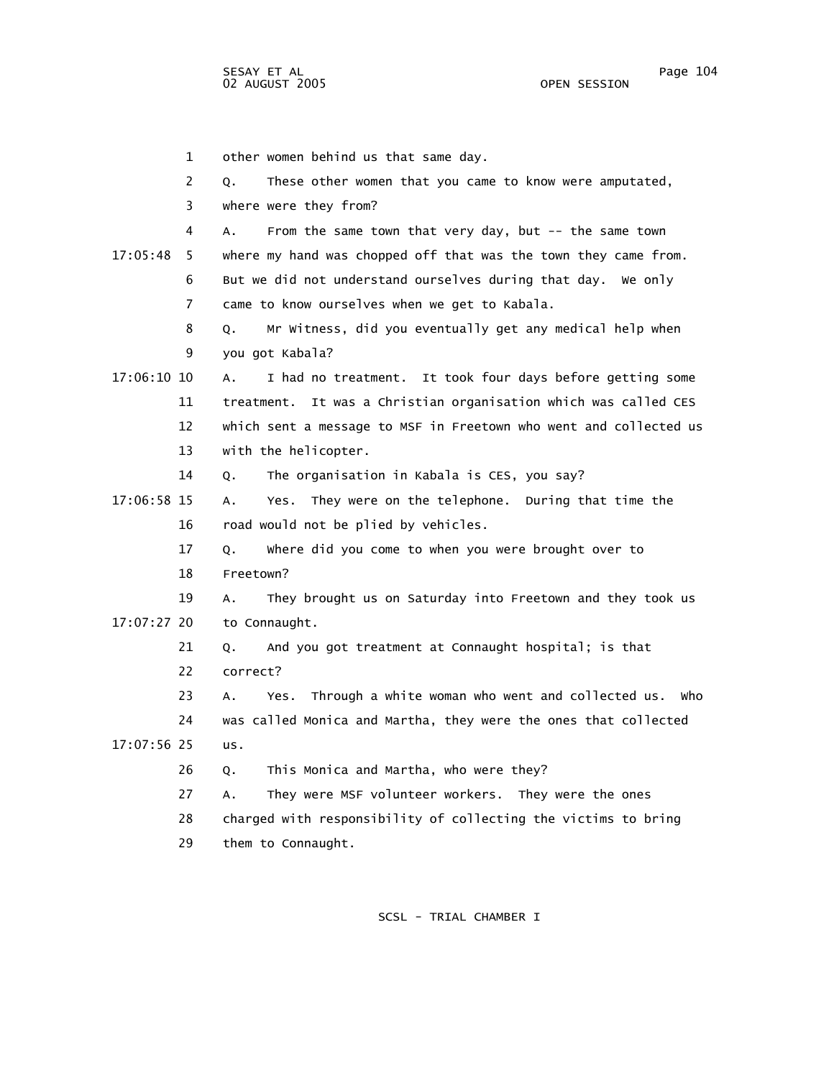1 other women behind us that same day. 2 Q. These other women that you came to know were amputated, 3 where were they from? 4 A. From the same town that very day, but -- the same town 17:05:48 5 where my hand was chopped off that was the town they came from. 6 But we did not understand ourselves during that day. We only 7 came to know ourselves when we get to Kabala. 8 Q. Mr Witness, did you eventually get any medical help when 9 you got Kabala? 17:06:10 10 A. I had no treatment. It took four days before getting some 11 treatment. It was a Christian organisation which was called CES 12 which sent a message to MSF in Freetown who went and collected us 13 with the helicopter. 14 Q. The organisation in Kabala is CES, you say? 17:06:58 15 A. Yes. They were on the telephone. During that time the 16 road would not be plied by vehicles. 17 Q. Where did you come to when you were brought over to 18 Freetown? 19 A. They brought us on Saturday into Freetown and they took us 17:07:27 20 to Connaught. 21 Q. And you got treatment at Connaught hospital; is that 22 correct? 23 A. Yes. Through a white woman who went and collected us. Who 24 was called Monica and Martha, they were the ones that collected 17:07:56 25 us. 26 Q. This Monica and Martha, who were they? 27 A. They were MSF volunteer workers. They were the ones 28 charged with responsibility of collecting the victims to bring 29 them to Connaught.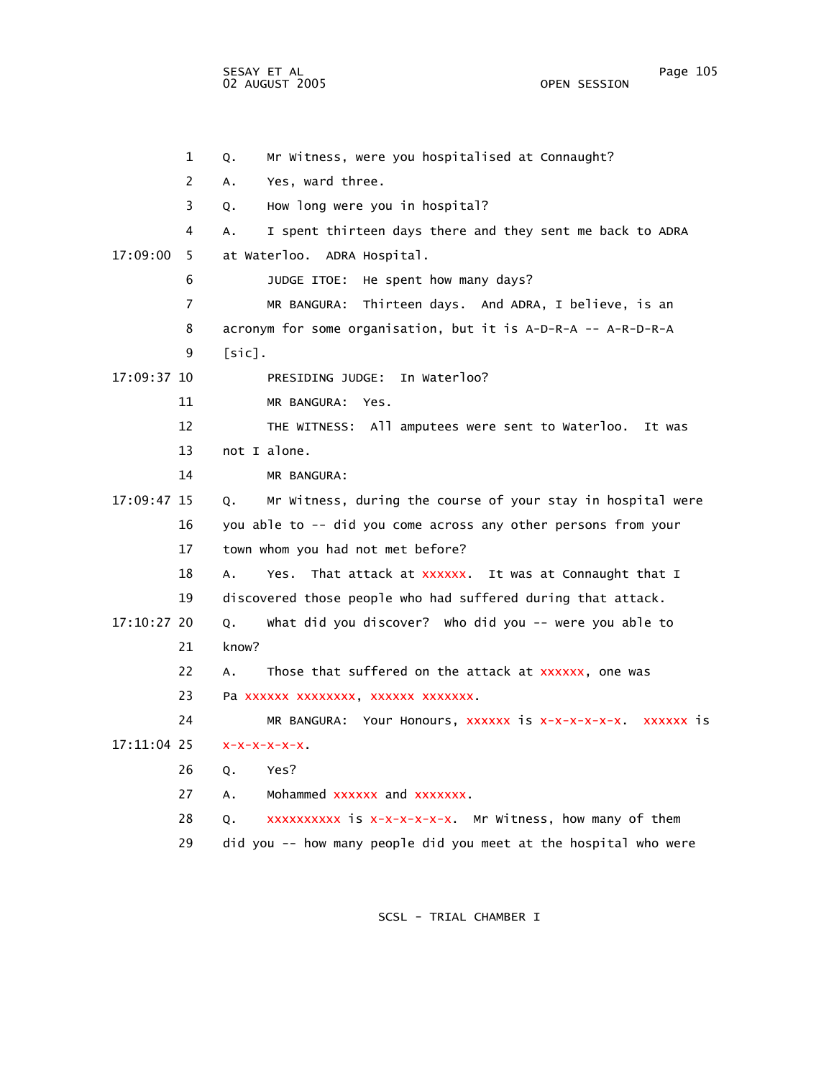SESAY ET AL Page 105 02 AUGUST 2005

 1 Q. Mr Witness, were you hospitalised at Connaught? 2 A. Yes, ward three. 3 Q. How long were you in hospital? 4 A. I spent thirteen days there and they sent me back to ADRA 17:09:00 5 at Waterloo. ADRA Hospital. 6 JUDGE ITOE: He spent how many days? 7 MR BANGURA: Thirteen days. And ADRA, I believe, is an 8 acronym for some organisation, but it is A-D-R-A -- A-R-D-R-A 9 [sic]. 17:09:37 10 PRESIDING JUDGE: In Waterloo? 11 MR BANGURA: Yes. 12 THE WITNESS: All amputees were sent to Waterloo. It was 13 not I alone. 14 MR BANGURA: 17:09:47 15 Q. Mr Witness, during the course of your stay in hospital were 16 you able to -- did you come across any other persons from your 17 town whom you had not met before? 18 A. Yes. That attack at xxxxxx. It was at Connaught that I 19 discovered those people who had suffered during that attack. 17:10:27 20 Q. What did you discover? Who did you -- were you able to 21 know? 22 A. Those that suffered on the attack at xxxxxx, one was 23 Pa xxxxxx xxxxxxxx, xxxxxx xxxxxxx. 24 MR BANGURA: Your Honours, xxxxxx is x-x-x-x-x-x. xxxxxx is 17:11:04 25 26 Q. Yes? 27 A. Mohammed xxxxxx and xxxxxxx. 28 Q. XXXXXXXXX is x-x-x-x-x-x. Mr Witness, how many of them 29 did you -- how many people did you meet at the hospital who were  $x-x-x-x-x$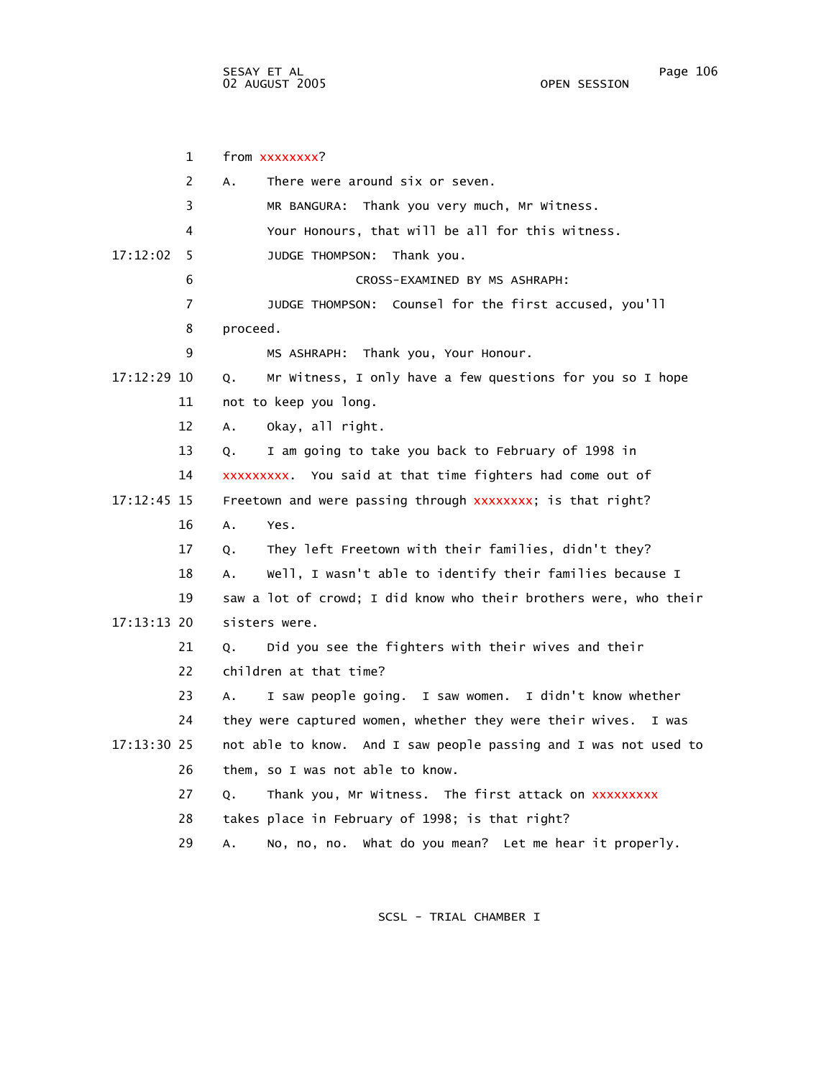1 from xxxxxxxx? 2 A. There were around six or seven. 3 MR BANGURA: Thank you very much, Mr Witness. 4 Your Honours, that will be all for this witness. 17:12:02 5 JUDGE THOMPSON: Thank you. 6 CROSS-EXAMINED BY MS ASHRAPH: 7 JUDGE THOMPSON: Counsel for the first accused, you'll 8 proceed. 9 MS ASHRAPH: Thank you, Your Honour. 17:12:29 10 Q. Mr Witness, I only have a few questions for you so I hope 11 not to keep you long. 12 A. Okay, all right. 13 Q. I am going to take you back to February of 1998 in 14 You said at that time fighters had come out of xxxxxxxxx.  $17:12:45$   $15$  Freetown and were passing through  $xxxxxxx$ ; is that right? 16 A. Yes. 17 Q. They left Freetown with their families, didn't they? 18 A. Well, I wasn't able to identify their families because I 19 saw a lot of crowd; I did know who their brothers were, who their 17:13:13 20 sisters were. 21 Q. Did you see the fighters with their wives and their 22 children at that time? 23 A. I saw people going. I saw women. I didn't know whether 24 they were captured women, whether they were their wives. I was 17:13:30 25 not able to know. And I saw people passing and I was not used to 26 them, so I was not able to know. 27 Q. Thank you, Mr Witness. The first attack on xxxxxxxxx 28 takes place in February of 1998; is that right? 29 A. No, no, no. What do you mean? Let me hear it properly.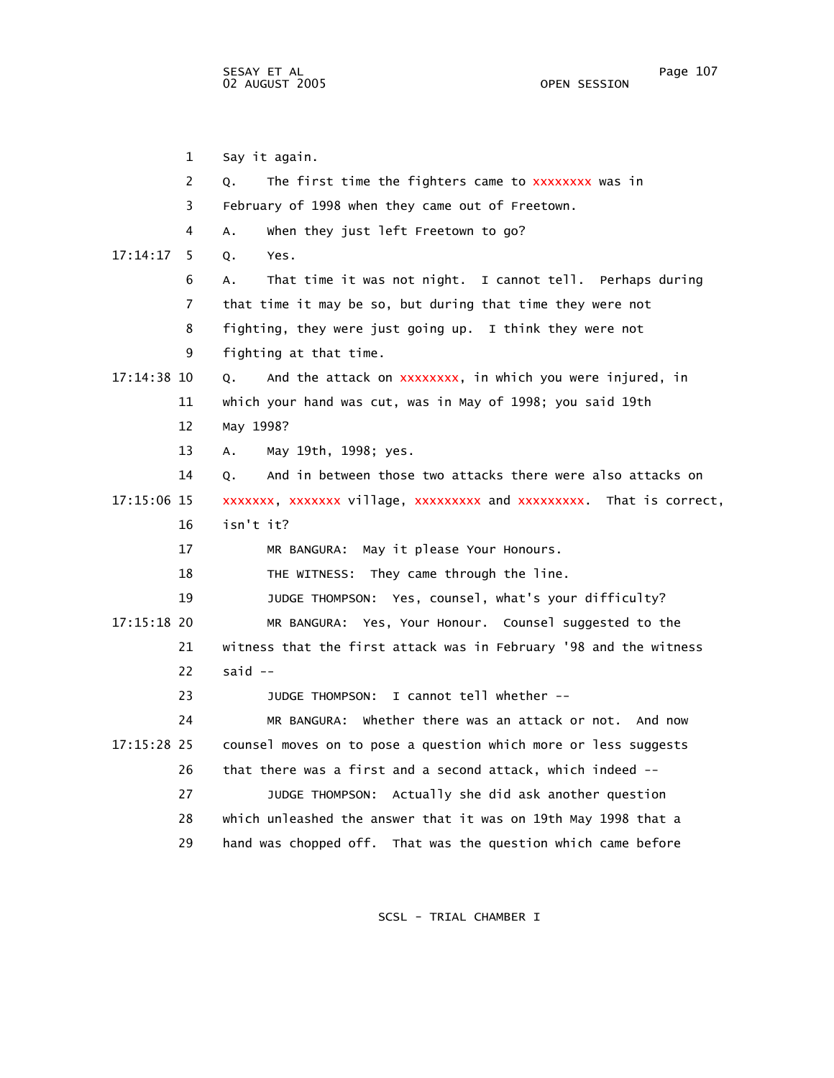1 Say it again. 2 Q. The first time the fighters came to xxxxxxxx was in 3 February of 1998 when they came out of Freetown. 4 A. When they just left Freetown to go? 17:14:17 5 Q. Yes. 6 A. That time it was not night. I cannot tell. Perhaps during 7 that time it may be so, but during that time they were not 8 fighting, they were just going up. I think they were not 9 fighting at that time. 17:14:38 10 Q. And the attack on xxxxxxxx, in which you were injured, in 11 which your hand was cut, was in May of 1998; you said 19th 12 May 1998? 13 A. May 19th, 1998; yes. 14 Q. And in between those two attacks there were also attacks on 17:15:06 15 xxxxxxx, xxxxxxx village, xxxxxxxxx and xxxxxxxxx. That is correct, 16 isn't it? 17 MR BANGURA: May it please Your Honours. 18 THE WITNESS: They came through the line. 19 JUDGE THOMPSON: Yes, counsel, what's your difficulty? 17:15:18 20 MR BANGURA: Yes, Your Honour. Counsel suggested to the 21 witness that the first attack was in February '98 and the witness  $22$  said  $-$  23 JUDGE THOMPSON: I cannot tell whether -- 24 MR BANGURA: Whether there was an attack or not. And now 17:15:28 25 counsel moves on to pose a question which more or less suggests 26 that there was a first and a second attack, which indeed -- 27 JUDGE THOMPSON: Actually she did ask another question 28 which unleashed the answer that it was on 19th May 1998 that a 29 hand was chopped off. That was the question which came before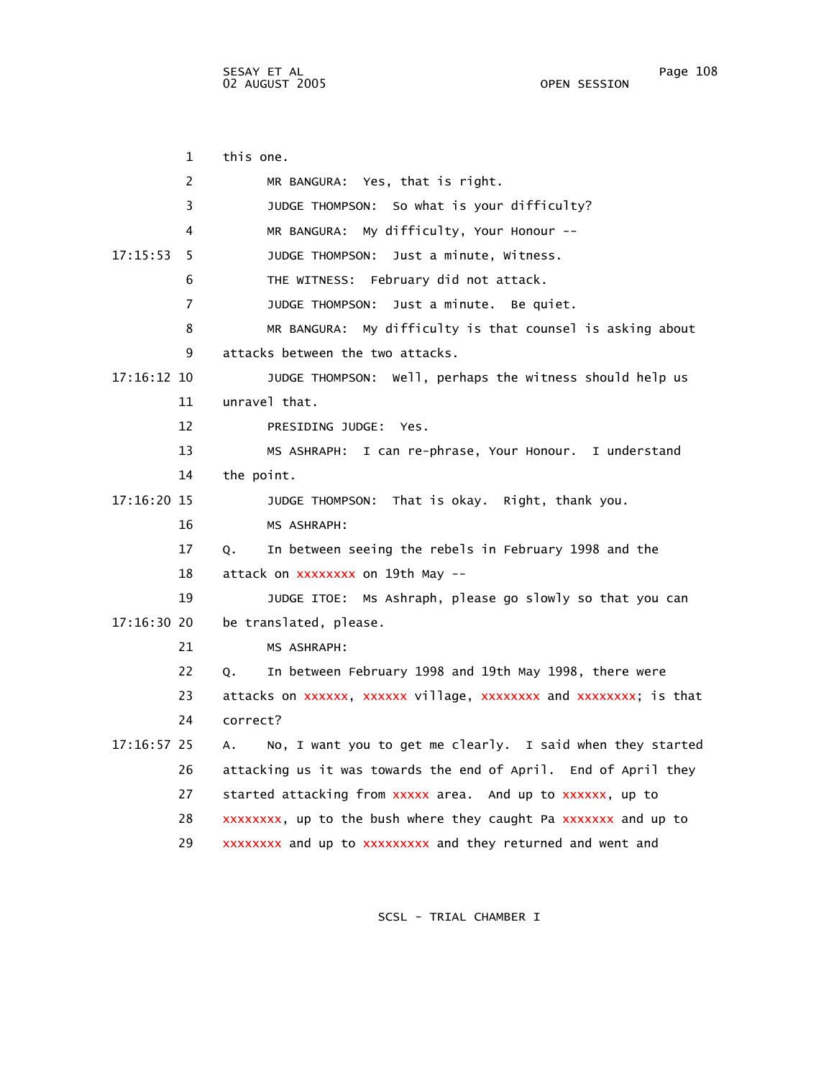02 AUGUST 2005

 1 this one. 2 MR BANGURA: Yes, that is right. 3 JUDGE THOMPSON: So what is your difficulty? 4 MR BANGURA: My difficulty, Your Honour -- 17:15:53 5 JUDGE THOMPSON: Just a minute, Witness. 6 THE WITNESS: February did not attack. 7 JUDGE THOMPSON: Just a minute. Be quiet. 8 MR BANGURA: My difficulty is that counsel is asking about 9 attacks between the two attacks. 17:16:12 10 JUDGE THOMPSON: Well, perhaps the witness should help us 11 unravel that. 12 PRESIDING JUDGE: Yes. 13 MS ASHRAPH: I can re-phrase, Your Honour. I understand 14 the point. 17:16:20 15 JUDGE THOMPSON: That is okay. Right, thank you. 16 MS ASHRAPH: 17 Q. In between seeing the rebels in February 1998 and the 18 attack on xxxxxxxx on 19th May -- 19 JUDGE ITOE: Ms Ashraph, please go slowly so that you can 17:16:30 20 be translated, please. 21 MS ASHRAPH: 22 Q. In between February 1998 and 19th May 1998, there were 23 attacks on xxxxxxx, xxxxxxx village, xxxxxxxxx and xxxxxxxx; is that 24 correct? 17:16:57 25 A. No, I want you to get me clearly. I said when they started 26 attacking us it was towards the end of April. End of April they 27 started attacking from xxxxx area. And up to xxxxxx, up to 28 up to the bush where they caught Pa and up to xxxxxxxx, xxxxxxx 29 xxxxxxxx and up to xxxxxxxxx and they returned and went and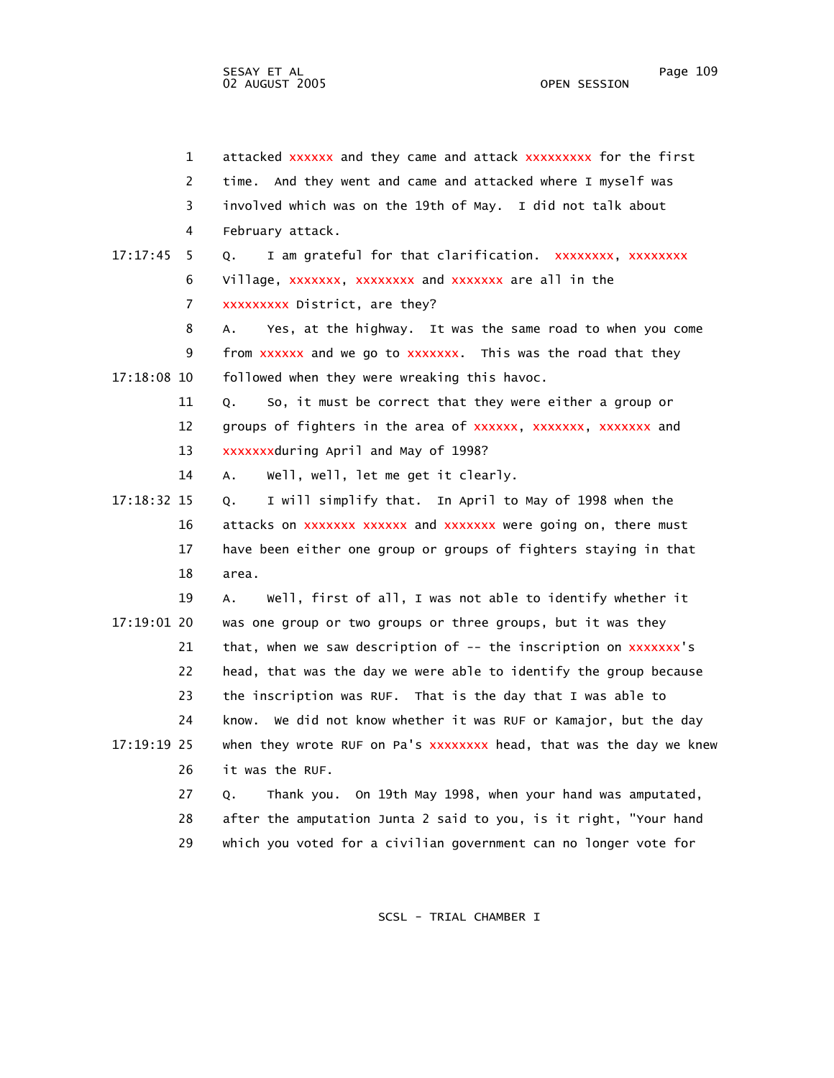| $\mathbf{1}$   | attacked xxxxxx and they came and attack xxxxxxxxx for the first    |
|----------------|---------------------------------------------------------------------|
| 2              | time. And they went and came and attacked where I myself was        |
| 3              | involved which was on the 19th of May. I did not talk about         |
| 4              | February attack.                                                    |
| 17:17:45<br>-5 | I am grateful for that clarification. xxxxxxxx, xxxxxxxx<br>Q.      |
| 6              | Village, XXXXXXX, XXXXXXXX and XXXXXXX are all in the               |
| 7              | xxxxxxxx District, are they?                                        |
| 8              | Yes, at the highway. It was the same road to when you come<br>А.    |
| 9              | from xxxxxx and we go to xxxxxxx. This was the road that they       |
| 17:18:08 10    | followed when they were wreaking this havoc.                        |
| 11             | So, it must be correct that they were either a group or<br>Q.       |
| 12             | groups of fighters in the area of xxxxxx, xxxxxxx, xxxxxxx and      |
| 13             | xxxxxxxduring April and May of 1998?                                |
| 14             | well, well, let me get it clearly.<br>Α.                            |
| 17:18:32 15    | I will simplify that. In April to May of 1998 when the<br>Q.        |
| 16             | attacks on xxxxxxx xxxxxx and xxxxxxx were going on, there must     |
| 17             | have been either one group or groups of fighters staying in that    |
| 18             | area.                                                               |
| 19             | Well, first of all, I was not able to identify whether it<br>Α.     |
| 17:19:01 20    | was one group or two groups or three groups, but it was they        |
| 21             | that, when we saw description of -- the inscription on xxxxxxx's    |
| 22             | head, that was the day we were able to identify the group because   |
| 23             | the inscription was RUF. That is the day that I was able to         |
| 24             | know. We did not know whether it was RUF or Kamajor, but the day    |
| 17:19:19 25    | when they wrote RUF on Pa's xxxxxxxx head, that was the day we knew |
| 26             | it was the RUF.                                                     |
| 27             | Thank you. On 19th May 1998, when your hand was amputated,<br>Q.    |
| 28             | after the amputation Junta 2 said to you, is it right, "Your hand   |
| 29             | which you voted for a civilian government can no longer vote for    |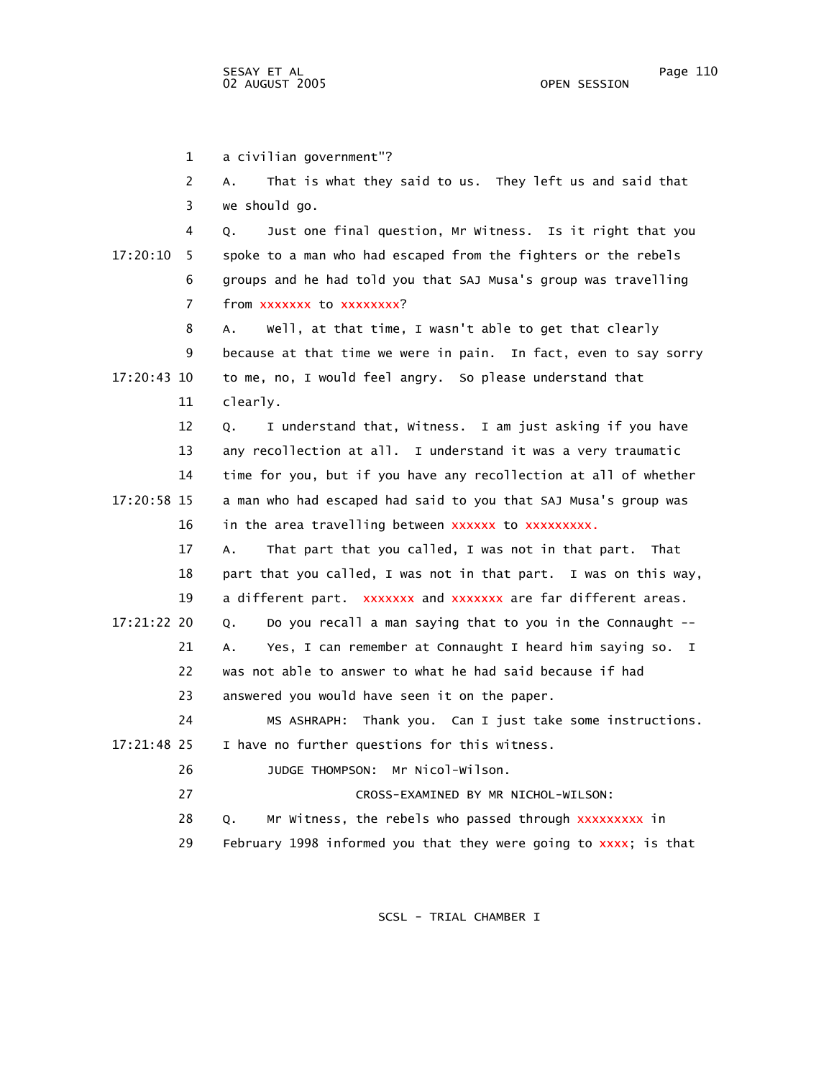1 a civilian government"? 2 A. That is what they said to us. They left us and said that 3 we should go. 4 Q. Just one final question, Mr Witness. Is it right that you 17:20:10 5 spoke to a man who had escaped from the fighters or the rebels 6 groups and he had told you that SAJ Musa's group was travelling 7 from xxxxxxx to xxxxxxxx? 8 A. Well, at that time, I wasn't able to get that clearly 9 because at that time we were in pain. In fact, even to say sorry 17:20:43 10 to me, no, I would feel angry. So please understand that 11 clearly. 12 Q. I understand that, Witness. I am just asking if you have 13 any recollection at all. I understand it was a very traumatic 14 time for you, but if you have any recollection at all of whether 17:20:58 15 a man who had escaped had said to you that SAJ Musa's group was 16 in the area travelling between xxxxxxx to xxxxxxxxx. 17 A. That part that you called, I was not in that part. That 18 part that you called, I was not in that part. I was on this way, 19 a different part. xxxxxxx and xxxxxxx are far different areas. 17:21:22 20 Q. Do you recall a man saying that to you in the Connaught -- 21 A. Yes, I can remember at Connaught I heard him saying so. I 22 was not able to answer to what he had said because if had 23 answered you would have seen it on the paper. 24 MS ASHRAPH: Thank you. Can I just take some instructions. 17:21:48 25 I have no further questions for this witness. 26 JUDGE THOMPSON: Mr Nicol-Wilson. 27 CROSS-EXAMINED BY MR NICHOL-WILSON: 28 Q. Mr Witness, the rebels who passed through xxxxxxxxx in 29 February 1998 informed you that they were going to xxxx; is that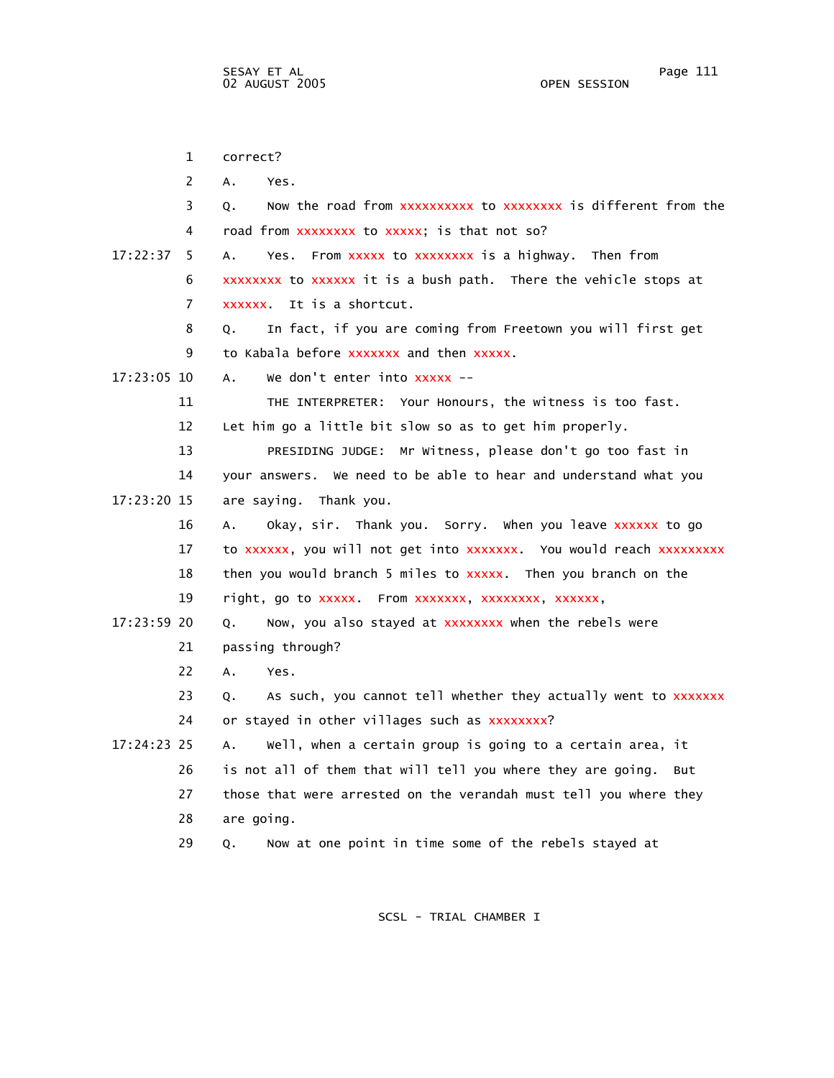1 correct? 2 A. Yes. 3 Q. Now the road from xxxxxxxxxx to xxxxxxxx is different from the 4 road from xxxxxxxx to xxxxx; is that not so? 17:22:37 5 A. Yes. From xxxxx to xxxxxxxx is a highway. Then from 6 xxxxxxxx to xxxxxx it is a bush path. There the vehicle stops at 7 xxxxxx. It is a shortcut. 8 Q. In fact, if you are coming from Freetown you will first get 9 to Kabala before xxxxxxx and then xxxxx. 17:23:05 10 A. We don't enter into xxxxx -- 11 THE INTERPRETER: Your Honours, the witness is too fast. 12 Let him go a little bit slow so as to get him properly. 13 PRESIDING JUDGE: Mr Witness, please don't go too fast in 14 your answers. We need to be able to hear and understand what you 17:23:20 15 are saying. Thank you. 16 A. Okay, sir. Thank you. Sorry. When you leave xxxxxx to go 17 to xxxxxx, you will not get into xxxxxxx. You would reach xxxxxxxxx 18 then you would branch 5 miles to xxxxx. Then you branch on the 19 right, go to xxxxx. From xxxxxxx, xxxxxxxx, xxxxxx, 17:23:59 20 Q. Now, you also stayed at xxxxxxxx when the rebels were 21 passing through? 22 A. Yes. 23 Q. As such, you cannot tell whether they actually went to xxxxxxx 24 or stayed in other villages such as xxxxxxxx? 17:24:23 25 A. Well, when a certain group is going to a certain area, it 26 is not all of them that will tell you where they are going. But 27 those that were arrested on the verandah must tell you where they 28 are going. 29 Q. Now at one point in time some of the rebels stayed at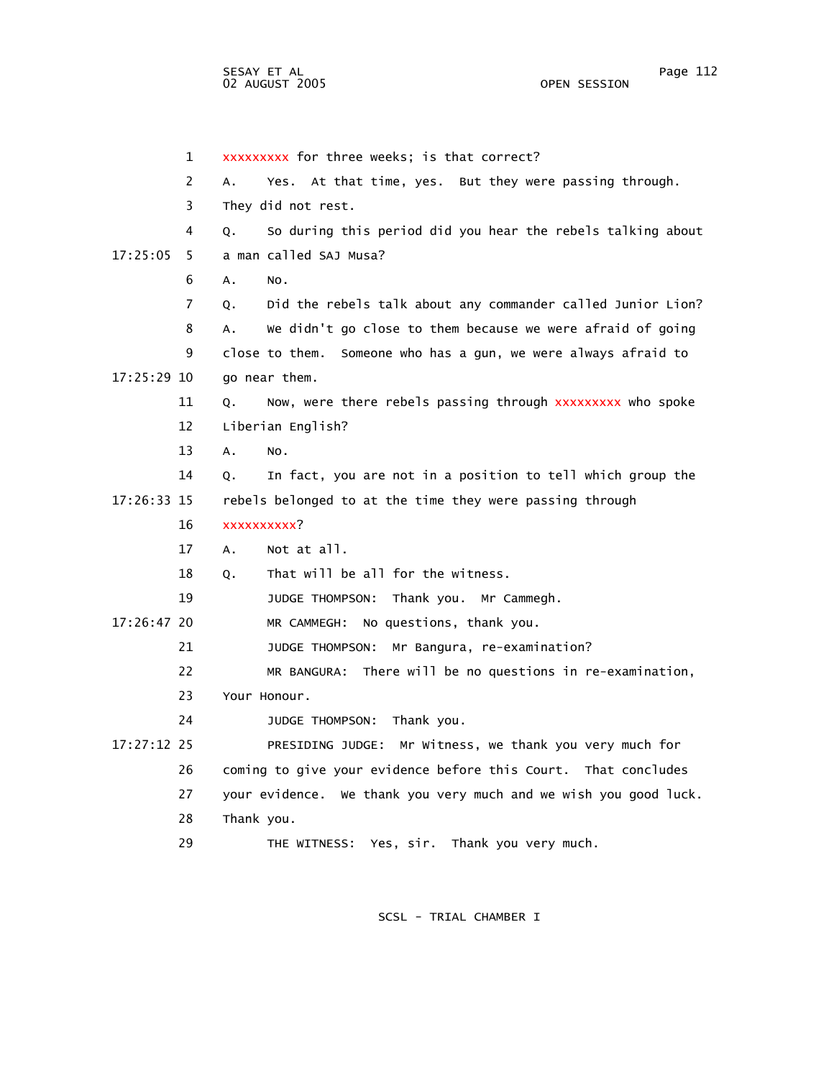1 xxxxxxxxx for three weeks; is that correct? 2 A. Yes. At that time, yes. But they were passing through. 3 They did not rest. 4 Q. So during this period did you hear the rebels talking about 17:25:05 5 a man called SAJ Musa? 6 A. No. 7 Q. Did the rebels talk about any commander called Junior Lion? 8 A. We didn't go close to them because we were afraid of going 9 close to them. Someone who has a gun, we were always afraid to 17:25:29 10 go near them. 11 Q. Now, were there rebels passing through xxxxxxxxx who spoke 12 Liberian English? 13 A. No. 14 Q. In fact, you are not in a position to tell which group the 17:26:33 15 rebels belonged to at the time they were passing through 16 17 A. Not at all. 18 Q. That will be all for the witness. 19 JUDGE THOMPSON: Thank you. Mr Cammegh. 17:26:47 20 MR CAMMEGH: No questions, thank you. 21 JUDGE THOMPSON: Mr Bangura, re-examination? 22 MR BANGURA: There will be no questions in re-examination, 23 Your Honour. 24 JUDGE THOMPSON: Thank you. 17:27:12 25 PRESIDING JUDGE: Mr Witness, we thank you very much for 26 coming to give your evidence before this Court. That concludes 27 your evidence. We thank you very much and we wish you good luck. 28 Thank you. 29 THE WITNESS: Yes, sir. Thank you very much. xxxxxxxxxx?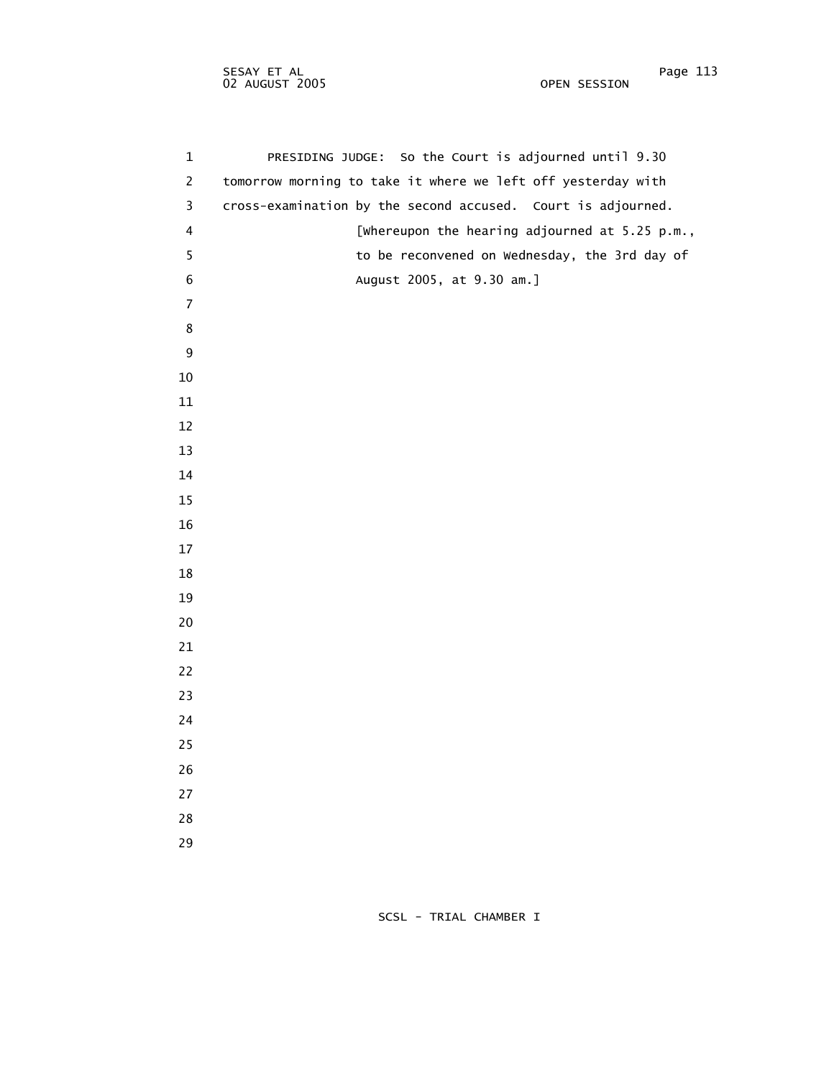1 PRESIDING JUDGE: So the Court is adjourned until 9.30 2 tomorrow morning to take it where we left off yesterday with 3 cross-examination by the second accused. Court is adjourned. 4 [Whereupon the hearing adjourned at 5.25 p.m., 5 to be reconvened on Wednesday, the 3rd day of 6 August 2005, at 9.30 am.]